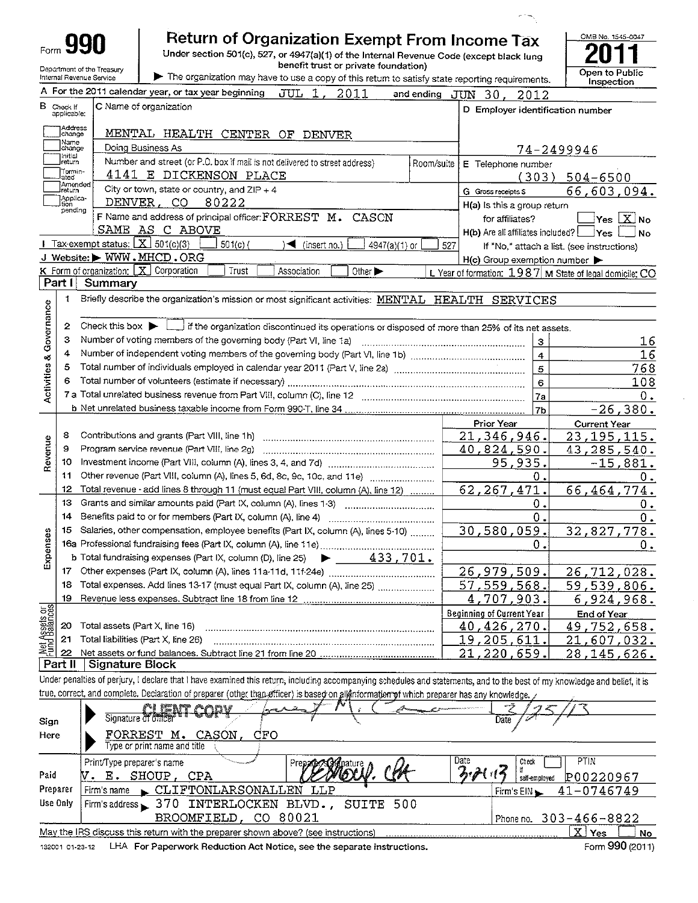|                                               |                                  |                                                        | Return of Organization Exempt From Income Tax                                                                                                                              |                                                         | OMB No. 1545-0047                          |
|-----------------------------------------------|----------------------------------|--------------------------------------------------------|----------------------------------------------------------------------------------------------------------------------------------------------------------------------------|---------------------------------------------------------|--------------------------------------------|
|                                               |                                  |                                                        | Under section 501(c), 527, or 4947(a)(1) of the Internal Revenue Code (except black lung<br>benefit trust or private foundation)                                           |                                                         |                                            |
|                                               |                                  | Department of the Treasury<br>Internal Revenue Service | The organization may have to use a copy of this return to satisfy state reporting requirements.                                                                            | Open to Public<br>Inspection                            |                                            |
|                                               |                                  |                                                        | A For the 2011 calendar year, or tax year beginning<br>JUL 1,<br>2011<br>and ending JUN                                                                                    | 30.<br>2012                                             |                                            |
|                                               | <b>B</b> Check If<br>applicable: |                                                        | C Name of organization                                                                                                                                                     | D Employer identification number                        |                                            |
|                                               | Adaress<br>change<br>Name        |                                                        | MENTAL HEALTH CENTER OF DENVER                                                                                                                                             |                                                         |                                            |
|                                               | change<br>Initial                |                                                        | Doing Business As                                                                                                                                                          |                                                         | 74-2499946                                 |
|                                               | return<br>Termin-                |                                                        | Number and street (or P.O. box if mail is not delivered to street address)<br>Room/suite<br>4141 E DICKENSON PLACE                                                         | E Telephone number                                      |                                            |
|                                               | lated<br>Amended<br>iret⊔rn      |                                                        | City or town, state or country, and $ZIP + 4$                                                                                                                              | (303)<br>G Gross receipts \$                            | $504 - 6500$<br>66,603,094.                |
|                                               | Applica-<br>tion                 | DENVER ,                                               | CO.<br>80222                                                                                                                                                               | H(a) is this a group return                             |                                            |
|                                               | pending                          |                                                        | F Name and address of principal officer: FORREST M. CASON                                                                                                                  | for affiliates?                                         | $\sqrt{X}N_0$<br>Yes                       |
|                                               |                                  |                                                        | SAME AS C ABOVE                                                                                                                                                            | $H(b)$ Are all affiliates included?                     | <b>Yes</b><br><b>No</b>                    |
|                                               |                                  | Tax-exempt status: $X \overline{301(c)(3)}$            | $501(c)$ (<br>$\sim$ (insert no.)<br>4947(a)(1) or                                                                                                                         | 527                                                     | If "No," attach a list. (see instructions) |
|                                               |                                  |                                                        | J Website: WWW.MHCD.ORG                                                                                                                                                    | $H(c)$ Group exemption number $\blacktriangleright$     |                                            |
|                                               | Part I                           | $K$ Form of organization: $[X]$ Corporation<br>Summary | Trust<br>Association<br>Other $\blacktriangleright$                                                                                                                        | L Year of formation: 1987 M State of legal domicile: CO |                                            |
|                                               | 1                                |                                                        |                                                                                                                                                                            |                                                         |                                            |
| & Governance                                  |                                  |                                                        | Briefly describe the organization's mission or most significant activities: MENTAL HEALTH SERVICES                                                                         |                                                         |                                            |
|                                               | 2                                |                                                        | Check this box $\blacktriangleright$ $\Box$ if the organization discontinued its operations or disposed of more than 25% of its net assets.                                |                                                         |                                            |
|                                               | 3                                |                                                        | Number of voting members of the governing body (Part VI, line 1a)                                                                                                          | $\mathbf{3}$                                            | 16                                         |
|                                               | 4                                |                                                        |                                                                                                                                                                            | $\overline{4}$                                          | 16                                         |
|                                               | 5                                |                                                        |                                                                                                                                                                            | 5                                                       | 768                                        |
| Activities                                    | 6                                |                                                        |                                                                                                                                                                            | 6                                                       | 108                                        |
|                                               |                                  |                                                        |                                                                                                                                                                            | 7a                                                      | 0.                                         |
|                                               |                                  |                                                        |                                                                                                                                                                            | 7 <sub>b</sub>                                          | $-26,380.$                                 |
|                                               |                                  |                                                        |                                                                                                                                                                            | Prior Year                                              | <b>Current Year</b>                        |
|                                               | 8<br>9                           |                                                        |                                                                                                                                                                            | 21,346,946.                                             | 23, 195, 115.                              |
| Revenue                                       | 10                               |                                                        | Program service revenue (Part VIII, line 2g)                                                                                                                               | 40,824,590.<br>95,935.                                  | 43,285,540.                                |
|                                               | 11                               |                                                        | Other revenue (Part VIII, column (A), lines 5, 6d, 8c, 9c, 10c, and 11e)                                                                                                   | 0.                                                      | $-15,881.$<br>0.                           |
|                                               | 12                               |                                                        | Total revenue - add lines 8 through 11 (must equal Part VIII, column (A), line 12)                                                                                         | 62,267,471.                                             | 66,464,774.                                |
|                                               | 13                               |                                                        | Grants and similar amounts paid (Part IX, column (A), lines 1-3)                                                                                                           | Ο.                                                      | 0.                                         |
|                                               | 14                               |                                                        | Benefits paid to or for members (Part IX, column (A), line 4)                                                                                                              | 0.                                                      | О.                                         |
| es.                                           | 15                               |                                                        | Salaries, other compensation, employee benefits (Part IX, column (A), lines 5-10)                                                                                          | 30,580,059.                                             | 32,827,778.                                |
|                                               |                                  |                                                        |                                                                                                                                                                            | 0.                                                      | $0$ .                                      |
| Expens                                        |                                  |                                                        | <b>b</b> Total fundraising expenses (Part IX, column (D), line 25)<br>$\blacktriangleright$ 433,701.                                                                       |                                                         |                                            |
|                                               | 17                               |                                                        |                                                                                                                                                                            | 26,979,509.                                             | 26,712,028 <b>.</b>                        |
|                                               | 18                               |                                                        | Total expenses. Add lines 13-17 (must equal Part IX, column (A), line 25)                                                                                                  | 57,559,568.                                             | 59,539,806.                                |
|                                               | 19                               |                                                        |                                                                                                                                                                            | 4,707,903.                                              | 6,924,968.                                 |
|                                               | 20                               | Total assets (Part X, line 16)                         |                                                                                                                                                                            | <b>Beginning of Current Year</b><br><u>40,426,270.</u>  | End of Year                                |
|                                               | 21                               |                                                        | Total liabilities (Part X, line 26)                                                                                                                                        | <u>19,205,611.</u>                                      | <u>49,752,</u> 658.<br>21<br>,607,032.     |
| <b>LNet Assets or</b><br><b>Fund Balances</b> | 22                               |                                                        |                                                                                                                                                                            | <u>21,220,659.</u>                                      | 28,145,626.                                |
|                                               | Part II                          | Signature Block                                        |                                                                                                                                                                            |                                                         |                                            |
|                                               |                                  |                                                        | Under penalties of perjury, I declare that I have examined this return, including accompanying schedules and statements, and to the best of my knowledge and belief, it is |                                                         |                                            |
|                                               |                                  |                                                        | true, correct, and complete. Declaration of preparer (other than efficer) is based on allenformation of which preparer has any knowledge.                                  |                                                         |                                            |
|                                               |                                  |                                                        | <u>MIENT ANDV</u>                                                                                                                                                          |                                                         |                                            |
| Sign                                          |                                  | Signature of officer                                   | Date                                                                                                                                                                       |                                                         |                                            |
| Here                                          |                                  |                                                        | FORREST M. CASON,<br>CFO                                                                                                                                                   |                                                         |                                            |
|                                               |                                  |                                                        | Type or print name and title                                                                                                                                               | Date                                                    | <b>PTIN</b>                                |
| Paid                                          |                                  | Print/Type preparer's name                             | Prepare / Supportune<br>V. E. SHOUP, CPA                                                                                                                                   | Check<br>$\mathscr{P}(\cdot   \cdot)$                   |                                            |
|                                               | Preparer                         | Firm's name                                            | CLIFTONLARSONALLEN LLP                                                                                                                                                     | self-employed                                           | P00220967                                  |
|                                               | Use Only                         | Firm's address $\sim$ 370                              | INTERLOCKEN BLVD.,<br>SUITE<br>500                                                                                                                                         | Firm's $EIN$                                            | 41-0746749                                 |
|                                               |                                  |                                                        | CO 80021<br>BROOMFIELD,                                                                                                                                                    |                                                         | Phone no. 303-466-8822                     |
|                                               |                                  |                                                        | May the IRS discuss this return with the preparer shown above? (see instructions)                                                                                          |                                                         | $X \mid Y_{\text{ess}}$<br>No              |
|                                               |                                  |                                                        |                                                                                                                                                                            |                                                         |                                            |

132001 01-23-12 LHA For Paperwork Reduction Act Notice, see the separate instructions.

 $\sim$ 

 $\sigma^2\overline{\sigma}^2_{\rm th}$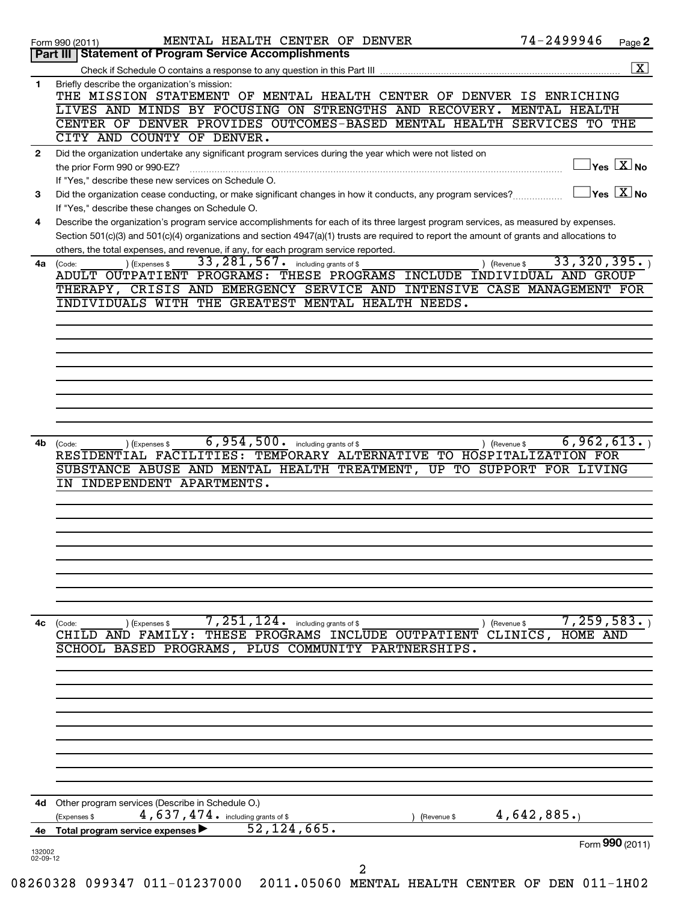|              | 74-2499946<br>MENTAL HEALTH CENTER OF DENVER<br>Page 2<br>Form 990 (2011)                                                                                                                                                         |
|--------------|-----------------------------------------------------------------------------------------------------------------------------------------------------------------------------------------------------------------------------------|
|              | <b>Statement of Program Service Accomplishments</b><br>Part III                                                                                                                                                                   |
|              | $\boxed{\textbf{X}}$                                                                                                                                                                                                              |
| $\mathbf{1}$ | Briefly describe the organization's mission:                                                                                                                                                                                      |
|              | THE MISSION STATEMENT OF MENTAL HEALTH CENTER OF DENVER IS ENRICHING                                                                                                                                                              |
|              | LIVES AND MINDS BY FOCUSING ON STRENGTHS AND RECOVERY.<br>MENTAL HEALTH                                                                                                                                                           |
|              | CENTER OF DENVER PROVIDES OUTCOMES-BASED MENTAL HEALTH SERVICES<br>TO THE<br>CITY AND COUNTY OF DENVER.                                                                                                                           |
|              |                                                                                                                                                                                                                                   |
| $\mathbf{2}$ | Did the organization undertake any significant program services during the year which were not listed on<br>$ {\mathsf Y}$ es $\boxed{{\mathbf X}}$ No                                                                            |
|              | the prior Form 990 or 990-EZ?                                                                                                                                                                                                     |
| 3            | If "Yes," describe these new services on Schedule O.<br>$ {\mathsf Y}\mathsf{es}^\top\overline{{\mathbf{X}}} $ No<br>Did the organization cease conducting, or make significant changes in how it conducts, any program services? |
|              | If "Yes," describe these changes on Schedule O.                                                                                                                                                                                   |
| 4            | Describe the organization's program service accomplishments for each of its three largest program services, as measured by expenses.                                                                                              |
|              | Section 501(c)(3) and 501(c)(4) organizations and section 4947(a)(1) trusts are required to report the amount of grants and allocations to                                                                                        |
|              | others, the total expenses, and revenue, if any, for each program service reported.                                                                                                                                               |
| 4a           | 33,320,395.<br>33, 281, 567.<br>including grants of \$<br>) (Expenses \$<br>(Code:<br>) (Revenue \$                                                                                                                               |
|              | ADULT OUTPATIENT PROGRAMS: THESE PROGRAMS INCLUDE INDIVIDUAL AND GROUP                                                                                                                                                            |
|              | THERAPY, CRISIS AND EMERGENCY SERVICE AND INTENSIVE CASE MANAGEMENT FOR                                                                                                                                                           |
|              | INDIVIDUALS WITH THE GREATEST MENTAL HEALTH NEEDS.                                                                                                                                                                                |
|              |                                                                                                                                                                                                                                   |
|              |                                                                                                                                                                                                                                   |
|              |                                                                                                                                                                                                                                   |
|              |                                                                                                                                                                                                                                   |
|              |                                                                                                                                                                                                                                   |
|              |                                                                                                                                                                                                                                   |
|              |                                                                                                                                                                                                                                   |
|              |                                                                                                                                                                                                                                   |
|              |                                                                                                                                                                                                                                   |
| 4b           | 6,954,500.<br>6,962,613.<br>including grants of \$<br>) (Revenue \$<br>(Code:<br>(Expenses \$                                                                                                                                     |
|              | RESIDENTIAL FACILITIES: TEMPORARY ALTERNATIVE TO HOSPITALIZATION FOR                                                                                                                                                              |
|              | SUBSTANCE ABUSE AND MENTAL HEALTH TREATMENT,<br>UP TO SUPPORT FOR LIVING<br>INDEPENDENT APARTMENTS.                                                                                                                               |
|              |                                                                                                                                                                                                                                   |
|              |                                                                                                                                                                                                                                   |
|              |                                                                                                                                                                                                                                   |
|              |                                                                                                                                                                                                                                   |
|              |                                                                                                                                                                                                                                   |
|              |                                                                                                                                                                                                                                   |
|              |                                                                                                                                                                                                                                   |
|              |                                                                                                                                                                                                                                   |
|              |                                                                                                                                                                                                                                   |
| 4с           | 7,259,583.<br>7,251,124.<br>including grants of \$<br>) (Revenue \$<br>(Code:<br>) (Expenses \$                                                                                                                                   |
|              | $CLINICS$ ,<br>THESE PROGRAMS INCLUDE<br>CHILD<br>AND FAMILY:<br>OUTPATIENT<br>HOME AND                                                                                                                                           |
|              | SCHOOL BASED PROGRAMS,<br>PLUS COMMUNITY PARTNERSHIPS.                                                                                                                                                                            |
|              |                                                                                                                                                                                                                                   |
|              |                                                                                                                                                                                                                                   |
|              |                                                                                                                                                                                                                                   |
|              |                                                                                                                                                                                                                                   |
|              |                                                                                                                                                                                                                                   |
|              |                                                                                                                                                                                                                                   |
|              |                                                                                                                                                                                                                                   |
|              |                                                                                                                                                                                                                                   |
|              |                                                                                                                                                                                                                                   |
|              |                                                                                                                                                                                                                                   |
| 4d           | Other program services (Describe in Schedule O.)                                                                                                                                                                                  |
|              | 4,637,474. including grants of \$<br>4,642,885.<br>(Expenses \$<br>(Revenue \$<br>52,124,665.                                                                                                                                     |
|              | 4e Total program service expenses<br>Form 990 (2011)                                                                                                                                                                              |
| 132002       |                                                                                                                                                                                                                                   |
| 02-09-12     | 2                                                                                                                                                                                                                                 |
|              | 360338 000347 011 01337000 0011 05060 MEMBAT<br>$\Omega$ תוז 111 מהדת הח                                                                                                                                                          |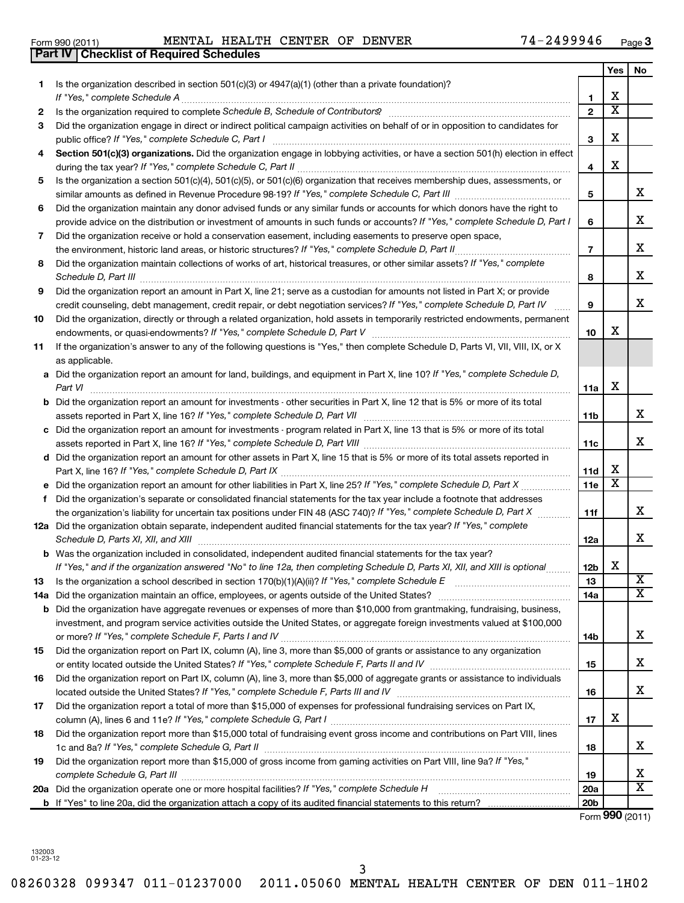**13 14 a**

**f**

**15**

**16**

**17**

**18**

**19**

**1**

**2 3**

132003 01-23-12

#### **4 5 6 7 8 9 10 11 3 4 5 6 7 8 9 10** Section 501(c)(3) organizations. Did the organization engage in lobbying activities, or have a section 501(h) election in effect **a** Did the organization report an amount for land, buildings, and equipment in Part X, line 10? If "Yes," complete Schedule D, **b** Did the organization report an amount for investments - other securities in Part X, line 12 that is 5% or more of its total **c** Did the organization report an amount for investments - program related in Part X, line 13 that is 5% or more of its total **d** Did the organization report an amount for other assets in Part X, line 15 that is 5% or more of its total assets reported in **11a 11b 11c 11d** *If "Yes," complete Schedule C, Part I* public office? ~~~~~~~~~~~~~~~~~~~~~~~~~~~~~~~~~~~~ during the tax year? If "Yes," complete Schedule C, Part II **manually construct that year** year? If "Yes," complete similar amounts as defined in Revenue Procedure 98-19? If "Yes," complete Schedule C, Part III *\_\_\_\_\_\_\_\_\_\_\_\_\_\_\_\_\_\_ If "Yes," complete Schedule D, Part I* provide advice on the distribution or investment of amounts in such funds or accounts? *If "Yes," complete Schedule D, Part II* the environment, historic land areas, or historic structures? ~~~~~~~~~~~~~~ Did the organization maintain collections of works of art, historical treasures, or other similar assets? If "Yes," complete *Schedule D, Part III* ~~~~~~~~~~~~~~~~~~~~~~~~~~~~~~~~~~~~~~~~~~~~~~~~~~~~ credit counseling, debt management, credit repair, or debt negotiation services? If "Yes," complete Schedule D, Part IV *If "Yes," complete Schedule D, Part V* endowments, or quasi-endowments? ~~~~~~~~~~~~~~~~~~~~~~~~ *Part VI* ~~~~~~~~~~~~~~~~~~~~~~~~~~~~~~~~~~~~~~~~~~~~~~~~~~~~~~~~~~ assets reported in Part X, line 16? If "Yes," complete Schedule D, Part VII <sub>…………………………………………………………</sub> assets reported in Part X, line 16? If "Yes," complete Schedule D, Part VIII <sub>…………………………………………………………</sub>…… Part X, line 16? If "Yes," complete Schedule D, Part IX <sub>………………………………………………………………………………</sub> Did the organization engage in direct or indirect political campaign activities on behalf of or in opposition to candidates for Is the organization a section 501(c)(4), 501(c)(5), or 501(c)(6) organization that receives membership dues, assessments, or Did the organization maintain any donor advised funds or any similar funds or accounts for which donors have the right to Did the organization receive or hold a conservation easement, including easements to preserve open space, Did the organization report an amount in Part X, line 21; serve as a custodian for amounts not listed in Part X; or provide Did the organization, directly or through a related organization, hold assets in temporarily restricted endowments, permanent ~~~~~ If the organization's answer to any of the following questions is "Yes," then complete Schedule D, Parts VI, VII, VIII, IX, or X as applicable. X X X X X  $\overline{\texttt{x}}$

*If "Yes," complete Schedule A* ~~~~~~~~~~~~~~~~~~~~~~~~~~~~~~~~~~~~~~~~~~~~~~~ *Schedule B, Schedule of Contributors* Is the organization required to complete ? ~~~~~~~~~~~~~~~~~~~~~~

| Is the organization a school described in section $170(b)(1)(A)(ii)?$ If "Yes," complete Schedule E                            |
|--------------------------------------------------------------------------------------------------------------------------------|
| Did the organization maintain an office, employees, or agents outside of the United States?                                    |
| Did the organization have aggregate revenues or expenses of more than \$10,000 from grantmaking, fundraising, business,        |
| investment, and program service activities outside the United States, or aggregate foreign investments valued at \$100,000     |
| or more? If "Yes," complete Schedule F, Parts I and IV                                                                         |
| Did the organization report on Part IX, column (A), line 3, more than \$5,000 of grants or assistance to any organization      |
| or entity located outside the United States? If "Yes," complete Schedule F, Parts II and IV                                    |
| Did the organization report on Part IX, column (A), line 3, more than \$5,000 of aggregate grants or assistance to individuals |

**e** *If "Yes," complete Schedule D, Part X* Did the organization report an amount for other liabilities in Part X, line 25? ~~~~~~

Did the organization's separate or consolidated financial statements for the tax year include a footnote that addresses

the organization's liability for uncertain tax positions under FIN 48 (ASC 740)? If "Yes," co*mplete Schedule D, Part X* ............

| Form 990 (2011) | MENTAL | <b>. HEALTH CENTER OF</b> |  | DENVER | 74-2499946 | Page |
|-----------------|--------|---------------------------|--|--------|------------|------|

Is the organization described in section 501(c)(3) or 4947(a)(1) (other than a private foundation)?

**Part IV Checklist of Required Schedules**

**3**

**1 2** **Yes No**

X

X

X

X

X

X

X

X

X X

|    | 12a Did the organization obtain separate, independent audited financial statements for the tax year? If "Yes," complete                                                                                                  |                 |   |                         |
|----|--------------------------------------------------------------------------------------------------------------------------------------------------------------------------------------------------------------------------|-----------------|---|-------------------------|
|    | Schedule D, Parts XI, XII, and XIII                                                                                                                                                                                      | 12a             |   | x.                      |
|    | <b>b</b> Was the organization included in consolidated, independent audited financial statements for the tax year?                                                                                                       |                 |   |                         |
|    | If "Yes," and if the organization answered "No" to line 12a, then completing Schedule D, Parts XI, XII, and XIII is optional                                                                                             | 12 <sub>b</sub> | x |                         |
| 13 | Is the organization a school described in section $170(b)(1)(A)(ii)$ ? If "Yes," complete Schedule E                                                                                                                     | 13              |   | X                       |
|    | 14a Did the organization maintain an office, employees, or agents outside of the United States?                                                                                                                          | 14a             |   | $\overline{\texttt{x}}$ |
|    | <b>b</b> Did the organization have aggregate revenues or expenses of more than \$10,000 from grantmaking, fundraising, business,                                                                                         |                 |   |                         |
|    | investment, and program service activities outside the United States, or aggregate foreign investments valued at \$100,000<br>or more? If "Yes," complete Schedule F, Parts I and IV                                     | 14b             |   | x                       |
| 15 | Did the organization report on Part IX, column (A), line 3, more than \$5,000 of grants or assistance to any organization<br>or entity located outside the United States? If "Yes," complete Schedule F, Parts II and IV | 15              |   | x                       |
| 16 | Did the organization report on Part IX, column (A), line 3, more than \$5,000 of aggregate grants or assistance to individuals<br>located outside the United States? If "Yes," complete Schedule F, Parts III and IV     | 16              |   | x                       |
| 17 | Did the organization report a total of more than \$15,000 of expenses for professional fundraising services on Part IX,<br>column (A), lines 6 and 11e? If "Yes," complete Schedule G, Part I                            | 17              | х |                         |
| 18 | Did the organization report more than \$15,000 total of fundraising event gross income and contributions on Part VIII, lines<br>1c and 8a? If "Yes," complete Schedule G, Part II                                        | 18              |   | x                       |
| 19 | Did the organization report more than \$15,000 of gross income from gaming activities on Part VIII, line 9a? If "Yes,"<br>complete Schedule G, Part III                                                                  | 19              |   | х                       |
|    | <b>20a</b> Did the organization operate one or more hospital facilities? If "Yes," complete Schedule H                                                                                                                   | 20a             |   | x                       |
|    | <b>b</b> If "Yes" to line 20a, did the organization attach a copy of its audited financial statements to this return?                                                                                                    | 20 <sub>b</sub> |   |                         |

**11e**

**11f**

Form (2011) **990**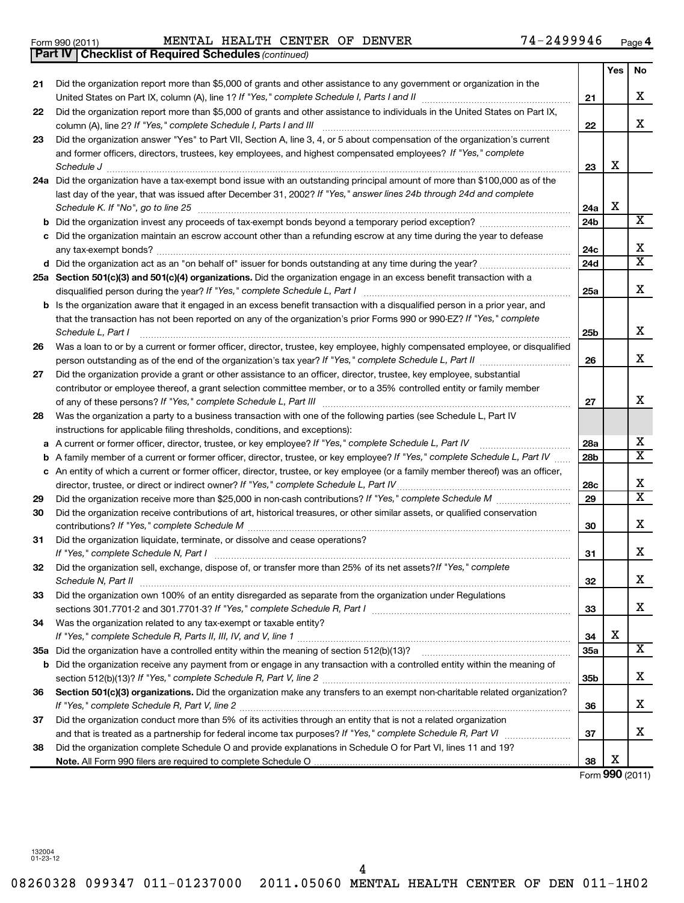Form 990 (2011) MENTAL HEALTH CENTER OF DENVER / 4-Z4 9 9 9 4 6 Page MENTAL HEALTH CENTER OF DENVER 74-2499946

**4**

|    | <b>Part IV   Checklist of Required Schedules (continued)</b>                                                                        |                 |     |                         |  |  |  |  |  |
|----|-------------------------------------------------------------------------------------------------------------------------------------|-----------------|-----|-------------------------|--|--|--|--|--|
|    |                                                                                                                                     |                 | Yes | No                      |  |  |  |  |  |
| 21 | Did the organization report more than \$5,000 of grants and other assistance to any government or organization in the               |                 |     |                         |  |  |  |  |  |
|    |                                                                                                                                     | 21              |     | X                       |  |  |  |  |  |
| 22 | Did the organization report more than \$5,000 of grants and other assistance to individuals in the United States on Part IX,        |                 |     |                         |  |  |  |  |  |
|    | column (A), line 2? If "Yes," complete Schedule I, Parts I and III                                                                  | 22              |     | X                       |  |  |  |  |  |
| 23 | Did the organization answer "Yes" to Part VII, Section A, line 3, 4, or 5 about compensation of the organization's current          |                 |     |                         |  |  |  |  |  |
|    | and former officers, directors, trustees, key employees, and highest compensated employees? If "Yes," complete                      |                 |     |                         |  |  |  |  |  |
|    | Schedule J                                                                                                                          | 23              | х   |                         |  |  |  |  |  |
|    | 24a Did the organization have a tax-exempt bond issue with an outstanding principal amount of more than \$100,000 as of the         |                 |     |                         |  |  |  |  |  |
|    | last day of the year, that was issued after December 31, 2002? If "Yes," answer lines 24b through 24d and complete                  |                 |     |                         |  |  |  |  |  |
|    | Schedule K. If "No", go to line 25                                                                                                  |                 |     |                         |  |  |  |  |  |
| b  |                                                                                                                                     | 24b             |     | $\overline{\textbf{x}}$ |  |  |  |  |  |
|    | Did the organization maintain an escrow account other than a refunding escrow at any time during the year to defease                |                 |     |                         |  |  |  |  |  |
|    |                                                                                                                                     | 24c             |     | X                       |  |  |  |  |  |
|    |                                                                                                                                     | 24d             |     | $\overline{\texttt{x}}$ |  |  |  |  |  |
|    | 25a Section 501(c)(3) and 501(c)(4) organizations. Did the organization engage in an excess benefit transaction with a              |                 |     |                         |  |  |  |  |  |
|    |                                                                                                                                     | 25a             |     | X                       |  |  |  |  |  |
|    | <b>b</b> Is the organization aware that it engaged in an excess benefit transaction with a disqualified person in a prior year, and |                 |     |                         |  |  |  |  |  |
|    | that the transaction has not been reported on any of the organization's prior Forms 990 or 990-EZ? If "Yes," complete               |                 |     |                         |  |  |  |  |  |
|    | Schedule L, Part I                                                                                                                  | 25b             |     | х                       |  |  |  |  |  |
| 26 | Was a loan to or by a current or former officer, director, trustee, key employee, highly compensated employee, or disqualified      |                 |     |                         |  |  |  |  |  |
|    |                                                                                                                                     | 26              |     | x                       |  |  |  |  |  |
| 27 | Did the organization provide a grant or other assistance to an officer, director, trustee, key employee, substantial                |                 |     |                         |  |  |  |  |  |
|    | contributor or employee thereof, a grant selection committee member, or to a 35% controlled entity or family member                 |                 |     |                         |  |  |  |  |  |
|    |                                                                                                                                     | 27              |     | x                       |  |  |  |  |  |
| 28 | Was the organization a party to a business transaction with one of the following parties (see Schedule L, Part IV                   |                 |     |                         |  |  |  |  |  |
|    | instructions for applicable filing thresholds, conditions, and exceptions):                                                         |                 |     |                         |  |  |  |  |  |
| а  | A current or former officer, director, trustee, or key employee? If "Yes," complete Schedule L, Part IV                             | <b>28a</b>      |     | х                       |  |  |  |  |  |
| b  | A family member of a current or former officer, director, trustee, or key employee? If "Yes," complete Schedule L, Part IV          | 28 <sub>b</sub> |     | $\overline{\texttt{x}}$ |  |  |  |  |  |
|    | c An entity of which a current or former officer, director, trustee, or key employee (or a family member thereof) was an officer,   |                 |     |                         |  |  |  |  |  |
|    | director, trustee, or direct or indirect owner? If "Yes," complete Schedule L, Part IV                                              | 28c             |     | х                       |  |  |  |  |  |
| 29 |                                                                                                                                     | 29              |     | $\overline{\mathtt{x}}$ |  |  |  |  |  |
| 30 | Did the organization receive contributions of art, historical treasures, or other similar assets, or qualified conservation         |                 |     |                         |  |  |  |  |  |
|    |                                                                                                                                     | 30              |     | x                       |  |  |  |  |  |
| 31 | Did the organization liquidate, terminate, or dissolve and cease operations?                                                        |                 |     |                         |  |  |  |  |  |
|    |                                                                                                                                     | 31              |     | X                       |  |  |  |  |  |
| 32 | Did the organization sell, exchange, dispose of, or transfer more than 25% of its net assets?/f "Yes," complete                     |                 |     | X                       |  |  |  |  |  |
|    | Schedule N, Part II<br>Did the organization own 100% of an entity disregarded as separate from the organization under Regulations   | 32              |     |                         |  |  |  |  |  |
| 33 |                                                                                                                                     | 33              |     | х                       |  |  |  |  |  |
| 34 | Was the organization related to any tax-exempt or taxable entity?                                                                   |                 |     |                         |  |  |  |  |  |
|    |                                                                                                                                     | 34              | X   |                         |  |  |  |  |  |
|    |                                                                                                                                     | 35a             |     | х                       |  |  |  |  |  |
|    | b Did the organization receive any payment from or engage in any transaction with a controlled entity within the meaning of         |                 |     |                         |  |  |  |  |  |
|    |                                                                                                                                     | 35b             |     | x                       |  |  |  |  |  |
| 36 | Section 501(c)(3) organizations. Did the organization make any transfers to an exempt non-charitable related organization?          |                 |     |                         |  |  |  |  |  |
|    | If "Yes," complete Schedule R, Part V, line 2                                                                                       |                 |     |                         |  |  |  |  |  |
| 37 | Did the organization conduct more than 5% of its activities through an entity that is not a related organization                    |                 |     |                         |  |  |  |  |  |
|    | and that is treated as a partnership for federal income tax purposes? If "Yes," complete Schedule R, Part VI                        | 37              |     | x                       |  |  |  |  |  |
| 38 | Did the organization complete Schedule O and provide explanations in Schedule O for Part VI, lines 11 and 19?                       |                 |     |                         |  |  |  |  |  |
|    |                                                                                                                                     | 38              | X   |                         |  |  |  |  |  |

Form (2011) **990**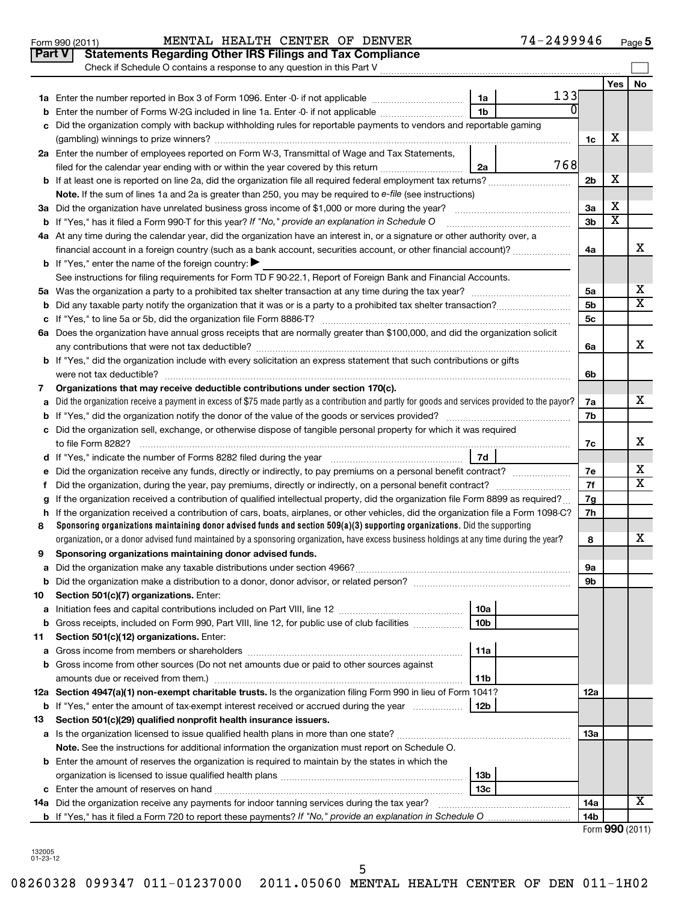| Check if Schedule O contains a response to any question in this Part V<br>Yes<br>133<br>1a Enter the number reported in Box 3 of Form 1096. Enter -0- if not applicable<br>1a<br>0<br>Enter the number of Forms W-2G included in line 1a. Enter -0- if not applicable<br>1b<br>b<br>Did the organization comply with backup withholding rules for reportable payments to vendors and reportable gaming<br>c<br>х<br>1c<br>2a Enter the number of employees reported on Form W-3, Transmittal of Wage and Tax Statements,<br>768<br>filed for the calendar year ending with or within the year covered by this return <i>manumumumum</i><br>2a<br>X<br>2 <sub>b</sub><br><b>b</b> If at least one is reported on line 2a, did the organization file all required federal employment tax returns?<br>Note. If the sum of lines 1a and 2a is greater than 250, you may be required to e-file (see instructions)<br>х<br>3a Did the organization have unrelated business gross income of \$1,000 or more during the year?<br>За<br>Χ<br><b>b</b> If "Yes," has it filed a Form 990-T for this year? If "No," provide an explanation in Schedule O<br>3b<br>4a At any time during the calendar year, did the organization have an interest in, or a signature or other authority over, a<br>financial account in a foreign country (such as a bank account, securities account, or other financial account)?<br>4a<br><b>b</b> If "Yes," enter the name of the foreign country: $\blacktriangleright$<br>See instructions for filing requirements for Form TD F 90-22.1, Report of Foreign Bank and Financial Accounts.<br>5a<br>5b<br>5c<br>6a Does the organization have annual gross receipts that are normally greater than \$100,000, and did the organization solicit<br>6a<br><b>b</b> If "Yes," did the organization include with every solicitation an express statement that such contributions or gifts<br>6b<br>Organizations that may receive deductible contributions under section 170(c).<br>7<br>x<br>Did the organization receive a payment in excess of \$75 made partly as a contribution and partly for goods and services provided to the payor?<br>7a<br>a<br>7b<br>c Did the organization sell, exchange, or otherwise dispose of tangible personal property for which it was required<br>to file Form 8282?<br>7c<br>7d<br>Did the organization receive any funds, directly or indirectly, to pay premiums on a personal benefit contract?<br>7e<br>е<br>7f<br>f.<br>If the organization received a contribution of qualified intellectual property, did the organization file Form 8899 as required?<br>7g<br>g<br>h If the organization received a contribution of cars, boats, airplanes, or other vehicles, did the organization file a Form 1098-C?<br>7h<br>Sponsoring organizations maintaining donor advised funds and section 509(a)(3) supporting organizations. Did the supporting<br>8<br>organization, or a donor advised fund maintained by a sponsoring organization, have excess business holdings at any time during the year?<br>8<br>Sponsoring organizations maintaining donor advised funds.<br>9<br>9а<br>а<br>9b<br>b<br>Section 501(c)(7) organizations. Enter:<br>10<br>10a<br>а<br>Gross receipts, included on Form 990, Part VIII, line 12, for public use of club facilities<br>10 <sub>b</sub><br>b<br>Section 501(c)(12) organizations. Enter:<br>11<br>11a<br>а<br>Gross income from other sources (Do not net amounts due or paid to other sources against<br>b<br>11b<br>12a Section 4947(a)(1) non-exempt charitable trusts. Is the organization filing Form 990 in lieu of Form 1041?<br>12a<br>If "Yes," enter the amount of tax-exempt interest received or accrued during the year<br>12b<br>b<br>Section 501(c)(29) qualified nonprofit health insurance issuers.<br>13 | <b>Part V</b> | <b>Statements Regarding Other IRS Filings and Tax Compliance</b> |     |  |    |  |  |  |  |
|------------------------------------------------------------------------------------------------------------------------------------------------------------------------------------------------------------------------------------------------------------------------------------------------------------------------------------------------------------------------------------------------------------------------------------------------------------------------------------------------------------------------------------------------------------------------------------------------------------------------------------------------------------------------------------------------------------------------------------------------------------------------------------------------------------------------------------------------------------------------------------------------------------------------------------------------------------------------------------------------------------------------------------------------------------------------------------------------------------------------------------------------------------------------------------------------------------------------------------------------------------------------------------------------------------------------------------------------------------------------------------------------------------------------------------------------------------------------------------------------------------------------------------------------------------------------------------------------------------------------------------------------------------------------------------------------------------------------------------------------------------------------------------------------------------------------------------------------------------------------------------------------------------------------------------------------------------------------------------------------------------------------------------------------------------------------------------------------------------------------------------------------------------------------------------------------------------------------------------------------------------------------------------------------------------------------------------------------------------------------------------------------------------------------------------------------------------------------------------------------------------------------------------------------------------------------------------------------------------------------------------------------------------------------------------------------------------------------------------------------------------------------------------------------------------------------------------------------------------------------------------------------------------------------------------------------------------------------------------------------------------------------------------------------------------------------------------------------------------------------------------------------------------------------------------------------------------------------------------------------------------------------------------------------------------------------------------------------------------------------------------------------------------------------------------------------------------------------------------------------------------------------------------------------------------------------------------------------------------------------------------------------------------------------------------------------------------------------------------------------------------------------------------------------------------------------------------|---------------|------------------------------------------------------------------|-----|--|----|--|--|--|--|
|                                                                                                                                                                                                                                                                                                                                                                                                                                                                                                                                                                                                                                                                                                                                                                                                                                                                                                                                                                                                                                                                                                                                                                                                                                                                                                                                                                                                                                                                                                                                                                                                                                                                                                                                                                                                                                                                                                                                                                                                                                                                                                                                                                                                                                                                                                                                                                                                                                                                                                                                                                                                                                                                                                                                                                                                                                                                                                                                                                                                                                                                                                                                                                                                                                                                                                                                                                                                                                                                                                                                                                                                                                                                                                                                                                                                                                    |               |                                                                  |     |  |    |  |  |  |  |
|                                                                                                                                                                                                                                                                                                                                                                                                                                                                                                                                                                                                                                                                                                                                                                                                                                                                                                                                                                                                                                                                                                                                                                                                                                                                                                                                                                                                                                                                                                                                                                                                                                                                                                                                                                                                                                                                                                                                                                                                                                                                                                                                                                                                                                                                                                                                                                                                                                                                                                                                                                                                                                                                                                                                                                                                                                                                                                                                                                                                                                                                                                                                                                                                                                                                                                                                                                                                                                                                                                                                                                                                                                                                                                                                                                                                                                    |               |                                                                  |     |  | No |  |  |  |  |
|                                                                                                                                                                                                                                                                                                                                                                                                                                                                                                                                                                                                                                                                                                                                                                                                                                                                                                                                                                                                                                                                                                                                                                                                                                                                                                                                                                                                                                                                                                                                                                                                                                                                                                                                                                                                                                                                                                                                                                                                                                                                                                                                                                                                                                                                                                                                                                                                                                                                                                                                                                                                                                                                                                                                                                                                                                                                                                                                                                                                                                                                                                                                                                                                                                                                                                                                                                                                                                                                                                                                                                                                                                                                                                                                                                                                                                    |               |                                                                  |     |  |    |  |  |  |  |
|                                                                                                                                                                                                                                                                                                                                                                                                                                                                                                                                                                                                                                                                                                                                                                                                                                                                                                                                                                                                                                                                                                                                                                                                                                                                                                                                                                                                                                                                                                                                                                                                                                                                                                                                                                                                                                                                                                                                                                                                                                                                                                                                                                                                                                                                                                                                                                                                                                                                                                                                                                                                                                                                                                                                                                                                                                                                                                                                                                                                                                                                                                                                                                                                                                                                                                                                                                                                                                                                                                                                                                                                                                                                                                                                                                                                                                    |               |                                                                  |     |  |    |  |  |  |  |
|                                                                                                                                                                                                                                                                                                                                                                                                                                                                                                                                                                                                                                                                                                                                                                                                                                                                                                                                                                                                                                                                                                                                                                                                                                                                                                                                                                                                                                                                                                                                                                                                                                                                                                                                                                                                                                                                                                                                                                                                                                                                                                                                                                                                                                                                                                                                                                                                                                                                                                                                                                                                                                                                                                                                                                                                                                                                                                                                                                                                                                                                                                                                                                                                                                                                                                                                                                                                                                                                                                                                                                                                                                                                                                                                                                                                                                    |               |                                                                  |     |  |    |  |  |  |  |
|                                                                                                                                                                                                                                                                                                                                                                                                                                                                                                                                                                                                                                                                                                                                                                                                                                                                                                                                                                                                                                                                                                                                                                                                                                                                                                                                                                                                                                                                                                                                                                                                                                                                                                                                                                                                                                                                                                                                                                                                                                                                                                                                                                                                                                                                                                                                                                                                                                                                                                                                                                                                                                                                                                                                                                                                                                                                                                                                                                                                                                                                                                                                                                                                                                                                                                                                                                                                                                                                                                                                                                                                                                                                                                                                                                                                                                    |               |                                                                  |     |  |    |  |  |  |  |
|                                                                                                                                                                                                                                                                                                                                                                                                                                                                                                                                                                                                                                                                                                                                                                                                                                                                                                                                                                                                                                                                                                                                                                                                                                                                                                                                                                                                                                                                                                                                                                                                                                                                                                                                                                                                                                                                                                                                                                                                                                                                                                                                                                                                                                                                                                                                                                                                                                                                                                                                                                                                                                                                                                                                                                                                                                                                                                                                                                                                                                                                                                                                                                                                                                                                                                                                                                                                                                                                                                                                                                                                                                                                                                                                                                                                                                    |               |                                                                  |     |  |    |  |  |  |  |
|                                                                                                                                                                                                                                                                                                                                                                                                                                                                                                                                                                                                                                                                                                                                                                                                                                                                                                                                                                                                                                                                                                                                                                                                                                                                                                                                                                                                                                                                                                                                                                                                                                                                                                                                                                                                                                                                                                                                                                                                                                                                                                                                                                                                                                                                                                                                                                                                                                                                                                                                                                                                                                                                                                                                                                                                                                                                                                                                                                                                                                                                                                                                                                                                                                                                                                                                                                                                                                                                                                                                                                                                                                                                                                                                                                                                                                    |               |                                                                  |     |  |    |  |  |  |  |
|                                                                                                                                                                                                                                                                                                                                                                                                                                                                                                                                                                                                                                                                                                                                                                                                                                                                                                                                                                                                                                                                                                                                                                                                                                                                                                                                                                                                                                                                                                                                                                                                                                                                                                                                                                                                                                                                                                                                                                                                                                                                                                                                                                                                                                                                                                                                                                                                                                                                                                                                                                                                                                                                                                                                                                                                                                                                                                                                                                                                                                                                                                                                                                                                                                                                                                                                                                                                                                                                                                                                                                                                                                                                                                                                                                                                                                    |               |                                                                  |     |  |    |  |  |  |  |
|                                                                                                                                                                                                                                                                                                                                                                                                                                                                                                                                                                                                                                                                                                                                                                                                                                                                                                                                                                                                                                                                                                                                                                                                                                                                                                                                                                                                                                                                                                                                                                                                                                                                                                                                                                                                                                                                                                                                                                                                                                                                                                                                                                                                                                                                                                                                                                                                                                                                                                                                                                                                                                                                                                                                                                                                                                                                                                                                                                                                                                                                                                                                                                                                                                                                                                                                                                                                                                                                                                                                                                                                                                                                                                                                                                                                                                    |               |                                                                  |     |  |    |  |  |  |  |
|                                                                                                                                                                                                                                                                                                                                                                                                                                                                                                                                                                                                                                                                                                                                                                                                                                                                                                                                                                                                                                                                                                                                                                                                                                                                                                                                                                                                                                                                                                                                                                                                                                                                                                                                                                                                                                                                                                                                                                                                                                                                                                                                                                                                                                                                                                                                                                                                                                                                                                                                                                                                                                                                                                                                                                                                                                                                                                                                                                                                                                                                                                                                                                                                                                                                                                                                                                                                                                                                                                                                                                                                                                                                                                                                                                                                                                    |               |                                                                  |     |  |    |  |  |  |  |
|                                                                                                                                                                                                                                                                                                                                                                                                                                                                                                                                                                                                                                                                                                                                                                                                                                                                                                                                                                                                                                                                                                                                                                                                                                                                                                                                                                                                                                                                                                                                                                                                                                                                                                                                                                                                                                                                                                                                                                                                                                                                                                                                                                                                                                                                                                                                                                                                                                                                                                                                                                                                                                                                                                                                                                                                                                                                                                                                                                                                                                                                                                                                                                                                                                                                                                                                                                                                                                                                                                                                                                                                                                                                                                                                                                                                                                    |               |                                                                  |     |  |    |  |  |  |  |
|                                                                                                                                                                                                                                                                                                                                                                                                                                                                                                                                                                                                                                                                                                                                                                                                                                                                                                                                                                                                                                                                                                                                                                                                                                                                                                                                                                                                                                                                                                                                                                                                                                                                                                                                                                                                                                                                                                                                                                                                                                                                                                                                                                                                                                                                                                                                                                                                                                                                                                                                                                                                                                                                                                                                                                                                                                                                                                                                                                                                                                                                                                                                                                                                                                                                                                                                                                                                                                                                                                                                                                                                                                                                                                                                                                                                                                    |               |                                                                  |     |  |    |  |  |  |  |
|                                                                                                                                                                                                                                                                                                                                                                                                                                                                                                                                                                                                                                                                                                                                                                                                                                                                                                                                                                                                                                                                                                                                                                                                                                                                                                                                                                                                                                                                                                                                                                                                                                                                                                                                                                                                                                                                                                                                                                                                                                                                                                                                                                                                                                                                                                                                                                                                                                                                                                                                                                                                                                                                                                                                                                                                                                                                                                                                                                                                                                                                                                                                                                                                                                                                                                                                                                                                                                                                                                                                                                                                                                                                                                                                                                                                                                    |               |                                                                  |     |  | X  |  |  |  |  |
|                                                                                                                                                                                                                                                                                                                                                                                                                                                                                                                                                                                                                                                                                                                                                                                                                                                                                                                                                                                                                                                                                                                                                                                                                                                                                                                                                                                                                                                                                                                                                                                                                                                                                                                                                                                                                                                                                                                                                                                                                                                                                                                                                                                                                                                                                                                                                                                                                                                                                                                                                                                                                                                                                                                                                                                                                                                                                                                                                                                                                                                                                                                                                                                                                                                                                                                                                                                                                                                                                                                                                                                                                                                                                                                                                                                                                                    |               |                                                                  |     |  |    |  |  |  |  |
|                                                                                                                                                                                                                                                                                                                                                                                                                                                                                                                                                                                                                                                                                                                                                                                                                                                                                                                                                                                                                                                                                                                                                                                                                                                                                                                                                                                                                                                                                                                                                                                                                                                                                                                                                                                                                                                                                                                                                                                                                                                                                                                                                                                                                                                                                                                                                                                                                                                                                                                                                                                                                                                                                                                                                                                                                                                                                                                                                                                                                                                                                                                                                                                                                                                                                                                                                                                                                                                                                                                                                                                                                                                                                                                                                                                                                                    |               |                                                                  |     |  |    |  |  |  |  |
|                                                                                                                                                                                                                                                                                                                                                                                                                                                                                                                                                                                                                                                                                                                                                                                                                                                                                                                                                                                                                                                                                                                                                                                                                                                                                                                                                                                                                                                                                                                                                                                                                                                                                                                                                                                                                                                                                                                                                                                                                                                                                                                                                                                                                                                                                                                                                                                                                                                                                                                                                                                                                                                                                                                                                                                                                                                                                                                                                                                                                                                                                                                                                                                                                                                                                                                                                                                                                                                                                                                                                                                                                                                                                                                                                                                                                                    |               |                                                                  |     |  | х  |  |  |  |  |
|                                                                                                                                                                                                                                                                                                                                                                                                                                                                                                                                                                                                                                                                                                                                                                                                                                                                                                                                                                                                                                                                                                                                                                                                                                                                                                                                                                                                                                                                                                                                                                                                                                                                                                                                                                                                                                                                                                                                                                                                                                                                                                                                                                                                                                                                                                                                                                                                                                                                                                                                                                                                                                                                                                                                                                                                                                                                                                                                                                                                                                                                                                                                                                                                                                                                                                                                                                                                                                                                                                                                                                                                                                                                                                                                                                                                                                    |               |                                                                  |     |  | x  |  |  |  |  |
|                                                                                                                                                                                                                                                                                                                                                                                                                                                                                                                                                                                                                                                                                                                                                                                                                                                                                                                                                                                                                                                                                                                                                                                                                                                                                                                                                                                                                                                                                                                                                                                                                                                                                                                                                                                                                                                                                                                                                                                                                                                                                                                                                                                                                                                                                                                                                                                                                                                                                                                                                                                                                                                                                                                                                                                                                                                                                                                                                                                                                                                                                                                                                                                                                                                                                                                                                                                                                                                                                                                                                                                                                                                                                                                                                                                                                                    |               |                                                                  |     |  |    |  |  |  |  |
|                                                                                                                                                                                                                                                                                                                                                                                                                                                                                                                                                                                                                                                                                                                                                                                                                                                                                                                                                                                                                                                                                                                                                                                                                                                                                                                                                                                                                                                                                                                                                                                                                                                                                                                                                                                                                                                                                                                                                                                                                                                                                                                                                                                                                                                                                                                                                                                                                                                                                                                                                                                                                                                                                                                                                                                                                                                                                                                                                                                                                                                                                                                                                                                                                                                                                                                                                                                                                                                                                                                                                                                                                                                                                                                                                                                                                                    |               |                                                                  |     |  |    |  |  |  |  |
|                                                                                                                                                                                                                                                                                                                                                                                                                                                                                                                                                                                                                                                                                                                                                                                                                                                                                                                                                                                                                                                                                                                                                                                                                                                                                                                                                                                                                                                                                                                                                                                                                                                                                                                                                                                                                                                                                                                                                                                                                                                                                                                                                                                                                                                                                                                                                                                                                                                                                                                                                                                                                                                                                                                                                                                                                                                                                                                                                                                                                                                                                                                                                                                                                                                                                                                                                                                                                                                                                                                                                                                                                                                                                                                                                                                                                                    |               |                                                                  |     |  | х  |  |  |  |  |
|                                                                                                                                                                                                                                                                                                                                                                                                                                                                                                                                                                                                                                                                                                                                                                                                                                                                                                                                                                                                                                                                                                                                                                                                                                                                                                                                                                                                                                                                                                                                                                                                                                                                                                                                                                                                                                                                                                                                                                                                                                                                                                                                                                                                                                                                                                                                                                                                                                                                                                                                                                                                                                                                                                                                                                                                                                                                                                                                                                                                                                                                                                                                                                                                                                                                                                                                                                                                                                                                                                                                                                                                                                                                                                                                                                                                                                    |               |                                                                  |     |  |    |  |  |  |  |
|                                                                                                                                                                                                                                                                                                                                                                                                                                                                                                                                                                                                                                                                                                                                                                                                                                                                                                                                                                                                                                                                                                                                                                                                                                                                                                                                                                                                                                                                                                                                                                                                                                                                                                                                                                                                                                                                                                                                                                                                                                                                                                                                                                                                                                                                                                                                                                                                                                                                                                                                                                                                                                                                                                                                                                                                                                                                                                                                                                                                                                                                                                                                                                                                                                                                                                                                                                                                                                                                                                                                                                                                                                                                                                                                                                                                                                    |               |                                                                  |     |  |    |  |  |  |  |
|                                                                                                                                                                                                                                                                                                                                                                                                                                                                                                                                                                                                                                                                                                                                                                                                                                                                                                                                                                                                                                                                                                                                                                                                                                                                                                                                                                                                                                                                                                                                                                                                                                                                                                                                                                                                                                                                                                                                                                                                                                                                                                                                                                                                                                                                                                                                                                                                                                                                                                                                                                                                                                                                                                                                                                                                                                                                                                                                                                                                                                                                                                                                                                                                                                                                                                                                                                                                                                                                                                                                                                                                                                                                                                                                                                                                                                    |               |                                                                  |     |  |    |  |  |  |  |
|                                                                                                                                                                                                                                                                                                                                                                                                                                                                                                                                                                                                                                                                                                                                                                                                                                                                                                                                                                                                                                                                                                                                                                                                                                                                                                                                                                                                                                                                                                                                                                                                                                                                                                                                                                                                                                                                                                                                                                                                                                                                                                                                                                                                                                                                                                                                                                                                                                                                                                                                                                                                                                                                                                                                                                                                                                                                                                                                                                                                                                                                                                                                                                                                                                                                                                                                                                                                                                                                                                                                                                                                                                                                                                                                                                                                                                    |               |                                                                  |     |  |    |  |  |  |  |
|                                                                                                                                                                                                                                                                                                                                                                                                                                                                                                                                                                                                                                                                                                                                                                                                                                                                                                                                                                                                                                                                                                                                                                                                                                                                                                                                                                                                                                                                                                                                                                                                                                                                                                                                                                                                                                                                                                                                                                                                                                                                                                                                                                                                                                                                                                                                                                                                                                                                                                                                                                                                                                                                                                                                                                                                                                                                                                                                                                                                                                                                                                                                                                                                                                                                                                                                                                                                                                                                                                                                                                                                                                                                                                                                                                                                                                    |               |                                                                  |     |  |    |  |  |  |  |
|                                                                                                                                                                                                                                                                                                                                                                                                                                                                                                                                                                                                                                                                                                                                                                                                                                                                                                                                                                                                                                                                                                                                                                                                                                                                                                                                                                                                                                                                                                                                                                                                                                                                                                                                                                                                                                                                                                                                                                                                                                                                                                                                                                                                                                                                                                                                                                                                                                                                                                                                                                                                                                                                                                                                                                                                                                                                                                                                                                                                                                                                                                                                                                                                                                                                                                                                                                                                                                                                                                                                                                                                                                                                                                                                                                                                                                    |               |                                                                  |     |  |    |  |  |  |  |
|                                                                                                                                                                                                                                                                                                                                                                                                                                                                                                                                                                                                                                                                                                                                                                                                                                                                                                                                                                                                                                                                                                                                                                                                                                                                                                                                                                                                                                                                                                                                                                                                                                                                                                                                                                                                                                                                                                                                                                                                                                                                                                                                                                                                                                                                                                                                                                                                                                                                                                                                                                                                                                                                                                                                                                                                                                                                                                                                                                                                                                                                                                                                                                                                                                                                                                                                                                                                                                                                                                                                                                                                                                                                                                                                                                                                                                    |               |                                                                  |     |  | х  |  |  |  |  |
|                                                                                                                                                                                                                                                                                                                                                                                                                                                                                                                                                                                                                                                                                                                                                                                                                                                                                                                                                                                                                                                                                                                                                                                                                                                                                                                                                                                                                                                                                                                                                                                                                                                                                                                                                                                                                                                                                                                                                                                                                                                                                                                                                                                                                                                                                                                                                                                                                                                                                                                                                                                                                                                                                                                                                                                                                                                                                                                                                                                                                                                                                                                                                                                                                                                                                                                                                                                                                                                                                                                                                                                                                                                                                                                                                                                                                                    |               |                                                                  |     |  |    |  |  |  |  |
|                                                                                                                                                                                                                                                                                                                                                                                                                                                                                                                                                                                                                                                                                                                                                                                                                                                                                                                                                                                                                                                                                                                                                                                                                                                                                                                                                                                                                                                                                                                                                                                                                                                                                                                                                                                                                                                                                                                                                                                                                                                                                                                                                                                                                                                                                                                                                                                                                                                                                                                                                                                                                                                                                                                                                                                                                                                                                                                                                                                                                                                                                                                                                                                                                                                                                                                                                                                                                                                                                                                                                                                                                                                                                                                                                                                                                                    |               |                                                                  |     |  | х  |  |  |  |  |
|                                                                                                                                                                                                                                                                                                                                                                                                                                                                                                                                                                                                                                                                                                                                                                                                                                                                                                                                                                                                                                                                                                                                                                                                                                                                                                                                                                                                                                                                                                                                                                                                                                                                                                                                                                                                                                                                                                                                                                                                                                                                                                                                                                                                                                                                                                                                                                                                                                                                                                                                                                                                                                                                                                                                                                                                                                                                                                                                                                                                                                                                                                                                                                                                                                                                                                                                                                                                                                                                                                                                                                                                                                                                                                                                                                                                                                    |               |                                                                  |     |  | х  |  |  |  |  |
|                                                                                                                                                                                                                                                                                                                                                                                                                                                                                                                                                                                                                                                                                                                                                                                                                                                                                                                                                                                                                                                                                                                                                                                                                                                                                                                                                                                                                                                                                                                                                                                                                                                                                                                                                                                                                                                                                                                                                                                                                                                                                                                                                                                                                                                                                                                                                                                                                                                                                                                                                                                                                                                                                                                                                                                                                                                                                                                                                                                                                                                                                                                                                                                                                                                                                                                                                                                                                                                                                                                                                                                                                                                                                                                                                                                                                                    |               |                                                                  |     |  |    |  |  |  |  |
|                                                                                                                                                                                                                                                                                                                                                                                                                                                                                                                                                                                                                                                                                                                                                                                                                                                                                                                                                                                                                                                                                                                                                                                                                                                                                                                                                                                                                                                                                                                                                                                                                                                                                                                                                                                                                                                                                                                                                                                                                                                                                                                                                                                                                                                                                                                                                                                                                                                                                                                                                                                                                                                                                                                                                                                                                                                                                                                                                                                                                                                                                                                                                                                                                                                                                                                                                                                                                                                                                                                                                                                                                                                                                                                                                                                                                                    |               |                                                                  |     |  |    |  |  |  |  |
|                                                                                                                                                                                                                                                                                                                                                                                                                                                                                                                                                                                                                                                                                                                                                                                                                                                                                                                                                                                                                                                                                                                                                                                                                                                                                                                                                                                                                                                                                                                                                                                                                                                                                                                                                                                                                                                                                                                                                                                                                                                                                                                                                                                                                                                                                                                                                                                                                                                                                                                                                                                                                                                                                                                                                                                                                                                                                                                                                                                                                                                                                                                                                                                                                                                                                                                                                                                                                                                                                                                                                                                                                                                                                                                                                                                                                                    |               |                                                                  |     |  |    |  |  |  |  |
|                                                                                                                                                                                                                                                                                                                                                                                                                                                                                                                                                                                                                                                                                                                                                                                                                                                                                                                                                                                                                                                                                                                                                                                                                                                                                                                                                                                                                                                                                                                                                                                                                                                                                                                                                                                                                                                                                                                                                                                                                                                                                                                                                                                                                                                                                                                                                                                                                                                                                                                                                                                                                                                                                                                                                                                                                                                                                                                                                                                                                                                                                                                                                                                                                                                                                                                                                                                                                                                                                                                                                                                                                                                                                                                                                                                                                                    |               |                                                                  |     |  | х  |  |  |  |  |
|                                                                                                                                                                                                                                                                                                                                                                                                                                                                                                                                                                                                                                                                                                                                                                                                                                                                                                                                                                                                                                                                                                                                                                                                                                                                                                                                                                                                                                                                                                                                                                                                                                                                                                                                                                                                                                                                                                                                                                                                                                                                                                                                                                                                                                                                                                                                                                                                                                                                                                                                                                                                                                                                                                                                                                                                                                                                                                                                                                                                                                                                                                                                                                                                                                                                                                                                                                                                                                                                                                                                                                                                                                                                                                                                                                                                                                    |               |                                                                  |     |  |    |  |  |  |  |
|                                                                                                                                                                                                                                                                                                                                                                                                                                                                                                                                                                                                                                                                                                                                                                                                                                                                                                                                                                                                                                                                                                                                                                                                                                                                                                                                                                                                                                                                                                                                                                                                                                                                                                                                                                                                                                                                                                                                                                                                                                                                                                                                                                                                                                                                                                                                                                                                                                                                                                                                                                                                                                                                                                                                                                                                                                                                                                                                                                                                                                                                                                                                                                                                                                                                                                                                                                                                                                                                                                                                                                                                                                                                                                                                                                                                                                    |               |                                                                  |     |  |    |  |  |  |  |
|                                                                                                                                                                                                                                                                                                                                                                                                                                                                                                                                                                                                                                                                                                                                                                                                                                                                                                                                                                                                                                                                                                                                                                                                                                                                                                                                                                                                                                                                                                                                                                                                                                                                                                                                                                                                                                                                                                                                                                                                                                                                                                                                                                                                                                                                                                                                                                                                                                                                                                                                                                                                                                                                                                                                                                                                                                                                                                                                                                                                                                                                                                                                                                                                                                                                                                                                                                                                                                                                                                                                                                                                                                                                                                                                                                                                                                    |               |                                                                  |     |  |    |  |  |  |  |
|                                                                                                                                                                                                                                                                                                                                                                                                                                                                                                                                                                                                                                                                                                                                                                                                                                                                                                                                                                                                                                                                                                                                                                                                                                                                                                                                                                                                                                                                                                                                                                                                                                                                                                                                                                                                                                                                                                                                                                                                                                                                                                                                                                                                                                                                                                                                                                                                                                                                                                                                                                                                                                                                                                                                                                                                                                                                                                                                                                                                                                                                                                                                                                                                                                                                                                                                                                                                                                                                                                                                                                                                                                                                                                                                                                                                                                    |               |                                                                  |     |  |    |  |  |  |  |
|                                                                                                                                                                                                                                                                                                                                                                                                                                                                                                                                                                                                                                                                                                                                                                                                                                                                                                                                                                                                                                                                                                                                                                                                                                                                                                                                                                                                                                                                                                                                                                                                                                                                                                                                                                                                                                                                                                                                                                                                                                                                                                                                                                                                                                                                                                                                                                                                                                                                                                                                                                                                                                                                                                                                                                                                                                                                                                                                                                                                                                                                                                                                                                                                                                                                                                                                                                                                                                                                                                                                                                                                                                                                                                                                                                                                                                    |               |                                                                  |     |  |    |  |  |  |  |
|                                                                                                                                                                                                                                                                                                                                                                                                                                                                                                                                                                                                                                                                                                                                                                                                                                                                                                                                                                                                                                                                                                                                                                                                                                                                                                                                                                                                                                                                                                                                                                                                                                                                                                                                                                                                                                                                                                                                                                                                                                                                                                                                                                                                                                                                                                                                                                                                                                                                                                                                                                                                                                                                                                                                                                                                                                                                                                                                                                                                                                                                                                                                                                                                                                                                                                                                                                                                                                                                                                                                                                                                                                                                                                                                                                                                                                    |               |                                                                  |     |  |    |  |  |  |  |
|                                                                                                                                                                                                                                                                                                                                                                                                                                                                                                                                                                                                                                                                                                                                                                                                                                                                                                                                                                                                                                                                                                                                                                                                                                                                                                                                                                                                                                                                                                                                                                                                                                                                                                                                                                                                                                                                                                                                                                                                                                                                                                                                                                                                                                                                                                                                                                                                                                                                                                                                                                                                                                                                                                                                                                                                                                                                                                                                                                                                                                                                                                                                                                                                                                                                                                                                                                                                                                                                                                                                                                                                                                                                                                                                                                                                                                    |               |                                                                  |     |  |    |  |  |  |  |
|                                                                                                                                                                                                                                                                                                                                                                                                                                                                                                                                                                                                                                                                                                                                                                                                                                                                                                                                                                                                                                                                                                                                                                                                                                                                                                                                                                                                                                                                                                                                                                                                                                                                                                                                                                                                                                                                                                                                                                                                                                                                                                                                                                                                                                                                                                                                                                                                                                                                                                                                                                                                                                                                                                                                                                                                                                                                                                                                                                                                                                                                                                                                                                                                                                                                                                                                                                                                                                                                                                                                                                                                                                                                                                                                                                                                                                    |               |                                                                  |     |  |    |  |  |  |  |
|                                                                                                                                                                                                                                                                                                                                                                                                                                                                                                                                                                                                                                                                                                                                                                                                                                                                                                                                                                                                                                                                                                                                                                                                                                                                                                                                                                                                                                                                                                                                                                                                                                                                                                                                                                                                                                                                                                                                                                                                                                                                                                                                                                                                                                                                                                                                                                                                                                                                                                                                                                                                                                                                                                                                                                                                                                                                                                                                                                                                                                                                                                                                                                                                                                                                                                                                                                                                                                                                                                                                                                                                                                                                                                                                                                                                                                    |               |                                                                  |     |  |    |  |  |  |  |
|                                                                                                                                                                                                                                                                                                                                                                                                                                                                                                                                                                                                                                                                                                                                                                                                                                                                                                                                                                                                                                                                                                                                                                                                                                                                                                                                                                                                                                                                                                                                                                                                                                                                                                                                                                                                                                                                                                                                                                                                                                                                                                                                                                                                                                                                                                                                                                                                                                                                                                                                                                                                                                                                                                                                                                                                                                                                                                                                                                                                                                                                                                                                                                                                                                                                                                                                                                                                                                                                                                                                                                                                                                                                                                                                                                                                                                    |               |                                                                  |     |  |    |  |  |  |  |
|                                                                                                                                                                                                                                                                                                                                                                                                                                                                                                                                                                                                                                                                                                                                                                                                                                                                                                                                                                                                                                                                                                                                                                                                                                                                                                                                                                                                                                                                                                                                                                                                                                                                                                                                                                                                                                                                                                                                                                                                                                                                                                                                                                                                                                                                                                                                                                                                                                                                                                                                                                                                                                                                                                                                                                                                                                                                                                                                                                                                                                                                                                                                                                                                                                                                                                                                                                                                                                                                                                                                                                                                                                                                                                                                                                                                                                    |               |                                                                  |     |  |    |  |  |  |  |
|                                                                                                                                                                                                                                                                                                                                                                                                                                                                                                                                                                                                                                                                                                                                                                                                                                                                                                                                                                                                                                                                                                                                                                                                                                                                                                                                                                                                                                                                                                                                                                                                                                                                                                                                                                                                                                                                                                                                                                                                                                                                                                                                                                                                                                                                                                                                                                                                                                                                                                                                                                                                                                                                                                                                                                                                                                                                                                                                                                                                                                                                                                                                                                                                                                                                                                                                                                                                                                                                                                                                                                                                                                                                                                                                                                                                                                    |               |                                                                  |     |  |    |  |  |  |  |
|                                                                                                                                                                                                                                                                                                                                                                                                                                                                                                                                                                                                                                                                                                                                                                                                                                                                                                                                                                                                                                                                                                                                                                                                                                                                                                                                                                                                                                                                                                                                                                                                                                                                                                                                                                                                                                                                                                                                                                                                                                                                                                                                                                                                                                                                                                                                                                                                                                                                                                                                                                                                                                                                                                                                                                                                                                                                                                                                                                                                                                                                                                                                                                                                                                                                                                                                                                                                                                                                                                                                                                                                                                                                                                                                                                                                                                    |               |                                                                  |     |  |    |  |  |  |  |
|                                                                                                                                                                                                                                                                                                                                                                                                                                                                                                                                                                                                                                                                                                                                                                                                                                                                                                                                                                                                                                                                                                                                                                                                                                                                                                                                                                                                                                                                                                                                                                                                                                                                                                                                                                                                                                                                                                                                                                                                                                                                                                                                                                                                                                                                                                                                                                                                                                                                                                                                                                                                                                                                                                                                                                                                                                                                                                                                                                                                                                                                                                                                                                                                                                                                                                                                                                                                                                                                                                                                                                                                                                                                                                                                                                                                                                    | а             |                                                                  | 13a |  |    |  |  |  |  |
| Note. See the instructions for additional information the organization must report on Schedule O.                                                                                                                                                                                                                                                                                                                                                                                                                                                                                                                                                                                                                                                                                                                                                                                                                                                                                                                                                                                                                                                                                                                                                                                                                                                                                                                                                                                                                                                                                                                                                                                                                                                                                                                                                                                                                                                                                                                                                                                                                                                                                                                                                                                                                                                                                                                                                                                                                                                                                                                                                                                                                                                                                                                                                                                                                                                                                                                                                                                                                                                                                                                                                                                                                                                                                                                                                                                                                                                                                                                                                                                                                                                                                                                                  |               |                                                                  |     |  |    |  |  |  |  |
| <b>b</b> Enter the amount of reserves the organization is required to maintain by the states in which the                                                                                                                                                                                                                                                                                                                                                                                                                                                                                                                                                                                                                                                                                                                                                                                                                                                                                                                                                                                                                                                                                                                                                                                                                                                                                                                                                                                                                                                                                                                                                                                                                                                                                                                                                                                                                                                                                                                                                                                                                                                                                                                                                                                                                                                                                                                                                                                                                                                                                                                                                                                                                                                                                                                                                                                                                                                                                                                                                                                                                                                                                                                                                                                                                                                                                                                                                                                                                                                                                                                                                                                                                                                                                                                          |               |                                                                  |     |  |    |  |  |  |  |
| 13 <sub>b</sub>                                                                                                                                                                                                                                                                                                                                                                                                                                                                                                                                                                                                                                                                                                                                                                                                                                                                                                                                                                                                                                                                                                                                                                                                                                                                                                                                                                                                                                                                                                                                                                                                                                                                                                                                                                                                                                                                                                                                                                                                                                                                                                                                                                                                                                                                                                                                                                                                                                                                                                                                                                                                                                                                                                                                                                                                                                                                                                                                                                                                                                                                                                                                                                                                                                                                                                                                                                                                                                                                                                                                                                                                                                                                                                                                                                                                                    |               |                                                                  |     |  |    |  |  |  |  |
| 13с                                                                                                                                                                                                                                                                                                                                                                                                                                                                                                                                                                                                                                                                                                                                                                                                                                                                                                                                                                                                                                                                                                                                                                                                                                                                                                                                                                                                                                                                                                                                                                                                                                                                                                                                                                                                                                                                                                                                                                                                                                                                                                                                                                                                                                                                                                                                                                                                                                                                                                                                                                                                                                                                                                                                                                                                                                                                                                                                                                                                                                                                                                                                                                                                                                                                                                                                                                                                                                                                                                                                                                                                                                                                                                                                                                                                                                |               |                                                                  |     |  |    |  |  |  |  |
| <b>14a</b> Did the organization receive any payments for indoor tanning services during the tax year?<br>14a                                                                                                                                                                                                                                                                                                                                                                                                                                                                                                                                                                                                                                                                                                                                                                                                                                                                                                                                                                                                                                                                                                                                                                                                                                                                                                                                                                                                                                                                                                                                                                                                                                                                                                                                                                                                                                                                                                                                                                                                                                                                                                                                                                                                                                                                                                                                                                                                                                                                                                                                                                                                                                                                                                                                                                                                                                                                                                                                                                                                                                                                                                                                                                                                                                                                                                                                                                                                                                                                                                                                                                                                                                                                                                                       |               |                                                                  |     |  | х  |  |  |  |  |
| 14b<br><b>000 1001</b>                                                                                                                                                                                                                                                                                                                                                                                                                                                                                                                                                                                                                                                                                                                                                                                                                                                                                                                                                                                                                                                                                                                                                                                                                                                                                                                                                                                                                                                                                                                                                                                                                                                                                                                                                                                                                                                                                                                                                                                                                                                                                                                                                                                                                                                                                                                                                                                                                                                                                                                                                                                                                                                                                                                                                                                                                                                                                                                                                                                                                                                                                                                                                                                                                                                                                                                                                                                                                                                                                                                                                                                                                                                                                                                                                                                                             |               |                                                                  |     |  |    |  |  |  |  |

Form 990 (2011) MENTAL HEALTH CENTER OF DENVER 74-2499946 <sub>Page</sub>

Form (2011) **990**

**5**

132005 01-23-12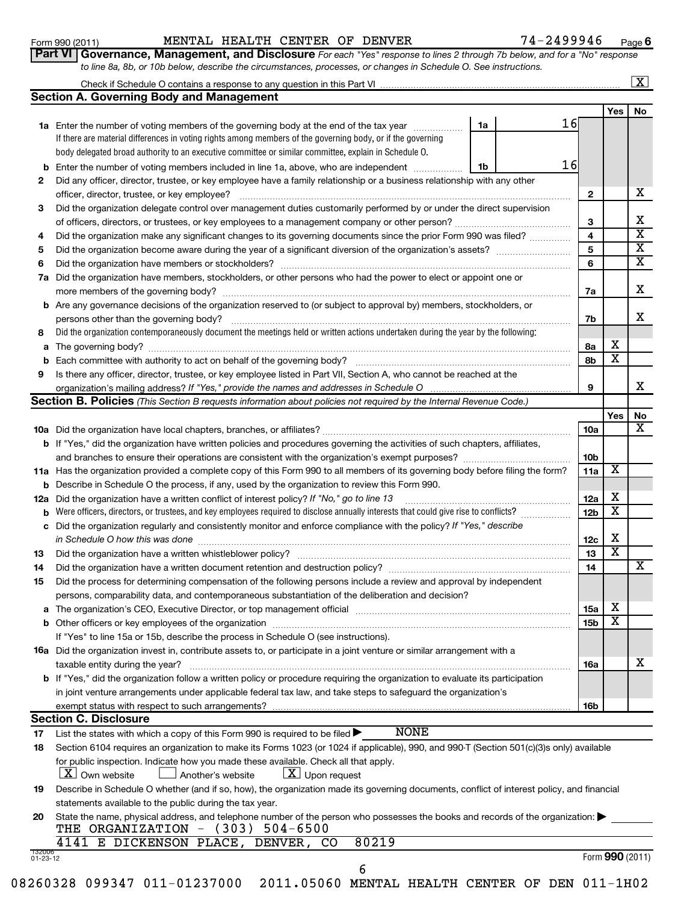#### Form 990 (2011) MENTAL HEALTH CENTER OF DENVER 7 4-2499946 <sub>Page</sub>

**6**

|    | Part VI   Governance, Management, and Disclosure For each "Yes" response to lines 2 through 7b below, and for a "No" response<br>to line 8a, 8b, or 10b below, describe the circumstances, processes, or changes in Schedule O. See instructions. |    |    |                 |                         |                    |  |  |
|----|---------------------------------------------------------------------------------------------------------------------------------------------------------------------------------------------------------------------------------------------------|----|----|-----------------|-------------------------|--------------------|--|--|
|    |                                                                                                                                                                                                                                                   |    |    |                 |                         | $\boxed{\text{X}}$ |  |  |
|    | <b>Section A. Governing Body and Management</b>                                                                                                                                                                                                   |    |    |                 |                         |                    |  |  |
|    |                                                                                                                                                                                                                                                   |    |    |                 | Yes                     | No                 |  |  |
|    | 1a Enter the number of voting members of the governing body at the end of the tax year                                                                                                                                                            | 1a | 16 |                 |                         |                    |  |  |
|    | If there are material differences in voting rights among members of the governing body, or if the governing                                                                                                                                       |    |    |                 |                         |                    |  |  |
|    | body delegated broad authority to an executive committee or similar committee, explain in Schedule O.                                                                                                                                             |    |    |                 |                         |                    |  |  |
| b  | 16<br>Enter the number of voting members included in line 1a, above, who are independent <i>manamer</i><br>1b                                                                                                                                     |    |    |                 |                         |                    |  |  |
| 2  | Did any officer, director, trustee, or key employee have a family relationship or a business relationship with any other                                                                                                                          |    |    |                 |                         |                    |  |  |
|    | officer, director, trustee, or key employee?                                                                                                                                                                                                      |    |    | $\mathbf{2}$    |                         | х                  |  |  |
| 3  | Did the organization delegate control over management duties customarily performed by or under the direct supervision                                                                                                                             |    |    |                 |                         |                    |  |  |
|    |                                                                                                                                                                                                                                                   |    |    | 3               |                         | х                  |  |  |
| 4  | Did the organization make any significant changes to its governing documents since the prior Form 990 was filed?                                                                                                                                  |    |    | 4               |                         | X                  |  |  |
| 5  |                                                                                                                                                                                                                                                   |    |    | 5               |                         | X                  |  |  |
| 6  |                                                                                                                                                                                                                                                   |    |    | 6               |                         | X                  |  |  |
|    | 7a Did the organization have members, stockholders, or other persons who had the power to elect or appoint one or                                                                                                                                 |    |    |                 |                         |                    |  |  |
|    |                                                                                                                                                                                                                                                   |    |    | 7a              |                         | X                  |  |  |
|    | <b>b</b> Are any governance decisions of the organization reserved to (or subject to approval by) members, stockholders, or                                                                                                                       |    |    |                 |                         |                    |  |  |
|    | persons other than the governing body?                                                                                                                                                                                                            |    |    | 7b              |                         | x                  |  |  |
| 8  | Did the organization contemporaneously document the meetings held or written actions undertaken during the year by the following:                                                                                                                 |    |    |                 |                         |                    |  |  |
| а  |                                                                                                                                                                                                                                                   |    |    | 8а<br>8b        | X<br>X                  |                    |  |  |
|    |                                                                                                                                                                                                                                                   |    |    |                 |                         |                    |  |  |
| 9  | Is there any officer, director, trustee, or key employee listed in Part VII, Section A, who cannot be reached at the                                                                                                                              |    |    |                 |                         |                    |  |  |
|    | organization's mailing address? If "Yes," provide the names and addresses in Schedule O                                                                                                                                                           |    |    | 9               |                         | x                  |  |  |
|    | Section B. Policies (This Section B requests information about policies not required by the Internal Revenue Code.)                                                                                                                               |    |    |                 |                         |                    |  |  |
|    |                                                                                                                                                                                                                                                   |    |    |                 | Yes                     | No<br>х            |  |  |
|    |                                                                                                                                                                                                                                                   |    |    | 10a             |                         |                    |  |  |
|    | <b>b</b> If "Yes," did the organization have written policies and procedures governing the activities of such chapters, affiliates,                                                                                                               |    |    |                 |                         |                    |  |  |
|    |                                                                                                                                                                                                                                                   |    |    | 10 <sub>b</sub> | X                       |                    |  |  |
|    | 11a Has the organization provided a complete copy of this Form 990 to all members of its governing body before filing the form?<br><b>b</b> Describe in Schedule O the process, if any, used by the organization to review this Form 990.         |    |    | 11a             |                         |                    |  |  |
|    | 12a Did the organization have a written conflict of interest policy? If "No," go to line 13                                                                                                                                                       |    |    | 12a             | X                       |                    |  |  |
|    | <b>b</b> Were officers, directors, or trustees, and key employees required to disclose annually interests that could give rise to conflicts?                                                                                                      |    |    | 12 <sub>b</sub> | X                       |                    |  |  |
|    | c Did the organization regularly and consistently monitor and enforce compliance with the policy? If "Yes," describe                                                                                                                              |    |    |                 |                         |                    |  |  |
|    | in Schedule O how this was done manufactured and continuum and contact the was done manufactured and contact t                                                                                                                                    |    |    | 12c             | X                       |                    |  |  |
| 13 |                                                                                                                                                                                                                                                   |    |    | 13              | $\overline{\mathbf{X}}$ |                    |  |  |
|    |                                                                                                                                                                                                                                                   |    |    | 14              |                         | X                  |  |  |
| 15 | Did the process for determining compensation of the following persons include a review and approval by independent                                                                                                                                |    |    |                 |                         |                    |  |  |
|    | persons, comparability data, and contemporaneous substantiation of the deliberation and decision?                                                                                                                                                 |    |    |                 |                         |                    |  |  |
| а  | The organization's CEO, Executive Director, or top management official manufactured content of the organization's CEO, Executive Director, or top management official manufactured content of the organization's CEO, Executiv                    |    |    | 15a             | х                       |                    |  |  |
|    | b Other officers or key employees of the organization manufactured content to content of the organization manufactured content of the organization manufactured content of the organization manufactured content of the organi                    |    |    | 15b             | х                       |                    |  |  |
|    | If "Yes" to line 15a or 15b, describe the process in Schedule O (see instructions).                                                                                                                                                               |    |    |                 |                         |                    |  |  |
|    | <b>16a</b> Did the organization invest in, contribute assets to, or participate in a joint venture or similar arrangement with a                                                                                                                  |    |    |                 |                         |                    |  |  |
|    | taxable entity during the year?                                                                                                                                                                                                                   |    |    |                 |                         |                    |  |  |
|    | b If "Yes," did the organization follow a written policy or procedure requiring the organization to evaluate its participation                                                                                                                    |    |    | 16a             |                         |                    |  |  |
|    | in joint venture arrangements under applicable federal tax law, and take steps to safeguard the organization's                                                                                                                                    |    |    |                 |                         |                    |  |  |
|    | exempt status with respect to such arrangements?<br>16b                                                                                                                                                                                           |    |    |                 |                         |                    |  |  |
|    | <b>Section C. Disclosure</b>                                                                                                                                                                                                                      |    |    |                 |                         |                    |  |  |
| 17 | <b>NONE</b><br>List the states with which a copy of this Form 990 is required to be filed >                                                                                                                                                       |    |    |                 |                         |                    |  |  |
| 18 | Section 6104 requires an organization to make its Forms 1023 (or 1024 if applicable), 990, and 990-T (Section 501(c)(3)s only) available                                                                                                          |    |    |                 |                         |                    |  |  |
|    | for public inspection. Indicate how you made these available. Check all that apply.                                                                                                                                                               |    |    |                 |                         |                    |  |  |
|    | $\lfloor x \rfloor$ Upon request<br>$\lfloor x \rfloor$ Own website<br>Another's website                                                                                                                                                          |    |    |                 |                         |                    |  |  |
|    | Describe in Schedule Q whether (and if so bow) the organization made its governing documents, conflict of interest policy, and financial                                                                                                          |    |    |                 |                         |                    |  |  |

**19** Describe in Schedule O whether (and if so, how), the organization made its governing documents, conflict of interest policy, and financial statements available to the public during the tax year.

| 20 State the name, physical address, and telephone number of the person who possesses the books and records of the organization: |  |
|----------------------------------------------------------------------------------------------------------------------------------|--|
| THE ORGANIZATION $-$ (303) 504-6500                                                                                              |  |

|  |  | 4141 E DICKENSON PLACE, DENVER, CO 80219 |  |  |  |  |
|--|--|------------------------------------------|--|--|--|--|
|--|--|------------------------------------------|--|--|--|--|

Form (2011) **990**

08260328 099347 011-01237000 2011.05060 MENTAL HEALTH CENTER OF DEN 011-1H02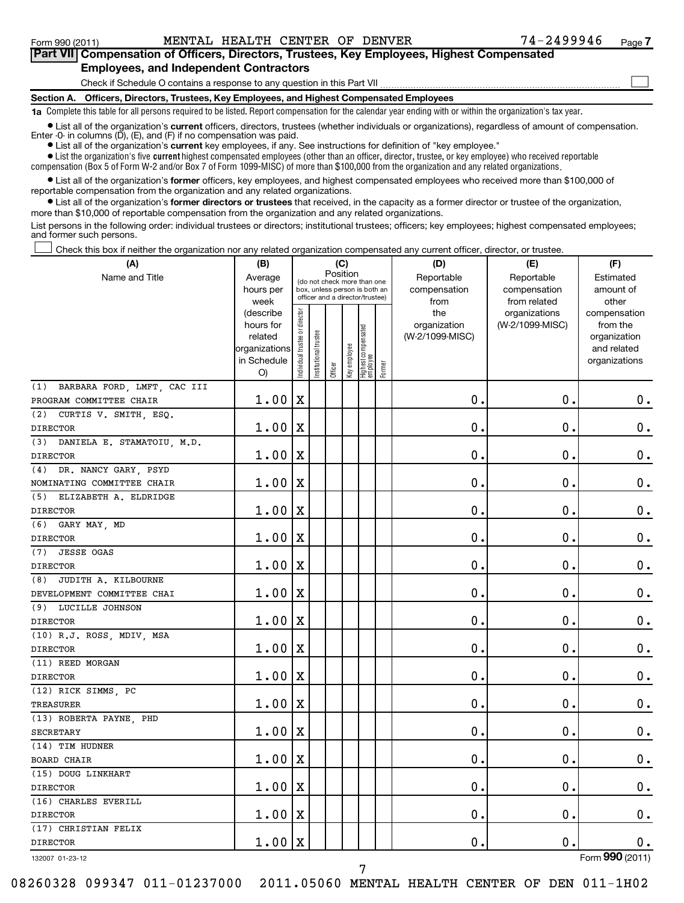| Part VII Compensation of Officers, Directors, Trustees, Key Employees, Highest Compensated                                                                                                                                          |
|-------------------------------------------------------------------------------------------------------------------------------------------------------------------------------------------------------------------------------------|
| <b>Employees, and Independent Contractors</b>                                                                                                                                                                                       |
| Check if Schedule O contains a response to any question in this Part VII                                                                                                                                                            |
| Section A. Officers, Directors, Trustees, Key Employees, and Highest Compensated Employees                                                                                                                                          |
| 1a Complete this table for all persons required to be listed. Report compensation for the calendar year ending with or within the organization's tax year.                                                                          |
| • List all of the organization's current officers, directors, trustees (whether individuals or organizations), regardless of amount of compensation.<br>Enter -0- in columns $(D)$ , $(E)$ , and $(F)$ if no compensation was paid. |

**•** List all of the organization's **current** key employees, if any. See instructions for definition of "key employee."

 $\bullet$  List the organization's five  $\tt current$  highest compensated employees (other than an officer, director, trustee, or key employee) who received reportable compensation (Box 5 of Form W-2 and/or Box 7 of Form 1099-MISC) of more than \$100,000 from the organization and any related organizations .

 $\bullet$  List all of the organization's former officers, key employees, and highest compensated employees who received more than \$100,000 of reportable compensation from the organization and any related organizations.

**•** List all of the organization's former directors or trustees that received, in the capacity as a former director or trustee of the organization, more than \$10,000 of reportable compensation from the organization and any related organizations.

List persons in the following order: individual trustees or directors; institutional trustees; officers; key employees; highest compensated employees; and former such persons.

Check this box if neither the organization nor any related organization compensated any current officer, director, or trustee.  $\left\vert \cdot\right\vert$ 

| Name and Title<br>Average<br>Reportable<br>Reportable<br>Estimated<br>(do not check more than one<br>hours per<br>box, unless person is both an<br>compensation<br>compensation<br>amount of<br>officer and a director/trustee)<br>week<br>from related<br>other<br>from<br>Individual trustee or director<br>the<br>(describe<br>organizations<br>compensation<br>hours for<br>organization<br>(W-2/1099-MISC)<br>from the<br>Highest compensated<br>employee<br>Institutional trustee<br>related<br>(W-2/1099-MISC)<br>organization<br>Key employee<br>organizations<br>and related<br>in Schedule<br>organizations<br>Former<br>Officer<br>O)<br>(1) BARBARA FORD, LMFT, CAC III<br>$\mathbf X$<br>$\mathbf 0$ .<br>$\mathbf 0$ .<br>$\boldsymbol{0}$ .<br>1.00<br>PROGRAM COMMITTEE CHAIR<br>(2) CURTIS V. SMITH, ESQ.<br>$\mathbf 0$<br>$\mathbf 0$<br>$\mathbf 0$ .<br>1.00<br>X<br><b>DIRECTOR</b><br>(3) DANIELA E. STAMATOIU, M.D.<br>$\mathbf 0$<br>$\mathbf 0$<br>$\mathbf 0$ .<br>1.00<br>$\mathbf X$<br><b>DIRECTOR</b><br>(4) DR. NANCY GARY, PSYD<br>$\mathbf 0$<br>$\mathbf 0$<br>$\mathbf 0$ .<br>1.00<br>X<br>NOMINATING COMMITTEE CHAIR<br>(5) ELIZABETH A. ELDRIDGE<br>$\mathbf 0$ .<br>$\mathbf 0$<br>$\mathbf 0$<br>1.00<br>X<br><b>DIRECTOR</b><br>$(6)$ GARY MAY, MD<br>$\mathbf 0$<br>0.<br>$\mathbf 0$ .<br>1.00<br>X<br><b>DIRECTOR</b><br>(7) JESSE OGAS<br>$\mathbf 0$ .<br>0.<br>$\mathbf 0$ .<br>1.00<br>X<br><b>DIRECTOR</b><br>(8) JUDITH A. KILBOURNE<br>$\mathbf 0$ .<br>0.<br>$\mathbf 0$ .<br>1.00<br>X<br>DEVELOPMENT COMMITTEE CHAI<br>(9) LUCILLE JOHNSON<br>0.<br>$\mathbf 0$ .<br>$\mathbf 0$ .<br>1.00<br>$\mathbf X$<br><b>DIRECTOR</b><br>(10) R.J. ROSS, MDIV, MSA<br>$\mathbf 0$ .<br>$\mathbf 0$ .<br>$\mathbf 0$ .<br>1.00<br>X<br><b>DIRECTOR</b><br>(11) REED MORGAN<br>$\mathbf 0$<br>$\mathbf 0$ .<br>$\mathbf 0$ .<br>1.00<br>$\mathbf X$<br><b>DIRECTOR</b><br>(12) RICK SIMMS, PC<br>$\mathbf 0$ .<br>$\mathbf 0$<br>$\mathbf 0$ .<br>1.00<br>Х<br><b>TREASURER</b><br>(13) ROBERTA PAYNE, PHD<br>$\mathbf 0$ .<br>$\mathbf 0$ .<br>$\mathbf 0$ .<br>1.00<br>X<br><b>SECRETARY</b><br>(14) TIM HUDNER<br>$\mathbf 0$ .<br>$\mathbf 0$<br>$\mathbf 0$<br>1.00<br>Х<br><b>BOARD CHAIR</b><br>(15) DOUG LINKHART<br>$\mathbf 0$ .<br>$\mathbf 0$ .<br>$\mathbf 0$ .<br>1.00<br>X<br><b>DIRECTOR</b><br>(16) CHARLES EVERILL<br>$\mathbf 0$ .<br>0.<br>$\mathbf 0$ .<br>1.00<br>X<br><b>DIRECTOR</b><br>(17) CHRISTIAN FELIX<br>$\mathbf 0$ .<br>$\mathbf 0$ .<br>$\mathbf 0$ .<br>$1.00 \,   X$<br><b>DIRECTOR</b> | (A) | (B) |          |  | (C) |  | (D) | (E) | (F) |
|-------------------------------------------------------------------------------------------------------------------------------------------------------------------------------------------------------------------------------------------------------------------------------------------------------------------------------------------------------------------------------------------------------------------------------------------------------------------------------------------------------------------------------------------------------------------------------------------------------------------------------------------------------------------------------------------------------------------------------------------------------------------------------------------------------------------------------------------------------------------------------------------------------------------------------------------------------------------------------------------------------------------------------------------------------------------------------------------------------------------------------------------------------------------------------------------------------------------------------------------------------------------------------------------------------------------------------------------------------------------------------------------------------------------------------------------------------------------------------------------------------------------------------------------------------------------------------------------------------------------------------------------------------------------------------------------------------------------------------------------------------------------------------------------------------------------------------------------------------------------------------------------------------------------------------------------------------------------------------------------------------------------------------------------------------------------------------------------------------------------------------------------------------------------------------------------------------------------------------------------------------------------------------------------------------------------------------------------------------------------------------------------------------------------------------------------------------------------------------------------------------------------------------------------------------------------------|-----|-----|----------|--|-----|--|-----|-----|-----|
|                                                                                                                                                                                                                                                                                                                                                                                                                                                                                                                                                                                                                                                                                                                                                                                                                                                                                                                                                                                                                                                                                                                                                                                                                                                                                                                                                                                                                                                                                                                                                                                                                                                                                                                                                                                                                                                                                                                                                                                                                                                                                                                                                                                                                                                                                                                                                                                                                                                                                                                                                                         |     |     | Position |  |     |  |     |     |     |
|                                                                                                                                                                                                                                                                                                                                                                                                                                                                                                                                                                                                                                                                                                                                                                                                                                                                                                                                                                                                                                                                                                                                                                                                                                                                                                                                                                                                                                                                                                                                                                                                                                                                                                                                                                                                                                                                                                                                                                                                                                                                                                                                                                                                                                                                                                                                                                                                                                                                                                                                                                         |     |     |          |  |     |  |     |     |     |
|                                                                                                                                                                                                                                                                                                                                                                                                                                                                                                                                                                                                                                                                                                                                                                                                                                                                                                                                                                                                                                                                                                                                                                                                                                                                                                                                                                                                                                                                                                                                                                                                                                                                                                                                                                                                                                                                                                                                                                                                                                                                                                                                                                                                                                                                                                                                                                                                                                                                                                                                                                         |     |     |          |  |     |  |     |     |     |
|                                                                                                                                                                                                                                                                                                                                                                                                                                                                                                                                                                                                                                                                                                                                                                                                                                                                                                                                                                                                                                                                                                                                                                                                                                                                                                                                                                                                                                                                                                                                                                                                                                                                                                                                                                                                                                                                                                                                                                                                                                                                                                                                                                                                                                                                                                                                                                                                                                                                                                                                                                         |     |     |          |  |     |  |     |     |     |
|                                                                                                                                                                                                                                                                                                                                                                                                                                                                                                                                                                                                                                                                                                                                                                                                                                                                                                                                                                                                                                                                                                                                                                                                                                                                                                                                                                                                                                                                                                                                                                                                                                                                                                                                                                                                                                                                                                                                                                                                                                                                                                                                                                                                                                                                                                                                                                                                                                                                                                                                                                         |     |     |          |  |     |  |     |     |     |
|                                                                                                                                                                                                                                                                                                                                                                                                                                                                                                                                                                                                                                                                                                                                                                                                                                                                                                                                                                                                                                                                                                                                                                                                                                                                                                                                                                                                                                                                                                                                                                                                                                                                                                                                                                                                                                                                                                                                                                                                                                                                                                                                                                                                                                                                                                                                                                                                                                                                                                                                                                         |     |     |          |  |     |  |     |     |     |
|                                                                                                                                                                                                                                                                                                                                                                                                                                                                                                                                                                                                                                                                                                                                                                                                                                                                                                                                                                                                                                                                                                                                                                                                                                                                                                                                                                                                                                                                                                                                                                                                                                                                                                                                                                                                                                                                                                                                                                                                                                                                                                                                                                                                                                                                                                                                                                                                                                                                                                                                                                         |     |     |          |  |     |  |     |     |     |
|                                                                                                                                                                                                                                                                                                                                                                                                                                                                                                                                                                                                                                                                                                                                                                                                                                                                                                                                                                                                                                                                                                                                                                                                                                                                                                                                                                                                                                                                                                                                                                                                                                                                                                                                                                                                                                                                                                                                                                                                                                                                                                                                                                                                                                                                                                                                                                                                                                                                                                                                                                         |     |     |          |  |     |  |     |     |     |
|                                                                                                                                                                                                                                                                                                                                                                                                                                                                                                                                                                                                                                                                                                                                                                                                                                                                                                                                                                                                                                                                                                                                                                                                                                                                                                                                                                                                                                                                                                                                                                                                                                                                                                                                                                                                                                                                                                                                                                                                                                                                                                                                                                                                                                                                                                                                                                                                                                                                                                                                                                         |     |     |          |  |     |  |     |     |     |
|                                                                                                                                                                                                                                                                                                                                                                                                                                                                                                                                                                                                                                                                                                                                                                                                                                                                                                                                                                                                                                                                                                                                                                                                                                                                                                                                                                                                                                                                                                                                                                                                                                                                                                                                                                                                                                                                                                                                                                                                                                                                                                                                                                                                                                                                                                                                                                                                                                                                                                                                                                         |     |     |          |  |     |  |     |     |     |
|                                                                                                                                                                                                                                                                                                                                                                                                                                                                                                                                                                                                                                                                                                                                                                                                                                                                                                                                                                                                                                                                                                                                                                                                                                                                                                                                                                                                                                                                                                                                                                                                                                                                                                                                                                                                                                                                                                                                                                                                                                                                                                                                                                                                                                                                                                                                                                                                                                                                                                                                                                         |     |     |          |  |     |  |     |     |     |
|                                                                                                                                                                                                                                                                                                                                                                                                                                                                                                                                                                                                                                                                                                                                                                                                                                                                                                                                                                                                                                                                                                                                                                                                                                                                                                                                                                                                                                                                                                                                                                                                                                                                                                                                                                                                                                                                                                                                                                                                                                                                                                                                                                                                                                                                                                                                                                                                                                                                                                                                                                         |     |     |          |  |     |  |     |     |     |
|                                                                                                                                                                                                                                                                                                                                                                                                                                                                                                                                                                                                                                                                                                                                                                                                                                                                                                                                                                                                                                                                                                                                                                                                                                                                                                                                                                                                                                                                                                                                                                                                                                                                                                                                                                                                                                                                                                                                                                                                                                                                                                                                                                                                                                                                                                                                                                                                                                                                                                                                                                         |     |     |          |  |     |  |     |     |     |
|                                                                                                                                                                                                                                                                                                                                                                                                                                                                                                                                                                                                                                                                                                                                                                                                                                                                                                                                                                                                                                                                                                                                                                                                                                                                                                                                                                                                                                                                                                                                                                                                                                                                                                                                                                                                                                                                                                                                                                                                                                                                                                                                                                                                                                                                                                                                                                                                                                                                                                                                                                         |     |     |          |  |     |  |     |     |     |
|                                                                                                                                                                                                                                                                                                                                                                                                                                                                                                                                                                                                                                                                                                                                                                                                                                                                                                                                                                                                                                                                                                                                                                                                                                                                                                                                                                                                                                                                                                                                                                                                                                                                                                                                                                                                                                                                                                                                                                                                                                                                                                                                                                                                                                                                                                                                                                                                                                                                                                                                                                         |     |     |          |  |     |  |     |     |     |
|                                                                                                                                                                                                                                                                                                                                                                                                                                                                                                                                                                                                                                                                                                                                                                                                                                                                                                                                                                                                                                                                                                                                                                                                                                                                                                                                                                                                                                                                                                                                                                                                                                                                                                                                                                                                                                                                                                                                                                                                                                                                                                                                                                                                                                                                                                                                                                                                                                                                                                                                                                         |     |     |          |  |     |  |     |     |     |
|                                                                                                                                                                                                                                                                                                                                                                                                                                                                                                                                                                                                                                                                                                                                                                                                                                                                                                                                                                                                                                                                                                                                                                                                                                                                                                                                                                                                                                                                                                                                                                                                                                                                                                                                                                                                                                                                                                                                                                                                                                                                                                                                                                                                                                                                                                                                                                                                                                                                                                                                                                         |     |     |          |  |     |  |     |     |     |
|                                                                                                                                                                                                                                                                                                                                                                                                                                                                                                                                                                                                                                                                                                                                                                                                                                                                                                                                                                                                                                                                                                                                                                                                                                                                                                                                                                                                                                                                                                                                                                                                                                                                                                                                                                                                                                                                                                                                                                                                                                                                                                                                                                                                                                                                                                                                                                                                                                                                                                                                                                         |     |     |          |  |     |  |     |     |     |
|                                                                                                                                                                                                                                                                                                                                                                                                                                                                                                                                                                                                                                                                                                                                                                                                                                                                                                                                                                                                                                                                                                                                                                                                                                                                                                                                                                                                                                                                                                                                                                                                                                                                                                                                                                                                                                                                                                                                                                                                                                                                                                                                                                                                                                                                                                                                                                                                                                                                                                                                                                         |     |     |          |  |     |  |     |     |     |
|                                                                                                                                                                                                                                                                                                                                                                                                                                                                                                                                                                                                                                                                                                                                                                                                                                                                                                                                                                                                                                                                                                                                                                                                                                                                                                                                                                                                                                                                                                                                                                                                                                                                                                                                                                                                                                                                                                                                                                                                                                                                                                                                                                                                                                                                                                                                                                                                                                                                                                                                                                         |     |     |          |  |     |  |     |     |     |
|                                                                                                                                                                                                                                                                                                                                                                                                                                                                                                                                                                                                                                                                                                                                                                                                                                                                                                                                                                                                                                                                                                                                                                                                                                                                                                                                                                                                                                                                                                                                                                                                                                                                                                                                                                                                                                                                                                                                                                                                                                                                                                                                                                                                                                                                                                                                                                                                                                                                                                                                                                         |     |     |          |  |     |  |     |     |     |
|                                                                                                                                                                                                                                                                                                                                                                                                                                                                                                                                                                                                                                                                                                                                                                                                                                                                                                                                                                                                                                                                                                                                                                                                                                                                                                                                                                                                                                                                                                                                                                                                                                                                                                                                                                                                                                                                                                                                                                                                                                                                                                                                                                                                                                                                                                                                                                                                                                                                                                                                                                         |     |     |          |  |     |  |     |     |     |
|                                                                                                                                                                                                                                                                                                                                                                                                                                                                                                                                                                                                                                                                                                                                                                                                                                                                                                                                                                                                                                                                                                                                                                                                                                                                                                                                                                                                                                                                                                                                                                                                                                                                                                                                                                                                                                                                                                                                                                                                                                                                                                                                                                                                                                                                                                                                                                                                                                                                                                                                                                         |     |     |          |  |     |  |     |     |     |
|                                                                                                                                                                                                                                                                                                                                                                                                                                                                                                                                                                                                                                                                                                                                                                                                                                                                                                                                                                                                                                                                                                                                                                                                                                                                                                                                                                                                                                                                                                                                                                                                                                                                                                                                                                                                                                                                                                                                                                                                                                                                                                                                                                                                                                                                                                                                                                                                                                                                                                                                                                         |     |     |          |  |     |  |     |     |     |
|                                                                                                                                                                                                                                                                                                                                                                                                                                                                                                                                                                                                                                                                                                                                                                                                                                                                                                                                                                                                                                                                                                                                                                                                                                                                                                                                                                                                                                                                                                                                                                                                                                                                                                                                                                                                                                                                                                                                                                                                                                                                                                                                                                                                                                                                                                                                                                                                                                                                                                                                                                         |     |     |          |  |     |  |     |     |     |
|                                                                                                                                                                                                                                                                                                                                                                                                                                                                                                                                                                                                                                                                                                                                                                                                                                                                                                                                                                                                                                                                                                                                                                                                                                                                                                                                                                                                                                                                                                                                                                                                                                                                                                                                                                                                                                                                                                                                                                                                                                                                                                                                                                                                                                                                                                                                                                                                                                                                                                                                                                         |     |     |          |  |     |  |     |     |     |
|                                                                                                                                                                                                                                                                                                                                                                                                                                                                                                                                                                                                                                                                                                                                                                                                                                                                                                                                                                                                                                                                                                                                                                                                                                                                                                                                                                                                                                                                                                                                                                                                                                                                                                                                                                                                                                                                                                                                                                                                                                                                                                                                                                                                                                                                                                                                                                                                                                                                                                                                                                         |     |     |          |  |     |  |     |     |     |
|                                                                                                                                                                                                                                                                                                                                                                                                                                                                                                                                                                                                                                                                                                                                                                                                                                                                                                                                                                                                                                                                                                                                                                                                                                                                                                                                                                                                                                                                                                                                                                                                                                                                                                                                                                                                                                                                                                                                                                                                                                                                                                                                                                                                                                                                                                                                                                                                                                                                                                                                                                         |     |     |          |  |     |  |     |     |     |
|                                                                                                                                                                                                                                                                                                                                                                                                                                                                                                                                                                                                                                                                                                                                                                                                                                                                                                                                                                                                                                                                                                                                                                                                                                                                                                                                                                                                                                                                                                                                                                                                                                                                                                                                                                                                                                                                                                                                                                                                                                                                                                                                                                                                                                                                                                                                                                                                                                                                                                                                                                         |     |     |          |  |     |  |     |     |     |
|                                                                                                                                                                                                                                                                                                                                                                                                                                                                                                                                                                                                                                                                                                                                                                                                                                                                                                                                                                                                                                                                                                                                                                                                                                                                                                                                                                                                                                                                                                                                                                                                                                                                                                                                                                                                                                                                                                                                                                                                                                                                                                                                                                                                                                                                                                                                                                                                                                                                                                                                                                         |     |     |          |  |     |  |     |     |     |
|                                                                                                                                                                                                                                                                                                                                                                                                                                                                                                                                                                                                                                                                                                                                                                                                                                                                                                                                                                                                                                                                                                                                                                                                                                                                                                                                                                                                                                                                                                                                                                                                                                                                                                                                                                                                                                                                                                                                                                                                                                                                                                                                                                                                                                                                                                                                                                                                                                                                                                                                                                         |     |     |          |  |     |  |     |     |     |
|                                                                                                                                                                                                                                                                                                                                                                                                                                                                                                                                                                                                                                                                                                                                                                                                                                                                                                                                                                                                                                                                                                                                                                                                                                                                                                                                                                                                                                                                                                                                                                                                                                                                                                                                                                                                                                                                                                                                                                                                                                                                                                                                                                                                                                                                                                                                                                                                                                                                                                                                                                         |     |     |          |  |     |  |     |     |     |
|                                                                                                                                                                                                                                                                                                                                                                                                                                                                                                                                                                                                                                                                                                                                                                                                                                                                                                                                                                                                                                                                                                                                                                                                                                                                                                                                                                                                                                                                                                                                                                                                                                                                                                                                                                                                                                                                                                                                                                                                                                                                                                                                                                                                                                                                                                                                                                                                                                                                                                                                                                         |     |     |          |  |     |  |     |     |     |
|                                                                                                                                                                                                                                                                                                                                                                                                                                                                                                                                                                                                                                                                                                                                                                                                                                                                                                                                                                                                                                                                                                                                                                                                                                                                                                                                                                                                                                                                                                                                                                                                                                                                                                                                                                                                                                                                                                                                                                                                                                                                                                                                                                                                                                                                                                                                                                                                                                                                                                                                                                         |     |     |          |  |     |  |     |     |     |
|                                                                                                                                                                                                                                                                                                                                                                                                                                                                                                                                                                                                                                                                                                                                                                                                                                                                                                                                                                                                                                                                                                                                                                                                                                                                                                                                                                                                                                                                                                                                                                                                                                                                                                                                                                                                                                                                                                                                                                                                                                                                                                                                                                                                                                                                                                                                                                                                                                                                                                                                                                         |     |     |          |  |     |  |     |     |     |
|                                                                                                                                                                                                                                                                                                                                                                                                                                                                                                                                                                                                                                                                                                                                                                                                                                                                                                                                                                                                                                                                                                                                                                                                                                                                                                                                                                                                                                                                                                                                                                                                                                                                                                                                                                                                                                                                                                                                                                                                                                                                                                                                                                                                                                                                                                                                                                                                                                                                                                                                                                         |     |     |          |  |     |  |     |     |     |
|                                                                                                                                                                                                                                                                                                                                                                                                                                                                                                                                                                                                                                                                                                                                                                                                                                                                                                                                                                                                                                                                                                                                                                                                                                                                                                                                                                                                                                                                                                                                                                                                                                                                                                                                                                                                                                                                                                                                                                                                                                                                                                                                                                                                                                                                                                                                                                                                                                                                                                                                                                         |     |     |          |  |     |  |     |     |     |
|                                                                                                                                                                                                                                                                                                                                                                                                                                                                                                                                                                                                                                                                                                                                                                                                                                                                                                                                                                                                                                                                                                                                                                                                                                                                                                                                                                                                                                                                                                                                                                                                                                                                                                                                                                                                                                                                                                                                                                                                                                                                                                                                                                                                                                                                                                                                                                                                                                                                                                                                                                         |     |     |          |  |     |  |     |     |     |
|                                                                                                                                                                                                                                                                                                                                                                                                                                                                                                                                                                                                                                                                                                                                                                                                                                                                                                                                                                                                                                                                                                                                                                                                                                                                                                                                                                                                                                                                                                                                                                                                                                                                                                                                                                                                                                                                                                                                                                                                                                                                                                                                                                                                                                                                                                                                                                                                                                                                                                                                                                         |     |     |          |  |     |  |     |     |     |
|                                                                                                                                                                                                                                                                                                                                                                                                                                                                                                                                                                                                                                                                                                                                                                                                                                                                                                                                                                                                                                                                                                                                                                                                                                                                                                                                                                                                                                                                                                                                                                                                                                                                                                                                                                                                                                                                                                                                                                                                                                                                                                                                                                                                                                                                                                                                                                                                                                                                                                                                                                         |     |     |          |  |     |  |     |     |     |
|                                                                                                                                                                                                                                                                                                                                                                                                                                                                                                                                                                                                                                                                                                                                                                                                                                                                                                                                                                                                                                                                                                                                                                                                                                                                                                                                                                                                                                                                                                                                                                                                                                                                                                                                                                                                                                                                                                                                                                                                                                                                                                                                                                                                                                                                                                                                                                                                                                                                                                                                                                         |     |     |          |  |     |  |     |     |     |
|                                                                                                                                                                                                                                                                                                                                                                                                                                                                                                                                                                                                                                                                                                                                                                                                                                                                                                                                                                                                                                                                                                                                                                                                                                                                                                                                                                                                                                                                                                                                                                                                                                                                                                                                                                                                                                                                                                                                                                                                                                                                                                                                                                                                                                                                                                                                                                                                                                                                                                                                                                         |     |     |          |  |     |  |     |     |     |

132007 01-23-12

08260328 099347 011-01237000 2011.05060 MENTAL HEALTH CENTER OF DEN 011-1H02

7

Form (2011) **990**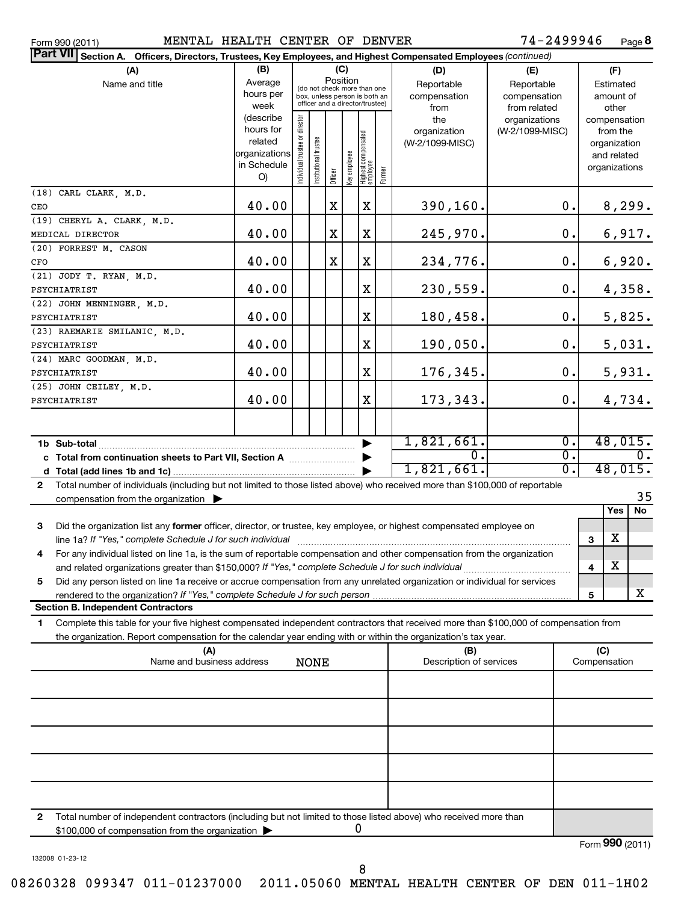Form 990 (2011) MENTAL HEALTH CENTER OF DENVER 74-2499946 Page

74-2499946 Page 8

| Part VII Section A. Officers, Directors, Trustees, Key Employees, and Highest Compensated Employees (continued)                              |                   |                                |                                                                  |          |              |                                  |        |                     |                                  |                  |   |                          |                  |
|----------------------------------------------------------------------------------------------------------------------------------------------|-------------------|--------------------------------|------------------------------------------------------------------|----------|--------------|----------------------------------|--------|---------------------|----------------------------------|------------------|---|--------------------------|------------------|
| (A)                                                                                                                                          | (B)               |                                |                                                                  |          | (C)          |                                  |        | (D)                 | (E)                              |                  |   | (F)                      |                  |
| Name and title                                                                                                                               | Average           |                                | (do not check more than one                                      | Position |              |                                  |        | Reportable          | Reportable                       |                  |   | Estimated                |                  |
|                                                                                                                                              | hours per         |                                | box, unless person is both an<br>officer and a director/trustee) |          |              |                                  |        | compensation        | compensation                     |                  |   | amount of                |                  |
|                                                                                                                                              | week<br>(describe |                                |                                                                  |          |              |                                  |        | from                | from related                     |                  |   | other                    |                  |
|                                                                                                                                              | hours for         |                                |                                                                  |          |              |                                  |        | the<br>organization | organizations<br>(W-2/1099-MISC) |                  |   | compensation<br>from the |                  |
|                                                                                                                                              | related           |                                |                                                                  |          |              |                                  |        | (W-2/1099-MISC)     |                                  |                  |   | organization             |                  |
|                                                                                                                                              | organizations     |                                |                                                                  |          |              |                                  |        |                     |                                  |                  |   | and related              |                  |
|                                                                                                                                              | in Schedule       | Individual trustee or director | Institutional trustee                                            |          | Key employee |                                  |        |                     |                                  |                  |   | organizations            |                  |
|                                                                                                                                              | O)                |                                |                                                                  | Officer  |              | Highest compensated<br> employee | Former |                     |                                  |                  |   |                          |                  |
| (18) CARL CLARK, M.D.                                                                                                                        |                   |                                |                                                                  |          |              |                                  |        |                     |                                  |                  |   |                          |                  |
| CEO                                                                                                                                          | 40.00             |                                |                                                                  | X        |              | $\mathbf X$                      |        | 390,160.            |                                  | 0.               |   | 8,299.                   |                  |
| (19) CHERYL A. CLARK, M.D.                                                                                                                   |                   |                                |                                                                  |          |              |                                  |        |                     |                                  |                  |   |                          |                  |
| MEDICAL DIRECTOR                                                                                                                             | 40.00             |                                |                                                                  | х        |              | $\mathbf X$                      |        | 245,970.            |                                  | 0.               |   | 6,917.                   |                  |
| (20) FORREST M. CASON                                                                                                                        |                   |                                |                                                                  |          |              |                                  |        |                     |                                  |                  |   |                          |                  |
| 40.00<br>$\mathbf X$<br>234,776.<br>х<br>CFO                                                                                                 |                   |                                |                                                                  |          |              |                                  |        |                     |                                  | $\mathbf 0$ .    |   | 6,920.                   |                  |
| (21) JODY T. RYAN, M.D.                                                                                                                      |                   |                                |                                                                  |          |              |                                  |        |                     |                                  |                  |   |                          |                  |
| 40.00<br>$\mathbf X$<br>230,559.<br>PSYCHIATRIST                                                                                             |                   |                                |                                                                  |          |              |                                  |        |                     |                                  | $\mathbf 0$ .    |   | 4,358.                   |                  |
| (22) JOHN MENNINGER, M.D.                                                                                                                    |                   |                                |                                                                  |          |              |                                  |        |                     |                                  | $\mathbf 0$ .    |   |                          |                  |
| 40.00<br>$\mathbf X$<br>180,458.<br>PSYCHIATRIST                                                                                             |                   |                                |                                                                  |          |              |                                  |        |                     |                                  |                  |   | 5,825.                   |                  |
| (23) RAEMARIE SMILANIC, M.D.<br>PSYCHIATRIST                                                                                                 | 40.00             |                                |                                                                  |          |              | $\mathbf X$                      |        | 190,050.            |                                  | $\mathbf 0$ .    |   | 5,031.                   |                  |
| (24) MARC GOODMAN, M.D.                                                                                                                      |                   |                                |                                                                  |          |              |                                  |        |                     |                                  |                  |   |                          |                  |
| PSYCHIATRIST                                                                                                                                 | 40.00             |                                |                                                                  |          |              | $\mathbf X$                      |        | 176,345.            |                                  | $\mathbf 0$ .    |   | 5,931.                   |                  |
| (25) JOHN CEILEY, M.D.                                                                                                                       |                   |                                |                                                                  |          |              |                                  |        |                     |                                  |                  |   |                          |                  |
| PSYCHIATRIST                                                                                                                                 | 40.00             |                                |                                                                  |          |              | X                                |        | 173,343.            |                                  | 0.               |   | 4,734.                   |                  |
|                                                                                                                                              |                   |                                |                                                                  |          |              |                                  |        |                     |                                  |                  |   |                          |                  |
|                                                                                                                                              |                   |                                |                                                                  |          |              |                                  |        |                     |                                  |                  |   |                          |                  |
|                                                                                                                                              |                   |                                |                                                                  |          |              |                                  |        | 1,821,661.          |                                  | $\overline{0}$ . |   | 48,015.                  |                  |
| c Total from continuation sheets to Part VII, Section A                                                                                      |                   |                                |                                                                  |          |              |                                  |        | 0.                  |                                  | σ.               |   |                          | $\overline{0}$ . |
|                                                                                                                                              |                   |                                |                                                                  |          |              |                                  |        | 1,821,661.          |                                  | σ.               |   | 48,015.                  |                  |
| Total number of individuals (including but not limited to those listed above) who received more than \$100,000 of reportable<br>$\mathbf{2}$ |                   |                                |                                                                  |          |              |                                  |        |                     |                                  |                  |   |                          |                  |
| compensation from the organization $\blacktriangleright$                                                                                     |                   |                                |                                                                  |          |              |                                  |        |                     |                                  |                  |   |                          | 35               |
|                                                                                                                                              |                   |                                |                                                                  |          |              |                                  |        |                     |                                  |                  |   | Yes                      | <b>No</b>        |
| 3<br>Did the organization list any former officer, director, or trustee, key employee, or highest compensated employee on                    |                   |                                |                                                                  |          |              |                                  |        |                     |                                  |                  |   |                          |                  |
| line 1a? If "Yes," complete Schedule J for such individual                                                                                   |                   |                                |                                                                  |          |              |                                  |        |                     |                                  |                  | 3 | х                        |                  |
| For any individual listed on line 1a, is the sum of reportable compensation and other compensation from the organization<br>4                |                   |                                |                                                                  |          |              |                                  |        |                     |                                  |                  |   |                          |                  |
| and related organizations greater than \$150,000? If "Yes," complete Schedule J for such individual                                          |                   |                                |                                                                  |          |              |                                  |        |                     |                                  |                  | 4 | X                        |                  |
| 5<br>Did any person listed on line 1a receive or accrue compensation from any unrelated organization or individual for services              |                   |                                |                                                                  |          |              |                                  |        |                     |                                  |                  |   |                          |                  |
| rendered to the organization? If "Yes," complete Schedule J for such person                                                                  |                   |                                |                                                                  |          |              |                                  |        |                     |                                  |                  | 5 |                          | x                |
| <b>Section B. Independent Contractors</b>                                                                                                    |                   |                                |                                                                  |          |              |                                  |        |                     |                                  |                  |   |                          |                  |
| Complete this table for your five highest compensated independent contractors that received more than \$100,000 of compensation from<br>1.   |                   |                                |                                                                  |          |              |                                  |        |                     |                                  |                  |   |                          |                  |
| the organization. Report compensation for the calendar year ending with or within the organization's tax year.                               |                   |                                |                                                                  |          |              |                                  |        |                     |                                  |                  |   |                          |                  |
| (C)<br>(A)<br>(B)<br>Name and business address<br>Description of services<br>Compensation<br><b>NONE</b>                                     |                   |                                |                                                                  |          |              |                                  |        |                     |                                  |                  |   |                          |                  |
|                                                                                                                                              |                   |                                |                                                                  |          |              |                                  |        |                     |                                  |                  |   |                          |                  |
|                                                                                                                                              |                   |                                |                                                                  |          |              |                                  |        |                     |                                  |                  |   |                          |                  |
|                                                                                                                                              |                   |                                |                                                                  |          |              |                                  |        |                     |                                  |                  |   |                          |                  |
|                                                                                                                                              |                   |                                |                                                                  |          |              |                                  |        |                     |                                  |                  |   |                          |                  |
|                                                                                                                                              |                   |                                |                                                                  |          |              |                                  |        |                     |                                  |                  |   |                          |                  |
|                                                                                                                                              |                   |                                |                                                                  |          |              |                                  |        |                     |                                  |                  |   |                          |                  |
|                                                                                                                                              |                   |                                |                                                                  |          |              |                                  |        |                     |                                  |                  |   |                          |                  |
|                                                                                                                                              |                   |                                |                                                                  |          |              |                                  |        |                     |                                  |                  |   |                          |                  |
| Total number of independent contractors (including but not limited to those listed above) who received more than<br>2                        |                   |                                |                                                                  |          |              |                                  |        |                     |                                  |                  |   |                          |                  |
| \$100,000 of compensation from the organization                                                                                              |                   |                                |                                                                  |          |              | U                                |        |                     |                                  |                  |   |                          |                  |

132008 01-23-12

Form (2011) **990**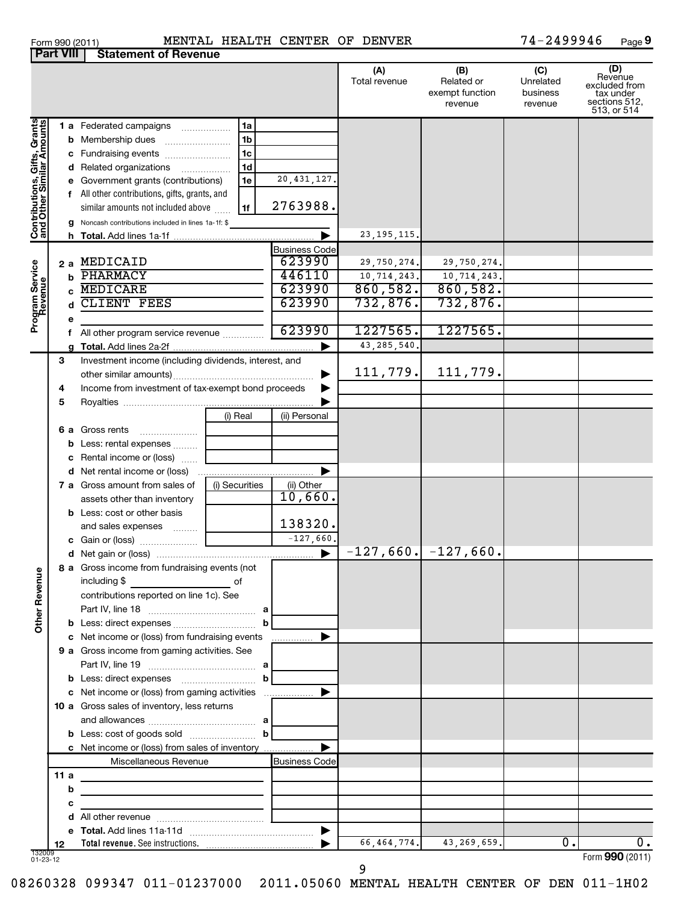| Form 990 (2011)  | MENTAL                      |
|------------------|-----------------------------|
| <b>Part VIII</b> | <b>Statement of Revenue</b> |

#### Form 990 (2011) MENTAL HEALTH CENTER OF DENVER 74-2499946 Page

**9**

|                                                           |      |                                                                            |                     |                       | (A)<br>Total revenue        | (B)<br>Related or<br>exempt function<br>revenue | (C)<br>Unrelated<br>business<br>revenue | (D)<br>Revenue<br>excluded from<br>tax under<br>sections 512,<br>513, or 514 |
|-----------------------------------------------------------|------|----------------------------------------------------------------------------|---------------------|-----------------------|-----------------------------|-------------------------------------------------|-----------------------------------------|------------------------------------------------------------------------------|
|                                                           |      | <b>1 a</b> Federated campaigns                                             | 1a                  |                       |                             |                                                 |                                         |                                                                              |
| Contributions, Gifts, Grants<br>and Other Similar Amounts |      | <b>b</b> Membership dues                                                   | 1 <sub>b</sub>      |                       |                             |                                                 |                                         |                                                                              |
|                                                           |      | c Fundraising events                                                       | 1c                  |                       |                             |                                                 |                                         |                                                                              |
|                                                           |      | <b>d</b> Related organizations                                             | 1 <sub>d</sub><br>. |                       |                             |                                                 |                                         |                                                                              |
|                                                           |      | e Government grants (contributions)                                        | 1e                  | 20, 431, 127.         |                             |                                                 |                                         |                                                                              |
|                                                           |      | f All other contributions, gifts, grants, and                              |                     |                       |                             |                                                 |                                         |                                                                              |
|                                                           |      | similar amounts not included above                                         | 1f                  | 2763988.              |                             |                                                 |                                         |                                                                              |
|                                                           |      | g Noncash contributions included in lines 1a-1f: \$                        |                     |                       |                             |                                                 |                                         |                                                                              |
|                                                           |      |                                                                            |                     |                       | 23, 195, 115.               |                                                 |                                         |                                                                              |
|                                                           |      |                                                                            |                     | <b>Business Code</b>  |                             |                                                 |                                         |                                                                              |
|                                                           |      | 2 a MEDICAID                                                               |                     | 623990                | 29,750,274.                 | 29,750,274.                                     |                                         |                                                                              |
|                                                           | b    | PHARMACY                                                                   |                     | 446110                | $\overline{10}$ , 714, 243. | 10,714,243.                                     |                                         |                                                                              |
|                                                           |      | c MEDICARE                                                                 |                     | 623990                | 860,582.                    | 860,582.                                        |                                         |                                                                              |
|                                                           | d    | CLIENT FEES                                                                |                     | 623990                | 732,876.                    | 732,876.                                        |                                         |                                                                              |
| Program Service<br>Revenue                                | е    |                                                                            |                     | 623990                | 1227565.                    | 1227565.                                        |                                         |                                                                              |
|                                                           |      | f All other program service revenue                                        |                     |                       | 43, 285, 540.               |                                                 |                                         |                                                                              |
|                                                           |      |                                                                            |                     |                       |                             |                                                 |                                         |                                                                              |
|                                                           | 3    | Investment income (including dividends, interest, and                      |                     | ▶                     | 111,779.                    | 111,779.                                        |                                         |                                                                              |
|                                                           | 4    | Income from investment of tax-exempt bond proceeds                         |                     |                       |                             |                                                 |                                         |                                                                              |
|                                                           | 5    |                                                                            |                     |                       |                             |                                                 |                                         |                                                                              |
|                                                           |      |                                                                            | (i) Real            | (ii) Personal         |                             |                                                 |                                         |                                                                              |
|                                                           |      | 6 a Gross rents                                                            |                     |                       |                             |                                                 |                                         |                                                                              |
|                                                           |      | <b>b</b> Less: rental expenses                                             |                     |                       |                             |                                                 |                                         |                                                                              |
|                                                           |      | c Rental income or (loss)                                                  |                     |                       |                             |                                                 |                                         |                                                                              |
|                                                           |      | <b>d</b> Net rental income or (loss)                                       |                     |                       |                             |                                                 |                                         |                                                                              |
|                                                           |      | <b>7 a</b> Gross amount from sales of                                      | (i) Securities      | (ii) Other            |                             |                                                 |                                         |                                                                              |
|                                                           |      | assets other than inventory                                                |                     | 10,660.               |                             |                                                 |                                         |                                                                              |
|                                                           |      | <b>b</b> Less: cost or other basis                                         |                     |                       |                             |                                                 |                                         |                                                                              |
|                                                           |      | and sales expenses                                                         |                     | 138320.               |                             |                                                 |                                         |                                                                              |
|                                                           |      |                                                                            |                     | $-127,660.$           |                             |                                                 |                                         |                                                                              |
|                                                           |      |                                                                            |                     | $\blacktriangleright$ |                             | $-127,660.$ $-127,660.$                         |                                         |                                                                              |
| Φ                                                         |      | 8 a Gross income from fundraising events (not                              |                     |                       |                             |                                                 |                                         |                                                                              |
|                                                           |      | including \$<br>of                                                         |                     |                       |                             |                                                 |                                         |                                                                              |
|                                                           |      | contributions reported on line 1c). See                                    |                     |                       |                             |                                                 |                                         |                                                                              |
| Other Reven                                               |      |                                                                            |                     |                       |                             |                                                 |                                         |                                                                              |
|                                                           |      |                                                                            | b                   |                       |                             |                                                 |                                         |                                                                              |
|                                                           |      | c Net income or (loss) from fundraising events                             |                     | .                     |                             |                                                 |                                         |                                                                              |
|                                                           |      | <b>9 a</b> Gross income from gaming activities. See                        |                     |                       |                             |                                                 |                                         |                                                                              |
|                                                           |      |                                                                            |                     |                       |                             |                                                 |                                         |                                                                              |
|                                                           |      | c Net income or (loss) from gaming activities                              |                     |                       |                             |                                                 |                                         |                                                                              |
|                                                           |      | <b>10 a</b> Gross sales of inventory, less returns                         |                     |                       |                             |                                                 |                                         |                                                                              |
|                                                           |      |                                                                            |                     |                       |                             |                                                 |                                         |                                                                              |
|                                                           |      |                                                                            |                     |                       |                             |                                                 |                                         |                                                                              |
|                                                           |      | <b>c</b> Net income or (loss) from sales of inventory                      |                     |                       |                             |                                                 |                                         |                                                                              |
|                                                           |      | Miscellaneous Revenue                                                      |                     | <b>Business Code</b>  |                             |                                                 |                                         |                                                                              |
|                                                           | 11 a | the control of the control of the control of the control of                |                     |                       |                             |                                                 |                                         |                                                                              |
|                                                           | b    | the control of the control of the control of the control of the control of |                     |                       |                             |                                                 |                                         |                                                                              |
|                                                           | с    |                                                                            |                     |                       |                             |                                                 |                                         |                                                                              |
|                                                           |      |                                                                            |                     |                       |                             |                                                 |                                         |                                                                              |
|                                                           |      |                                                                            |                     |                       |                             |                                                 | 0.                                      |                                                                              |
| 132009<br>01-23-12                                        | 12   |                                                                            |                     |                       | 66,464,774.                 | 43,269,659.                                     |                                         | 0.<br>Form 990 (2011)                                                        |
|                                                           |      |                                                                            |                     |                       |                             |                                                 |                                         |                                                                              |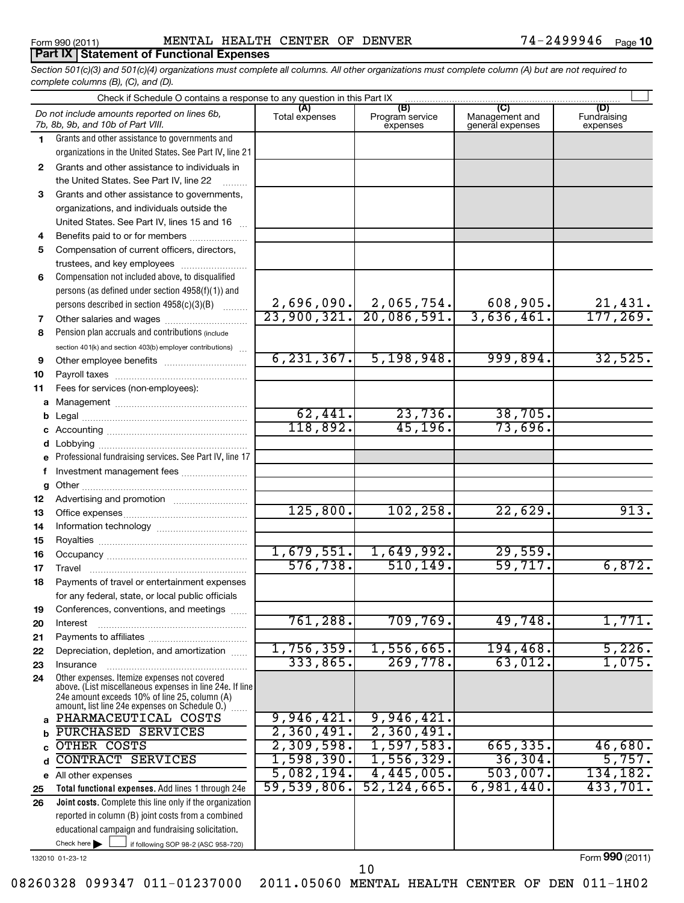### **Part IX Statement of Functional Expenses**

*Section 501(c)(3) and 501(c)(4) organizations must complete all columns. All other organizations must complete column (A) but are not required to complete columns (B), (C), and (D).*

|              | Check if Schedule O contains a response to any question in this Part IX                                                                                                                                       |                       |                                    |                                                      |                                |
|--------------|---------------------------------------------------------------------------------------------------------------------------------------------------------------------------------------------------------------|-----------------------|------------------------------------|------------------------------------------------------|--------------------------------|
|              | Do not include amounts reported on lines 6b,<br>7b, 8b, 9b, and 10b of Part VIII.                                                                                                                             | (A)<br>Total expenses | (B)<br>Program service<br>expenses | $\overline{C}$<br>Management and<br>general expenses | (D)<br>Fundraising<br>expenses |
| 1.           | Grants and other assistance to governments and                                                                                                                                                                |                       |                                    |                                                      |                                |
|              | organizations in the United States. See Part IV, line 21                                                                                                                                                      |                       |                                    |                                                      |                                |
| $\mathbf{2}$ | Grants and other assistance to individuals in                                                                                                                                                                 |                       |                                    |                                                      |                                |
|              | the United States. See Part IV, line 22                                                                                                                                                                       |                       |                                    |                                                      |                                |
| 3            | Grants and other assistance to governments,                                                                                                                                                                   |                       |                                    |                                                      |                                |
|              | organizations, and individuals outside the                                                                                                                                                                    |                       |                                    |                                                      |                                |
|              | United States. See Part IV, lines 15 and 16                                                                                                                                                                   |                       |                                    |                                                      |                                |
| 4            | Benefits paid to or for members                                                                                                                                                                               |                       |                                    |                                                      |                                |
| 5            | Compensation of current officers, directors,                                                                                                                                                                  |                       |                                    |                                                      |                                |
|              | trustees, and key employees                                                                                                                                                                                   |                       |                                    |                                                      |                                |
| 6            | Compensation not included above, to disqualified                                                                                                                                                              |                       |                                    |                                                      |                                |
|              | persons (as defined under section 4958(f)(1)) and                                                                                                                                                             |                       |                                    |                                                      |                                |
|              | persons described in section 4958(c)(3)(B)<br><b>Barbara</b>                                                                                                                                                  | 2,696,090.            | $\frac{2,065,754.}{20,086,591.}$   | 608,905.                                             | 21,431.<br>177,269.            |
| 7            | Other salaries and wages                                                                                                                                                                                      | 23,900,321.           |                                    | 3,636,461.                                           |                                |
| 8            | Pension plan accruals and contributions (include                                                                                                                                                              |                       |                                    |                                                      |                                |
|              | section 401(k) and section 403(b) employer contributions)                                                                                                                                                     | 6, 231, 367.          |                                    | 999,894.                                             |                                |
| 9            | Other employee benefits                                                                                                                                                                                       |                       | $\overline{5,198,948.}$            |                                                      | 32,525.                        |
| 10           |                                                                                                                                                                                                               |                       |                                    |                                                      |                                |
| 11           | Fees for services (non-employees):                                                                                                                                                                            |                       |                                    |                                                      |                                |
| a            |                                                                                                                                                                                                               | 62,441.               | 23,736.                            | 38,705.                                              |                                |
| b            |                                                                                                                                                                                                               | 118,892.              | 45, 196.                           | 73,696.                                              |                                |
| c            |                                                                                                                                                                                                               |                       |                                    |                                                      |                                |
| d            | Professional fundraising services. See Part IV, line 17                                                                                                                                                       |                       |                                    |                                                      |                                |
| e<br>f       |                                                                                                                                                                                                               |                       |                                    |                                                      |                                |
|              | Investment management fees                                                                                                                                                                                    |                       |                                    |                                                      |                                |
| g<br>12      |                                                                                                                                                                                                               |                       |                                    |                                                      |                                |
| 13           |                                                                                                                                                                                                               | 125,800.              | 102, 258.                          | 22,629.                                              | 913.                           |
| 14           |                                                                                                                                                                                                               |                       |                                    |                                                      |                                |
| 15           |                                                                                                                                                                                                               |                       |                                    |                                                      |                                |
| 16           |                                                                                                                                                                                                               | 1,679,551.            | 1,649,992.                         | 29,559.                                              |                                |
| 17           |                                                                                                                                                                                                               | 576, 738.             | 510, 149.                          | 59,717.                                              | 6,872.                         |
| 18           | Payments of travel or entertainment expenses                                                                                                                                                                  |                       |                                    |                                                      |                                |
|              | for any federal, state, or local public officials                                                                                                                                                             |                       |                                    |                                                      |                                |
| 19           | Conferences, conventions, and meetings                                                                                                                                                                        |                       |                                    |                                                      |                                |
| 20           | Interest                                                                                                                                                                                                      | 761,288.              | 709,769.                           | 49,748.                                              | 1,771.                         |
| 21           |                                                                                                                                                                                                               |                       |                                    |                                                      |                                |
| 22           | Depreciation, depletion, and amortization                                                                                                                                                                     | 1,756,359.            | 1,556,665.                         | 194, 468.                                            | 5,226.                         |
| 23           | Insurance                                                                                                                                                                                                     | 333,865.              | 269,778.                           | 63,012.                                              | 1,075.                         |
| 24           | Other expenses. Itemize expenses not covered<br>above. (List miscellaneous expenses in line 24e. If line<br>24e amount exceeds 10% of line 25, column (A)<br>amount, list line 24e expenses on Schedule O.) [ |                       |                                    |                                                      |                                |
| a            | PHARMACEUTICAL COSTS                                                                                                                                                                                          | 9,946,421.            | 9,946,421.                         |                                                      |                                |
| b            | PURCHASED SERVICES                                                                                                                                                                                            | 2,360,491.            | 2,360,491.                         |                                                      |                                |
| C            | OTHER COSTS                                                                                                                                                                                                   | 2,309,598.            | 1,597,583.                         | 665, 335.                                            | 46,680.                        |
| d            | <b>CONTRACT SERVICES</b>                                                                                                                                                                                      | 1,598,390.            | 1,556,329.                         | 36,304.                                              | 5,757.                         |
| е            | All other expenses                                                                                                                                                                                            | 5,082,194.            | 4,445,005.                         | 503,007.                                             | 134, 182.                      |
| 25           | Total functional expenses. Add lines 1 through 24e                                                                                                                                                            | 59,539,806.           | 52, 124, 665.                      | 6,981,440.                                           | 433,701.                       |
| 26           | Joint costs. Complete this line only if the organization                                                                                                                                                      |                       |                                    |                                                      |                                |
|              | reported in column (B) joint costs from a combined                                                                                                                                                            |                       |                                    |                                                      |                                |
|              | educational campaign and fundraising solicitation.                                                                                                                                                            |                       |                                    |                                                      |                                |
|              | Check here<br>if following SOP 98-2 (ASC 958-720)                                                                                                                                                             |                       |                                    |                                                      |                                |

132010 01-23-12

Form (2011) **990**

08260328 099347 011-01237000 2011.05060 MENTAL HEALTH CENTER OF DEN 011-1H02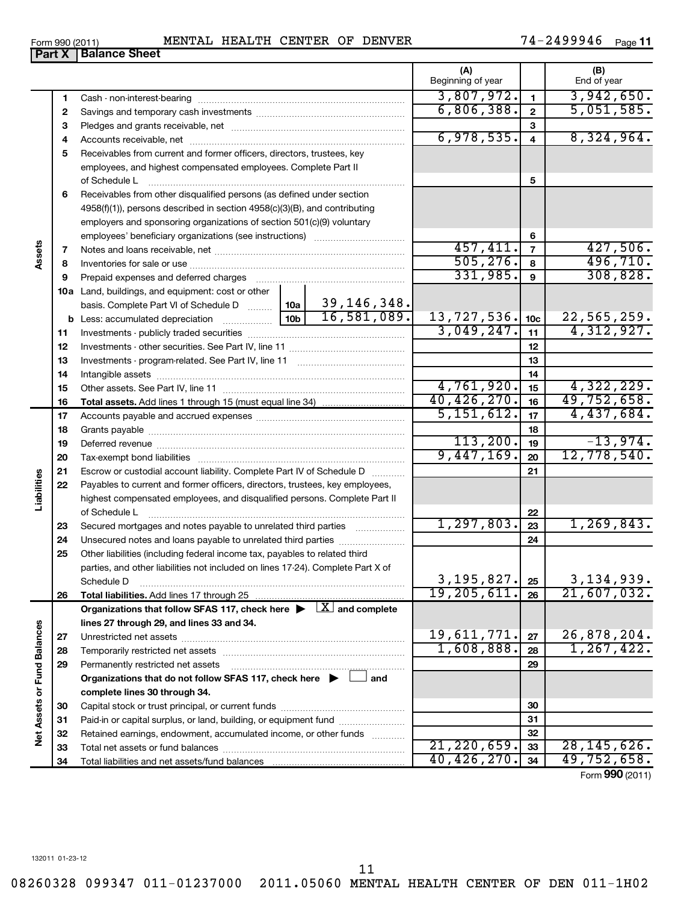11

08260328 099347 011-01237000 2011.05060 MENTAL HEALTH CENTER OF DEN 011-1H02

**Part X Balance Sheet** 

|  | Form 990 (2011 | <b>MENTA'</b><br>. TAL | HEALTH | CENTER | ΟF | <b>DENVER</b> | л<br>- 4 | Page |
|--|----------------|------------------------|--------|--------|----|---------------|----------|------|
|--|----------------|------------------------|--------|--------|----|---------------|----------|------|

|                             |          |                                                                                                                                                                                                                               |            |             | (A)<br>Beginning of year |                              | (B)<br>End of year |
|-----------------------------|----------|-------------------------------------------------------------------------------------------------------------------------------------------------------------------------------------------------------------------------------|------------|-------------|--------------------------|------------------------------|--------------------|
|                             |          |                                                                                                                                                                                                                               |            |             | 3,807,972.               | $\mathbf{1}$                 | 3,942,650.         |
|                             | 1        |                                                                                                                                                                                                                               |            |             | 6,806,388.               | $\mathbf{2}$                 | 5,051,585.         |
|                             | 2        |                                                                                                                                                                                                                               |            |             |                          |                              |                    |
|                             | З        |                                                                                                                                                                                                                               |            |             | 6,978,535.               | 3<br>$\overline{\mathbf{4}}$ | 8,324,964.         |
|                             | 4        |                                                                                                                                                                                                                               |            |             |                          |                              |                    |
|                             | 5        | Receivables from current and former officers, directors, trustees, key                                                                                                                                                        |            |             |                          |                              |                    |
|                             |          | employees, and highest compensated employees. Complete Part II                                                                                                                                                                |            |             |                          |                              |                    |
|                             |          | of Schedule L                                                                                                                                                                                                                 |            |             |                          | 5                            |                    |
|                             | 6        | Receivables from other disqualified persons (as defined under section                                                                                                                                                         |            |             |                          |                              |                    |
|                             |          | 4958(f)(1)), persons described in section 4958(c)(3)(B), and contributing                                                                                                                                                     |            |             |                          |                              |                    |
|                             |          | employers and sponsoring organizations of section 501(c)(9) voluntary                                                                                                                                                         |            |             |                          | 6                            |                    |
|                             |          |                                                                                                                                                                                                                               |            |             | 457, 411.                | $\overline{7}$               | 427,506.           |
| Assets                      | 7<br>8   |                                                                                                                                                                                                                               |            |             | 505, 276.                | 8                            | 496,710.           |
|                             | 9        | Prepaid expenses and deferred charges [11] [11] Prepaid expenses and deferred charges [11] [11] Martin Martin Martin Martin Martin Martin Martin Martin Martin Martin Martin Martin Martin Martin Martin Martin Martin Martin |            |             | 331,985.                 | 9                            | 308,828.           |
|                             |          |                                                                                                                                                                                                                               |            |             |                          |                              |                    |
|                             |          | 10a Land, buildings, and equipment: cost or other<br>basis. Complete Part VI of Schedule D  10a                                                                                                                               |            | 39,146,348. |                          |                              |                    |
|                             |          |                                                                                                                                                                                                                               |            | 16,581,089. | 13,727,536.              | 10 <sub>c</sub>              | 22,565,259.        |
|                             | 11       |                                                                                                                                                                                                                               |            |             | 3,049,247.               | 11                           | 4,312,927.         |
|                             | 12       |                                                                                                                                                                                                                               |            |             |                          | 12                           |                    |
|                             | 13       |                                                                                                                                                                                                                               |            |             |                          | 13                           |                    |
|                             | 14       |                                                                                                                                                                                                                               |            |             | 14                       |                              |                    |
|                             | 15       |                                                                                                                                                                                                                               |            |             | 4,761,920.               | 15                           | 4,322,229.         |
|                             | 16       |                                                                                                                                                                                                                               |            |             | 40,426,270.              | 16                           | 49,752,658.        |
|                             | 17       |                                                                                                                                                                                                                               |            |             | 5,151,612.               | 17                           | 4,437,684.         |
|                             | 18       |                                                                                                                                                                                                                               |            |             |                          | 18                           |                    |
|                             | 19       |                                                                                                                                                                                                                               |            |             | 113, 200.                | 19                           | $-13,974.$         |
|                             | 20       |                                                                                                                                                                                                                               | 9,447,169. | 20          | 12,778,540.              |                              |                    |
|                             | 21       | Escrow or custodial account liability. Complete Part IV of Schedule D                                                                                                                                                         |            | 21          |                          |                              |                    |
| Liabilities                 | 22       | Payables to current and former officers, directors, trustees, key employees,                                                                                                                                                  |            |             |                          |                              |                    |
|                             |          | highest compensated employees, and disqualified persons. Complete Part II                                                                                                                                                     |            |             |                          |                              |                    |
|                             |          | of Schedule L                                                                                                                                                                                                                 |            |             |                          | 22                           |                    |
|                             | 23       | Secured mortgages and notes payable to unrelated third parties                                                                                                                                                                |            |             | 1, 297, 803.             | 23                           | 1, 269, 843.       |
|                             | 24       |                                                                                                                                                                                                                               |            |             |                          | 24                           |                    |
|                             | 25       | Other liabilities (including federal income tax, payables to related third                                                                                                                                                    |            |             |                          |                              |                    |
|                             |          | parties, and other liabilities not included on lines 17-24). Complete Part X of                                                                                                                                               |            |             |                          |                              |                    |
|                             |          | Schedule D                                                                                                                                                                                                                    |            |             | 3,195,827.               | 25                           | 3,134,939.         |
|                             | 26       | Total liabilities. Add lines 17 through 25                                                                                                                                                                                    |            |             | 19, 205, 611.            | 26                           | 21,607,032.        |
|                             |          | Organizations that follow SFAS 117, check here $\blacktriangleright \Box X$ and complete                                                                                                                                      |            |             |                          |                              |                    |
|                             |          | lines 27 through 29, and lines 33 and 34.                                                                                                                                                                                     |            |             | 19,611,771.              | 27                           | 26,878,204.        |
|                             | 27       |                                                                                                                                                                                                                               |            |             | 1,608,888.               | 28                           | 1, 267, 422.       |
|                             | 28<br>29 | Permanently restricted net assets                                                                                                                                                                                             |            |             |                          | 29                           |                    |
|                             |          | Organizations that do not follow SFAS 117, check here $\blacktriangleright$                                                                                                                                                   |            | and         |                          |                              |                    |
|                             |          | complete lines 30 through 34.                                                                                                                                                                                                 |            |             |                          |                              |                    |
| Net Assets or Fund Balances | 30       |                                                                                                                                                                                                                               |            |             |                          | 30                           |                    |
|                             | 31       | Paid-in or capital surplus, or land, building, or equipment fund                                                                                                                                                              |            |             |                          | 31                           |                    |
|                             | 32       | Retained earnings, endowment, accumulated income, or other funds                                                                                                                                                              |            |             |                          | 32                           |                    |
|                             | 33       |                                                                                                                                                                                                                               |            |             | 21, 220, 659.            | 33                           | 28, 145, 626.      |
|                             | 34       |                                                                                                                                                                                                                               |            |             | 40,426,270.              | 34                           | 49,752,658.        |
|                             |          |                                                                                                                                                                                                                               |            |             |                          |                              | Form 990 (2011)    |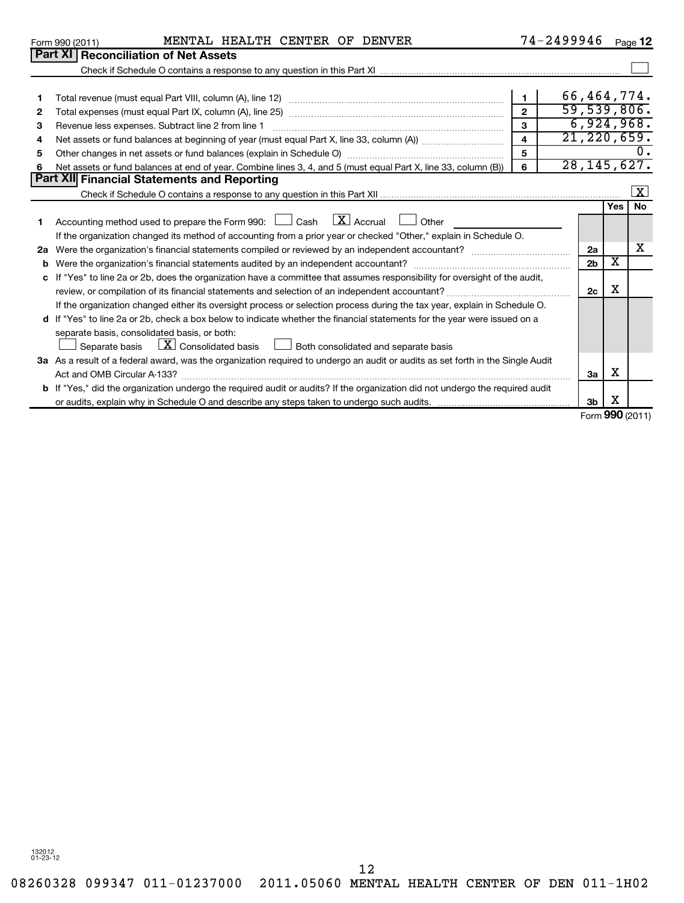|    | MENTAL HEALTH CENTER OF DENVER<br>Form 990 (2011)                                                                               |                         | 74-2499946     |                         | Page 12             |
|----|---------------------------------------------------------------------------------------------------------------------------------|-------------------------|----------------|-------------------------|---------------------|
|    | <b>Part XI Reconciliation of Net Assets</b>                                                                                     |                         |                |                         |                     |
|    |                                                                                                                                 |                         |                |                         |                     |
|    |                                                                                                                                 |                         |                |                         |                     |
|    |                                                                                                                                 | $\mathbf{1}$            | 66,464,774.    |                         |                     |
| 2  |                                                                                                                                 | $\mathfrak{p}$          | 59,539,806.    |                         |                     |
| з  | Revenue less expenses. Subtract line 2 from line 1                                                                              | $\mathbf{3}$            |                |                         | 6,924,968.          |
| 4  |                                                                                                                                 | $\overline{\mathbf{4}}$ | 21, 220, 659.  |                         |                     |
| 5  |                                                                                                                                 | 5                       |                |                         |                     |
| 6  | Net assets or fund balances at end of year. Combine lines 3, 4, and 5 (must equal Part X, line 33, column (B))                  | 6                       | 28, 145, 627.  |                         |                     |
|    | Part XII Financial Statements and Reporting                                                                                     |                         |                |                         |                     |
|    |                                                                                                                                 |                         |                |                         | $\lfloor x \rfloor$ |
|    |                                                                                                                                 |                         |                | Yes                     | No                  |
| 1  | Accounting method used to prepare the Form 990: $\Box$ Cash $\Box X$ Accrual $\Box$ Other                                       |                         |                |                         |                     |
|    | If the organization changed its method of accounting from a prior year or checked "Other," explain in Schedule O.               |                         |                |                         |                     |
| 2a |                                                                                                                                 |                         | 2a             |                         | х                   |
| b  |                                                                                                                                 |                         | 2 <sub>b</sub> | $\overline{\textbf{x}}$ |                     |
| c  | If "Yes" to line 2a or 2b, does the organization have a committee that assumes responsibility for oversight of the audit,       |                         |                |                         |                     |
|    |                                                                                                                                 |                         | 2c             | X                       |                     |
|    | If the organization changed either its oversight process or selection process during the tax year, explain in Schedule O.       |                         |                |                         |                     |
|    | d If "Yes" to line 2a or 2b, check a box below to indicate whether the financial statements for the year were issued on a       |                         |                |                         |                     |
|    | separate basis, consolidated basis, or both:                                                                                    |                         |                |                         |                     |
|    | $\lfloor \underline{X} \rfloor$ Consolidated basis<br>Both consolidated and separate basis<br>Separate basis                    |                         |                |                         |                     |
|    | 3a As a result of a federal award, was the organization required to undergo an audit or audits as set forth in the Single Audit |                         |                |                         |                     |
|    | Act and OMB Circular A-133?                                                                                                     |                         | За             | x                       |                     |
|    | b If "Yes," did the organization undergo the required audit or audits? If the organization did not undergo the required audit   |                         |                |                         |                     |
|    |                                                                                                                                 |                         | 3 <sub>b</sub> | х                       |                     |
|    |                                                                                                                                 |                         |                |                         | Form 990 (2011)     |

132012 01-23-12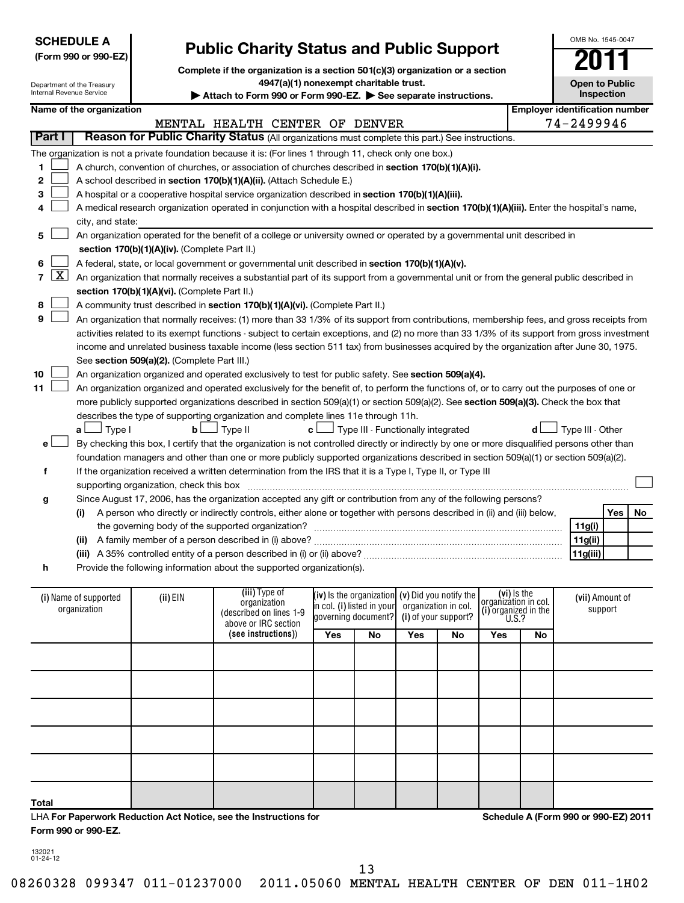|        |                                                                           | <b>SCHEDULE A</b><br>(Form 990 or 990-EZ)              |                                               | <b>Public Charity Status and Public Support</b>                                                                                                                                          |                                                   |                                                   |                      |                      |                                     |          | OMB No. 1545-0047                     |            |    |
|--------|---------------------------------------------------------------------------|--------------------------------------------------------|-----------------------------------------------|------------------------------------------------------------------------------------------------------------------------------------------------------------------------------------------|---------------------------------------------------|---------------------------------------------------|----------------------|----------------------|-------------------------------------|----------|---------------------------------------|------------|----|
|        |                                                                           | Department of the Treasury<br>Internal Revenue Service |                                               | Complete if the organization is a section 501(c)(3) organization or a section<br>4947(a)(1) nonexempt charitable trust.<br>Attach to Form 990 or Form 990-EZ. See separate instructions. |                                                   |                                                   |                      |                      |                                     |          | <b>Open to Public</b>                 | Inspection |    |
|        |                                                                           | Name of the organization                               |                                               |                                                                                                                                                                                          |                                                   |                                                   |                      |                      |                                     |          | <b>Employer identification number</b> |            |    |
|        |                                                                           |                                                        |                                               | MENTAL HEALTH CENTER OF DENVER                                                                                                                                                           |                                                   |                                                   |                      |                      |                                     |          | 74-2499946                            |            |    |
| Part I |                                                                           |                                                        |                                               | Reason for Public Charity Status (All organizations must complete this part.) See instructions.                                                                                          |                                                   |                                                   |                      |                      |                                     |          |                                       |            |    |
|        |                                                                           |                                                        |                                               | The organization is not a private foundation because it is: (For lines 1 through 11, check only one box.)                                                                                |                                                   |                                                   |                      |                      |                                     |          |                                       |            |    |
|        |                                                                           |                                                        |                                               |                                                                                                                                                                                          |                                                   |                                                   |                      |                      |                                     |          |                                       |            |    |
| 1      |                                                                           |                                                        |                                               | A church, convention of churches, or association of churches described in section 170(b)(1)(A)(i).                                                                                       |                                                   |                                                   |                      |                      |                                     |          |                                       |            |    |
| 2      |                                                                           |                                                        |                                               | A school described in section 170(b)(1)(A)(ii). (Attach Schedule E.)                                                                                                                     |                                                   |                                                   |                      |                      |                                     |          |                                       |            |    |
| 3      |                                                                           |                                                        |                                               | A hospital or a cooperative hospital service organization described in section 170(b)(1)(A)(iii).                                                                                        |                                                   |                                                   |                      |                      |                                     |          |                                       |            |    |
| 4      |                                                                           |                                                        |                                               | A medical research organization operated in conjunction with a hospital described in section 170(b)(1)(A)(iii). Enter the hospital's name,                                               |                                                   |                                                   |                      |                      |                                     |          |                                       |            |    |
|        |                                                                           | city, and state:                                       |                                               |                                                                                                                                                                                          |                                                   |                                                   |                      |                      |                                     |          |                                       |            |    |
| 5      |                                                                           |                                                        |                                               | An organization operated for the benefit of a college or university owned or operated by a governmental unit described in                                                                |                                                   |                                                   |                      |                      |                                     |          |                                       |            |    |
|        |                                                                           |                                                        | section 170(b)(1)(A)(iv). (Complete Part II.) |                                                                                                                                                                                          |                                                   |                                                   |                      |                      |                                     |          |                                       |            |    |
| 6      |                                                                           |                                                        |                                               | A federal, state, or local government or governmental unit described in section 170(b)(1)(A)(v).                                                                                         |                                                   |                                                   |                      |                      |                                     |          |                                       |            |    |
| 7      | $\mathbf{X}$                                                              |                                                        |                                               | An organization that normally receives a substantial part of its support from a governmental unit or from the general public described in                                                |                                                   |                                                   |                      |                      |                                     |          |                                       |            |    |
|        |                                                                           |                                                        | section 170(b)(1)(A)(vi). (Complete Part II.) |                                                                                                                                                                                          |                                                   |                                                   |                      |                      |                                     |          |                                       |            |    |
| 8      |                                                                           |                                                        |                                               | A community trust described in section 170(b)(1)(A)(vi). (Complete Part II.)                                                                                                             |                                                   |                                                   |                      |                      |                                     |          |                                       |            |    |
| 9      |                                                                           |                                                        |                                               | An organization that normally receives: (1) more than 33 1/3% of its support from contributions, membership fees, and gross receipts from                                                |                                                   |                                                   |                      |                      |                                     |          |                                       |            |    |
|        |                                                                           |                                                        |                                               | activities related to its exempt functions - subject to certain exceptions, and (2) no more than 33 1/3% of its support from gross investment                                            |                                                   |                                                   |                      |                      |                                     |          |                                       |            |    |
|        |                                                                           |                                                        |                                               | income and unrelated business taxable income (less section 511 tax) from businesses acquired by the organization after June 30, 1975.                                                    |                                                   |                                                   |                      |                      |                                     |          |                                       |            |    |
|        |                                                                           |                                                        | See section 509(a)(2). (Complete Part III.)   |                                                                                                                                                                                          |                                                   |                                                   |                      |                      |                                     |          |                                       |            |    |
| 10     |                                                                           |                                                        |                                               | An organization organized and operated exclusively to test for public safety. See section 509(a)(4).                                                                                     |                                                   |                                                   |                      |                      |                                     |          |                                       |            |    |
| 11     |                                                                           |                                                        |                                               | An organization organized and operated exclusively for the benefit of, to perform the functions of, or to carry out the purposes of one or                                               |                                                   |                                                   |                      |                      |                                     |          |                                       |            |    |
|        |                                                                           |                                                        |                                               | more publicly supported organizations described in section 509(a)(1) or section 509(a)(2). See section 509(a)(3). Check the box that                                                     |                                                   |                                                   |                      |                      |                                     |          |                                       |            |    |
|        |                                                                           |                                                        |                                               | describes the type of supporting organization and complete lines 11e through 11h.                                                                                                        |                                                   |                                                   |                      |                      |                                     |          |                                       |            |    |
|        |                                                                           | Type I<br>a L                                          | b <sub>l</sub>                                | J Type II                                                                                                                                                                                | c L                                               | $\perp$ Type III - Functionally integrated        |                      |                      |                                     | d l      | Type III - Other                      |            |    |
| e l    |                                                                           |                                                        |                                               | By checking this box, I certify that the organization is not controlled directly or indirectly by one or more disqualified persons other than                                            |                                                   |                                                   |                      |                      |                                     |          |                                       |            |    |
|        |                                                                           |                                                        |                                               | foundation managers and other than one or more publicly supported organizations described in section 509(a)(1) or section 509(a)(2).                                                     |                                                   |                                                   |                      |                      |                                     |          |                                       |            |    |
| f      |                                                                           |                                                        |                                               | If the organization received a written determination from the IRS that it is a Type I, Type II, or Type III                                                                              |                                                   |                                                   |                      |                      |                                     |          |                                       |            |    |
|        |                                                                           |                                                        | supporting organization, check this box       |                                                                                                                                                                                          |                                                   |                                                   |                      |                      |                                     |          |                                       |            |    |
| g      |                                                                           |                                                        |                                               | Since August 17, 2006, has the organization accepted any gift or contribution from any of the following persons?                                                                         |                                                   |                                                   |                      |                      |                                     |          |                                       |            |    |
|        |                                                                           | (i)                                                    |                                               | A person who directly or indirectly controls, either alone or together with persons described in (ii) and (iii) below,                                                                   |                                                   |                                                   |                      |                      |                                     |          |                                       | Yes        | No |
|        | the governing body of the supported organization?                         |                                                        |                                               |                                                                                                                                                                                          |                                                   |                                                   |                      |                      | 11g(i)                              |          |                                       |            |    |
|        | A family member of a person described in (i) above?<br>(ii)               |                                                        |                                               |                                                                                                                                                                                          |                                                   |                                                   |                      |                      |                                     | 11g(ii)  |                                       |            |    |
|        | (iii) A 35% controlled entity of a person described in (i) or (ii) above? |                                                        |                                               |                                                                                                                                                                                          |                                                   |                                                   |                      |                      |                                     | 11g(iii) |                                       |            |    |
| h      |                                                                           |                                                        |                                               | Provide the following information about the supported organization(s).                                                                                                                   |                                                   |                                                   |                      |                      |                                     |          |                                       |            |    |
|        |                                                                           |                                                        |                                               |                                                                                                                                                                                          |                                                   |                                                   |                      |                      |                                     |          |                                       |            |    |
|        |                                                                           | (i) Name of supported                                  | (ii) EIN                                      | (iii) Type of<br>organization                                                                                                                                                            |                                                   | (iv) is the organization $(v)$ Did you notify the |                      |                      | (vi) is the<br>organization in col. |          | (vii) Amount of                       |            |    |
|        |                                                                           | organization                                           |                                               | (described on lines 1-9                                                                                                                                                                  | in col. (i) listed in your<br>governing document? |                                                   | organization in col. | (i) of your support? | (i) organized in the $U.S.$ ?       |          |                                       | support    |    |
|        |                                                                           |                                                        |                                               | above or IRC section                                                                                                                                                                     |                                                   |                                                   |                      |                      |                                     |          |                                       |            |    |
|        |                                                                           |                                                        |                                               | (see instructions))                                                                                                                                                                      | Yes                                               | No                                                | Yes                  | No                   | Yes                                 | No       |                                       |            |    |
|        |                                                                           |                                                        |                                               |                                                                                                                                                                                          |                                                   |                                                   |                      |                      |                                     |          |                                       |            |    |
|        |                                                                           |                                                        |                                               |                                                                                                                                                                                          |                                                   |                                                   |                      |                      |                                     |          |                                       |            |    |
|        |                                                                           |                                                        |                                               |                                                                                                                                                                                          |                                                   |                                                   |                      |                      |                                     |          |                                       |            |    |
|        |                                                                           |                                                        |                                               |                                                                                                                                                                                          |                                                   |                                                   |                      |                      |                                     |          |                                       |            |    |
|        |                                                                           |                                                        |                                               |                                                                                                                                                                                          |                                                   |                                                   |                      |                      |                                     |          |                                       |            |    |

| LHA For Paperwork Reduction Act Notice, see the Instructions for |
|------------------------------------------------------------------|
| Form 990 or 990-EZ.                                              |

**Schedule A (Form 990 or 990-EZ) 2011**

132021 01-24-12

**Total**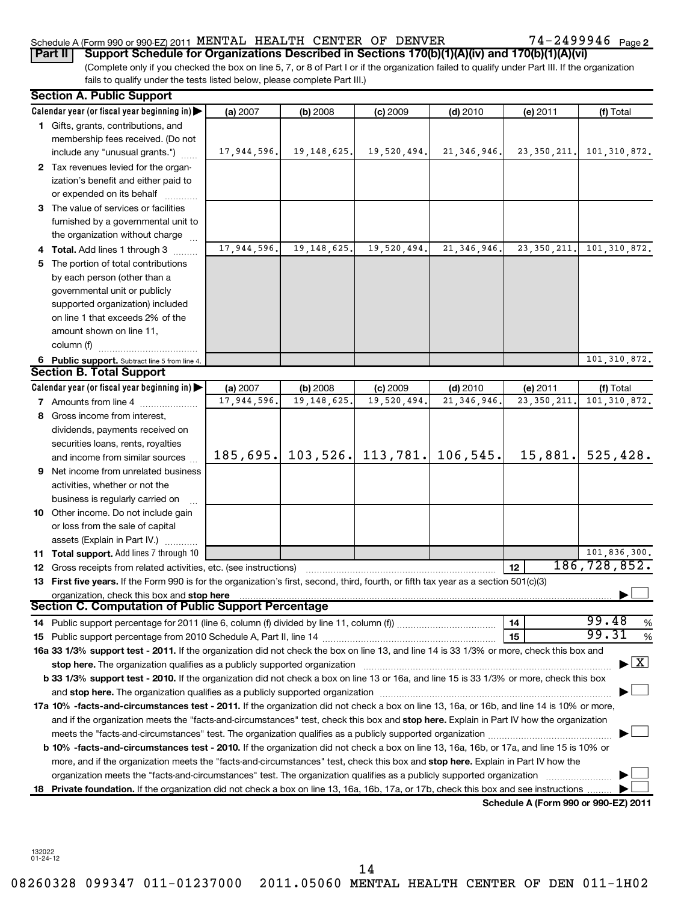## Schedule A (Form 990 or 990-EZ) 2011 MENTAL HEALTH CENTER OF DENVER  $14-2499946$  Page

(Complete only if you checked the box on line 5, 7, or 8 of Part I or if the organization failed to qualify under Part III. If the organization fails to qualify under the tests listed below, please complete Part III.) **Part II Support Schedule for Organizations Described in Sections 170(b)(1)(A)(iv) and 170(b)(1)(A)(vi)**

|    | <b>Section A. Public Support</b>                                                                                                                                                                                               |             |               |             |                               |                                      |                                          |
|----|--------------------------------------------------------------------------------------------------------------------------------------------------------------------------------------------------------------------------------|-------------|---------------|-------------|-------------------------------|--------------------------------------|------------------------------------------|
|    | Calendar year (or fiscal year beginning in)                                                                                                                                                                                    | (a) 2007    | (b) 2008      | $(c)$ 2009  | $(d)$ 2010                    | (e) 2011                             | (f) Total                                |
|    | 1 Gifts, grants, contributions, and                                                                                                                                                                                            |             |               |             |                               |                                      |                                          |
|    | membership fees received. (Do not                                                                                                                                                                                              |             |               |             |                               |                                      |                                          |
|    | include any "unusual grants.")                                                                                                                                                                                                 | 17,944,596. | 19, 148, 625. | 19,520,494. | 21, 346, 946.                 | 23, 350, 211.                        | 101, 310, 872.                           |
|    | 2 Tax revenues levied for the organ-                                                                                                                                                                                           |             |               |             |                               |                                      |                                          |
|    | ization's benefit and either paid to                                                                                                                                                                                           |             |               |             |                               |                                      |                                          |
|    | or expended on its behalf                                                                                                                                                                                                      |             |               |             |                               |                                      |                                          |
|    | 3 The value of services or facilities                                                                                                                                                                                          |             |               |             |                               |                                      |                                          |
|    | furnished by a governmental unit to                                                                                                                                                                                            |             |               |             |                               |                                      |                                          |
|    | the organization without charge                                                                                                                                                                                                |             |               |             |                               |                                      |                                          |
|    | 4 Total. Add lines 1 through 3                                                                                                                                                                                                 | 17,944,596. | 19, 148, 625. | 19,520,494. | 21, 346, 946.                 | 23, 350, 211.                        | 101, 310, 872.                           |
|    | 5 The portion of total contributions                                                                                                                                                                                           |             |               |             |                               |                                      |                                          |
|    | by each person (other than a                                                                                                                                                                                                   |             |               |             |                               |                                      |                                          |
|    | governmental unit or publicly                                                                                                                                                                                                  |             |               |             |                               |                                      |                                          |
|    | supported organization) included                                                                                                                                                                                               |             |               |             |                               |                                      |                                          |
|    | on line 1 that exceeds 2% of the                                                                                                                                                                                               |             |               |             |                               |                                      |                                          |
|    | amount shown on line 11,                                                                                                                                                                                                       |             |               |             |                               |                                      |                                          |
|    | column (f)                                                                                                                                                                                                                     |             |               |             |                               |                                      |                                          |
|    | 6 Public support. Subtract line 5 from line 4.                                                                                                                                                                                 |             |               |             |                               |                                      | 101, 310, 872.                           |
|    | <b>Section B. Total Support</b>                                                                                                                                                                                                |             |               |             |                               |                                      |                                          |
|    | Calendar year (or fiscal year beginning in)                                                                                                                                                                                    | (a) 2007    | (b) 2008      | $(c)$ 2009  | $(d)$ 2010                    | $(e)$ 2011                           | (f) Total                                |
|    | <b>7</b> Amounts from line 4                                                                                                                                                                                                   | 17,944,596. | 19, 148, 625. | 19,520,494. | 21, 346, 946.                 | 23, 350, 211.                        | 101, 310, 872.                           |
|    | 8 Gross income from interest,                                                                                                                                                                                                  |             |               |             |                               |                                      |                                          |
|    | dividends, payments received on                                                                                                                                                                                                |             |               |             |                               |                                      |                                          |
|    | securities loans, rents, royalties                                                                                                                                                                                             |             |               |             |                               |                                      |                                          |
|    | and income from similar sources                                                                                                                                                                                                | 185,695.    |               |             | 103, 526. 113, 781. 106, 545. | 15,881.                              | 525,428.                                 |
|    | <b>9</b> Net income from unrelated business                                                                                                                                                                                    |             |               |             |                               |                                      |                                          |
|    | activities, whether or not the                                                                                                                                                                                                 |             |               |             |                               |                                      |                                          |
|    | business is regularly carried on                                                                                                                                                                                               |             |               |             |                               |                                      |                                          |
|    | 10 Other income. Do not include gain                                                                                                                                                                                           |             |               |             |                               |                                      |                                          |
|    | or loss from the sale of capital                                                                                                                                                                                               |             |               |             |                               |                                      |                                          |
|    | assets (Explain in Part IV.)                                                                                                                                                                                                   |             |               |             |                               |                                      |                                          |
|    | 11 Total support. Add lines 7 through 10                                                                                                                                                                                       |             |               |             |                               |                                      | 101,836,300.                             |
|    | 12 Gross receipts from related activities, etc. (see instructions)                                                                                                                                                             |             |               |             |                               | 12                                   | 186,728,852.                             |
|    | 13 First five years. If the Form 990 is for the organization's first, second, third, fourth, or fifth tax year as a section 501(c)(3)                                                                                          |             |               |             |                               |                                      |                                          |
|    | organization, check this box and stop here                                                                                                                                                                                     |             |               |             |                               |                                      |                                          |
|    | <b>Section C. Computation of Public Support Percentage</b>                                                                                                                                                                     |             |               |             |                               |                                      |                                          |
|    |                                                                                                                                                                                                                                |             |               |             |                               | 14                                   | 99.48<br>%                               |
|    |                                                                                                                                                                                                                                |             |               |             |                               | 15                                   | 99.31<br>%                               |
|    | 16a 33 1/3% support test - 2011. If the organization did not check the box on line 13, and line 14 is 33 1/3% or more, check this box and                                                                                      |             |               |             |                               |                                      |                                          |
|    | stop here. The organization qualifies as a publicly supported organization manufaction manufacture content and the state of the state of the state of the state of the state of the state of the state of the state of the sta |             |               |             |                               |                                      | $\blacktriangleright$ $\boxed{\text{X}}$ |
|    | b 33 1/3% support test - 2010. If the organization did not check a box on line 13 or 16a, and line 15 is 33 1/3% or more, check this box                                                                                       |             |               |             |                               |                                      |                                          |
|    | and stop here. The organization qualifies as a publicly supported organization manufaction and stop here. The organization                                                                                                     |             |               |             |                               |                                      |                                          |
|    | 17a 10% -facts-and-circumstances test - 2011. If the organization did not check a box on line 13, 16a, or 16b, and line 14 is 10% or more,                                                                                     |             |               |             |                               |                                      |                                          |
|    | and if the organization meets the "facts-and-circumstances" test, check this box and stop here. Explain in Part IV how the organization                                                                                        |             |               |             |                               |                                      |                                          |
|    |                                                                                                                                                                                                                                |             |               |             |                               |                                      |                                          |
|    | b 10% -facts-and-circumstances test - 2010. If the organization did not check a box on line 13, 16a, 16b, or 17a, and line 15 is 10% or                                                                                        |             |               |             |                               |                                      |                                          |
|    | more, and if the organization meets the "facts-and-circumstances" test, check this box and stop here. Explain in Part IV how the                                                                                               |             |               |             |                               |                                      |                                          |
|    | organization meets the "facts-and-circumstances" test. The organization qualifies as a publicly supported organization                                                                                                         |             |               |             |                               |                                      |                                          |
| 18 | Private foundation. If the organization did not check a box on line 13, 16a, 16b, 17a, or 17b, check this box and see instructions.                                                                                            |             |               |             |                               |                                      |                                          |
|    |                                                                                                                                                                                                                                |             |               |             |                               | Schedule A (Form 990 or 990-EZ) 2011 |                                          |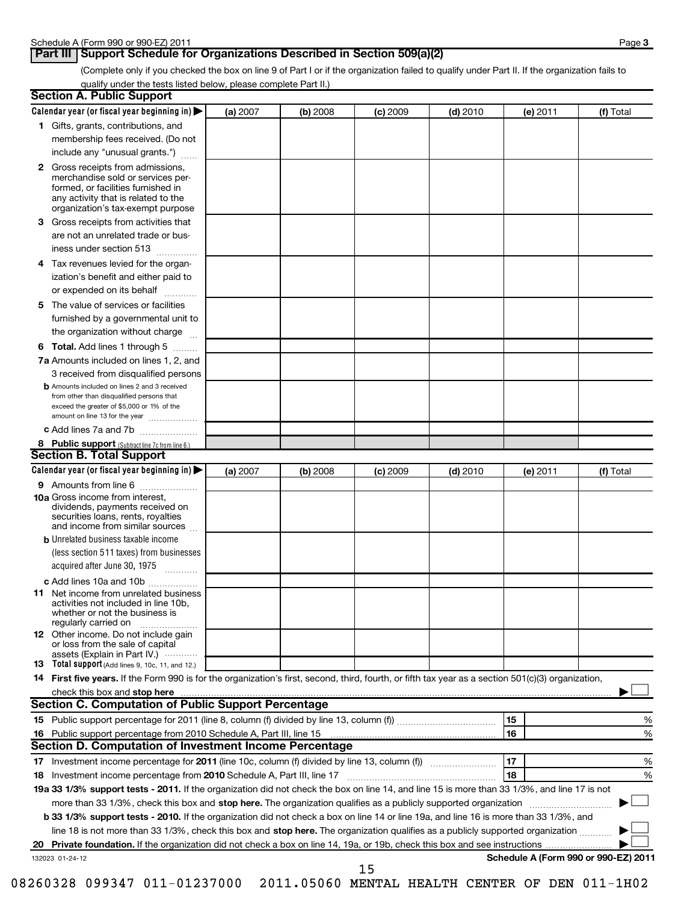## **Part III** Support Schedule for Organizations Described in Section 509(a)(2)

(Complete only if you checked the box on line 9 of Part I or if the organization failed to qualify under Part II. If the organization fails to qualify under the tests listed below, please complete Part II.)

| <b>Section A. Public Support</b>                                                                                                                                                                                               |          |          |            |            |                                      |           |
|--------------------------------------------------------------------------------------------------------------------------------------------------------------------------------------------------------------------------------|----------|----------|------------|------------|--------------------------------------|-----------|
| Calendar year (or fiscal year beginning in)                                                                                                                                                                                    | (a) 2007 | (b) 2008 | $(c)$ 2009 | $(d)$ 2010 | (e) 2011                             | (f) Total |
| 1 Gifts, grants, contributions, and                                                                                                                                                                                            |          |          |            |            |                                      |           |
| membership fees received. (Do not                                                                                                                                                                                              |          |          |            |            |                                      |           |
| include any "unusual grants.")                                                                                                                                                                                                 |          |          |            |            |                                      |           |
| <b>2</b> Gross receipts from admissions,<br>merchandise sold or services per-<br>formed, or facilities furnished in<br>any activity that is related to the<br>organization's tax-exempt purpose                                |          |          |            |            |                                      |           |
| 3 Gross receipts from activities that<br>are not an unrelated trade or bus-                                                                                                                                                    |          |          |            |            |                                      |           |
| iness under section 513                                                                                                                                                                                                        |          |          |            |            |                                      |           |
| Tax revenues levied for the organ-<br>4<br>ization's benefit and either paid to<br>or expended on its behalf                                                                                                                   |          |          |            |            |                                      |           |
| 5 The value of services or facilities                                                                                                                                                                                          |          |          |            |            |                                      |           |
| furnished by a governmental unit to<br>the organization without charge                                                                                                                                                         |          |          |            |            |                                      |           |
| <b>6 Total.</b> Add lines 1 through 5                                                                                                                                                                                          |          |          |            |            |                                      |           |
| 7a Amounts included on lines 1, 2, and<br>3 received from disqualified persons                                                                                                                                                 |          |          |            |            |                                      |           |
| <b>b</b> Amounts included on lines 2 and 3 received<br>from other than disqualified persons that<br>exceed the greater of \$5,000 or 1% of the<br>amount on line 13 for the year                                               |          |          |            |            |                                      |           |
| c Add lines 7a and 7b                                                                                                                                                                                                          |          |          |            |            |                                      |           |
| 8 Public support (Subtract line 7c from line 6.)                                                                                                                                                                               |          |          |            |            |                                      |           |
| <b>Section B. Total Support</b>                                                                                                                                                                                                |          |          |            |            |                                      |           |
| Calendar year (or fiscal year beginning in)                                                                                                                                                                                    | (a) 2007 | (b) 2008 | $(c)$ 2009 | $(d)$ 2010 | (e) 2011                             | (f) Total |
| 9 Amounts from line 6                                                                                                                                                                                                          |          |          |            |            |                                      |           |
| <b>10a</b> Gross income from interest,<br>dividends, payments received on<br>securities loans, rents, royalties<br>and income from similar sources                                                                             |          |          |            |            |                                      |           |
| <b>b</b> Unrelated business taxable income                                                                                                                                                                                     |          |          |            |            |                                      |           |
| (less section 511 taxes) from businesses<br>acquired after June 30, 1975<br>$\overline{\phantom{a}}$                                                                                                                           |          |          |            |            |                                      |           |
| c Add lines 10a and 10b                                                                                                                                                                                                        |          |          |            |            |                                      |           |
| <b>11</b> Net income from unrelated business<br>activities not included in line 10b,<br>whether or not the business is<br>regularly carried on                                                                                 |          |          |            |            |                                      |           |
| 12 Other income. Do not include gain<br>or loss from the sale of capital<br>assets (Explain in Part IV.)                                                                                                                       |          |          |            |            |                                      |           |
| 13 Total support (Add lines 9, 10c, 11, and 12.)                                                                                                                                                                               |          |          |            |            |                                      |           |
| 14 First five years. If the Form 990 is for the organization's first, second, third, fourth, or fifth tax year as a section 501(c)(3) organization,                                                                            |          |          |            |            |                                      |           |
| check this box and stop here with the continuum control of the state of the state of the state of the state of the state of the state of the state of the state of the state of the state of the state of the state of the sta |          |          |            |            |                                      |           |
| Section C. Computation of Public Support Percentage                                                                                                                                                                            |          |          |            |            |                                      |           |
|                                                                                                                                                                                                                                |          |          |            |            | 15                                   | %         |
| Section D. Computation of Investment Income Percentage                                                                                                                                                                         |          |          |            |            | 16                                   | %         |
|                                                                                                                                                                                                                                |          |          |            |            | 17                                   |           |
| 18 Investment income percentage from 2010 Schedule A, Part III, line 17                                                                                                                                                        |          |          |            |            | 18                                   | %<br>%    |
| 19a 33 1/3% support tests - 2011. If the organization did not check the box on line 14, and line 15 is more than 33 1/3%, and line 17 is not                                                                                   |          |          |            |            |                                      |           |
| more than 33 1/3%, check this box and stop here. The organization qualifies as a publicly supported organization                                                                                                               |          |          |            |            |                                      |           |
| b 33 1/3% support tests - 2010. If the organization did not check a box on line 14 or line 19a, and line 16 is more than 33 1/3%, and                                                                                          |          |          |            |            |                                      |           |
| line 18 is not more than 33 1/3%, check this box and stop here. The organization qualifies as a publicly supported organization                                                                                                |          |          |            |            |                                      |           |
|                                                                                                                                                                                                                                |          |          |            |            |                                      |           |
| 132023 01-24-12                                                                                                                                                                                                                |          |          |            |            | Schedule A (Form 990 or 990-EZ) 2011 |           |
|                                                                                                                                                                                                                                |          |          | 15         |            |                                      |           |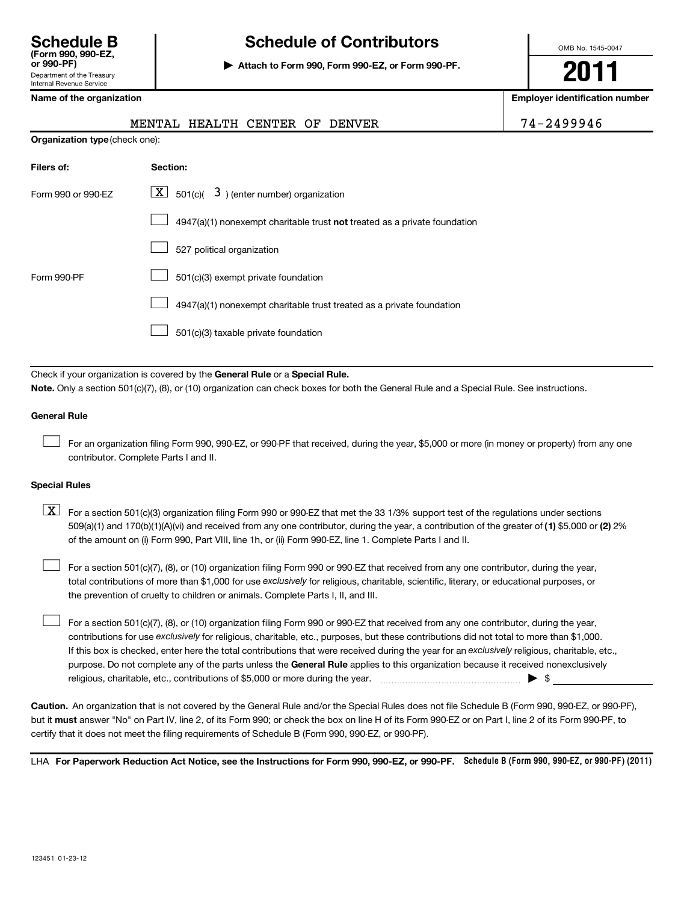Internal Revenue Service

# **Schedule B Schedule of Contributors**

**or 990-PF) | Attach to Form 990, Form 990-EZ, or Form 990-PF.**

OMB No. 1545-0047

**2011**

**Name of the organization Employer identification number**

|  | Name of the organization |  |  |  |  |  |  |
|--|--------------------------|--|--|--|--|--|--|
|--|--------------------------|--|--|--|--|--|--|

|  | MENTAL HEALTH CENTER OF DENVER |  |  |
|--|--------------------------------|--|--|
|  |                                |  |  |

74-2499946

| <b>Organization type</b> (check one): |  |  |
|---------------------------------------|--|--|
|---------------------------------------|--|--|

| Filers of:                                                                                   | Section:                                                                  |  |  |  |
|----------------------------------------------------------------------------------------------|---------------------------------------------------------------------------|--|--|--|
| $\lfloor \underline{X} \rfloor$ 501(c)( 3) (enter number) organization<br>Form 990 or 990-EZ |                                                                           |  |  |  |
|                                                                                              | 4947(a)(1) nonexempt charitable trust not treated as a private foundation |  |  |  |
|                                                                                              | 527 political organization                                                |  |  |  |
| Form 990-PF                                                                                  | 501(c)(3) exempt private foundation                                       |  |  |  |
|                                                                                              | 4947(a)(1) nonexempt charitable trust treated as a private foundation     |  |  |  |
|                                                                                              | 501(c)(3) taxable private foundation                                      |  |  |  |

Check if your organization is covered by the General Rule or a Special Rule. **Note.**  Only a section 501(c)(7), (8), or (10) organization can check boxes for both the General Rule and a Special Rule. See instructions.

#### **General Rule**

For an organization filing Form 990, 990-EZ, or 990-PF that received, during the year, \$5,000 or more (in money or property) from any one contributor. Complete Parts I and II.  $\left\vert \cdot\right\vert$ 

#### **Special Rules**

509(a)(1) and 170(b)(1)(A)(vi) and received from any one contributor, during the year, a contribution of the greater of (1**)** \$5,000 or (**2**) 2%  $\boxed{\textbf{X}}$  For a section 501(c)(3) organization filing Form 990 or 990-EZ that met the 33 1/3% support test of the regulations under sections of the amount on (i) Form 990, Part VIII, line 1h, or (ii) Form 990-EZ, line 1. Complete Parts I and II.

total contributions of more than \$1,000 for use exclusively for religious, charitable, scientific, literary, or educational purposes, or For a section 501(c)(7), (8), or (10) organization filing Form 990 or 990-EZ that received from any one contributor, during the year, the prevention of cruelty to children or animals. Complete Parts I, II, and III.  $\left\vert \cdot\right\vert$ 

purpose. Do not complete any of the parts unless the General Rule applies to this organization because it received nonexclusively contributions for use exclusively for religious, charitable, etc., purposes, but these contributions did not total to more than \$1,000. If this box is checked, enter here the total contributions that were received during the year for an exclusively religious, charitable, etc., For a section 501(c)(7), (8), or (10) organization filing Form 990 or 990-EZ that received from any one contributor, during the year, religious, charitable, etc., contributions of \$5,000 or more during the year. ~~~~~~~~~~~~~~~~~ | \$  $\left\vert \cdot\right\vert$ 

**Caution.** An organization that is not covered by the General Rule and/or the Special Rules does not file Schedule B (Form 990, 990-EZ, or 990-PF), but it **must** answer "No" on Part IV, line 2, of its Form 990; or check the box on line H of its Form 990-EZ or on Part I, line 2 of its Form 990-PF, to certify that it does not meet the filing requirements of Schedule B (Form 990, 990-EZ, or 990-PF).

LHA For Paperwork Reduction Act Notice, see the Instructions for Form 990, 990-EZ, or 990-PF. Schedule B (Form 990, 990-EZ, or 990-PF) (2011)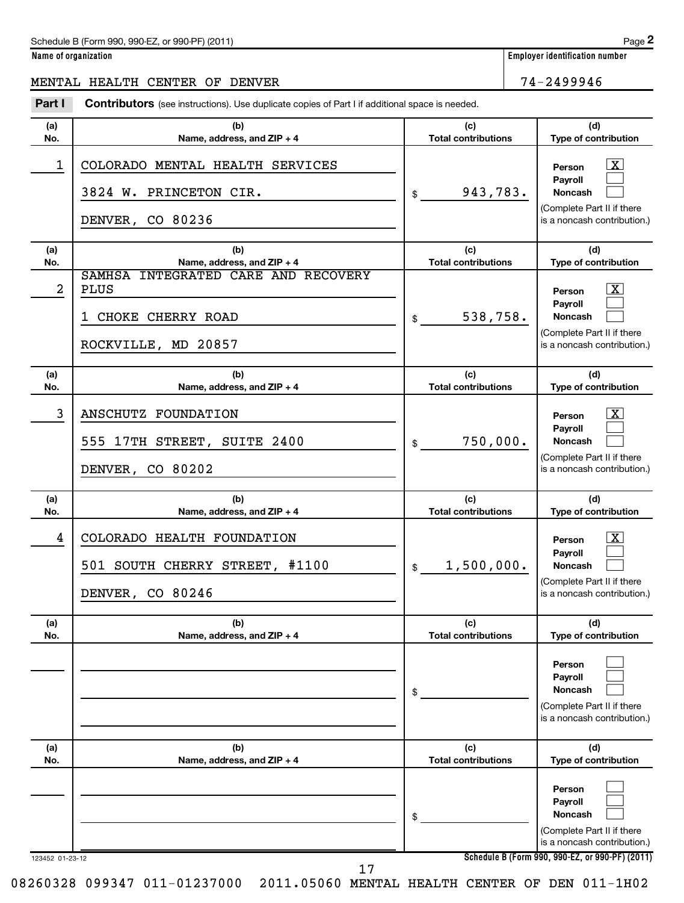**Name of organization Employer identification number**

### MENTAL HEALTH CENTER OF DENVER 74-2499946

| Part I          | Contributors (see instructions). Use duplicate copies of Part I if additional space is needed. |                                   |                                                                                                                  |
|-----------------|------------------------------------------------------------------------------------------------|-----------------------------------|------------------------------------------------------------------------------------------------------------------|
| (a)<br>No.      | (b)<br>Name, address, and ZIP + 4                                                              | (c)<br><b>Total contributions</b> | (d)<br>Type of contribution                                                                                      |
| 1               | COLORADO MENTAL HEALTH SERVICES<br>3824 W. PRINCETON CIR.<br>DENVER, CO 80236                  | 943,783.<br>$\frac{1}{2}$         | $\lfloor x \rfloor$<br>Person<br>Payroll<br>Noncash<br>(Complete Part II if there<br>is a noncash contribution.) |
| (a)<br>No.      | (b)<br>Name, address, and ZIP + 4                                                              | (c)<br><b>Total contributions</b> | (d)<br>Type of contribution                                                                                      |
| 2               | SAMHSA INTEGRATED CARE AND RECOVERY<br><b>PLUS</b>                                             |                                   | $\mathbf{X}$<br>Person<br>Payroll                                                                                |
|                 | CHOKE CHERRY ROAD<br>1                                                                         | 538,758.<br>$\mathsf{\$}$         | Noncash                                                                                                          |
|                 | MD 20857<br>ROCKVILLE,                                                                         |                                   | (Complete Part II if there<br>is a noncash contribution.)                                                        |
| (a)<br>No.      | (b)<br>Name, address, and ZIP + 4                                                              | (c)<br><b>Total contributions</b> | (d)<br>Type of contribution                                                                                      |
| 3               | ANSCHUTZ FOUNDATION<br>555 17TH STREET, SUITE 2400<br>DENVER, CO 80202                         | 750,000.<br>$\mathsf{\$}$         | $\mathbf{X}$<br>Person<br>Pavroll<br>Noncash<br>(Complete Part II if there<br>is a noncash contribution.)        |
| (a)<br>No.      | (b)<br>Name, address, and ZIP + 4                                                              | (c)<br><b>Total contributions</b> | (d)<br>Type of contribution                                                                                      |
| 4               | COLORADO HEALTH FOUNDATION<br>#1100<br>501 SOUTH CHERRY STREET,<br>DENVER, CO 80246            | 1,500,000.<br>$\frac{1}{2}$       | <u>x</u><br>Person<br>Payroll<br>Noncash<br>(Complete Part II if there<br>is a noncash contribution.)            |
| (a)<br>No.      | (b)<br>Name, address, and ZIP + 4                                                              | (c)<br><b>Total contributions</b> | (d)<br>Type of contribution                                                                                      |
|                 |                                                                                                | \$                                | Person<br>Payroll<br><b>Noncash</b><br>(Complete Part II if there<br>is a noncash contribution.)                 |
| (a)<br>No.      | (b)<br>Name, address, and ZIP + 4                                                              | (c)<br><b>Total contributions</b> | (d)<br>Type of contribution                                                                                      |
|                 |                                                                                                | \$                                | Person<br>Payroll<br>Noncash<br>(Complete Part II if there<br>is a noncash contribution.)                        |
| 123452 01-23-12 |                                                                                                |                                   | Schedule B (Form 990, 990-EZ, or 990-PF) (2011)                                                                  |

17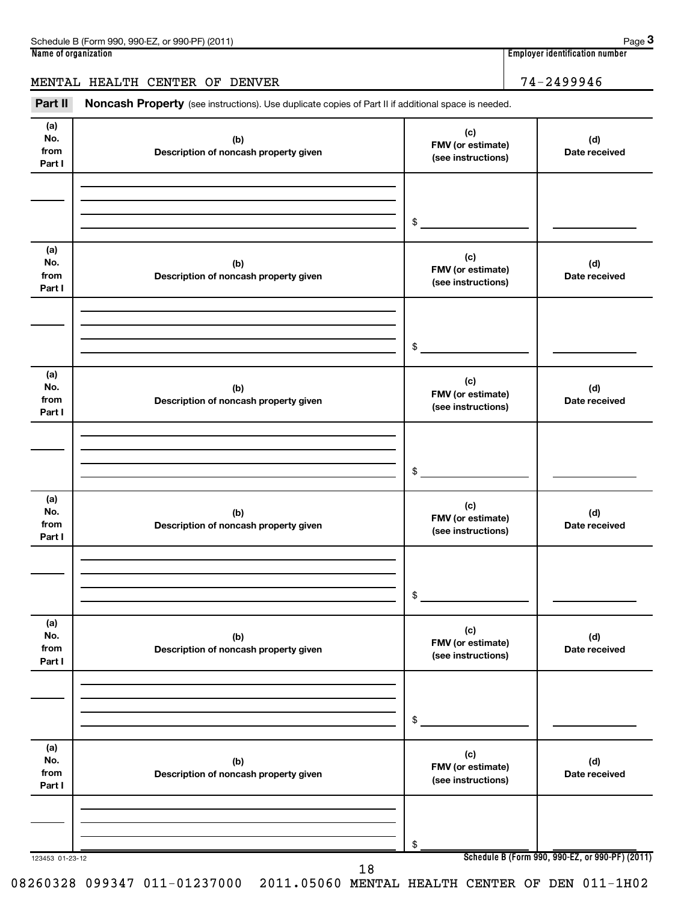| Page 3<br>Schedule B (Form 990, 990-EZ, or 990-PF) (2011)                                                             |                                       |  |  |  |  |  |
|-----------------------------------------------------------------------------------------------------------------------|---------------------------------------|--|--|--|--|--|
| Name of organization                                                                                                  | <b>Employer identification number</b> |  |  |  |  |  |
| MENTAL HEALTH CENTER OF DENVER                                                                                        | 74-2499946                            |  |  |  |  |  |
| Part II<br><b>Noncash Property</b> (see instructions). Use duplicate copies of Part II if additional space is needed. |                                       |  |  |  |  |  |

| (a)<br>No.<br>from<br>Part I | (b)<br>Description of noncash property given | (c)<br>FMV (or estimate)<br>(see instructions) | (d)<br>Date received                            |
|------------------------------|----------------------------------------------|------------------------------------------------|-------------------------------------------------|
|                              |                                              | $\frac{1}{2}$                                  |                                                 |
| (a)<br>No.<br>from<br>Part I | (b)<br>Description of noncash property given | (c)<br>FMV (or estimate)<br>(see instructions) | (d)<br>Date received                            |
|                              |                                              | $\frac{1}{2}$                                  |                                                 |
| (a)<br>No.<br>from<br>Part I | (b)<br>Description of noncash property given | (c)<br>FMV (or estimate)<br>(see instructions) | (d)<br>Date received                            |
|                              |                                              | $\frac{1}{2}$                                  |                                                 |
| (a)<br>No.<br>from<br>Part I | (b)<br>Description of noncash property given | (c)<br>FMV (or estimate)<br>(see instructions) | (d)<br>Date received                            |
|                              |                                              | $\frac{1}{2}$                                  |                                                 |
| (a)<br>No.<br>from<br>Part I | (b)<br>Description of noncash property given | (c)<br>FMV (or estimate)<br>(see instructions) | (d)<br>Date received                            |
|                              |                                              | \$                                             |                                                 |
| (a)<br>No.<br>from<br>Part I | (b)<br>Description of noncash property given | (c)<br>FMV (or estimate)<br>(see instructions) | (d)<br>Date received                            |
| 123453 01-23-12              |                                              | \$                                             | Schedule B (Form 990, 990-EZ, or 990-PF) (2011) |
|                              | 18                                           |                                                |                                                 |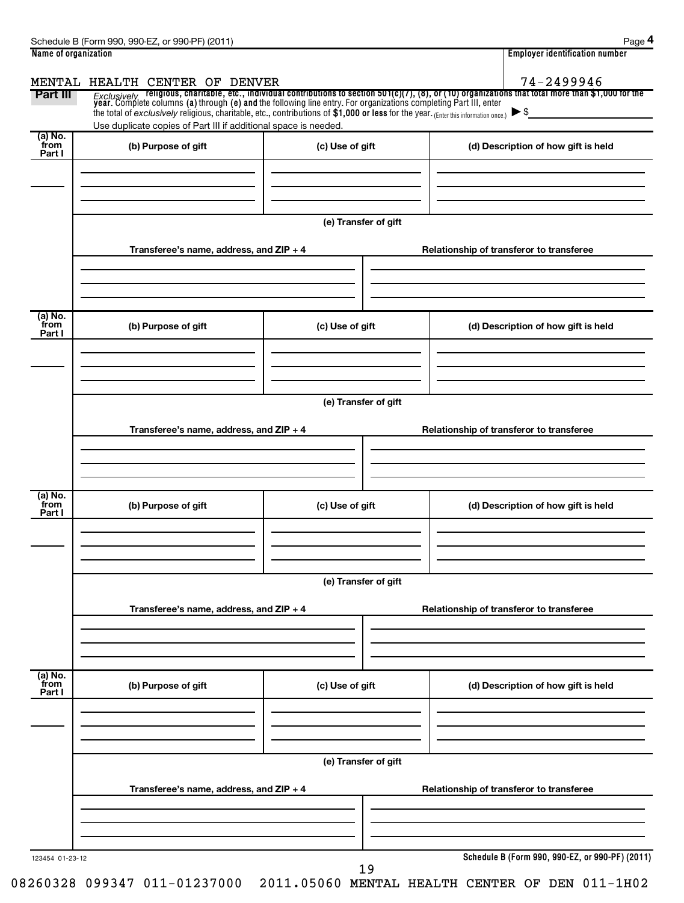| Name of organization |                                                                                                                                     |                      | <b>Employer identification number</b>                                                                                                                                                                                              |  |  |  |  |  |  |  |
|----------------------|-------------------------------------------------------------------------------------------------------------------------------------|----------------------|------------------------------------------------------------------------------------------------------------------------------------------------------------------------------------------------------------------------------------|--|--|--|--|--|--|--|
|                      | MENTAL HEALTH CENTER OF DENVER                                                                                                      |                      | 74-2499946                                                                                                                                                                                                                         |  |  |  |  |  |  |  |
| Part III             |                                                                                                                                     |                      | Exclusively religious, charitable, etc., individual contributions to section 501(c)(7), (8), or (10) organizations that total more than \$1,000 for the<br>year. Complete columns (a) through (e) and the following line entry. Fo |  |  |  |  |  |  |  |
|                      | the total of exclusively religious, charitable, etc., contributions of \$1,000 or less for the year. (Enter this information once.) |                      | $\blacktriangleright$ \$                                                                                                                                                                                                           |  |  |  |  |  |  |  |
|                      | Use duplicate copies of Part III if additional space is needed.                                                                     |                      |                                                                                                                                                                                                                                    |  |  |  |  |  |  |  |
| (a) No.<br>from      | (b) Purpose of gift                                                                                                                 | (c) Use of gift      | (d) Description of how gift is held                                                                                                                                                                                                |  |  |  |  |  |  |  |
| Part I               |                                                                                                                                     |                      |                                                                                                                                                                                                                                    |  |  |  |  |  |  |  |
|                      |                                                                                                                                     |                      |                                                                                                                                                                                                                                    |  |  |  |  |  |  |  |
|                      |                                                                                                                                     |                      |                                                                                                                                                                                                                                    |  |  |  |  |  |  |  |
|                      |                                                                                                                                     |                      |                                                                                                                                                                                                                                    |  |  |  |  |  |  |  |
|                      |                                                                                                                                     | (e) Transfer of gift |                                                                                                                                                                                                                                    |  |  |  |  |  |  |  |
|                      |                                                                                                                                     |                      |                                                                                                                                                                                                                                    |  |  |  |  |  |  |  |
|                      | Transferee's name, address, and ZIP + 4                                                                                             |                      | Relationship of transferor to transferee                                                                                                                                                                                           |  |  |  |  |  |  |  |
|                      |                                                                                                                                     |                      |                                                                                                                                                                                                                                    |  |  |  |  |  |  |  |
|                      |                                                                                                                                     |                      |                                                                                                                                                                                                                                    |  |  |  |  |  |  |  |
|                      |                                                                                                                                     |                      |                                                                                                                                                                                                                                    |  |  |  |  |  |  |  |
| (a) No.<br>from      | (b) Purpose of gift                                                                                                                 | (c) Use of gift      | (d) Description of how gift is held                                                                                                                                                                                                |  |  |  |  |  |  |  |
| Part I               |                                                                                                                                     |                      |                                                                                                                                                                                                                                    |  |  |  |  |  |  |  |
|                      |                                                                                                                                     |                      |                                                                                                                                                                                                                                    |  |  |  |  |  |  |  |
|                      |                                                                                                                                     |                      |                                                                                                                                                                                                                                    |  |  |  |  |  |  |  |
|                      |                                                                                                                                     |                      |                                                                                                                                                                                                                                    |  |  |  |  |  |  |  |
|                      | (e) Transfer of gift                                                                                                                |                      |                                                                                                                                                                                                                                    |  |  |  |  |  |  |  |
|                      | Transferee's name, address, and ZIP + 4                                                                                             |                      | Relationship of transferor to transferee                                                                                                                                                                                           |  |  |  |  |  |  |  |
|                      |                                                                                                                                     |                      |                                                                                                                                                                                                                                    |  |  |  |  |  |  |  |
|                      |                                                                                                                                     |                      |                                                                                                                                                                                                                                    |  |  |  |  |  |  |  |
|                      |                                                                                                                                     |                      |                                                                                                                                                                                                                                    |  |  |  |  |  |  |  |
| (a) No.              |                                                                                                                                     |                      |                                                                                                                                                                                                                                    |  |  |  |  |  |  |  |
| from<br>Part I       | (b) Purpose of gift                                                                                                                 | (c) Use of gift      | (d) Description of how gift is held                                                                                                                                                                                                |  |  |  |  |  |  |  |
|                      |                                                                                                                                     |                      |                                                                                                                                                                                                                                    |  |  |  |  |  |  |  |
|                      |                                                                                                                                     |                      |                                                                                                                                                                                                                                    |  |  |  |  |  |  |  |
|                      |                                                                                                                                     |                      |                                                                                                                                                                                                                                    |  |  |  |  |  |  |  |
|                      |                                                                                                                                     |                      |                                                                                                                                                                                                                                    |  |  |  |  |  |  |  |
|                      | (e) Transfer of gift                                                                                                                |                      |                                                                                                                                                                                                                                    |  |  |  |  |  |  |  |
|                      | Transferee's name, address, and ZIP + 4                                                                                             |                      | Relationship of transferor to transferee                                                                                                                                                                                           |  |  |  |  |  |  |  |
|                      |                                                                                                                                     |                      |                                                                                                                                                                                                                                    |  |  |  |  |  |  |  |
|                      |                                                                                                                                     |                      |                                                                                                                                                                                                                                    |  |  |  |  |  |  |  |
|                      |                                                                                                                                     |                      |                                                                                                                                                                                                                                    |  |  |  |  |  |  |  |
| (a) No.              |                                                                                                                                     |                      |                                                                                                                                                                                                                                    |  |  |  |  |  |  |  |
| from<br>Part I       | (b) Purpose of gift                                                                                                                 | (c) Use of gift      | (d) Description of how gift is held                                                                                                                                                                                                |  |  |  |  |  |  |  |
|                      |                                                                                                                                     |                      |                                                                                                                                                                                                                                    |  |  |  |  |  |  |  |
|                      |                                                                                                                                     |                      |                                                                                                                                                                                                                                    |  |  |  |  |  |  |  |
|                      |                                                                                                                                     |                      |                                                                                                                                                                                                                                    |  |  |  |  |  |  |  |
|                      |                                                                                                                                     | (e) Transfer of gift |                                                                                                                                                                                                                                    |  |  |  |  |  |  |  |
|                      |                                                                                                                                     |                      |                                                                                                                                                                                                                                    |  |  |  |  |  |  |  |
|                      | Transferee's name, address, and ZIP + 4                                                                                             |                      | Relationship of transferor to transferee                                                                                                                                                                                           |  |  |  |  |  |  |  |
|                      |                                                                                                                                     |                      |                                                                                                                                                                                                                                    |  |  |  |  |  |  |  |
|                      |                                                                                                                                     |                      |                                                                                                                                                                                                                                    |  |  |  |  |  |  |  |
|                      |                                                                                                                                     |                      |                                                                                                                                                                                                                                    |  |  |  |  |  |  |  |
| 123454 01-23-12      |                                                                                                                                     |                      | Schedule B (Form 990, 990-EZ, or 990-PF) (2011)                                                                                                                                                                                    |  |  |  |  |  |  |  |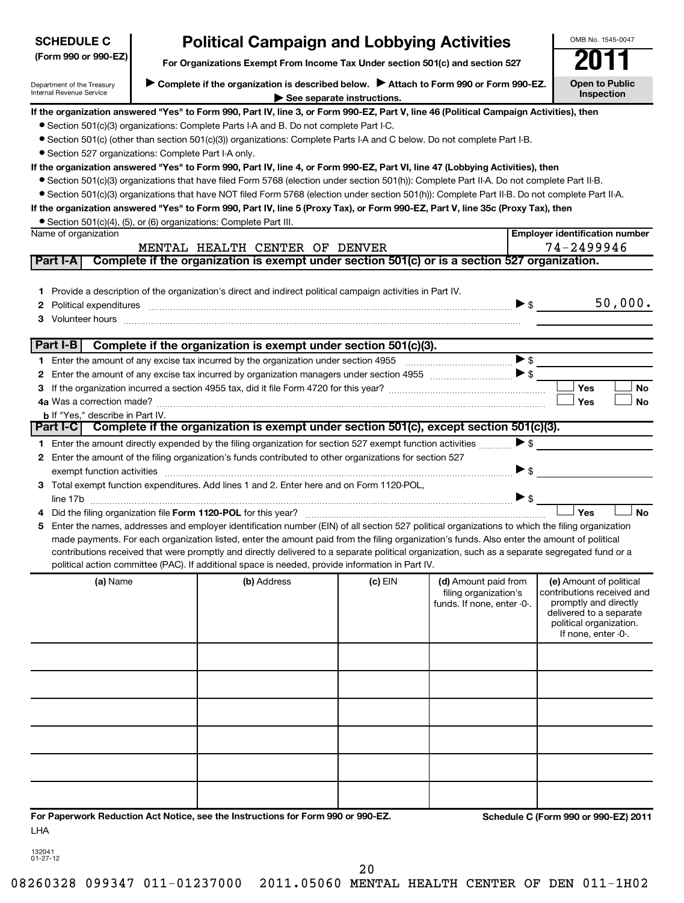| <b>SCHEDULE C</b>                                      | <b>Political Campaign and Lobbying Activities</b>                                                                                                                                                                                                                                                |           |                                                                             |                          | OMB No. 1545-0047                                                                                                                                           |
|--------------------------------------------------------|--------------------------------------------------------------------------------------------------------------------------------------------------------------------------------------------------------------------------------------------------------------------------------------------------|-----------|-----------------------------------------------------------------------------|--------------------------|-------------------------------------------------------------------------------------------------------------------------------------------------------------|
| (Form 990 or 990-EZ)                                   | For Organizations Exempt From Income Tax Under section 501(c) and section 527                                                                                                                                                                                                                    |           |                                                                             |                          |                                                                                                                                                             |
| Department of the Treasury<br>Internal Revenue Service | Complete if the organization is described below.<br>Attach to Form 990 or Form 990-EZ.<br><b>Open to Public</b><br>Inspection                                                                                                                                                                    |           |                                                                             |                          |                                                                                                                                                             |
|                                                        | If the organization answered "Yes" to Form 990, Part IV, line 3, or Form 990-EZ, Part V, line 46 (Political Campaign Activities), then                                                                                                                                                           |           |                                                                             |                          |                                                                                                                                                             |
|                                                        | • Section 501(c)(3) organizations: Complete Parts I-A and B. Do not complete Part I-C.                                                                                                                                                                                                           |           |                                                                             |                          |                                                                                                                                                             |
|                                                        | ● Section 501(c) (other than section 501(c)(3)) organizations: Complete Parts I-A and C below. Do not complete Part I-B.                                                                                                                                                                         |           |                                                                             |                          |                                                                                                                                                             |
| • Section 527 organizations: Complete Part I-A only.   |                                                                                                                                                                                                                                                                                                  |           |                                                                             |                          |                                                                                                                                                             |
|                                                        | If the organization answered "Yes" to Form 990, Part IV, line 4, or Form 990-EZ, Part VI, line 47 (Lobbying Activities), then<br>• Section 501(c)(3) organizations that have filed Form 5768 (election under section 501(h)): Complete Part II-A. Do not complete Part II-B.                     |           |                                                                             |                          |                                                                                                                                                             |
|                                                        | • Section 501(c)(3) organizations that have NOT filed Form 5768 (election under section 501(h)): Complete Part II-B. Do not complete Part II-A.                                                                                                                                                  |           |                                                                             |                          |                                                                                                                                                             |
|                                                        | If the organization answered "Yes" to Form 990, Part IV, line 5 (Proxy Tax), or Form 990-EZ, Part V, line 35c (Proxy Tax), then                                                                                                                                                                  |           |                                                                             |                          |                                                                                                                                                             |
|                                                        | • Section 501(c)(4), (5), or (6) organizations: Complete Part III.                                                                                                                                                                                                                               |           |                                                                             |                          |                                                                                                                                                             |
| Name of organization                                   |                                                                                                                                                                                                                                                                                                  |           |                                                                             |                          | <b>Employer identification number</b>                                                                                                                       |
|                                                        | MENTAL HEALTH CENTER OF DENVER                                                                                                                                                                                                                                                                   |           |                                                                             |                          | 74-2499946                                                                                                                                                  |
| Part I-A                                               | Complete if the organization is exempt under section 501(c) or is a section 527 organization.                                                                                                                                                                                                    |           |                                                                             |                          |                                                                                                                                                             |
|                                                        |                                                                                                                                                                                                                                                                                                  |           |                                                                             |                          |                                                                                                                                                             |
|                                                        | 1 Provide a description of the organization's direct and indirect political campaign activities in Part IV.                                                                                                                                                                                      |           |                                                                             |                          |                                                                                                                                                             |
| 2                                                      | Political expenditures <b>continuum continuum continuum continuum continuum continuum continuum continuum continuum continuum continuum continuum continuum continuum continuum continuum continuum continuum continuum continuu</b>                                                             |           |                                                                             | $\blacktriangleright$ \$ | 50,000.                                                                                                                                                     |
| 3                                                      |                                                                                                                                                                                                                                                                                                  |           |                                                                             |                          |                                                                                                                                                             |
| Part I-B                                               | Complete if the organization is exempt under section 501(c)(3).                                                                                                                                                                                                                                  |           |                                                                             |                          |                                                                                                                                                             |
|                                                        |                                                                                                                                                                                                                                                                                                  |           |                                                                             | $\blacktriangleright$ \$ |                                                                                                                                                             |
| 2                                                      |                                                                                                                                                                                                                                                                                                  |           |                                                                             |                          |                                                                                                                                                             |
| З                                                      |                                                                                                                                                                                                                                                                                                  |           |                                                                             |                          | Yes<br>No                                                                                                                                                   |
|                                                        |                                                                                                                                                                                                                                                                                                  |           |                                                                             |                          | Yes<br><b>No</b>                                                                                                                                            |
| <b>b</b> If "Yes," describe in Part IV.                |                                                                                                                                                                                                                                                                                                  |           |                                                                             |                          |                                                                                                                                                             |
|                                                        | Part I-C Complete if the organization is exempt under section 501(c), except section 501(c)(3).                                                                                                                                                                                                  |           |                                                                             |                          |                                                                                                                                                             |
|                                                        | 1 Enter the amount directly expended by the filing organization for section 527 exempt function activities                                                                                                                                                                                       |           |                                                                             | $\blacktriangleright$ \$ |                                                                                                                                                             |
|                                                        | 2 Enter the amount of the filing organization's funds contributed to other organizations for section 527                                                                                                                                                                                         |           |                                                                             |                          |                                                                                                                                                             |
|                                                        |                                                                                                                                                                                                                                                                                                  |           |                                                                             | $\blacktriangleright$ \$ |                                                                                                                                                             |
|                                                        | 3 Total exempt function expenditures. Add lines 1 and 2. Enter here and on Form 1120-POL,                                                                                                                                                                                                        |           |                                                                             |                          |                                                                                                                                                             |
|                                                        |                                                                                                                                                                                                                                                                                                  |           |                                                                             |                          | Yes                                                                                                                                                         |
|                                                        |                                                                                                                                                                                                                                                                                                  |           |                                                                             |                          | <b>No</b>                                                                                                                                                   |
|                                                        | 5 Enter the names, addresses and employer identification number (EIN) of all section 527 political organizations to which the filing organization<br>made payments. For each organization listed, enter the amount paid from the filing organization's funds. Also enter the amount of political |           |                                                                             |                          |                                                                                                                                                             |
|                                                        | contributions received that were promptly and directly delivered to a separate political organization, such as a separate segregated fund or a                                                                                                                                                   |           |                                                                             |                          |                                                                                                                                                             |
|                                                        | political action committee (PAC). If additional space is needed, provide information in Part IV.                                                                                                                                                                                                 |           |                                                                             |                          |                                                                                                                                                             |
| (a) Name                                               | (b) Address                                                                                                                                                                                                                                                                                      | $(c)$ EIN | (d) Amount paid from<br>filing organization's<br>funds. If none, enter -0-. |                          | (e) Amount of political<br>contributions received and<br>promptly and directly<br>delivered to a separate<br>political organization.<br>If none, enter -0-. |
|                                                        |                                                                                                                                                                                                                                                                                                  |           |                                                                             |                          |                                                                                                                                                             |
|                                                        |                                                                                                                                                                                                                                                                                                  |           |                                                                             |                          |                                                                                                                                                             |
|                                                        |                                                                                                                                                                                                                                                                                                  |           |                                                                             |                          |                                                                                                                                                             |
|                                                        |                                                                                                                                                                                                                                                                                                  |           |                                                                             |                          |                                                                                                                                                             |
|                                                        |                                                                                                                                                                                                                                                                                                  |           |                                                                             |                          |                                                                                                                                                             |
|                                                        |                                                                                                                                                                                                                                                                                                  |           |                                                                             |                          |                                                                                                                                                             |
| LHA                                                    | For Paperwork Reduction Act Notice, see the Instructions for Form 990 or 990-EZ.                                                                                                                                                                                                                 |           |                                                                             |                          | Schedule C (Form 990 or 990-EZ) 2011                                                                                                                        |

132041 01-27-12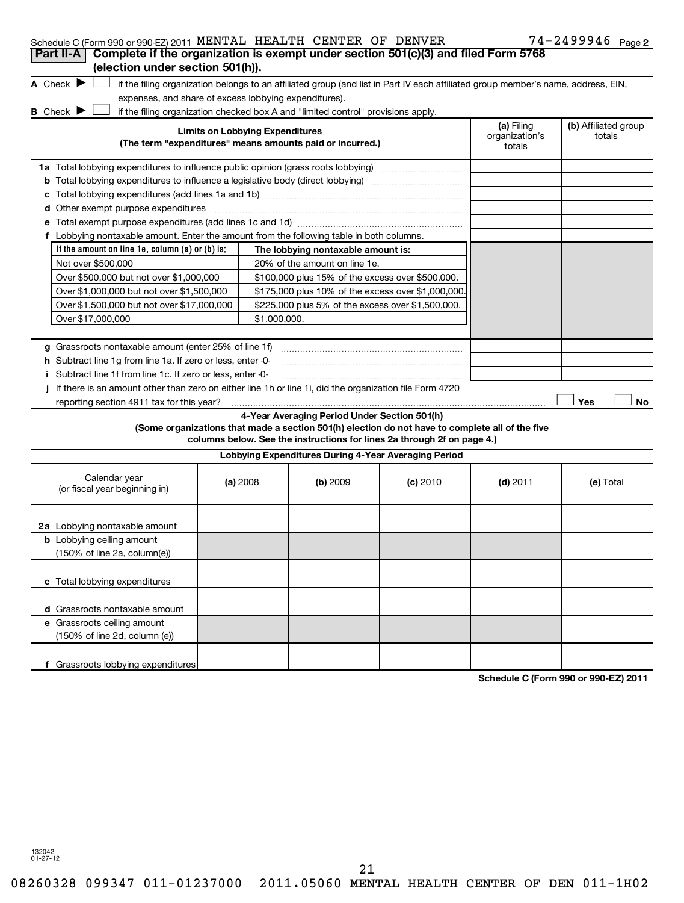|  | Schedule C (Form 990 or 990-EZ) 2011 MENTAL HEALTH CENTER OF DENVER |  |  |  |  |  | $74 - 2499946$ Page 2 |  |
|--|---------------------------------------------------------------------|--|--|--|--|--|-----------------------|--|
|--|---------------------------------------------------------------------|--|--|--|--|--|-----------------------|--|

| $\frac{1}{2}$ . The state of $\frac{1}{2}$ of $\frac{1}{2}$ is the state of $\frac{1}{2}$ of $\frac{1}{2}$ is the state of $\frac{1}{2}$<br>Part II-A   Complete if the organization is exempt under section 501(c)(3) and filed Form 5768<br>(election under section 501(h)).                                                                                                                                                                                                        |                                                                                                                                                                                                                                                                                                  |                                        |                                                                                                                                               |                                                                                                                                                                            |                                        |                                      |
|---------------------------------------------------------------------------------------------------------------------------------------------------------------------------------------------------------------------------------------------------------------------------------------------------------------------------------------------------------------------------------------------------------------------------------------------------------------------------------------|--------------------------------------------------------------------------------------------------------------------------------------------------------------------------------------------------------------------------------------------------------------------------------------------------|----------------------------------------|-----------------------------------------------------------------------------------------------------------------------------------------------|----------------------------------------------------------------------------------------------------------------------------------------------------------------------------|----------------------------------------|--------------------------------------|
| A Check $\blacktriangleright$<br>expenses, and share of excess lobbying expenditures).                                                                                                                                                                                                                                                                                                                                                                                                |                                                                                                                                                                                                                                                                                                  |                                        |                                                                                                                                               | if the filing organization belongs to an affiliated group (and list in Part IV each affiliated group member's name, address, EIN,                                          |                                        |                                      |
| <b>B</b> Check ▶                                                                                                                                                                                                                                                                                                                                                                                                                                                                      |                                                                                                                                                                                                                                                                                                  | <b>Limits on Lobbying Expenditures</b> | if the filing organization checked box A and "limited control" provisions apply.<br>(The term "expenditures" means amounts paid or incurred.) |                                                                                                                                                                            | (a) Filing<br>organization's<br>totals | (b) Affiliated group<br>totals       |
| d Other exempt purpose expenditures                                                                                                                                                                                                                                                                                                                                                                                                                                                   |                                                                                                                                                                                                                                                                                                  |                                        |                                                                                                                                               |                                                                                                                                                                            |                                        |                                      |
| f Lobbying nontaxable amount. Enter the amount from the following table in both columns.                                                                                                                                                                                                                                                                                                                                                                                              |                                                                                                                                                                                                                                                                                                  |                                        |                                                                                                                                               |                                                                                                                                                                            |                                        |                                      |
| If the amount on line 1e, column (a) or (b) is:<br>The lobbying nontaxable amount is:<br>Not over \$500,000<br>20% of the amount on line 1e.<br>Over \$500,000 but not over \$1,000,000<br>\$100,000 plus 15% of the excess over \$500,000.<br>\$175,000 plus 10% of the excess over \$1,000,000<br>Over \$1,000,000 but not over \$1,500,000<br>Over \$1,500,000 but not over \$17,000,000<br>\$225,000 plus 5% of the excess over \$1,500,000.<br>Over \$17,000,000<br>\$1,000,000. |                                                                                                                                                                                                                                                                                                  |                                        |                                                                                                                                               |                                                                                                                                                                            |                                        |                                      |
| reporting section 4911 tax for this year?                                                                                                                                                                                                                                                                                                                                                                                                                                             | g Grassroots nontaxable amount (enter 25% of line 1f)<br>h Subtract line 1g from line 1a. If zero or less, enter -0-<br>i Subtract line 1f from line 1c. If zero or less, enter -0-<br>j If there is an amount other than zero on either line 1h or line 1i, did the organization file Form 4720 |                                        |                                                                                                                                               |                                                                                                                                                                            |                                        | Yes<br>No                            |
|                                                                                                                                                                                                                                                                                                                                                                                                                                                                                       |                                                                                                                                                                                                                                                                                                  |                                        | 4-Year Averaging Period Under Section 501(h)                                                                                                  | (Some organizations that made a section 501(h) election do not have to complete all of the five<br>columns below. See the instructions for lines 2a through 2f on page 4.) |                                        |                                      |
|                                                                                                                                                                                                                                                                                                                                                                                                                                                                                       |                                                                                                                                                                                                                                                                                                  |                                        | Lobbying Expenditures During 4-Year Averaging Period                                                                                          |                                                                                                                                                                            |                                        |                                      |
| Calendar year<br>(or fiscal year beginning in)                                                                                                                                                                                                                                                                                                                                                                                                                                        |                                                                                                                                                                                                                                                                                                  | (a) 2008                               | (b) 2009                                                                                                                                      | $(c)$ 2010                                                                                                                                                                 | $(d)$ 2011                             | (e) Total                            |
| 2a Lobbying nontaxable amount<br><b>b</b> Lobbying ceiling amount<br>(150% of line 2a, column(e))                                                                                                                                                                                                                                                                                                                                                                                     |                                                                                                                                                                                                                                                                                                  |                                        |                                                                                                                                               |                                                                                                                                                                            |                                        |                                      |
| c Total lobbying expenditures                                                                                                                                                                                                                                                                                                                                                                                                                                                         |                                                                                                                                                                                                                                                                                                  |                                        |                                                                                                                                               |                                                                                                                                                                            |                                        |                                      |
| d Grassroots nontaxable amount<br>e Grassroots ceiling amount<br>(150% of line 2d, column (e))                                                                                                                                                                                                                                                                                                                                                                                        |                                                                                                                                                                                                                                                                                                  |                                        |                                                                                                                                               |                                                                                                                                                                            |                                        |                                      |
| f Grassroots lobbying expenditures                                                                                                                                                                                                                                                                                                                                                                                                                                                    |                                                                                                                                                                                                                                                                                                  |                                        |                                                                                                                                               |                                                                                                                                                                            |                                        | Schedule C (Form 990 or 990-F7) 2011 |

**Schedule C (Form 990 or 990-EZ) 2011**

132042 01-27-12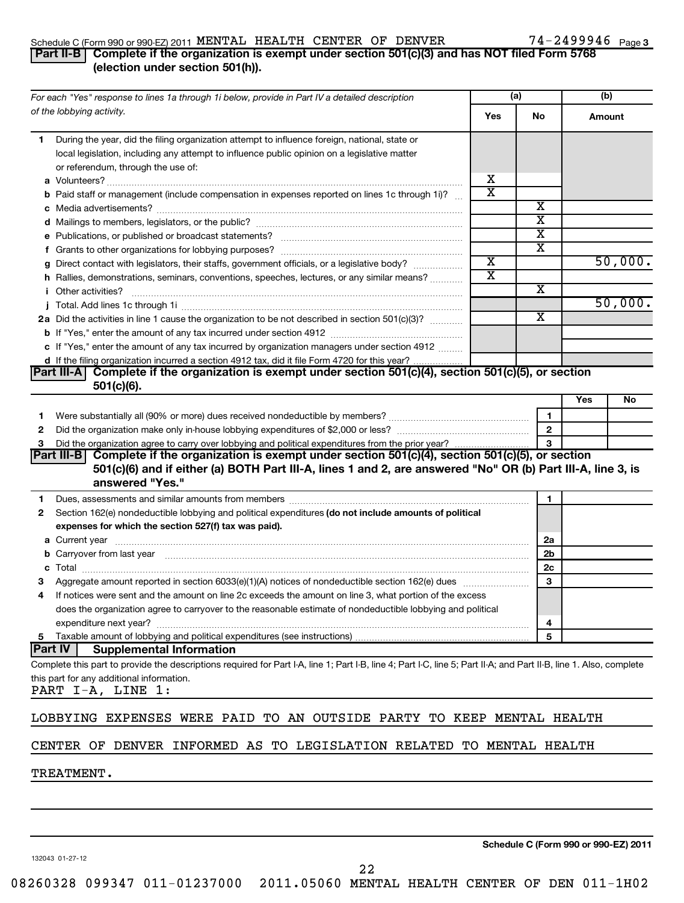#### Schedule C (Form 990 or 990-EZ) 2011  $\,$  MENTAL HEALTH CENTER OF DENVER  $\,$  74 - 2499946  $\,$  Page

# 74-2499946 Page 3

## **Part II-B Complete if the organization is exempt under section 501(c)(3) and has NOT filed Form 5768 (election under section 501(h)).**

|    | (a)<br>For each "Yes" response to lines 1a through 1i below, provide in Part IV a detailed description                                                                                                                         |                         |              | (b)       |  |
|----|--------------------------------------------------------------------------------------------------------------------------------------------------------------------------------------------------------------------------------|-------------------------|--------------|-----------|--|
|    | of the lobbying activity.                                                                                                                                                                                                      | Yes                     | No           | Amount    |  |
| 1  | During the year, did the filing organization attempt to influence foreign, national, state or                                                                                                                                  |                         |              |           |  |
|    | local legislation, including any attempt to influence public opinion on a legislative matter                                                                                                                                   |                         |              |           |  |
|    | or referendum, through the use of:                                                                                                                                                                                             |                         |              |           |  |
|    |                                                                                                                                                                                                                                | х                       |              |           |  |
|    | <b>b</b> Paid staff or management (include compensation in expenses reported on lines 1c through 1i)?                                                                                                                          | $\overline{\textbf{x}}$ |              |           |  |
|    |                                                                                                                                                                                                                                |                         | х            |           |  |
|    |                                                                                                                                                                                                                                |                         | х<br>х       |           |  |
|    |                                                                                                                                                                                                                                |                         | х            |           |  |
|    | g Direct contact with legislators, their staffs, government officials, or a legislative body?                                                                                                                                  | $\overline{\textbf{x}}$ |              | 50,000.   |  |
|    | h Rallies, demonstrations, seminars, conventions, speeches, lectures, or any similar means?                                                                                                                                    | $\overline{\textbf{x}}$ |              |           |  |
|    | <i>i</i> Other activities?                                                                                                                                                                                                     |                         | х            |           |  |
|    |                                                                                                                                                                                                                                |                         |              | 50,000.   |  |
|    | 2a Did the activities in line 1 cause the organization to be not described in section 501(c)(3)?                                                                                                                               |                         | х            |           |  |
|    | <b>b</b> If "Yes," enter the amount of any tax incurred under section 4912                                                                                                                                                     |                         |              |           |  |
|    | c If "Yes," enter the amount of any tax incurred by organization managers under section 4912                                                                                                                                   |                         |              |           |  |
|    | d If the filing organization incurred a section 4912 tax, did it file Form 4720 for this year?                                                                                                                                 |                         |              |           |  |
|    | Part III-A   Complete if the organization is exempt under section 501(c)(4), section 501(c)(5), or section                                                                                                                     |                         |              |           |  |
|    | $501(c)(6)$ .                                                                                                                                                                                                                  |                         |              |           |  |
|    |                                                                                                                                                                                                                                |                         |              | Yes<br>No |  |
| 1  |                                                                                                                                                                                                                                |                         | 1            |           |  |
| 2  |                                                                                                                                                                                                                                |                         | $\mathbf{2}$ |           |  |
| з  |                                                                                                                                                                                                                                |                         | 3            |           |  |
|    | Part III-B  Complete if the organization is exempt under section 501(c)(4), section 501(c)(5), or section                                                                                                                      |                         |              |           |  |
|    | 501(c)(6) and if either (a) BOTH Part III-A, lines 1 and 2, are answered "No" OR (b) Part III-A, line 3, is<br>answered "Yes."                                                                                                 |                         |              |           |  |
| 1. | Dues, assessments and similar amounts from members [111] Dues, assessments and similar members and similar amounts from members [11] Dues, assessments and similar amounts from members [11] Dues and the set of the set of th |                         | 1            |           |  |
| 2  | Section 162(e) nondeductible lobbying and political expenditures (do not include amounts of political                                                                                                                          |                         |              |           |  |
|    | expenses for which the section 527(f) tax was paid).                                                                                                                                                                           |                         |              |           |  |
|    |                                                                                                                                                                                                                                |                         | 2a           |           |  |
|    | b Carryover from last year manufactured and contract the contract of the contract of the contract of the contract of contract of contract of contract of contract of contract of contract of contract of contract of contract  |                         | 2b           |           |  |
|    |                                                                                                                                                                                                                                |                         | 2c           |           |  |
| з  |                                                                                                                                                                                                                                |                         | 3            |           |  |
|    | If notices were sent and the amount on line 2c exceeds the amount on line 3, what portion of the excess                                                                                                                        |                         |              |           |  |
|    | does the organization agree to carryover to the reasonable estimate of nondeductible lobbying and political                                                                                                                    |                         |              |           |  |
|    |                                                                                                                                                                                                                                |                         | 4            |           |  |
|    |                                                                                                                                                                                                                                |                         | 5            |           |  |
|    | Part IV<br><b>Supplemental Information</b>                                                                                                                                                                                     |                         |              |           |  |
|    | Complete this part to provide the descriptions required for Part I-A, line 1; Part I-B, line 4; Part I-C, line 5; Part II-A; and Part II-B, line 1. Also, complete                                                             |                         |              |           |  |
|    | this part for any additional information.                                                                                                                                                                                      |                         |              |           |  |
|    | PART I-A, LINE 1:                                                                                                                                                                                                              |                         |              |           |  |
|    | LOBBYING EXPENSES WERE PAID TO AN OUTSIDE PARTY TO KEEP MENTAL HEALTH                                                                                                                                                          |                         |              |           |  |
|    | CENTER OF DENVER INFORMED AS TO LEGISLATION RELATED TO MENTAL HEALTH                                                                                                                                                           |                         |              |           |  |
|    | <b>TREATMENT.</b>                                                                                                                                                                                                              |                         |              |           |  |
|    |                                                                                                                                                                                                                                |                         |              |           |  |
|    |                                                                                                                                                                                                                                |                         |              |           |  |

132043 01-27-12

**Schedule C (Form 990 or 990-EZ) 2011**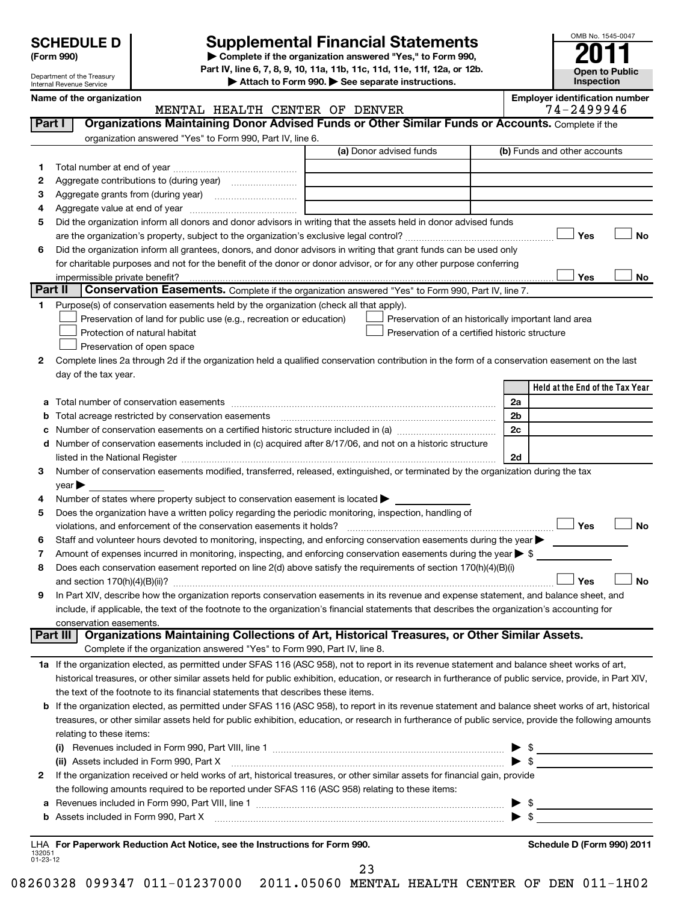Department of the Treasury Internal Revenue Service

# **Supplemental Financial Statements**

**(Form 990) | Complete if the organization answered "Yes," to Form 990, Part IV, line 6, 7, 8, 9, 10, 11a, 11b, 11c, 11d, 11e, 11f, 12a, or 12b.**

**| Attach to Form 990. | See separate instructions.**

**Open to Public Inspection Name of the organization Employer identification number**

OMB No. 1545-0047

|                    | MENTAL HEALTH CENTER OF DENVER                                                                                                                                                                                                  | 74-2499946                                          |
|--------------------|---------------------------------------------------------------------------------------------------------------------------------------------------------------------------------------------------------------------------------|-----------------------------------------------------|
| Part I             | Organizations Maintaining Donor Advised Funds or Other Similar Funds or Accounts. Complete if the                                                                                                                               |                                                     |
|                    | organization answered "Yes" to Form 990, Part IV, line 6.                                                                                                                                                                       |                                                     |
|                    | (a) Donor advised funds                                                                                                                                                                                                         | (b) Funds and other accounts                        |
| 1.                 |                                                                                                                                                                                                                                 |                                                     |
| 2                  |                                                                                                                                                                                                                                 |                                                     |
| 3                  |                                                                                                                                                                                                                                 |                                                     |
| 4                  |                                                                                                                                                                                                                                 |                                                     |
| 5                  | Did the organization inform all donors and donor advisors in writing that the assets held in donor advised funds                                                                                                                |                                                     |
|                    |                                                                                                                                                                                                                                 | Yes<br>No                                           |
| 6                  | Did the organization inform all grantees, donors, and donor advisors in writing that grant funds can be used only                                                                                                               |                                                     |
|                    | for charitable purposes and not for the benefit of the donor or donor advisor, or for any other purpose conferring                                                                                                              |                                                     |
|                    | impermissible private benefit?                                                                                                                                                                                                  | Yes<br>No                                           |
|                    | Part II<br>Conservation Easements. Complete if the organization answered "Yes" to Form 990, Part IV, line 7.                                                                                                                    |                                                     |
| 1.                 | Purpose(s) of conservation easements held by the organization (check all that apply).                                                                                                                                           |                                                     |
|                    | Preservation of land for public use (e.g., recreation or education)                                                                                                                                                             | Preservation of an historically important land area |
|                    | Preservation of a certified historic structure<br>Protection of natural habitat                                                                                                                                                 |                                                     |
|                    | Preservation of open space                                                                                                                                                                                                      |                                                     |
| 2                  | Complete lines 2a through 2d if the organization held a qualified conservation contribution in the form of a conservation easement on the last                                                                                  |                                                     |
|                    | day of the tax year.                                                                                                                                                                                                            |                                                     |
|                    |                                                                                                                                                                                                                                 | Held at the End of the Tax Year                     |
| а                  |                                                                                                                                                                                                                                 | 2a                                                  |
| b                  | Total acreage restricted by conservation easements                                                                                                                                                                              | 2 <sub>b</sub>                                      |
| c                  | Number of conservation easements on a certified historic structure included in (a) manufacture included in (a)                                                                                                                  | 2c                                                  |
| d                  | Number of conservation easements included in (c) acquired after 8/17/06, and not on a historic structure                                                                                                                        |                                                     |
|                    | listed in the National Register [111] Marshall Register [11] Marshall Register [11] Marshall Register [11] Marshall Register [11] Marshall Register [11] Marshall Register [11] Marshall Register [11] Marshall Register [11]   | 2d                                                  |
| 3                  | Number of conservation easements modified, transferred, released, extinguished, or terminated by the organization during the tax                                                                                                |                                                     |
|                    | year<br>Number of states where property subject to conservation easement is located >                                                                                                                                           |                                                     |
| 4<br>5             | Does the organization have a written policy regarding the periodic monitoring, inspection, handling of                                                                                                                          |                                                     |
|                    |                                                                                                                                                                                                                                 | Yes<br><b>No</b>                                    |
| 6                  | Staff and volunteer hours devoted to monitoring, inspecting, and enforcing conservation easements during the year                                                                                                               |                                                     |
| 7                  | Amount of expenses incurred in monitoring, inspecting, and enforcing conservation easements during the year $\blacktriangleright$ \$                                                                                            |                                                     |
| 8                  | Does each conservation easement reported on line 2(d) above satisfy the requirements of section 170(h)(4)(B)(i)                                                                                                                 |                                                     |
|                    |                                                                                                                                                                                                                                 | <b>No</b><br>Yes                                    |
| 9                  | In Part XIV, describe how the organization reports conservation easements in its revenue and expense statement, and balance sheet, and                                                                                          |                                                     |
|                    | include, if applicable, the text of the footnote to the organization's financial statements that describes the organization's accounting for                                                                                    |                                                     |
|                    | conservation easements.                                                                                                                                                                                                         |                                                     |
|                    | Organizations Maintaining Collections of Art, Historical Treasures, or Other Similar Assets.<br>Part III                                                                                                                        |                                                     |
|                    | Complete if the organization answered "Yes" to Form 990, Part IV, line 8.                                                                                                                                                       |                                                     |
|                    | 1a If the organization elected, as permitted under SFAS 116 (ASC 958), not to report in its revenue statement and balance sheet works of art,                                                                                   |                                                     |
|                    | historical treasures, or other similar assets held for public exhibition, education, or research in furtherance of public service, provide, in Part XIV,                                                                        |                                                     |
|                    | the text of the footnote to its financial statements that describes these items.                                                                                                                                                |                                                     |
|                    | b If the organization elected, as permitted under SFAS 116 (ASC 958), to report in its revenue statement and balance sheet works of art, historical                                                                             |                                                     |
|                    | treasures, or other similar assets held for public exhibition, education, or research in furtherance of public service, provide the following amounts                                                                           |                                                     |
|                    | relating to these items:                                                                                                                                                                                                        |                                                     |
|                    | (i) Revenues included in Form 990, Part VIII, line 1 $\ldots$ $\ldots$ $\ldots$ $\ldots$ $\ldots$ $\ldots$ $\ldots$ $\ldots$ $\ldots$ $\ldots$ $\ldots$ $\ldots$                                                                |                                                     |
|                    |                                                                                                                                                                                                                                 |                                                     |
| 2                  | If the organization received or held works of art, historical treasures, or other similar assets for financial gain, provide<br>the following amounts required to be reported under SFAS 116 (ASC 958) relating to these items: |                                                     |
|                    |                                                                                                                                                                                                                                 |                                                     |
| а<br>b             |                                                                                                                                                                                                                                 |                                                     |
|                    |                                                                                                                                                                                                                                 |                                                     |
|                    | LHA For Paperwork Reduction Act Notice, see the Instructions for Form 990.                                                                                                                                                      | Schedule D (Form 990) 2011                          |
| 132051<br>01-23-12 |                                                                                                                                                                                                                                 |                                                     |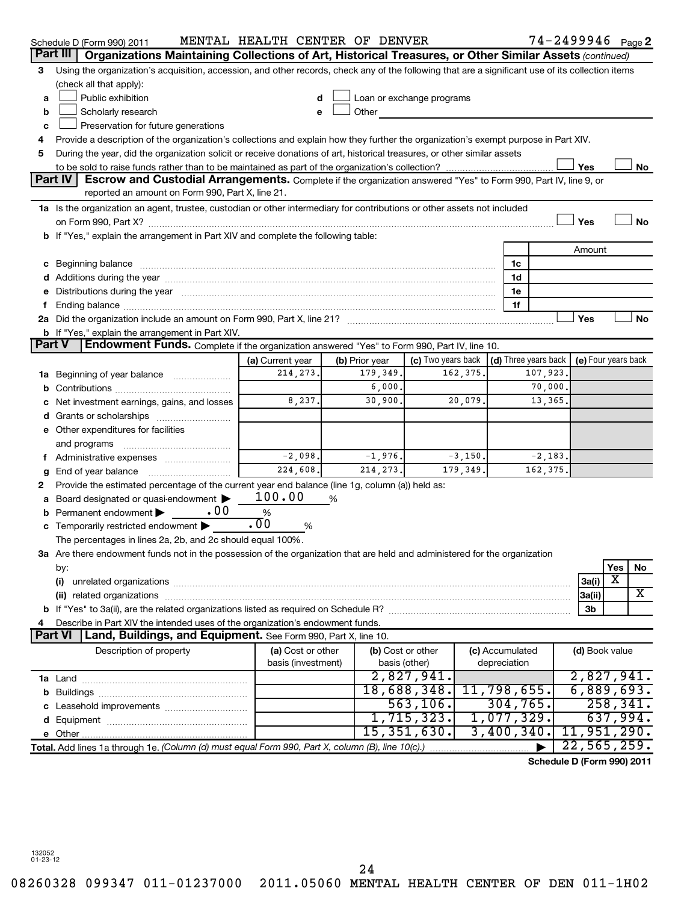|               | Schedule D (Form 990) 2011                                                                                                                                                                                                     | MENTAL HEALTH CENTER OF DENVER |   |                                                                                                                                                                                                                                      |                    |           |                 |           | 74-2499946 <sub>Page</sub> 2               |           |           |
|---------------|--------------------------------------------------------------------------------------------------------------------------------------------------------------------------------------------------------------------------------|--------------------------------|---|--------------------------------------------------------------------------------------------------------------------------------------------------------------------------------------------------------------------------------------|--------------------|-----------|-----------------|-----------|--------------------------------------------|-----------|-----------|
| Part III      | Organizations Maintaining Collections of Art, Historical Treasures, or Other Similar Assets (continued)                                                                                                                        |                                |   |                                                                                                                                                                                                                                      |                    |           |                 |           |                                            |           |           |
| 3             | Using the organization's acquisition, accession, and other records, check any of the following that are a significant use of its collection items                                                                              |                                |   |                                                                                                                                                                                                                                      |                    |           |                 |           |                                            |           |           |
|               | (check all that apply):                                                                                                                                                                                                        |                                |   |                                                                                                                                                                                                                                      |                    |           |                 |           |                                            |           |           |
| а             | Public exhibition                                                                                                                                                                                                              | d                              |   | Loan or exchange programs                                                                                                                                                                                                            |                    |           |                 |           |                                            |           |           |
| b             | Scholarly research                                                                                                                                                                                                             | e                              |   | Other <b>Communist Communist Communist Communist Communist Communist Communist Communist Communist Communist Communist Communist Communist Communist Communist Communist Communist Communist Communist Communist Communist Commu</b> |                    |           |                 |           |                                            |           |           |
| c             | Preservation for future generations                                                                                                                                                                                            |                                |   |                                                                                                                                                                                                                                      |                    |           |                 |           |                                            |           |           |
| 4             | Provide a description of the organization's collections and explain how they further the organization's exempt purpose in Part XIV.                                                                                            |                                |   |                                                                                                                                                                                                                                      |                    |           |                 |           |                                            |           |           |
| 5             | During the year, did the organization solicit or receive donations of art, historical treasures, or other similar assets                                                                                                       |                                |   |                                                                                                                                                                                                                                      |                    |           |                 |           |                                            |           |           |
|               |                                                                                                                                                                                                                                |                                |   |                                                                                                                                                                                                                                      |                    |           |                 |           | Yes                                        |           | No        |
|               | Part IV<br>Escrow and Custodial Arrangements. Complete if the organization answered "Yes" to Form 990, Part IV, line 9, or                                                                                                     |                                |   |                                                                                                                                                                                                                                      |                    |           |                 |           |                                            |           |           |
|               | reported an amount on Form 990, Part X, line 21.                                                                                                                                                                               |                                |   |                                                                                                                                                                                                                                      |                    |           |                 |           |                                            |           |           |
|               | 1a Is the organization an agent, trustee, custodian or other intermediary for contributions or other assets not included                                                                                                       |                                |   |                                                                                                                                                                                                                                      |                    |           |                 |           |                                            |           |           |
|               |                                                                                                                                                                                                                                |                                |   |                                                                                                                                                                                                                                      |                    |           |                 |           | Yes                                        |           | <b>No</b> |
|               | b If "Yes," explain the arrangement in Part XIV and complete the following table:                                                                                                                                              |                                |   |                                                                                                                                                                                                                                      |                    |           |                 |           |                                            |           |           |
|               |                                                                                                                                                                                                                                |                                |   |                                                                                                                                                                                                                                      |                    |           |                 |           | Amount                                     |           |           |
|               |                                                                                                                                                                                                                                |                                |   |                                                                                                                                                                                                                                      |                    |           | 1c              |           |                                            |           |           |
|               | d Additions during the year manufactured and an account of the year manufactured and account of the year manufactured and account of the year manufactured and account of the year manufactured and account of the year manufa |                                |   |                                                                                                                                                                                                                                      |                    |           | 1d              |           |                                            |           |           |
|               | Distributions during the year manufactured and an account of the year manufactured and the year manufactured and the year manufactured and the year manufactured and the year manufactured and the year manufactured and the y |                                |   |                                                                                                                                                                                                                                      |                    |           | 1e              |           |                                            |           |           |
|               |                                                                                                                                                                                                                                |                                |   |                                                                                                                                                                                                                                      |                    |           | 1f              |           |                                            |           |           |
|               |                                                                                                                                                                                                                                |                                |   |                                                                                                                                                                                                                                      |                    |           |                 |           | Yes                                        |           | No        |
|               | <b>b</b> If "Yes," explain the arrangement in Part XIV.                                                                                                                                                                        |                                |   |                                                                                                                                                                                                                                      |                    |           |                 |           |                                            |           |           |
| <b>Part V</b> | Endowment Funds. Complete if the organization answered "Yes" to Form 990, Part IV, line 10.                                                                                                                                    |                                |   |                                                                                                                                                                                                                                      |                    |           |                 |           |                                            |           |           |
|               |                                                                                                                                                                                                                                | (a) Current year               |   | (b) Prior year                                                                                                                                                                                                                       | (c) Two years back |           |                 |           | (d) Three years back   (e) Four years back |           |           |
| 1a            | Beginning of year balance                                                                                                                                                                                                      | 214, 273.                      |   | 179,349.                                                                                                                                                                                                                             |                    | 162,375.  |                 | 107,923.  |                                            |           |           |
|               |                                                                                                                                                                                                                                |                                |   | 6,000.                                                                                                                                                                                                                               |                    |           |                 | 70,000.   |                                            |           |           |
|               | Net investment earnings, gains, and losses                                                                                                                                                                                     | 8,237.                         |   | 30,900.                                                                                                                                                                                                                              |                    | 20,079.   |                 | 13,365.   |                                            |           |           |
|               |                                                                                                                                                                                                                                |                                |   |                                                                                                                                                                                                                                      |                    |           |                 |           |                                            |           |           |
|               | Other expenditures for facilities                                                                                                                                                                                              |                                |   |                                                                                                                                                                                                                                      |                    |           |                 |           |                                            |           |           |
|               | and programs                                                                                                                                                                                                                   |                                |   |                                                                                                                                                                                                                                      |                    |           |                 |           |                                            |           |           |
|               | Administrative expenses                                                                                                                                                                                                        | $-2,098.$                      |   | $-1,976.$                                                                                                                                                                                                                            |                    | $-3,150.$ |                 | $-2,183.$ |                                            |           |           |
| g             | End of year balance                                                                                                                                                                                                            | 224, 608.                      |   | 214, 273.                                                                                                                                                                                                                            |                    | 179,349.  |                 | 162,375.  |                                            |           |           |
| 2             | Provide the estimated percentage of the current year end balance (line 1g, column (a)) held as:                                                                                                                                |                                |   |                                                                                                                                                                                                                                      |                    |           |                 |           |                                            |           |           |
|               | Board designated or quasi-endowment                                                                                                                                                                                            | 100.00                         | % |                                                                                                                                                                                                                                      |                    |           |                 |           |                                            |           |           |
|               | .00<br>Permanent endowment                                                                                                                                                                                                     | %                              |   |                                                                                                                                                                                                                                      |                    |           |                 |           |                                            |           |           |
|               | Temporarily restricted endowment                                                                                                                                                                                               | $\overline{.00}$<br>%          |   |                                                                                                                                                                                                                                      |                    |           |                 |           |                                            |           |           |
|               | The percentages in lines 2a, 2b, and 2c should equal 100%.                                                                                                                                                                     |                                |   |                                                                                                                                                                                                                                      |                    |           |                 |           |                                            |           |           |
|               | 3a Are there endowment funds not in the possession of the organization that are held and administered for the organization                                                                                                     |                                |   |                                                                                                                                                                                                                                      |                    |           |                 |           |                                            |           |           |
|               | by:                                                                                                                                                                                                                            |                                |   |                                                                                                                                                                                                                                      |                    |           |                 |           |                                            | Yes<br>х  | No        |
|               | (i)                                                                                                                                                                                                                            |                                |   |                                                                                                                                                                                                                                      |                    |           |                 |           | 3a(i)                                      |           | X         |
|               |                                                                                                                                                                                                                                |                                |   |                                                                                                                                                                                                                                      |                    |           |                 |           | 3a(ii)<br>3b                               |           |           |
|               | Describe in Part XIV the intended uses of the organization's endowment funds.                                                                                                                                                  |                                |   |                                                                                                                                                                                                                                      |                    |           |                 |           |                                            |           |           |
|               | Part VI<br>Land, Buildings, and Equipment. See Form 990, Part X, line 10.                                                                                                                                                      |                                |   |                                                                                                                                                                                                                                      |                    |           |                 |           |                                            |           |           |
|               | Description of property                                                                                                                                                                                                        | (a) Cost or other              |   | (b) Cost or other                                                                                                                                                                                                                    |                    |           | (c) Accumulated |           | (d) Book value                             |           |           |
|               |                                                                                                                                                                                                                                | basis (investment)             |   | basis (other)                                                                                                                                                                                                                        |                    |           | depreciation    |           |                                            |           |           |
|               |                                                                                                                                                                                                                                |                                |   |                                                                                                                                                                                                                                      | 2,827,941.         |           |                 |           | 2,827,941.                                 |           |           |
|               |                                                                                                                                                                                                                                |                                |   |                                                                                                                                                                                                                                      | 18,688,348.        |           | 11,798,655.     |           | 6,889,693.                                 |           |           |
|               |                                                                                                                                                                                                                                |                                |   |                                                                                                                                                                                                                                      | 563, 106.          |           | 304,765.        |           |                                            | 258, 341. |           |
|               |                                                                                                                                                                                                                                |                                |   |                                                                                                                                                                                                                                      | 1,715,323.         |           | 1,077,329.      |           |                                            | 637,994.  |           |
|               |                                                                                                                                                                                                                                |                                |   |                                                                                                                                                                                                                                      | 15, 351, 630.      |           | 3,400,340.      |           | 11,951,290.                                |           |           |
|               | Total. Add lines 1a through 1e. (Column (d) must equal Form 990, Part X, column (B), line 10(c).)                                                                                                                              |                                |   |                                                                                                                                                                                                                                      |                    |           |                 |           | 22, 565, 259.                              |           |           |
|               |                                                                                                                                                                                                                                |                                |   |                                                                                                                                                                                                                                      |                    |           |                 |           | Schedule D (Form 990) 2011                 |           |           |
|               |                                                                                                                                                                                                                                |                                |   |                                                                                                                                                                                                                                      |                    |           |                 |           |                                            |           |           |

132052 01-23-12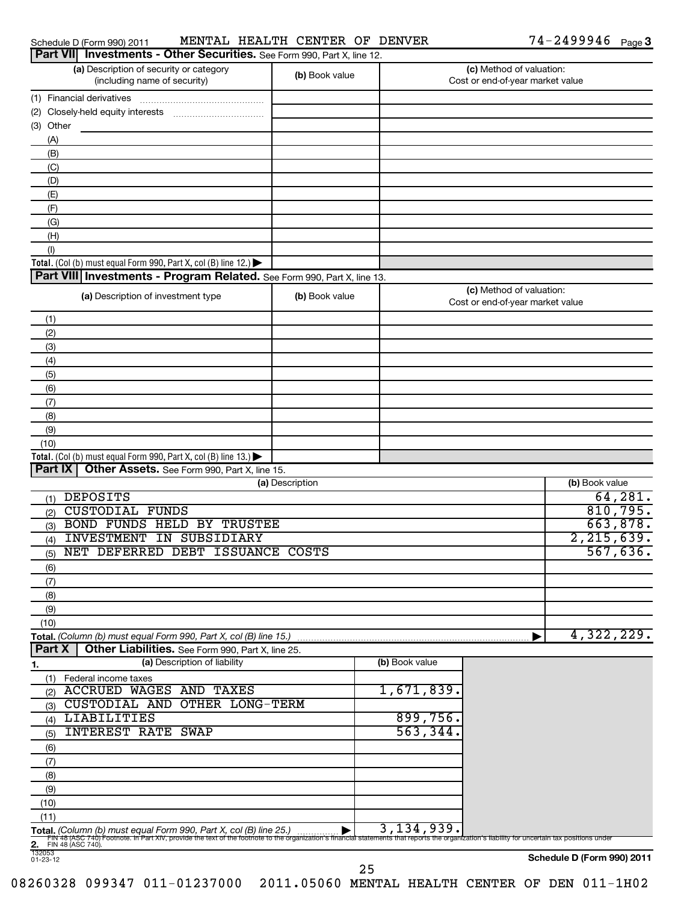| Schedule D (Form 990) 201 <sup>-</sup> |  |
|----------------------------------------|--|
|                                        |  |

### Schedule D (Form 990) 2011 MENTAL HEALTH CENTER OF DENVER  $74-2499946$  Page

| Part VII Investments - Other Securities. See Form 990, Part X, line 12.                                                                                                      |                 |                                                                                                      |                                                              |                            |
|------------------------------------------------------------------------------------------------------------------------------------------------------------------------------|-----------------|------------------------------------------------------------------------------------------------------|--------------------------------------------------------------|----------------------------|
| (a) Description of security or category<br>(including name of security)                                                                                                      | (b) Book value  |                                                                                                      | (c) Method of valuation:<br>Cost or end-of-year market value |                            |
| (1) Financial derivatives                                                                                                                                                    |                 |                                                                                                      |                                                              |                            |
|                                                                                                                                                                              |                 |                                                                                                      |                                                              |                            |
| (3) Other                                                                                                                                                                    |                 |                                                                                                      |                                                              |                            |
| (A)                                                                                                                                                                          |                 |                                                                                                      |                                                              |                            |
| (B)                                                                                                                                                                          |                 |                                                                                                      |                                                              |                            |
| (C)                                                                                                                                                                          |                 |                                                                                                      |                                                              |                            |
| (D)                                                                                                                                                                          |                 |                                                                                                      |                                                              |                            |
| (E)                                                                                                                                                                          |                 |                                                                                                      |                                                              |                            |
| (F)                                                                                                                                                                          |                 |                                                                                                      |                                                              |                            |
| (G)                                                                                                                                                                          |                 |                                                                                                      |                                                              |                            |
| (H)                                                                                                                                                                          |                 |                                                                                                      |                                                              |                            |
| (1)                                                                                                                                                                          |                 |                                                                                                      |                                                              |                            |
| Total. (Col (b) must equal Form 990, Part X, col (B) line 12.) $\blacktriangleright$                                                                                         |                 |                                                                                                      |                                                              |                            |
| Part VIII Investments - Program Related. See Form 990, Part X, line 13.                                                                                                      |                 |                                                                                                      |                                                              |                            |
| (a) Description of investment type                                                                                                                                           | (b) Book value  |                                                                                                      | (c) Method of valuation:<br>Cost or end-of-year market value |                            |
| (1)                                                                                                                                                                          |                 |                                                                                                      |                                                              |                            |
| (2)                                                                                                                                                                          |                 |                                                                                                      |                                                              |                            |
| (3)                                                                                                                                                                          |                 |                                                                                                      |                                                              |                            |
| (4)                                                                                                                                                                          |                 |                                                                                                      |                                                              |                            |
| (5)                                                                                                                                                                          |                 |                                                                                                      |                                                              |                            |
| (6)                                                                                                                                                                          |                 |                                                                                                      |                                                              |                            |
| (7)                                                                                                                                                                          |                 |                                                                                                      |                                                              |                            |
| (8)                                                                                                                                                                          |                 |                                                                                                      |                                                              |                            |
| (9)                                                                                                                                                                          |                 |                                                                                                      |                                                              |                            |
| (10)<br>Total. (Col (b) must equal Form 990, Part X, col (B) line 13.) $\blacktriangleright$                                                                                 |                 |                                                                                                      |                                                              |                            |
| Part IX   Other Assets. See Form 990, Part X, line 15.                                                                                                                       |                 |                                                                                                      |                                                              |                            |
|                                                                                                                                                                              | (a) Description |                                                                                                      |                                                              | (b) Book value             |
| <b>DEPOSITS</b><br>(1)                                                                                                                                                       |                 |                                                                                                      |                                                              | 64, 281.                   |
| <b>CUSTODIAL FUNDS</b><br>(2)                                                                                                                                                |                 |                                                                                                      |                                                              | 810, 795.                  |
| BOND FUNDS HELD BY TRUSTEE<br>(3)                                                                                                                                            |                 |                                                                                                      |                                                              | 663,878.                   |
| <b>INVESTMENT</b><br>IN SUBSIDIARY<br>(4)                                                                                                                                    |                 |                                                                                                      |                                                              | 2, 215, 639.               |
| NET DEFERRED DEBT ISSUANCE COSTS<br>(5)                                                                                                                                      |                 |                                                                                                      |                                                              | 567,636.                   |
| (6)                                                                                                                                                                          |                 |                                                                                                      |                                                              |                            |
| (7)                                                                                                                                                                          |                 |                                                                                                      |                                                              |                            |
| (8)                                                                                                                                                                          |                 |                                                                                                      |                                                              |                            |
| (9)                                                                                                                                                                          |                 |                                                                                                      |                                                              |                            |
| (10)                                                                                                                                                                         |                 |                                                                                                      |                                                              |                            |
| Total. (Column (b) must equal Form 990, Part X, col (B) line 15.)                                                                                                            |                 |                                                                                                      |                                                              | 4,322,229.                 |
| Part X<br>Other Liabilities. See Form 990, Part X, line 25.                                                                                                                  |                 |                                                                                                      |                                                              |                            |
| (a) Description of liability<br>1.                                                                                                                                           |                 | (b) Book value                                                                                       |                                                              |                            |
| Federal income taxes<br>(1)                                                                                                                                                  |                 |                                                                                                      |                                                              |                            |
| <b>ACCRUED WAGES AND TAXES</b><br>(2)                                                                                                                                        |                 | 1,671,839.                                                                                           |                                                              |                            |
| CUSTODIAL AND OTHER LONG-TERM<br>(3)                                                                                                                                         |                 |                                                                                                      |                                                              |                            |
| <b>LIABILITIES</b><br>(4)                                                                                                                                                    |                 | 899,756.                                                                                             |                                                              |                            |
| <b>INTEREST RATE SWAP</b><br>(5)                                                                                                                                             |                 | 563, 344.                                                                                            |                                                              |                            |
| (6)                                                                                                                                                                          |                 |                                                                                                      |                                                              |                            |
| (7)                                                                                                                                                                          |                 |                                                                                                      |                                                              |                            |
| (8)                                                                                                                                                                          |                 |                                                                                                      |                                                              |                            |
| (9)                                                                                                                                                                          |                 |                                                                                                      |                                                              |                            |
| (10)                                                                                                                                                                         |                 |                                                                                                      |                                                              |                            |
| (11)                                                                                                                                                                         |                 |                                                                                                      |                                                              |                            |
| Total. (Column (b) must equal Form 990, Part X, col (B) line 25.<br>FIN 48 (ASC 740) Footnote. In Part XIV, provide the text of the footnote to the organization's financial |                 | 3,134,939.<br>statements that reports the organization's liability for uncertain tax positions under |                                                              |                            |
| <b>2.</b> FIN 48 (ASC 740).                                                                                                                                                  |                 |                                                                                                      |                                                              |                            |
| $\frac{1}{132053}$<br>01-23-12                                                                                                                                               |                 |                                                                                                      |                                                              | Schedule D (Form 990) 2011 |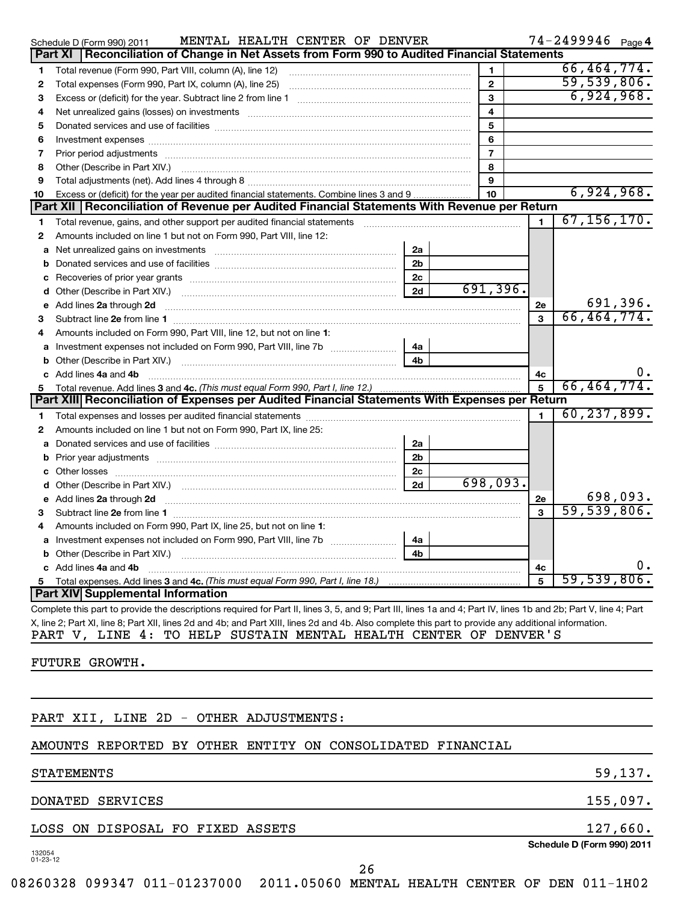|    | MENTAL HEALTH CENTER OF DENVER<br>Schedule D (Form 990) 2011                                                                                                                                                                   |                |                         |    | $74 - 2499946$ Page 4 |          |
|----|--------------------------------------------------------------------------------------------------------------------------------------------------------------------------------------------------------------------------------|----------------|-------------------------|----|-----------------------|----------|
|    | Reconciliation of Change in Net Assets from Form 990 to Audited Financial Statements<br>Part XI                                                                                                                                |                |                         |    |                       |          |
| 1  | Total revenue (Form 990, Part VIII, column (A), line 12)                                                                                                                                                                       |                | 1                       |    | 66, 464, 774.         |          |
| 2  | Total expenses (Form 990, Part IX, column (A), line 25)                                                                                                                                                                        |                | $\mathbf{2}$            |    | 59,539,806.           |          |
| з  |                                                                                                                                                                                                                                |                | 3                       |    | 6,924,968.            |          |
| 4  | Net unrealized gains (losses) on investments [11] matter continuum matter and all the set of the set of the set of the set of the set of the set of the set of the set of the set of the set of the set of the set of the set  |                | $\overline{\mathbf{4}}$ |    |                       |          |
| 5  |                                                                                                                                                                                                                                |                | 5                       |    |                       |          |
| 6  |                                                                                                                                                                                                                                |                | 6                       |    |                       |          |
| 7  |                                                                                                                                                                                                                                |                | $\overline{7}$          |    |                       |          |
| 8  | Other (Describe in Part XIV.)                                                                                                                                                                                                  |                | 8                       |    |                       |          |
| 9  |                                                                                                                                                                                                                                |                | 9                       |    |                       |          |
| 10 | Excess or (deficit) for the year per audited financial statements. Combine lines 3 and 9                                                                                                                                       |                | 10 <sup>10</sup>        |    | 6,924,968.            |          |
|    | Part XII   Reconciliation of Revenue per Audited Financial Statements With Revenue per Return                                                                                                                                  |                |                         |    |                       |          |
| 1  | Total revenue, gains, and other support per audited financial statements                                                                                                                                                       |                |                         | 1  | 67, 156, 170.         |          |
| 2  | Amounts included on line 1 but not on Form 990, Part VIII, line 12:                                                                                                                                                            |                |                         |    |                       |          |
| a  |                                                                                                                                                                                                                                | 2a             |                         |    |                       |          |
| b  |                                                                                                                                                                                                                                | 2 <sub>b</sub> |                         |    |                       |          |
| с  |                                                                                                                                                                                                                                | 2 <sub>c</sub> |                         |    |                       |          |
|    |                                                                                                                                                                                                                                | 2d             | 691,396.                |    |                       |          |
| е  | Add lines 2a through 2d                                                                                                                                                                                                        |                |                         | 2e |                       | 691,396. |
| 3  |                                                                                                                                                                                                                                |                |                         | 3  | 66, 464, 774.         |          |
| 4  | Amounts included on Form 990, Part VIII, line 12, but not on line 1:                                                                                                                                                           |                |                         |    |                       |          |
|    | a Investment expenses not included on Form 990, Part VIII, line 7b                                                                                                                                                             | 4a             |                         |    |                       |          |
| b  |                                                                                                                                                                                                                                | 4 <sub>b</sub> |                         |    |                       |          |
|    | c Add lines 4a and 4b                                                                                                                                                                                                          |                |                         | 4c |                       | υ.       |
| 5. | Total revenue. Add lines 3 and 4c. (This must equal Form 990, Part I, line 12.)                                                                                                                                                |                |                         | 5  | 66,464,774.           |          |
|    | Part XIII Reconciliation of Expenses per Audited Financial Statements With Expenses per Return                                                                                                                                 |                |                         |    |                       |          |
| 1  |                                                                                                                                                                                                                                |                |                         | 1  | 60, 237, 899.         |          |
| 2  | Amounts included on line 1 but not on Form 990, Part IX, line 25:                                                                                                                                                              |                |                         |    |                       |          |
|    | <b>a</b> Donated services and use of facilities <i>communically contained vertical</i> and the position of a position of the                                                                                                   | 2a             |                         |    |                       |          |
|    |                                                                                                                                                                                                                                | 2 <sub>b</sub> |                         |    |                       |          |
|    |                                                                                                                                                                                                                                | 2 <sub>c</sub> |                         |    |                       |          |
| d  |                                                                                                                                                                                                                                | 2d             | 698,093.                |    |                       |          |
|    | e Add lines 2a through 2d 20 20 20 20 20 20 20 20 20 30 31 32 33 34 35 36 37 38 38 39 39 30 31 32 33 34 35 36 37 38 39 39 30 31 32 33 4 34 35 36 37 38 39 39 39 30 31 32 33 43 59 30 31 32 33 43 59 30 31 32 33 43 59 30 31 32 |                |                         | 2е |                       | 698,093. |
| 3  |                                                                                                                                                                                                                                |                |                         | 3  | 59,539,806.           |          |
| 4  | Amounts included on Form 990, Part IX, line 25, but not on line 1:                                                                                                                                                             |                |                         |    |                       |          |
|    |                                                                                                                                                                                                                                | 4a             |                         |    |                       |          |
| b  |                                                                                                                                                                                                                                | 4b             |                         |    |                       |          |
|    | c Add lines 4a and 4b                                                                                                                                                                                                          |                |                         | 4c |                       | О.       |
| 5  |                                                                                                                                                                                                                                |                |                         | 5  | 59,539,806.           |          |
|    | Part XIV Supplemental Information                                                                                                                                                                                              |                |                         |    |                       |          |
|    | Complete this part to provide the descriptions required for Part II, lines 3, 5, and 9; Part III, lines 1a and 4; Part IV, lines 1b and 2b; Part V, line 4; Part                                                               |                |                         |    |                       |          |

X, line 2; Part XI, line 8; Part XII, lines 2d and 4b; and Part XIII, lines 2d and 4b. Also complete this part to provide any additional information. PART V, LINE 4: TO HELP SUSTAIN MENTAL HEALTH CENTER OF DENVER'S

FUTURE GROWTH.

PART XII, LINE 2D - OTHER ADJUSTMENTS:

AMOUNTS REPORTED BY OTHER ENTITY ON CONSOLIDATED FINANCIAL

## STATEMENTS 59,137.

DONATED SERVICES 155,097.

LOSS ON DISPOSAL FO FIXED ASSETS 127,660.

132054 01-23-12

26

**Schedule D (Form 990) 2011**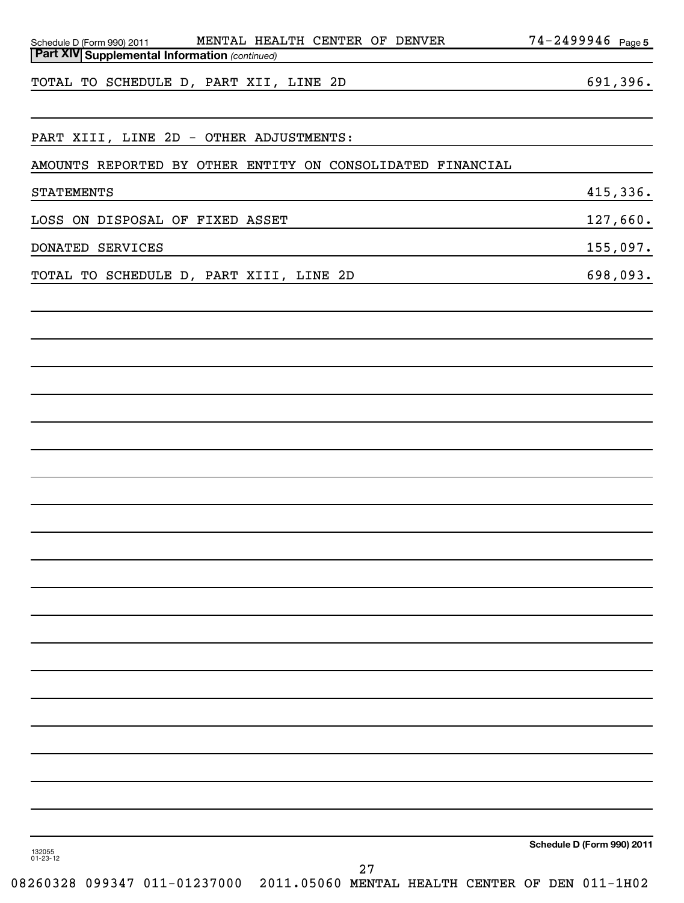| MENTAL HEALTH CENTER OF DENVER<br>Schedule D (Form 990) 2011 | $74 - 2499946$ Page 5      |
|--------------------------------------------------------------|----------------------------|
| Part XIV Supplemental Information (continued)                |                            |
| TOTAL TO SCHEDULE D, PART XII, LINE 2D                       | 691,396.                   |
|                                                              |                            |
| PART XIII, LINE 2D - OTHER ADJUSTMENTS:                      |                            |
|                                                              |                            |
| AMOUNTS REPORTED BY OTHER ENTITY ON CONSOLIDATED FINANCIAL   |                            |
| <b>STATEMENTS</b>                                            | 415,336.                   |
| LOSS ON DISPOSAL OF FIXED ASSET                              | 127,660.                   |
| DONATED SERVICES                                             | 155,097.                   |
| TOTAL TO SCHEDULE D, PART XIII, LINE 2D                      | 698,093.                   |
|                                                              |                            |
|                                                              |                            |
|                                                              |                            |
|                                                              |                            |
|                                                              |                            |
|                                                              |                            |
|                                                              |                            |
|                                                              |                            |
|                                                              |                            |
|                                                              |                            |
|                                                              |                            |
|                                                              |                            |
|                                                              |                            |
|                                                              |                            |
|                                                              |                            |
|                                                              |                            |
|                                                              |                            |
|                                                              |                            |
|                                                              |                            |
|                                                              |                            |
|                                                              |                            |
|                                                              |                            |
|                                                              |                            |
| 132055                                                       | Schedule D (Form 990) 2011 |
| $01 - 23 - 12$<br>27                                         |                            |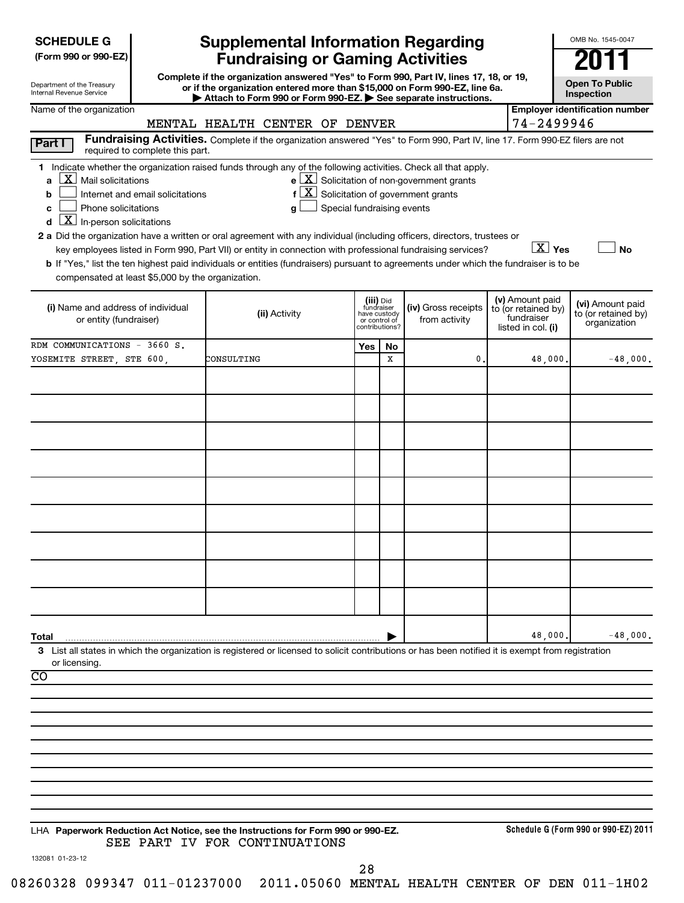| <b>SCHEDULE G</b> |  |
|-------------------|--|
|-------------------|--|

| Department of the Treasury |  |
|----------------------------|--|
| Internal Revenue Service   |  |

# **Supplemental Information Regarding Fundraising or Gaming Activities 2011**

**Complete if the organization answered "Yes" to Form 990, Part IV, lines 17, 18, or 19, or if the organization entered more than \$15,000 on Form 990-EZ, line 6a. | Attach to Form 990 or Form 990-EZ. | See separate instructions.**

**Open To Public Inspection**

OMB No. 1545-0047

| Name of the organization                                                                                                                                                                                                                                                                                                                                                                                                                                                                                                                                                                                                                                                                                                        |                                                                                                                                                                 |     |                                                                            |                                                                         |                                                                            | <b>Employer identification number</b>                   |
|---------------------------------------------------------------------------------------------------------------------------------------------------------------------------------------------------------------------------------------------------------------------------------------------------------------------------------------------------------------------------------------------------------------------------------------------------------------------------------------------------------------------------------------------------------------------------------------------------------------------------------------------------------------------------------------------------------------------------------|-----------------------------------------------------------------------------------------------------------------------------------------------------------------|-----|----------------------------------------------------------------------------|-------------------------------------------------------------------------|----------------------------------------------------------------------------|---------------------------------------------------------|
|                                                                                                                                                                                                                                                                                                                                                                                                                                                                                                                                                                                                                                                                                                                                 | MENTAL HEALTH CENTER OF DENVER<br>Fundraising Activities. Complete if the organization answered "Yes" to Form 990, Part IV, line 17. Form 990-EZ filers are not |     |                                                                            |                                                                         | 74-2499946                                                                 |                                                         |
| <b>Part I</b><br>required to complete this part.                                                                                                                                                                                                                                                                                                                                                                                                                                                                                                                                                                                                                                                                                |                                                                                                                                                                 |     |                                                                            |                                                                         |                                                                            |                                                         |
| 1 Indicate whether the organization raised funds through any of the following activities. Check all that apply.<br>$\mathbf{X}$ Mail solicitations<br>a<br>Internet and email solicitations<br>b<br>Phone solicitations<br>C<br>$\overline{\mathbf{X}}$ In-person solicitations<br>d<br>2 a Did the organization have a written or oral agreement with any individual (including officers, directors, trustees or<br>key employees listed in Form 990, Part VII) or entity in connection with professional fundraising services?<br>b If "Yes," list the ten highest paid individuals or entities (fundraisers) pursuant to agreements under which the fundraiser is to be<br>compensated at least \$5,000 by the organization. | $f\left[\frac{X}{X}\right]$ Solicitation of government grants<br>Special fundraising events<br>a                                                                |     |                                                                            | $\mathbf{e}$ $\boxed{\mathbf{X}}$ Solicitation of non-government grants | $\boxed{\text{X}}$ Yes                                                     | <b>No</b>                                               |
| (i) Name and address of individual<br>or entity (fundraiser)                                                                                                                                                                                                                                                                                                                                                                                                                                                                                                                                                                                                                                                                    | (ii) Activity                                                                                                                                                   |     | (iii) Did<br>fundraiser<br>have custody<br>or control of<br>contributions? | (iv) Gross receipts<br>from activity                                    | (v) Amount paid<br>to (or retained by)<br>fundraiser<br>listed in col. (i) | (vi) Amount paid<br>to (or retained by)<br>organization |
| RDM COMMUNICATIONS - 3660 S.                                                                                                                                                                                                                                                                                                                                                                                                                                                                                                                                                                                                                                                                                                    |                                                                                                                                                                 | Yes | No                                                                         |                                                                         |                                                                            |                                                         |
| YOSEMITE STREET, STE 600,                                                                                                                                                                                                                                                                                                                                                                                                                                                                                                                                                                                                                                                                                                       | CONSULTING                                                                                                                                                      |     | X                                                                          | 0                                                                       | 48,000.                                                                    | $-48,000.$                                              |
|                                                                                                                                                                                                                                                                                                                                                                                                                                                                                                                                                                                                                                                                                                                                 |                                                                                                                                                                 |     |                                                                            |                                                                         |                                                                            |                                                         |
|                                                                                                                                                                                                                                                                                                                                                                                                                                                                                                                                                                                                                                                                                                                                 |                                                                                                                                                                 |     |                                                                            |                                                                         |                                                                            |                                                         |
|                                                                                                                                                                                                                                                                                                                                                                                                                                                                                                                                                                                                                                                                                                                                 |                                                                                                                                                                 |     |                                                                            |                                                                         |                                                                            |                                                         |
|                                                                                                                                                                                                                                                                                                                                                                                                                                                                                                                                                                                                                                                                                                                                 |                                                                                                                                                                 |     |                                                                            |                                                                         |                                                                            |                                                         |
|                                                                                                                                                                                                                                                                                                                                                                                                                                                                                                                                                                                                                                                                                                                                 |                                                                                                                                                                 |     |                                                                            |                                                                         |                                                                            |                                                         |
| Total                                                                                                                                                                                                                                                                                                                                                                                                                                                                                                                                                                                                                                                                                                                           |                                                                                                                                                                 |     |                                                                            |                                                                         | 48,000.                                                                    | $-48,000.$                                              |
| 3 List all states in which the organization is registered or licensed to solicit contributions or has been notified it is exempt from registration<br>or licensing.<br>$\overline{co}$                                                                                                                                                                                                                                                                                                                                                                                                                                                                                                                                          |                                                                                                                                                                 |     |                                                                            |                                                                         |                                                                            |                                                         |
|                                                                                                                                                                                                                                                                                                                                                                                                                                                                                                                                                                                                                                                                                                                                 |                                                                                                                                                                 |     |                                                                            |                                                                         |                                                                            |                                                         |
|                                                                                                                                                                                                                                                                                                                                                                                                                                                                                                                                                                                                                                                                                                                                 |                                                                                                                                                                 |     |                                                                            |                                                                         |                                                                            |                                                         |
|                                                                                                                                                                                                                                                                                                                                                                                                                                                                                                                                                                                                                                                                                                                                 |                                                                                                                                                                 |     |                                                                            |                                                                         |                                                                            |                                                         |
|                                                                                                                                                                                                                                                                                                                                                                                                                                                                                                                                                                                                                                                                                                                                 |                                                                                                                                                                 |     |                                                                            |                                                                         |                                                                            |                                                         |
| LHA Paperwork Reduction Act Notice, see the Instructions for Form 990 or 990-EZ.                                                                                                                                                                                                                                                                                                                                                                                                                                                                                                                                                                                                                                                | SEE PART IV FOR CONTINUATIONS                                                                                                                                   |     |                                                                            |                                                                         |                                                                            | Schedule G (Form 990 or 990-EZ) 2011                    |

132081 01-23-12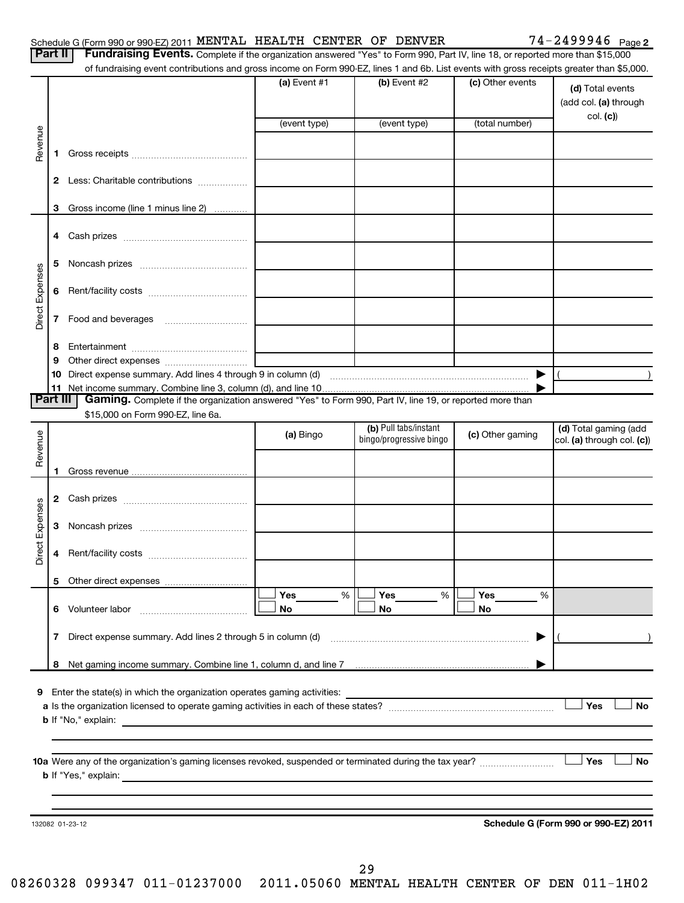|                 | Part II  | Fundraising Events. Complete if the organization answered "Yes" to Form 990, Part IV, line 18, or reported more than \$15,000<br>of fundraising event contributions and gross income on Form 990-EZ, lines 1 and 6b. List events with gross receipts greater than \$5,000. |              |                         |                       |                                           |
|-----------------|----------|----------------------------------------------------------------------------------------------------------------------------------------------------------------------------------------------------------------------------------------------------------------------------|--------------|-------------------------|-----------------------|-------------------------------------------|
|                 |          |                                                                                                                                                                                                                                                                            | (a) Event #1 | $(b)$ Event #2          | (c) Other events      | (d) Total events<br>(add col. (a) through |
|                 |          |                                                                                                                                                                                                                                                                            | (event type) | (event type)            | (total number)        | col. (c))                                 |
| Revenue         |          |                                                                                                                                                                                                                                                                            |              |                         |                       |                                           |
|                 | 1.       |                                                                                                                                                                                                                                                                            |              |                         |                       |                                           |
|                 | 2        | Less: Charitable contributions                                                                                                                                                                                                                                             |              |                         |                       |                                           |
|                 | 3        | Gross income (line 1 minus line 2)                                                                                                                                                                                                                                         |              |                         |                       |                                           |
|                 | 4        |                                                                                                                                                                                                                                                                            |              |                         |                       |                                           |
|                 | 5        |                                                                                                                                                                                                                                                                            |              |                         |                       |                                           |
| Direct Expenses | 6        |                                                                                                                                                                                                                                                                            |              |                         |                       |                                           |
|                 | 7        |                                                                                                                                                                                                                                                                            |              |                         |                       |                                           |
|                 | 8        |                                                                                                                                                                                                                                                                            |              |                         |                       |                                           |
|                 | 9        |                                                                                                                                                                                                                                                                            |              |                         |                       |                                           |
|                 | 10       |                                                                                                                                                                                                                                                                            |              |                         | $\blacktriangleright$ |                                           |
|                 | Part III | Gaming. Complete if the organization answered "Yes" to Form 990, Part IV, line 19, or reported more than                                                                                                                                                                   |              |                         |                       |                                           |
|                 |          | \$15,000 on Form 990-EZ, line 6a.                                                                                                                                                                                                                                          |              |                         |                       |                                           |
|                 |          |                                                                                                                                                                                                                                                                            |              | (b) Pull tabs/instant   |                       | (d) Total gaming (add                     |
|                 |          |                                                                                                                                                                                                                                                                            | (a) Bingo    | bingo/progressive bingo | (c) Other gaming      | col. (a) through col. (c))                |
| Revenue         | 1        |                                                                                                                                                                                                                                                                            |              |                         |                       |                                           |
|                 | 2        |                                                                                                                                                                                                                                                                            |              |                         |                       |                                           |
|                 | 3        |                                                                                                                                                                                                                                                                            |              |                         |                       |                                           |
| Direct Expenses | 4        |                                                                                                                                                                                                                                                                            |              |                         |                       |                                           |
|                 | 5        |                                                                                                                                                                                                                                                                            |              |                         |                       |                                           |
|                 |          |                                                                                                                                                                                                                                                                            | Yes<br>%     | Yes<br>%                | Yes<br>%              |                                           |
|                 | 6        | Volunteer labor                                                                                                                                                                                                                                                            | No           | No                      | No                    |                                           |
|                 | 7        |                                                                                                                                                                                                                                                                            |              |                         | ▶                     |                                           |
|                 | 8        |                                                                                                                                                                                                                                                                            |              |                         |                       |                                           |
|                 |          |                                                                                                                                                                                                                                                                            |              |                         |                       |                                           |
| 9               |          | Enter the state(s) in which the organization operates gaming activities:                                                                                                                                                                                                   |              |                         |                       | Yes<br><b>No</b>                          |
|                 |          |                                                                                                                                                                                                                                                                            |              |                         |                       |                                           |
|                 |          | 10a Were any of the organization's gaming licenses revoked, suspended or terminated during the tax year?                                                                                                                                                                   |              |                         |                       | <b>No</b><br>Yes                          |
|                 |          |                                                                                                                                                                                                                                                                            |              |                         |                       |                                           |
|                 |          |                                                                                                                                                                                                                                                                            |              |                         |                       |                                           |
|                 |          | 132082 01-23-12                                                                                                                                                                                                                                                            |              |                         |                       | Schedule G (Form 990 or 990-EZ) 2011      |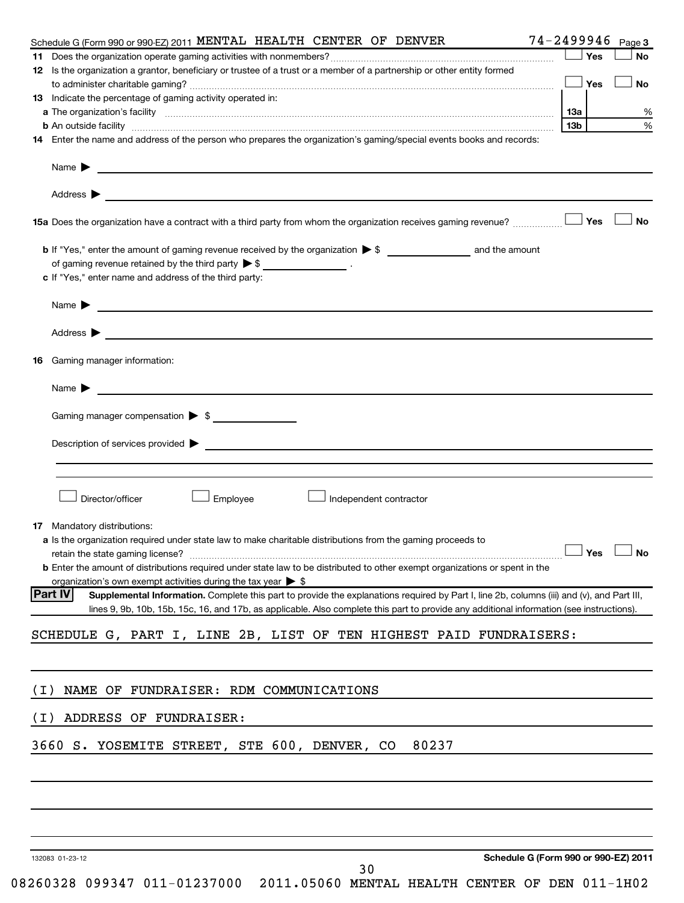|       | Schedule G (Form 990 or 990-EZ) 2011 MENTAL HEALTH CENTER OF DENVER                                                                                                                                                                      |     |     | 74-2499946 Page 3 |
|-------|------------------------------------------------------------------------------------------------------------------------------------------------------------------------------------------------------------------------------------------|-----|-----|-------------------|
|       |                                                                                                                                                                                                                                          |     | Yes | <b>No</b>         |
|       | 12 Is the organization a grantor, beneficiary or trustee of a trust or a member of a partnership or other entity formed                                                                                                                  |     |     |                   |
|       |                                                                                                                                                                                                                                          |     | Yes | <b>No</b>         |
|       | 13 Indicate the percentage of gaming activity operated in:                                                                                                                                                                               |     |     |                   |
|       |                                                                                                                                                                                                                                          | 13a |     | %                 |
|       | <b>b</b> An outside facility <i>www.communically.communically.communically</i> and the set of the set of the set of the set of the set of the set of the set of the set of the set of the set of the set of the set of the set of the se | 13b |     | %                 |
|       | 14 Enter the name and address of the person who prepares the organization's gaming/special events books and records:                                                                                                                     |     |     |                   |
|       |                                                                                                                                                                                                                                          |     |     |                   |
|       | Address $\blacktriangleright$                                                                                                                                                                                                            |     |     |                   |
|       | 15a Does the organization have a contract with a third party from whom the organization receives gaming revenue?                                                                                                                         |     | Yes | <b>No</b>         |
|       |                                                                                                                                                                                                                                          |     |     |                   |
|       | of gaming revenue retained by the third party $\triangleright$ \$ __________________.                                                                                                                                                    |     |     |                   |
|       | c If "Yes," enter name and address of the third party:                                                                                                                                                                                   |     |     |                   |
|       |                                                                                                                                                                                                                                          |     |     |                   |
|       |                                                                                                                                                                                                                                          |     |     |                   |
|       |                                                                                                                                                                                                                                          |     |     |                   |
|       | Address $\begin{array}{ c c c c c }\hline \text{ } & \text{ } & \text{ } \end{array}$                                                                                                                                                    |     |     |                   |
|       |                                                                                                                                                                                                                                          |     |     |                   |
| 16    | Gaming manager information:                                                                                                                                                                                                              |     |     |                   |
|       | Name $\sum_{n=1}^{\infty}$                                                                                                                                                                                                               |     |     |                   |
|       |                                                                                                                                                                                                                                          |     |     |                   |
|       | Gaming manager compensation $\triangleright$ \$                                                                                                                                                                                          |     |     |                   |
|       |                                                                                                                                                                                                                                          |     |     |                   |
|       | Description of services provided states and the contract of the contract of the contract of the contract of the contract of the contract of the contract of the contract of the contract of the contract of the contract of th           |     |     |                   |
|       |                                                                                                                                                                                                                                          |     |     |                   |
|       |                                                                                                                                                                                                                                          |     |     |                   |
|       |                                                                                                                                                                                                                                          |     |     |                   |
|       | Employee<br>Director/officer<br>Independent contractor                                                                                                                                                                                   |     |     |                   |
|       |                                                                                                                                                                                                                                          |     |     |                   |
|       | 17 Mandatory distributions:                                                                                                                                                                                                              |     |     |                   |
|       | a Is the organization required under state law to make charitable distributions from the gaming proceeds to                                                                                                                              |     |     |                   |
|       | retain the state gaming license? $\Box$ No                                                                                                                                                                                               |     |     |                   |
|       | <b>b</b> Enter the amount of distributions required under state law to be distributed to other exempt organizations or spent in the                                                                                                      |     |     |                   |
|       | organization's own exempt activities during the tax year $\triangleright$ \$                                                                                                                                                             |     |     |                   |
|       | <b>Part IV</b><br>Supplemental Information. Complete this part to provide the explanations required by Part I, line 2b, columns (iii) and (v), and Part III,                                                                             |     |     |                   |
|       | lines 9, 9b, 10b, 15b, 15c, 16, and 17b, as applicable. Also complete this part to provide any additional information (see instructions).                                                                                                |     |     |                   |
|       | SCHEDULE G, PART I, LINE 2B, LIST OF TEN HIGHEST PAID FUNDRAISERS:                                                                                                                                                                       |     |     |                   |
|       |                                                                                                                                                                                                                                          |     |     |                   |
|       |                                                                                                                                                                                                                                          |     |     |                   |
|       |                                                                                                                                                                                                                                          |     |     |                   |
| ( I ) | NAME OF FUNDRAISER: RDM COMMUNICATIONS                                                                                                                                                                                                   |     |     |                   |
|       |                                                                                                                                                                                                                                          |     |     |                   |
| (I)   | ADDRESS OF FUNDRAISER:                                                                                                                                                                                                                   |     |     |                   |
|       |                                                                                                                                                                                                                                          |     |     |                   |
|       | 80237<br>3660 S. YOSEMITE STREET, STE 600, DENVER, CO                                                                                                                                                                                    |     |     |                   |
|       |                                                                                                                                                                                                                                          |     |     |                   |
|       |                                                                                                                                                                                                                                          |     |     |                   |
|       |                                                                                                                                                                                                                                          |     |     |                   |
|       |                                                                                                                                                                                                                                          |     |     |                   |
|       |                                                                                                                                                                                                                                          |     |     |                   |
|       |                                                                                                                                                                                                                                          |     |     |                   |
|       | Schedule G (Form 990 or 990-EZ) 2011<br>132083 01-23-12                                                                                                                                                                                  |     |     |                   |
|       | 30                                                                                                                                                                                                                                       |     |     |                   |

<sup>08260328 099347 011-01237000 2011.05060</sup> MENTAL HEALTH CENTER OF DEN 011-1H02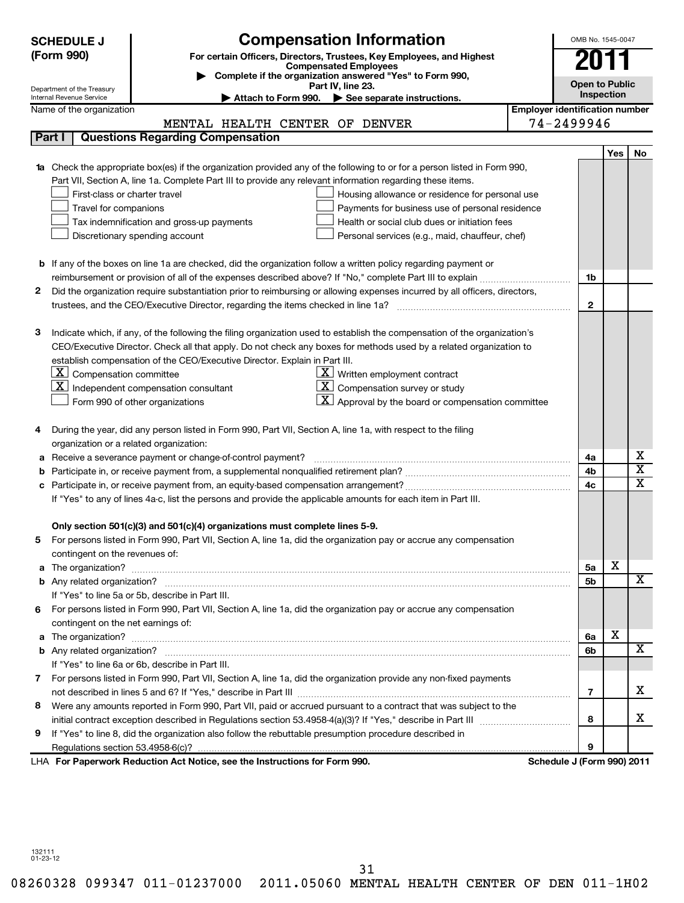| For certain Officers, Directors, Trustees, Key Employees, and Highest<br>2011<br><b>Compensated Employees</b><br>Complete if the organization answered "Yes" to Form 990,<br><b>Open to Public</b><br>Part IV, line 23.<br>Department of the Treasury<br>Inspection<br>Internal Revenue Service<br>Attach to Form 990.<br>See separate instructions.<br><b>Employer identification number</b><br>Name of the organization<br>74-2499946<br>MENTAL HEALTH CENTER OF DENVER<br>Part I<br><b>Questions Regarding Compensation</b><br>Yes<br>No<br>1a Check the appropriate box(es) if the organization provided any of the following to or for a person listed in Form 990,<br>Part VII, Section A, line 1a. Complete Part III to provide any relevant information regarding these items.<br>First-class or charter travel<br>Housing allowance or residence for personal use<br>Payments for business use of personal residence<br>Travel for companions<br>Health or social club dues or initiation fees<br>Tax indemnification and gross-up payments<br>Discretionary spending account<br>Personal services (e.g., maid, chauffeur, chef)<br><b>b</b> If any of the boxes on line 1a are checked, did the organization follow a written policy regarding payment or<br>1b<br>2<br>Did the organization require substantiation prior to reimbursing or allowing expenses incurred by all officers, directors,<br>$\mathbf{2}$<br>Indicate which, if any, of the following the filing organization used to establish the compensation of the organization's<br>з<br>CEO/Executive Director. Check all that apply. Do not check any boxes for methods used by a related organization to<br>establish compensation of the CEO/Executive Director. Explain in Part III.<br>$\mathbf{X}$ Compensation committee<br>$\lfloor \underline{X} \rfloor$ Written employment contract<br>$\lfloor \underline{\textbf{X}} \rfloor$ Compensation survey or study<br>$\mathbf{X}$ Independent compensation consultant<br>$\lfloor \underline{X} \rfloor$ Approval by the board or compensation committee<br>Form 990 of other organizations<br>During the year, did any person listed in Form 990, Part VII, Section A, line 1a, with respect to the filing<br>4<br>organization or a related organization:<br>х<br>Receive a severance payment or change-of-control payment?<br>4a<br>а<br>$\overline{\textbf{x}}$<br>4b<br>$\overline{\mathbf{x}}$<br>4c<br>с<br>If "Yes" to any of lines 4a-c, list the persons and provide the applicable amounts for each item in Part III.<br>Only section 501(c)(3) and 501(c)(4) organizations must complete lines 5-9.<br>For persons listed in Form 990, Part VII, Section A, line 1a, did the organization pay or accrue any compensation<br>b<br>contingent on the revenues of:<br>х<br>5a<br>x<br>5b<br>If "Yes" to line 5a or 5b, describe in Part III.<br>6 For persons listed in Form 990, Part VII, Section A, line 1a, did the organization pay or accrue any compensation<br>contingent on the net earnings of:<br>x<br>The organization? <b>With the contract of the contract of the contract of the contract of the contract of the contract of the contract of the contract of the contract of the contract of the contract of the contract of the co</b><br>6a<br>а<br>X<br>6b<br>If "Yes" to line 6a or 6b, describe in Part III.<br>For persons listed in Form 990, Part VII, Section A, line 1a, did the organization provide any non-fixed payments<br>7.<br>x<br>$\overline{7}$<br>Were any amounts reported in Form 990, Part VII, paid or accrued pursuant to a contract that was subject to the<br>8<br>x<br>8<br>If "Yes" to line 8, did the organization also follow the rebuttable presumption procedure described in<br>9<br>9<br>LHA For Paperwork Reduction Act Notice, see the Instructions for Form 990.<br>Schedule J (Form 990) 2011 | <b>SCHEDULE J</b> | <b>Compensation Information</b> | OMB No. 1545-0047 |  |
|-----------------------------------------------------------------------------------------------------------------------------------------------------------------------------------------------------------------------------------------------------------------------------------------------------------------------------------------------------------------------------------------------------------------------------------------------------------------------------------------------------------------------------------------------------------------------------------------------------------------------------------------------------------------------------------------------------------------------------------------------------------------------------------------------------------------------------------------------------------------------------------------------------------------------------------------------------------------------------------------------------------------------------------------------------------------------------------------------------------------------------------------------------------------------------------------------------------------------------------------------------------------------------------------------------------------------------------------------------------------------------------------------------------------------------------------------------------------------------------------------------------------------------------------------------------------------------------------------------------------------------------------------------------------------------------------------------------------------------------------------------------------------------------------------------------------------------------------------------------------------------------------------------------------------------------------------------------------------------------------------------------------------------------------------------------------------------------------------------------------------------------------------------------------------------------------------------------------------------------------------------------------------------------------------------------------------------------------------------------------------------------------------------------------------------------------------------------------------------------------------------------------------------------------------------------------------------------------------------------------------------------------------------------------------------------------------------------------------------------------------------------------------------------------------------------------------------------------------------------------------------------------------------------------------------------------------------------------------------------------------------------------------------------------------------------------------------------------------------------------------------------------------------------------------------------------------------------------------------------------------------------------------------------------------------------------------------------------------------------------------------------------------------------------------------------------------------------------------------------------------------------------------------------------------------------------------------------------------------------------------------------------------------------------------------------------------------------------------------------------------------------------------------------------------------------------------------------------------------------------------------------------------|-------------------|---------------------------------|-------------------|--|
|                                                                                                                                                                                                                                                                                                                                                                                                                                                                                                                                                                                                                                                                                                                                                                                                                                                                                                                                                                                                                                                                                                                                                                                                                                                                                                                                                                                                                                                                                                                                                                                                                                                                                                                                                                                                                                                                                                                                                                                                                                                                                                                                                                                                                                                                                                                                                                                                                                                                                                                                                                                                                                                                                                                                                                                                                                                                                                                                                                                                                                                                                                                                                                                                                                                                                                                                                                                                                                                                                                                                                                                                                                                                                                                                                                                                                                                                                               | (Form 990)        |                                 |                   |  |
|                                                                                                                                                                                                                                                                                                                                                                                                                                                                                                                                                                                                                                                                                                                                                                                                                                                                                                                                                                                                                                                                                                                                                                                                                                                                                                                                                                                                                                                                                                                                                                                                                                                                                                                                                                                                                                                                                                                                                                                                                                                                                                                                                                                                                                                                                                                                                                                                                                                                                                                                                                                                                                                                                                                                                                                                                                                                                                                                                                                                                                                                                                                                                                                                                                                                                                                                                                                                                                                                                                                                                                                                                                                                                                                                                                                                                                                                                               |                   |                                 |                   |  |
|                                                                                                                                                                                                                                                                                                                                                                                                                                                                                                                                                                                                                                                                                                                                                                                                                                                                                                                                                                                                                                                                                                                                                                                                                                                                                                                                                                                                                                                                                                                                                                                                                                                                                                                                                                                                                                                                                                                                                                                                                                                                                                                                                                                                                                                                                                                                                                                                                                                                                                                                                                                                                                                                                                                                                                                                                                                                                                                                                                                                                                                                                                                                                                                                                                                                                                                                                                                                                                                                                                                                                                                                                                                                                                                                                                                                                                                                                               |                   |                                 |                   |  |
|                                                                                                                                                                                                                                                                                                                                                                                                                                                                                                                                                                                                                                                                                                                                                                                                                                                                                                                                                                                                                                                                                                                                                                                                                                                                                                                                                                                                                                                                                                                                                                                                                                                                                                                                                                                                                                                                                                                                                                                                                                                                                                                                                                                                                                                                                                                                                                                                                                                                                                                                                                                                                                                                                                                                                                                                                                                                                                                                                                                                                                                                                                                                                                                                                                                                                                                                                                                                                                                                                                                                                                                                                                                                                                                                                                                                                                                                                               |                   |                                 |                   |  |
|                                                                                                                                                                                                                                                                                                                                                                                                                                                                                                                                                                                                                                                                                                                                                                                                                                                                                                                                                                                                                                                                                                                                                                                                                                                                                                                                                                                                                                                                                                                                                                                                                                                                                                                                                                                                                                                                                                                                                                                                                                                                                                                                                                                                                                                                                                                                                                                                                                                                                                                                                                                                                                                                                                                                                                                                                                                                                                                                                                                                                                                                                                                                                                                                                                                                                                                                                                                                                                                                                                                                                                                                                                                                                                                                                                                                                                                                                               |                   |                                 |                   |  |
|                                                                                                                                                                                                                                                                                                                                                                                                                                                                                                                                                                                                                                                                                                                                                                                                                                                                                                                                                                                                                                                                                                                                                                                                                                                                                                                                                                                                                                                                                                                                                                                                                                                                                                                                                                                                                                                                                                                                                                                                                                                                                                                                                                                                                                                                                                                                                                                                                                                                                                                                                                                                                                                                                                                                                                                                                                                                                                                                                                                                                                                                                                                                                                                                                                                                                                                                                                                                                                                                                                                                                                                                                                                                                                                                                                                                                                                                                               |                   |                                 |                   |  |
|                                                                                                                                                                                                                                                                                                                                                                                                                                                                                                                                                                                                                                                                                                                                                                                                                                                                                                                                                                                                                                                                                                                                                                                                                                                                                                                                                                                                                                                                                                                                                                                                                                                                                                                                                                                                                                                                                                                                                                                                                                                                                                                                                                                                                                                                                                                                                                                                                                                                                                                                                                                                                                                                                                                                                                                                                                                                                                                                                                                                                                                                                                                                                                                                                                                                                                                                                                                                                                                                                                                                                                                                                                                                                                                                                                                                                                                                                               |                   |                                 |                   |  |
|                                                                                                                                                                                                                                                                                                                                                                                                                                                                                                                                                                                                                                                                                                                                                                                                                                                                                                                                                                                                                                                                                                                                                                                                                                                                                                                                                                                                                                                                                                                                                                                                                                                                                                                                                                                                                                                                                                                                                                                                                                                                                                                                                                                                                                                                                                                                                                                                                                                                                                                                                                                                                                                                                                                                                                                                                                                                                                                                                                                                                                                                                                                                                                                                                                                                                                                                                                                                                                                                                                                                                                                                                                                                                                                                                                                                                                                                                               |                   |                                 |                   |  |
|                                                                                                                                                                                                                                                                                                                                                                                                                                                                                                                                                                                                                                                                                                                                                                                                                                                                                                                                                                                                                                                                                                                                                                                                                                                                                                                                                                                                                                                                                                                                                                                                                                                                                                                                                                                                                                                                                                                                                                                                                                                                                                                                                                                                                                                                                                                                                                                                                                                                                                                                                                                                                                                                                                                                                                                                                                                                                                                                                                                                                                                                                                                                                                                                                                                                                                                                                                                                                                                                                                                                                                                                                                                                                                                                                                                                                                                                                               |                   |                                 |                   |  |
|                                                                                                                                                                                                                                                                                                                                                                                                                                                                                                                                                                                                                                                                                                                                                                                                                                                                                                                                                                                                                                                                                                                                                                                                                                                                                                                                                                                                                                                                                                                                                                                                                                                                                                                                                                                                                                                                                                                                                                                                                                                                                                                                                                                                                                                                                                                                                                                                                                                                                                                                                                                                                                                                                                                                                                                                                                                                                                                                                                                                                                                                                                                                                                                                                                                                                                                                                                                                                                                                                                                                                                                                                                                                                                                                                                                                                                                                                               |                   |                                 |                   |  |
|                                                                                                                                                                                                                                                                                                                                                                                                                                                                                                                                                                                                                                                                                                                                                                                                                                                                                                                                                                                                                                                                                                                                                                                                                                                                                                                                                                                                                                                                                                                                                                                                                                                                                                                                                                                                                                                                                                                                                                                                                                                                                                                                                                                                                                                                                                                                                                                                                                                                                                                                                                                                                                                                                                                                                                                                                                                                                                                                                                                                                                                                                                                                                                                                                                                                                                                                                                                                                                                                                                                                                                                                                                                                                                                                                                                                                                                                                               |                   |                                 |                   |  |
|                                                                                                                                                                                                                                                                                                                                                                                                                                                                                                                                                                                                                                                                                                                                                                                                                                                                                                                                                                                                                                                                                                                                                                                                                                                                                                                                                                                                                                                                                                                                                                                                                                                                                                                                                                                                                                                                                                                                                                                                                                                                                                                                                                                                                                                                                                                                                                                                                                                                                                                                                                                                                                                                                                                                                                                                                                                                                                                                                                                                                                                                                                                                                                                                                                                                                                                                                                                                                                                                                                                                                                                                                                                                                                                                                                                                                                                                                               |                   |                                 |                   |  |
|                                                                                                                                                                                                                                                                                                                                                                                                                                                                                                                                                                                                                                                                                                                                                                                                                                                                                                                                                                                                                                                                                                                                                                                                                                                                                                                                                                                                                                                                                                                                                                                                                                                                                                                                                                                                                                                                                                                                                                                                                                                                                                                                                                                                                                                                                                                                                                                                                                                                                                                                                                                                                                                                                                                                                                                                                                                                                                                                                                                                                                                                                                                                                                                                                                                                                                                                                                                                                                                                                                                                                                                                                                                                                                                                                                                                                                                                                               |                   |                                 |                   |  |
|                                                                                                                                                                                                                                                                                                                                                                                                                                                                                                                                                                                                                                                                                                                                                                                                                                                                                                                                                                                                                                                                                                                                                                                                                                                                                                                                                                                                                                                                                                                                                                                                                                                                                                                                                                                                                                                                                                                                                                                                                                                                                                                                                                                                                                                                                                                                                                                                                                                                                                                                                                                                                                                                                                                                                                                                                                                                                                                                                                                                                                                                                                                                                                                                                                                                                                                                                                                                                                                                                                                                                                                                                                                                                                                                                                                                                                                                                               |                   |                                 |                   |  |
|                                                                                                                                                                                                                                                                                                                                                                                                                                                                                                                                                                                                                                                                                                                                                                                                                                                                                                                                                                                                                                                                                                                                                                                                                                                                                                                                                                                                                                                                                                                                                                                                                                                                                                                                                                                                                                                                                                                                                                                                                                                                                                                                                                                                                                                                                                                                                                                                                                                                                                                                                                                                                                                                                                                                                                                                                                                                                                                                                                                                                                                                                                                                                                                                                                                                                                                                                                                                                                                                                                                                                                                                                                                                                                                                                                                                                                                                                               |                   |                                 |                   |  |
|                                                                                                                                                                                                                                                                                                                                                                                                                                                                                                                                                                                                                                                                                                                                                                                                                                                                                                                                                                                                                                                                                                                                                                                                                                                                                                                                                                                                                                                                                                                                                                                                                                                                                                                                                                                                                                                                                                                                                                                                                                                                                                                                                                                                                                                                                                                                                                                                                                                                                                                                                                                                                                                                                                                                                                                                                                                                                                                                                                                                                                                                                                                                                                                                                                                                                                                                                                                                                                                                                                                                                                                                                                                                                                                                                                                                                                                                                               |                   |                                 |                   |  |
|                                                                                                                                                                                                                                                                                                                                                                                                                                                                                                                                                                                                                                                                                                                                                                                                                                                                                                                                                                                                                                                                                                                                                                                                                                                                                                                                                                                                                                                                                                                                                                                                                                                                                                                                                                                                                                                                                                                                                                                                                                                                                                                                                                                                                                                                                                                                                                                                                                                                                                                                                                                                                                                                                                                                                                                                                                                                                                                                                                                                                                                                                                                                                                                                                                                                                                                                                                                                                                                                                                                                                                                                                                                                                                                                                                                                                                                                                               |                   |                                 |                   |  |
|                                                                                                                                                                                                                                                                                                                                                                                                                                                                                                                                                                                                                                                                                                                                                                                                                                                                                                                                                                                                                                                                                                                                                                                                                                                                                                                                                                                                                                                                                                                                                                                                                                                                                                                                                                                                                                                                                                                                                                                                                                                                                                                                                                                                                                                                                                                                                                                                                                                                                                                                                                                                                                                                                                                                                                                                                                                                                                                                                                                                                                                                                                                                                                                                                                                                                                                                                                                                                                                                                                                                                                                                                                                                                                                                                                                                                                                                                               |                   |                                 |                   |  |
|                                                                                                                                                                                                                                                                                                                                                                                                                                                                                                                                                                                                                                                                                                                                                                                                                                                                                                                                                                                                                                                                                                                                                                                                                                                                                                                                                                                                                                                                                                                                                                                                                                                                                                                                                                                                                                                                                                                                                                                                                                                                                                                                                                                                                                                                                                                                                                                                                                                                                                                                                                                                                                                                                                                                                                                                                                                                                                                                                                                                                                                                                                                                                                                                                                                                                                                                                                                                                                                                                                                                                                                                                                                                                                                                                                                                                                                                                               |                   |                                 |                   |  |
|                                                                                                                                                                                                                                                                                                                                                                                                                                                                                                                                                                                                                                                                                                                                                                                                                                                                                                                                                                                                                                                                                                                                                                                                                                                                                                                                                                                                                                                                                                                                                                                                                                                                                                                                                                                                                                                                                                                                                                                                                                                                                                                                                                                                                                                                                                                                                                                                                                                                                                                                                                                                                                                                                                                                                                                                                                                                                                                                                                                                                                                                                                                                                                                                                                                                                                                                                                                                                                                                                                                                                                                                                                                                                                                                                                                                                                                                                               |                   |                                 |                   |  |
|                                                                                                                                                                                                                                                                                                                                                                                                                                                                                                                                                                                                                                                                                                                                                                                                                                                                                                                                                                                                                                                                                                                                                                                                                                                                                                                                                                                                                                                                                                                                                                                                                                                                                                                                                                                                                                                                                                                                                                                                                                                                                                                                                                                                                                                                                                                                                                                                                                                                                                                                                                                                                                                                                                                                                                                                                                                                                                                                                                                                                                                                                                                                                                                                                                                                                                                                                                                                                                                                                                                                                                                                                                                                                                                                                                                                                                                                                               |                   |                                 |                   |  |
|                                                                                                                                                                                                                                                                                                                                                                                                                                                                                                                                                                                                                                                                                                                                                                                                                                                                                                                                                                                                                                                                                                                                                                                                                                                                                                                                                                                                                                                                                                                                                                                                                                                                                                                                                                                                                                                                                                                                                                                                                                                                                                                                                                                                                                                                                                                                                                                                                                                                                                                                                                                                                                                                                                                                                                                                                                                                                                                                                                                                                                                                                                                                                                                                                                                                                                                                                                                                                                                                                                                                                                                                                                                                                                                                                                                                                                                                                               |                   |                                 |                   |  |
|                                                                                                                                                                                                                                                                                                                                                                                                                                                                                                                                                                                                                                                                                                                                                                                                                                                                                                                                                                                                                                                                                                                                                                                                                                                                                                                                                                                                                                                                                                                                                                                                                                                                                                                                                                                                                                                                                                                                                                                                                                                                                                                                                                                                                                                                                                                                                                                                                                                                                                                                                                                                                                                                                                                                                                                                                                                                                                                                                                                                                                                                                                                                                                                                                                                                                                                                                                                                                                                                                                                                                                                                                                                                                                                                                                                                                                                                                               |                   |                                 |                   |  |
|                                                                                                                                                                                                                                                                                                                                                                                                                                                                                                                                                                                                                                                                                                                                                                                                                                                                                                                                                                                                                                                                                                                                                                                                                                                                                                                                                                                                                                                                                                                                                                                                                                                                                                                                                                                                                                                                                                                                                                                                                                                                                                                                                                                                                                                                                                                                                                                                                                                                                                                                                                                                                                                                                                                                                                                                                                                                                                                                                                                                                                                                                                                                                                                                                                                                                                                                                                                                                                                                                                                                                                                                                                                                                                                                                                                                                                                                                               |                   |                                 |                   |  |
|                                                                                                                                                                                                                                                                                                                                                                                                                                                                                                                                                                                                                                                                                                                                                                                                                                                                                                                                                                                                                                                                                                                                                                                                                                                                                                                                                                                                                                                                                                                                                                                                                                                                                                                                                                                                                                                                                                                                                                                                                                                                                                                                                                                                                                                                                                                                                                                                                                                                                                                                                                                                                                                                                                                                                                                                                                                                                                                                                                                                                                                                                                                                                                                                                                                                                                                                                                                                                                                                                                                                                                                                                                                                                                                                                                                                                                                                                               |                   |                                 |                   |  |
|                                                                                                                                                                                                                                                                                                                                                                                                                                                                                                                                                                                                                                                                                                                                                                                                                                                                                                                                                                                                                                                                                                                                                                                                                                                                                                                                                                                                                                                                                                                                                                                                                                                                                                                                                                                                                                                                                                                                                                                                                                                                                                                                                                                                                                                                                                                                                                                                                                                                                                                                                                                                                                                                                                                                                                                                                                                                                                                                                                                                                                                                                                                                                                                                                                                                                                                                                                                                                                                                                                                                                                                                                                                                                                                                                                                                                                                                                               |                   |                                 |                   |  |
|                                                                                                                                                                                                                                                                                                                                                                                                                                                                                                                                                                                                                                                                                                                                                                                                                                                                                                                                                                                                                                                                                                                                                                                                                                                                                                                                                                                                                                                                                                                                                                                                                                                                                                                                                                                                                                                                                                                                                                                                                                                                                                                                                                                                                                                                                                                                                                                                                                                                                                                                                                                                                                                                                                                                                                                                                                                                                                                                                                                                                                                                                                                                                                                                                                                                                                                                                                                                                                                                                                                                                                                                                                                                                                                                                                                                                                                                                               |                   |                                 |                   |  |
|                                                                                                                                                                                                                                                                                                                                                                                                                                                                                                                                                                                                                                                                                                                                                                                                                                                                                                                                                                                                                                                                                                                                                                                                                                                                                                                                                                                                                                                                                                                                                                                                                                                                                                                                                                                                                                                                                                                                                                                                                                                                                                                                                                                                                                                                                                                                                                                                                                                                                                                                                                                                                                                                                                                                                                                                                                                                                                                                                                                                                                                                                                                                                                                                                                                                                                                                                                                                                                                                                                                                                                                                                                                                                                                                                                                                                                                                                               |                   |                                 |                   |  |
|                                                                                                                                                                                                                                                                                                                                                                                                                                                                                                                                                                                                                                                                                                                                                                                                                                                                                                                                                                                                                                                                                                                                                                                                                                                                                                                                                                                                                                                                                                                                                                                                                                                                                                                                                                                                                                                                                                                                                                                                                                                                                                                                                                                                                                                                                                                                                                                                                                                                                                                                                                                                                                                                                                                                                                                                                                                                                                                                                                                                                                                                                                                                                                                                                                                                                                                                                                                                                                                                                                                                                                                                                                                                                                                                                                                                                                                                                               |                   |                                 |                   |  |
|                                                                                                                                                                                                                                                                                                                                                                                                                                                                                                                                                                                                                                                                                                                                                                                                                                                                                                                                                                                                                                                                                                                                                                                                                                                                                                                                                                                                                                                                                                                                                                                                                                                                                                                                                                                                                                                                                                                                                                                                                                                                                                                                                                                                                                                                                                                                                                                                                                                                                                                                                                                                                                                                                                                                                                                                                                                                                                                                                                                                                                                                                                                                                                                                                                                                                                                                                                                                                                                                                                                                                                                                                                                                                                                                                                                                                                                                                               |                   |                                 |                   |  |
|                                                                                                                                                                                                                                                                                                                                                                                                                                                                                                                                                                                                                                                                                                                                                                                                                                                                                                                                                                                                                                                                                                                                                                                                                                                                                                                                                                                                                                                                                                                                                                                                                                                                                                                                                                                                                                                                                                                                                                                                                                                                                                                                                                                                                                                                                                                                                                                                                                                                                                                                                                                                                                                                                                                                                                                                                                                                                                                                                                                                                                                                                                                                                                                                                                                                                                                                                                                                                                                                                                                                                                                                                                                                                                                                                                                                                                                                                               |                   |                                 |                   |  |
|                                                                                                                                                                                                                                                                                                                                                                                                                                                                                                                                                                                                                                                                                                                                                                                                                                                                                                                                                                                                                                                                                                                                                                                                                                                                                                                                                                                                                                                                                                                                                                                                                                                                                                                                                                                                                                                                                                                                                                                                                                                                                                                                                                                                                                                                                                                                                                                                                                                                                                                                                                                                                                                                                                                                                                                                                                                                                                                                                                                                                                                                                                                                                                                                                                                                                                                                                                                                                                                                                                                                                                                                                                                                                                                                                                                                                                                                                               |                   |                                 |                   |  |
|                                                                                                                                                                                                                                                                                                                                                                                                                                                                                                                                                                                                                                                                                                                                                                                                                                                                                                                                                                                                                                                                                                                                                                                                                                                                                                                                                                                                                                                                                                                                                                                                                                                                                                                                                                                                                                                                                                                                                                                                                                                                                                                                                                                                                                                                                                                                                                                                                                                                                                                                                                                                                                                                                                                                                                                                                                                                                                                                                                                                                                                                                                                                                                                                                                                                                                                                                                                                                                                                                                                                                                                                                                                                                                                                                                                                                                                                                               |                   |                                 |                   |  |
|                                                                                                                                                                                                                                                                                                                                                                                                                                                                                                                                                                                                                                                                                                                                                                                                                                                                                                                                                                                                                                                                                                                                                                                                                                                                                                                                                                                                                                                                                                                                                                                                                                                                                                                                                                                                                                                                                                                                                                                                                                                                                                                                                                                                                                                                                                                                                                                                                                                                                                                                                                                                                                                                                                                                                                                                                                                                                                                                                                                                                                                                                                                                                                                                                                                                                                                                                                                                                                                                                                                                                                                                                                                                                                                                                                                                                                                                                               |                   |                                 |                   |  |
|                                                                                                                                                                                                                                                                                                                                                                                                                                                                                                                                                                                                                                                                                                                                                                                                                                                                                                                                                                                                                                                                                                                                                                                                                                                                                                                                                                                                                                                                                                                                                                                                                                                                                                                                                                                                                                                                                                                                                                                                                                                                                                                                                                                                                                                                                                                                                                                                                                                                                                                                                                                                                                                                                                                                                                                                                                                                                                                                                                                                                                                                                                                                                                                                                                                                                                                                                                                                                                                                                                                                                                                                                                                                                                                                                                                                                                                                                               |                   |                                 |                   |  |
|                                                                                                                                                                                                                                                                                                                                                                                                                                                                                                                                                                                                                                                                                                                                                                                                                                                                                                                                                                                                                                                                                                                                                                                                                                                                                                                                                                                                                                                                                                                                                                                                                                                                                                                                                                                                                                                                                                                                                                                                                                                                                                                                                                                                                                                                                                                                                                                                                                                                                                                                                                                                                                                                                                                                                                                                                                                                                                                                                                                                                                                                                                                                                                                                                                                                                                                                                                                                                                                                                                                                                                                                                                                                                                                                                                                                                                                                                               |                   |                                 |                   |  |
|                                                                                                                                                                                                                                                                                                                                                                                                                                                                                                                                                                                                                                                                                                                                                                                                                                                                                                                                                                                                                                                                                                                                                                                                                                                                                                                                                                                                                                                                                                                                                                                                                                                                                                                                                                                                                                                                                                                                                                                                                                                                                                                                                                                                                                                                                                                                                                                                                                                                                                                                                                                                                                                                                                                                                                                                                                                                                                                                                                                                                                                                                                                                                                                                                                                                                                                                                                                                                                                                                                                                                                                                                                                                                                                                                                                                                                                                                               |                   |                                 |                   |  |
|                                                                                                                                                                                                                                                                                                                                                                                                                                                                                                                                                                                                                                                                                                                                                                                                                                                                                                                                                                                                                                                                                                                                                                                                                                                                                                                                                                                                                                                                                                                                                                                                                                                                                                                                                                                                                                                                                                                                                                                                                                                                                                                                                                                                                                                                                                                                                                                                                                                                                                                                                                                                                                                                                                                                                                                                                                                                                                                                                                                                                                                                                                                                                                                                                                                                                                                                                                                                                                                                                                                                                                                                                                                                                                                                                                                                                                                                                               |                   |                                 |                   |  |
|                                                                                                                                                                                                                                                                                                                                                                                                                                                                                                                                                                                                                                                                                                                                                                                                                                                                                                                                                                                                                                                                                                                                                                                                                                                                                                                                                                                                                                                                                                                                                                                                                                                                                                                                                                                                                                                                                                                                                                                                                                                                                                                                                                                                                                                                                                                                                                                                                                                                                                                                                                                                                                                                                                                                                                                                                                                                                                                                                                                                                                                                                                                                                                                                                                                                                                                                                                                                                                                                                                                                                                                                                                                                                                                                                                                                                                                                                               |                   |                                 |                   |  |
|                                                                                                                                                                                                                                                                                                                                                                                                                                                                                                                                                                                                                                                                                                                                                                                                                                                                                                                                                                                                                                                                                                                                                                                                                                                                                                                                                                                                                                                                                                                                                                                                                                                                                                                                                                                                                                                                                                                                                                                                                                                                                                                                                                                                                                                                                                                                                                                                                                                                                                                                                                                                                                                                                                                                                                                                                                                                                                                                                                                                                                                                                                                                                                                                                                                                                                                                                                                                                                                                                                                                                                                                                                                                                                                                                                                                                                                                                               |                   |                                 |                   |  |
|                                                                                                                                                                                                                                                                                                                                                                                                                                                                                                                                                                                                                                                                                                                                                                                                                                                                                                                                                                                                                                                                                                                                                                                                                                                                                                                                                                                                                                                                                                                                                                                                                                                                                                                                                                                                                                                                                                                                                                                                                                                                                                                                                                                                                                                                                                                                                                                                                                                                                                                                                                                                                                                                                                                                                                                                                                                                                                                                                                                                                                                                                                                                                                                                                                                                                                                                                                                                                                                                                                                                                                                                                                                                                                                                                                                                                                                                                               |                   |                                 |                   |  |
|                                                                                                                                                                                                                                                                                                                                                                                                                                                                                                                                                                                                                                                                                                                                                                                                                                                                                                                                                                                                                                                                                                                                                                                                                                                                                                                                                                                                                                                                                                                                                                                                                                                                                                                                                                                                                                                                                                                                                                                                                                                                                                                                                                                                                                                                                                                                                                                                                                                                                                                                                                                                                                                                                                                                                                                                                                                                                                                                                                                                                                                                                                                                                                                                                                                                                                                                                                                                                                                                                                                                                                                                                                                                                                                                                                                                                                                                                               |                   |                                 |                   |  |
|                                                                                                                                                                                                                                                                                                                                                                                                                                                                                                                                                                                                                                                                                                                                                                                                                                                                                                                                                                                                                                                                                                                                                                                                                                                                                                                                                                                                                                                                                                                                                                                                                                                                                                                                                                                                                                                                                                                                                                                                                                                                                                                                                                                                                                                                                                                                                                                                                                                                                                                                                                                                                                                                                                                                                                                                                                                                                                                                                                                                                                                                                                                                                                                                                                                                                                                                                                                                                                                                                                                                                                                                                                                                                                                                                                                                                                                                                               |                   |                                 |                   |  |
|                                                                                                                                                                                                                                                                                                                                                                                                                                                                                                                                                                                                                                                                                                                                                                                                                                                                                                                                                                                                                                                                                                                                                                                                                                                                                                                                                                                                                                                                                                                                                                                                                                                                                                                                                                                                                                                                                                                                                                                                                                                                                                                                                                                                                                                                                                                                                                                                                                                                                                                                                                                                                                                                                                                                                                                                                                                                                                                                                                                                                                                                                                                                                                                                                                                                                                                                                                                                                                                                                                                                                                                                                                                                                                                                                                                                                                                                                               |                   |                                 |                   |  |
|                                                                                                                                                                                                                                                                                                                                                                                                                                                                                                                                                                                                                                                                                                                                                                                                                                                                                                                                                                                                                                                                                                                                                                                                                                                                                                                                                                                                                                                                                                                                                                                                                                                                                                                                                                                                                                                                                                                                                                                                                                                                                                                                                                                                                                                                                                                                                                                                                                                                                                                                                                                                                                                                                                                                                                                                                                                                                                                                                                                                                                                                                                                                                                                                                                                                                                                                                                                                                                                                                                                                                                                                                                                                                                                                                                                                                                                                                               |                   |                                 |                   |  |
|                                                                                                                                                                                                                                                                                                                                                                                                                                                                                                                                                                                                                                                                                                                                                                                                                                                                                                                                                                                                                                                                                                                                                                                                                                                                                                                                                                                                                                                                                                                                                                                                                                                                                                                                                                                                                                                                                                                                                                                                                                                                                                                                                                                                                                                                                                                                                                                                                                                                                                                                                                                                                                                                                                                                                                                                                                                                                                                                                                                                                                                                                                                                                                                                                                                                                                                                                                                                                                                                                                                                                                                                                                                                                                                                                                                                                                                                                               |                   |                                 |                   |  |
|                                                                                                                                                                                                                                                                                                                                                                                                                                                                                                                                                                                                                                                                                                                                                                                                                                                                                                                                                                                                                                                                                                                                                                                                                                                                                                                                                                                                                                                                                                                                                                                                                                                                                                                                                                                                                                                                                                                                                                                                                                                                                                                                                                                                                                                                                                                                                                                                                                                                                                                                                                                                                                                                                                                                                                                                                                                                                                                                                                                                                                                                                                                                                                                                                                                                                                                                                                                                                                                                                                                                                                                                                                                                                                                                                                                                                                                                                               |                   |                                 |                   |  |
|                                                                                                                                                                                                                                                                                                                                                                                                                                                                                                                                                                                                                                                                                                                                                                                                                                                                                                                                                                                                                                                                                                                                                                                                                                                                                                                                                                                                                                                                                                                                                                                                                                                                                                                                                                                                                                                                                                                                                                                                                                                                                                                                                                                                                                                                                                                                                                                                                                                                                                                                                                                                                                                                                                                                                                                                                                                                                                                                                                                                                                                                                                                                                                                                                                                                                                                                                                                                                                                                                                                                                                                                                                                                                                                                                                                                                                                                                               |                   |                                 |                   |  |
|                                                                                                                                                                                                                                                                                                                                                                                                                                                                                                                                                                                                                                                                                                                                                                                                                                                                                                                                                                                                                                                                                                                                                                                                                                                                                                                                                                                                                                                                                                                                                                                                                                                                                                                                                                                                                                                                                                                                                                                                                                                                                                                                                                                                                                                                                                                                                                                                                                                                                                                                                                                                                                                                                                                                                                                                                                                                                                                                                                                                                                                                                                                                                                                                                                                                                                                                                                                                                                                                                                                                                                                                                                                                                                                                                                                                                                                                                               |                   |                                 |                   |  |
|                                                                                                                                                                                                                                                                                                                                                                                                                                                                                                                                                                                                                                                                                                                                                                                                                                                                                                                                                                                                                                                                                                                                                                                                                                                                                                                                                                                                                                                                                                                                                                                                                                                                                                                                                                                                                                                                                                                                                                                                                                                                                                                                                                                                                                                                                                                                                                                                                                                                                                                                                                                                                                                                                                                                                                                                                                                                                                                                                                                                                                                                                                                                                                                                                                                                                                                                                                                                                                                                                                                                                                                                                                                                                                                                                                                                                                                                                               |                   |                                 |                   |  |

132111 01-23-12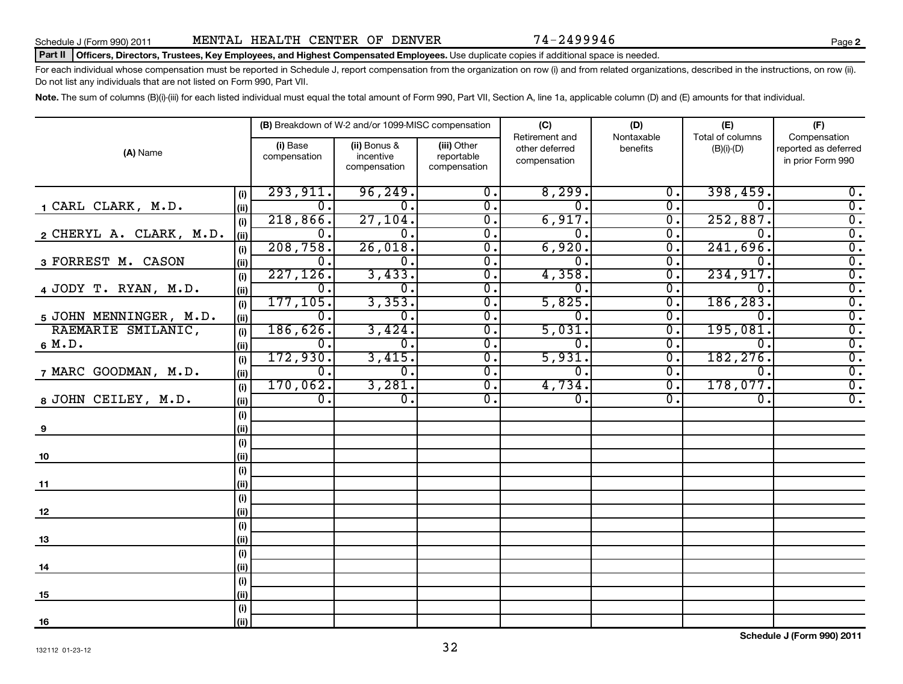| Schedule J (Form 990) 2011 |  |  |
|----------------------------|--|--|

#### Part II | Officers, Directors, Trustees, Key Employees, and Highest Compensated Employees. Use duplicate copies if additional space is needed.

For each individual whose compensation must be reported in Schedule J, report compensation from the organization on row (i) and from related organizations, described in the instructions, on row (ii). Do not list any individuals that are not listed on Form 990, Part VII.

Note. The sum of columns (B)(i)-(iii) for each listed individual must equal the total amount of Form 990, Part VII, Section A, line 1a, applicable column (D) and (E) amounts for that individual.

|                                 |                               | (B) Breakdown of W-2 and/or 1099-MISC compensation |                                           | (C)                                              | (D)                                  | (E)                                  | (F)                                                       |
|---------------------------------|-------------------------------|----------------------------------------------------|-------------------------------------------|--------------------------------------------------|--------------------------------------|--------------------------------------|-----------------------------------------------------------|
| (A) Name                        | (i) Base<br>compensation      | (ii) Bonus &<br>incentive<br>compensation          | (iii) Other<br>reportable<br>compensation | Retirement and<br>other deferred<br>compensation | Nontaxable<br>benefits               | Total of columns<br>$(B)(i)$ - $(D)$ | Compensation<br>reported as deferred<br>in prior Form 990 |
| (i)                             | 293,911.                      | 96, 249.                                           | $\overline{\mathfrak{0}}$ .               | 8,299.                                           | $\overline{0}$ .                     | 398,459.                             | $\overline{0}$ .                                          |
| 1 CARL CLARK, M.D.<br>(ii)      | $\overline{0}$ .              | $\overline{\mathfrak{o}}$ .                        | $\overline{\mathfrak{0}}$ .               | $\overline{\mathfrak{o}}$ .                      | σ.                                   | $\overline{0}$ .                     | $\overline{0}$ .                                          |
| (i)                             | 218,866.                      | 27, 104.                                           | $\overline{0}$ .                          | 6,917.                                           | $\overline{0}$ .                     | 252,887.                             | $\overline{0}$ .                                          |
| 2 CHERYL A. CLARK, M.D.<br>(ii) | $\overline{0}$ .              | $\overline{0}$ .                                   | $\overline{0}$ .                          | $\overline{\mathfrak{o}}$ .                      | $\overline{0}$ .                     | $\overline{0}$ .                     | $\overline{0}$ .                                          |
| (i)                             | 208,758.                      | 26,018.                                            | $\overline{0}$ .                          | 6,920.                                           | $\overline{0}$ .                     | 241,696.                             | $\overline{0}$ .                                          |
| 3 FORREST M. CASON<br>(ii)      | $\overline{0}$ .<br>227, 126. | $\overline{0}$ .                                   | $\overline{0}$ .                          | $\overline{\mathfrak{o}}$ .                      | $\overline{0}$ .                     | $\overline{0}$ .<br>234, 917.        | $\overline{0}$ .                                          |
| (i)<br>4 JODY T. RYAN, M.D.     | $\overline{0}$ .              | 3,433.<br>$\overline{0}$ .                         | $\overline{0}$ .<br>$\overline{0}$ .      | 4,358.<br>$\overline{\mathfrak{o}}$ .            | $\overline{0}$ .<br>$\overline{0}$ . | $\overline{0}$ .                     | $\overline{0}$ .<br>$\overline{0}$ .                      |
| (ii)<br>(i)                     | 177, 105.                     | 3,353.                                             | $\overline{0}$ .                          | 5,825.                                           | $\overline{0}$ .                     | 186,283.                             | $\overline{0}$ .                                          |
| 5 JOHN MENNINGER, M.D.<br>(ii)  | $\overline{0}$ .              | $\overline{0}$ .                                   | $\overline{0}$ .                          | $\overline{\mathfrak{o}}$ .                      | $\overline{0}$ .                     | $\overline{0}$ .                     | $\overline{0}$ .                                          |
| RAEMARIE SMILANIC,<br>(i)       | 186,626.                      | 3,424.                                             | $\overline{0}$ .                          | 5,031.                                           | $\overline{0}$ .                     | 195,081.                             | $\overline{0}$ .                                          |
| 6 M.D.<br>(iii)                 | $\overline{0}$ .              | $\overline{0}$ .                                   | $\overline{0}$ .                          | $\overline{\mathfrak{o}}$ .                      | $\overline{0}$ .                     | $\overline{0}$ .                     | $\overline{0}$ .                                          |
| (i)                             | 172,930.                      | 3,415.                                             | $\overline{0}$ .                          | 5,931.                                           | $\overline{0}$ .                     | 182, 276.                            | $\overline{0}$ .                                          |
| 7 MARC GOODMAN, M.D.<br>(ii)    | $\overline{0}$ .              | $\overline{0}$ .                                   | $\overline{0}$ .                          | $\overline{\mathfrak{o}}$ .                      | $\overline{\mathfrak{o}}$ .          | $\overline{0}$ .                     | $\overline{0}$ .                                          |
| (i)                             | 170,062.                      | 3,281.                                             | $\overline{0}$ .                          | 4,734.                                           | $\overline{0}$ .                     | 178,077.                             | $\overline{0}$ .                                          |
| 8 JOHN CEILEY, M.D.<br>(iii)    | $\overline{0}$ .              | 0.                                                 | $\overline{0}$ .                          | $\overline{0}$ .                                 | $\overline{0}$ .                     | $\overline{0}$ .                     | $\overline{0}$ .                                          |
| (i)                             |                               |                                                    |                                           |                                                  |                                      |                                      |                                                           |
| (ii)<br>9                       |                               |                                                    |                                           |                                                  |                                      |                                      |                                                           |
| (i)                             |                               |                                                    |                                           |                                                  |                                      |                                      |                                                           |
| (ii)<br>10                      |                               |                                                    |                                           |                                                  |                                      |                                      |                                                           |
| (i)                             |                               |                                                    |                                           |                                                  |                                      |                                      |                                                           |
| (ii)<br>11<br>(i)               |                               |                                                    |                                           |                                                  |                                      |                                      |                                                           |
| (ii)<br>12                      |                               |                                                    |                                           |                                                  |                                      |                                      |                                                           |
| (i)                             |                               |                                                    |                                           |                                                  |                                      |                                      |                                                           |
| (ii)<br>13                      |                               |                                                    |                                           |                                                  |                                      |                                      |                                                           |
| (i)                             |                               |                                                    |                                           |                                                  |                                      |                                      |                                                           |
| (ii)<br>14                      |                               |                                                    |                                           |                                                  |                                      |                                      |                                                           |
| (i)                             |                               |                                                    |                                           |                                                  |                                      |                                      |                                                           |
| (ii)<br>15                      |                               |                                                    |                                           |                                                  |                                      |                                      |                                                           |
| $(\sf{i})$                      |                               |                                                    |                                           |                                                  |                                      |                                      |                                                           |
| (ii)<br>16                      |                               |                                                    |                                           |                                                  |                                      |                                      |                                                           |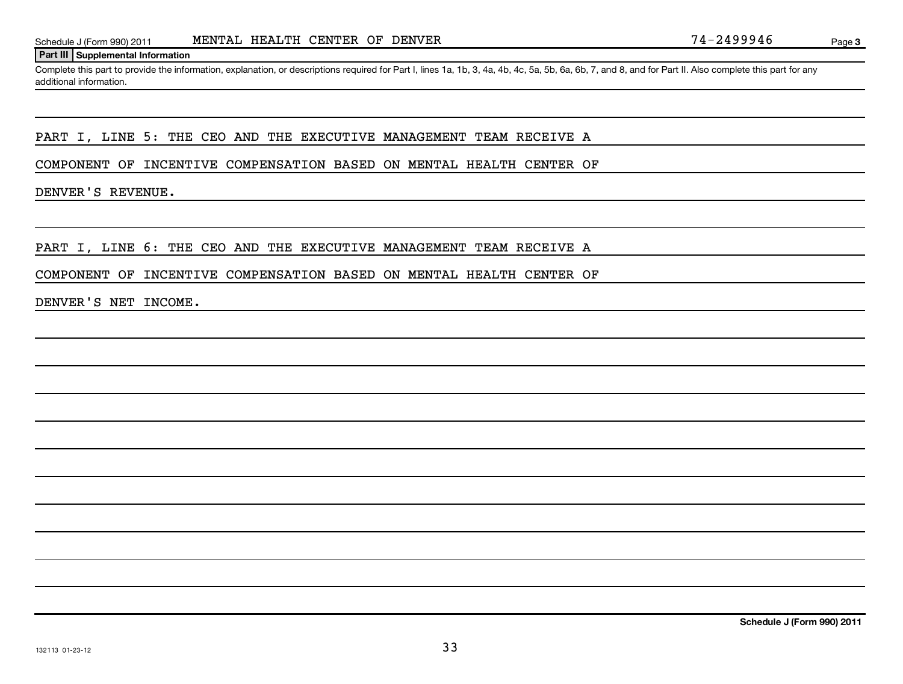#### **Part III Supplemental Information**

Complete this part to provide the information, explanation, or descriptions required for Part I, lines 1a, 1b, 3, 4a, 4b, 4c, 5a, 5b, 6a, 6b, 7, and 8, and for Part II. Also complete this part for any additional information.

### PART I, LINE 5: THE CEO AND THE EXECUTIVE MANAGEMENT TEAM RECEIVE A

COMPONENT OF INCENTIVE COMPENSATION BASED ON MENTAL HEALTH CENTER OF

### DENVER'S REVENUE.

#### PART I, LINE 6: THE CEO AND THE EXECUTIVE MANAGEMENT TEAM RECEIVE A

#### COMPONENT OF INCENTIVE COMPENSATION BASED ON MENTAL HEALTH CENTER OF

#### DENVER'S NET INCOME.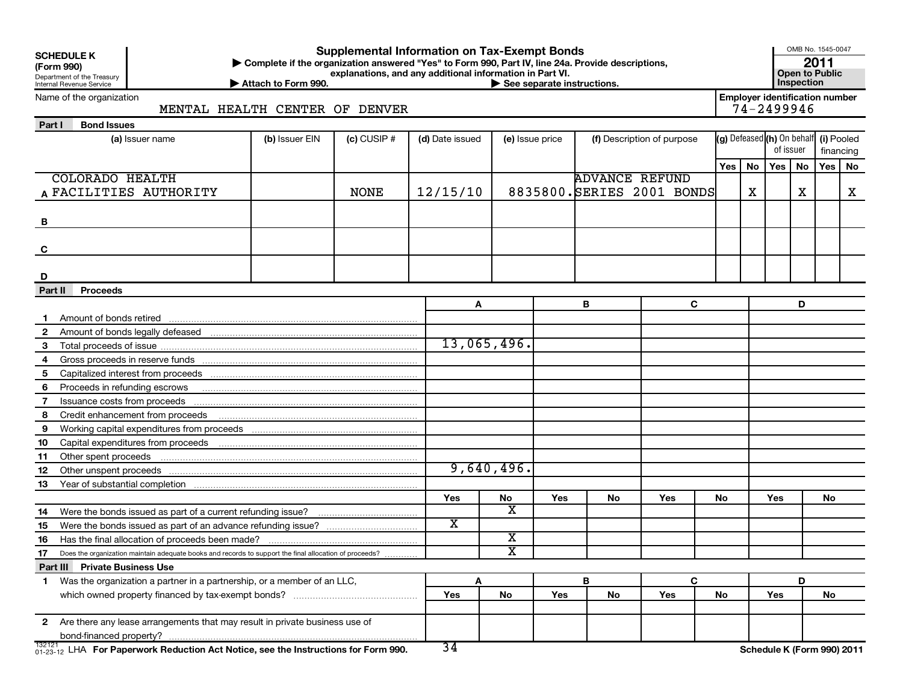| <b>SCHEDULE K</b> |  |  |
|-------------------|--|--|
|                   |  |  |

Department of the Treasury Internal Revenue Service

#### OMB No. 1545-0047 **(Form 990) | Complete if the organization answered "Yes" to Form 990, Part IV, line 24a. Provide descriptions, explanations, and any additional information in Part VI. Consumer Section Consumer Section Consumer Section Supplemental Information on Tax-Exempt Bonds 2011**

Name of the organization

▶ Attach to Form 990. **Inspection Attach to Form 990. Inspections. Inspections.** 

**Employer identification number**<br>74-2499946

MENTAL HEALTH CENTER OF DENVER

| Part I | <b>Bond Issues</b> |
|--------|--------------------|
|        |                    |

| (a) Issuer name                                                                     |                                                                                                                | (b) Issuer EIN | $(c)$ CUSIP # | (d) Date issued         |                                                  | (e) Issue price |                       | (f) Description of purpose |    |          | $\left  (g) \right $ Defeased $\left  (h) \right $ On behalf $\left  (i) \right $ Pooled<br>of issuer |           |     | financing |
|-------------------------------------------------------------------------------------|----------------------------------------------------------------------------------------------------------------|----------------|---------------|-------------------------|--------------------------------------------------|-----------------|-----------------------|----------------------------|----|----------|-------------------------------------------------------------------------------------------------------|-----------|-----|-----------|
|                                                                                     |                                                                                                                |                |               |                         |                                                  |                 |                       |                            |    | Yes   No |                                                                                                       | <b>No</b> | Yes |           |
| <b>COLORADO HEALTH</b>                                                              |                                                                                                                |                |               |                         |                                                  |                 | <b>ADVANCE REFUND</b> |                            |    |          | Yes                                                                                                   |           |     | <b>No</b> |
| A FACILITIES AUTHORITY                                                              |                                                                                                                |                | <b>NONE</b>   | 12/15/10                |                                                  |                 |                       | 8835800. SERIES 2001 BONDS |    | X        |                                                                                                       | X         |     | X         |
|                                                                                     |                                                                                                                |                |               |                         |                                                  |                 |                       |                            |    |          |                                                                                                       |           |     |           |
| B                                                                                   |                                                                                                                |                |               |                         |                                                  |                 |                       |                            |    |          |                                                                                                       |           |     |           |
|                                                                                     |                                                                                                                |                |               |                         |                                                  |                 |                       |                            |    |          |                                                                                                       |           |     |           |
| C                                                                                   |                                                                                                                |                |               |                         |                                                  |                 |                       |                            |    |          |                                                                                                       |           |     |           |
|                                                                                     |                                                                                                                |                |               |                         |                                                  |                 |                       |                            |    |          |                                                                                                       |           |     |           |
| D                                                                                   |                                                                                                                |                |               |                         |                                                  |                 |                       |                            |    |          |                                                                                                       |           |     |           |
| <b>Proceeds</b><br>Part II                                                          |                                                                                                                |                |               |                         |                                                  |                 |                       |                            |    |          |                                                                                                       |           |     |           |
|                                                                                     |                                                                                                                |                |               | A                       |                                                  |                 | B                     | C                          |    | D        |                                                                                                       |           |     |           |
|                                                                                     |                                                                                                                |                |               |                         |                                                  |                 |                       |                            |    |          |                                                                                                       |           |     |           |
| $\mathbf{2}$                                                                        |                                                                                                                |                |               |                         |                                                  |                 |                       |                            |    |          |                                                                                                       |           |     |           |
| 3                                                                                   |                                                                                                                |                |               |                         | 13,065,496.                                      |                 |                       |                            |    |          |                                                                                                       |           |     |           |
| 4                                                                                   |                                                                                                                |                |               |                         |                                                  |                 |                       |                            |    |          |                                                                                                       |           |     |           |
| 5                                                                                   |                                                                                                                |                |               |                         |                                                  |                 |                       |                            |    |          |                                                                                                       |           |     |           |
| Proceeds in refunding escrows<br>6                                                  |                                                                                                                |                |               |                         |                                                  |                 |                       |                            |    |          |                                                                                                       |           |     |           |
| Issuance costs from proceeds<br>7                                                   |                                                                                                                |                |               |                         |                                                  |                 |                       |                            |    |          |                                                                                                       |           |     |           |
| 8                                                                                   |                                                                                                                |                |               |                         |                                                  |                 |                       |                            |    |          |                                                                                                       |           |     |           |
| 9                                                                                   |                                                                                                                |                |               |                         |                                                  |                 |                       |                            |    |          |                                                                                                       |           |     |           |
| 10                                                                                  |                                                                                                                |                |               |                         |                                                  |                 |                       |                            |    |          |                                                                                                       |           |     |           |
| 11                                                                                  |                                                                                                                |                |               |                         |                                                  |                 |                       |                            |    |          |                                                                                                       |           |     |           |
| 12                                                                                  |                                                                                                                |                |               |                         | 9,640,496.                                       |                 |                       |                            |    |          |                                                                                                       |           |     |           |
| 13                                                                                  | Year of substantial completion [11] Martin Marcon Communication of substantial completion [11] Martin Martin M |                |               |                         |                                                  |                 |                       |                            |    |          |                                                                                                       |           |     |           |
|                                                                                     |                                                                                                                |                |               | Yes                     | No                                               | Yes             | No                    | Yes                        | No |          | <b>Yes</b>                                                                                            |           | No  |           |
| 14                                                                                  |                                                                                                                |                |               |                         | $\overline{\text{x}}$                            |                 |                       |                            |    |          |                                                                                                       |           |     |           |
| 15                                                                                  |                                                                                                                |                |               | $\overline{\textbf{x}}$ |                                                  |                 |                       |                            |    |          |                                                                                                       |           |     |           |
| 16                                                                                  |                                                                                                                |                |               |                         | $\overline{\mathbf{x}}$<br>$\overline{\text{x}}$ |                 |                       |                            |    |          |                                                                                                       |           |     |           |
| 17                                                                                  | Does the organization maintain adequate books and records to support the final allocation of proceeds?         |                |               |                         |                                                  |                 |                       |                            |    |          |                                                                                                       |           |     |           |
| <b>Part III Private Business Use</b>                                                |                                                                                                                |                |               |                         |                                                  |                 |                       |                            |    |          |                                                                                                       |           |     |           |
| 1.                                                                                  | Was the organization a partner in a partnership, or a member of an LLC,                                        |                |               | A                       |                                                  |                 | В                     | C                          |    |          |                                                                                                       | D         |     |           |
|                                                                                     |                                                                                                                |                |               | Yes                     | No                                               | <b>Yes</b>      | No                    | <b>Yes</b>                 | No |          | Yes                                                                                                   |           | No  |           |
| 2 Are there any lease arrangements that may result in private business use of       |                                                                                                                |                |               |                         |                                                  |                 |                       |                            |    |          |                                                                                                       |           |     |           |
| bond-financed property?                                                             |                                                                                                                |                |               |                         |                                                  |                 |                       |                            |    |          |                                                                                                       |           |     |           |
| 01-23-12 LHA For Paperwork Reduction Act Notice, see the Instructions for Form 990. |                                                                                                                |                |               | $\overline{34}$         |                                                  |                 |                       |                            |    |          | Schedule K (Form 990) 2011                                                                            |           |     |           |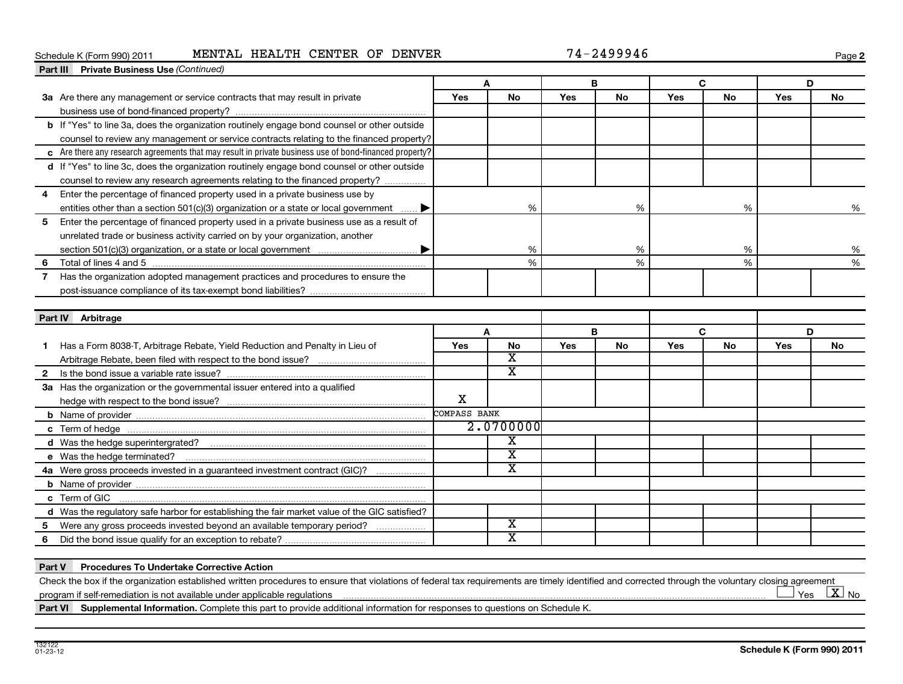### Schedule K (Form 990) 2011 MENTAL HEALTH CENTER OF DENVER 74-2499946

**2**

|              | Part III Private Business Use (Continued)                                                              |              |                         |     |           |     |           |     |           |
|--------------|--------------------------------------------------------------------------------------------------------|--------------|-------------------------|-----|-----------|-----|-----------|-----|-----------|
|              |                                                                                                        |              |                         |     | B         |     | C         |     | D         |
|              | 3a Are there any management or service contracts that may result in private                            | <b>Yes</b>   | <b>No</b>               | Yes | <b>No</b> | Yes | <b>No</b> | Yes | <b>No</b> |
|              |                                                                                                        |              |                         |     |           |     |           |     |           |
|              | b If "Yes" to line 3a, does the organization routinely engage bond counsel or other outside            |              |                         |     |           |     |           |     |           |
|              | counsel to review any management or service contracts relating to the financed property?               |              |                         |     |           |     |           |     |           |
|              | c Are there any research agreements that may result in private business use of bond-financed property? |              |                         |     |           |     |           |     |           |
|              | d If "Yes" to line 3c, does the organization routinely engage bond counsel or other outside            |              |                         |     |           |     |           |     |           |
|              | counsel to review any research agreements relating to the financed property?                           |              |                         |     |           |     |           |     |           |
| 4            | Enter the percentage of financed property used in a private business use by                            |              |                         |     |           |     |           |     |           |
|              | entities other than a section 501(c)(3) organization or a state or local government  ▶                 |              | %                       |     | %         |     | %         |     | %         |
| 5            | Enter the percentage of financed property used in a private business use as a result of                |              |                         |     |           |     |           |     |           |
|              | unrelated trade or business activity carried on by your organization, another                          |              |                         |     |           |     |           |     |           |
|              |                                                                                                        |              | %                       |     | %         |     | %         |     | %         |
| 6            |                                                                                                        |              | %                       |     | %         |     | %         |     | %         |
|              | Has the organization adopted management practices and procedures to ensure the                         |              |                         |     |           |     |           |     |           |
|              |                                                                                                        |              |                         |     |           |     |           |     |           |
|              |                                                                                                        |              |                         |     |           |     |           |     |           |
|              | Part IV Arbitrage                                                                                      |              |                         |     |           |     |           |     |           |
|              |                                                                                                        |              | Δ                       |     | B         |     | C         | D   |           |
|              | Has a Form 8038-T, Arbitrage Rebate, Yield Reduction and Penalty in Lieu of                            | Yes          | No                      | Yes | No        | Yes | No        | Yes | No        |
|              |                                                                                                        |              | $\overline{\textbf{x}}$ |     |           |     |           |     |           |
| $\mathbf{2}$ |                                                                                                        |              | $\overline{\textbf{x}}$ |     |           |     |           |     |           |
|              | 3a Has the organization or the governmental issuer entered into a qualified                            |              |                         |     |           |     |           |     |           |
|              |                                                                                                        | X            |                         |     |           |     |           |     |           |
|              |                                                                                                        | COMPASS BANK |                         |     |           |     |           |     |           |
|              |                                                                                                        |              | 2.0700000               |     |           |     |           |     |           |
|              |                                                                                                        |              | x                       |     |           |     |           |     |           |
|              |                                                                                                        |              | X                       |     |           |     |           |     |           |
|              | 4a Were gross proceeds invested in a quaranteed investment contract (GIC)?                             |              | X                       |     |           |     |           |     |           |
|              |                                                                                                        |              |                         |     |           |     |           |     |           |
|              | c Term of GIC                                                                                          |              |                         |     |           |     |           |     |           |
|              | d Was the regulatory safe harbor for establishing the fair market value of the GIC satisfied?          |              |                         |     |           |     |           |     |           |
| 5            | Were any gross proceeds invested beyond an available temporary period?                                 |              | $\overline{\mathbf{x}}$ |     |           |     |           |     |           |
| 6            |                                                                                                        |              | X                       |     |           |     |           |     |           |
|              |                                                                                                        |              |                         |     |           |     |           |     |           |

#### **Part V Procedures To Undertake Corrective Action**

Check the box if the organization established written procedures to ensure that violations of federal tax requirements are timely identified and corrected through the voluntary closing agreement program if self-remediation is not available under applicable regulations Yes  $\boxed{\text{X}}$  No

Part VI Supplemental Information. Complete this part to provide additional information for responses to questions on Schedule K.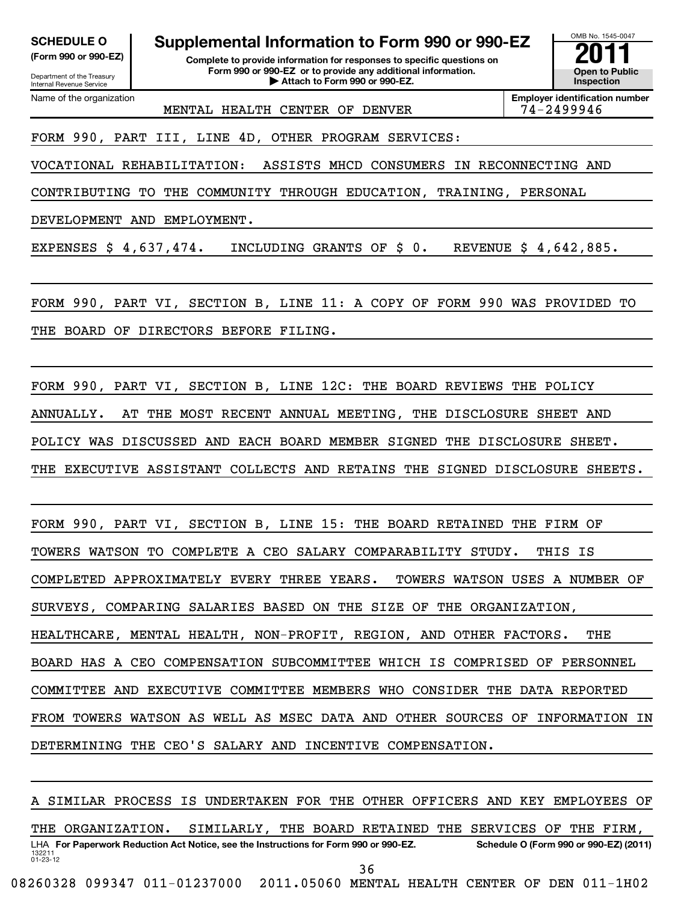Department of the Treasury Internal Revenue Service Name of the organization

**(Form 990 or 990-EZ) Complete to provide information for responses to specific questions on Form 990 or 990-EZ or to provide any additional information. | Attach to Form 990 or 990-EZ. Open to Public** SCHEDULE O **Supplemental Information to Form 990 or 990-EZ**<br> **Supplemental Information for responses to specific questions on**<br>
Form 990 or 990-EZ or to provide any additional information.



MENTAL HEALTH CENTER OF DENVER 74-2499946

**Employer identification number**

FORM 990, PART III, LINE 4D, OTHER PROGRAM SERVICES:

VOCATIONAL REHABILITATION: ASSISTS MHCD CONSUMERS IN RECONNECTING AND

CONTRIBUTING TO THE COMMUNITY THROUGH EDUCATION, TRAINING, PERSONAL

DEVELOPMENT AND EMPLOYMENT.

EXPENSES \$ 4,637,474. INCLUDING GRANTS OF \$ 0. REVENUE \$ 4,642,885.

FORM 990, PART VI, SECTION B, LINE 11: A COPY OF FORM 990 WAS PROVIDED TO THE BOARD OF DIRECTORS BEFORE FILING.

FORM 990, PART VI, SECTION B, LINE 12C: THE BOARD REVIEWS THE POLICY ANNUALLY. AT THE MOST RECENT ANNUAL MEETING, THE DISCLOSURE SHEET AND POLICY WAS DISCUSSED AND EACH BOARD MEMBER SIGNED THE DISCLOSURE SHEET. THE EXECUTIVE ASSISTANT COLLECTS AND RETAINS THE SIGNED DISCLOSURE SHEETS.

FORM 990, PART VI, SECTION B, LINE 15: THE BOARD RETAINED THE FIRM OF TOWERS WATSON TO COMPLETE A CEO SALARY COMPARABILITY STUDY. THIS IS COMPLETED APPROXIMATELY EVERY THREE YEARS. TOWERS WATSON USES A NUMBER OF SURVEYS, COMPARING SALARIES BASED ON THE SIZE OF THE ORGANIZATION, HEALTHCARE, MENTAL HEALTH, NON-PROFIT, REGION, AND OTHER FACTORS. THE BOARD HAS A CEO COMPENSATION SUBCOMMITTEE WHICH IS COMPRISED OF PERSONNEL COMMITTEE AND EXECUTIVE COMMITTEE MEMBERS WHO CONSIDER THE DATA REPORTED FROM TOWERS WATSON AS WELL AS MSEC DATA AND OTHER SOURCES OF INFORMATION IN DETERMINING THE CEO'S SALARY AND INCENTIVE COMPENSATION.

132211 01-23-12 LHA For Paperwork Reduction Act Notice, see the Instructions for Form 990 or 990-EZ. Schedule O (Form 990 or 990-EZ) (2011) A SIMILAR PROCESS IS UNDERTAKEN FOR THE OTHER OFFICERS AND KEY EMPLOYEES OF THE ORGANIZATION. SIMILARLY, THE BOARD RETAINED THE SERVICES OF THE FIRM, 36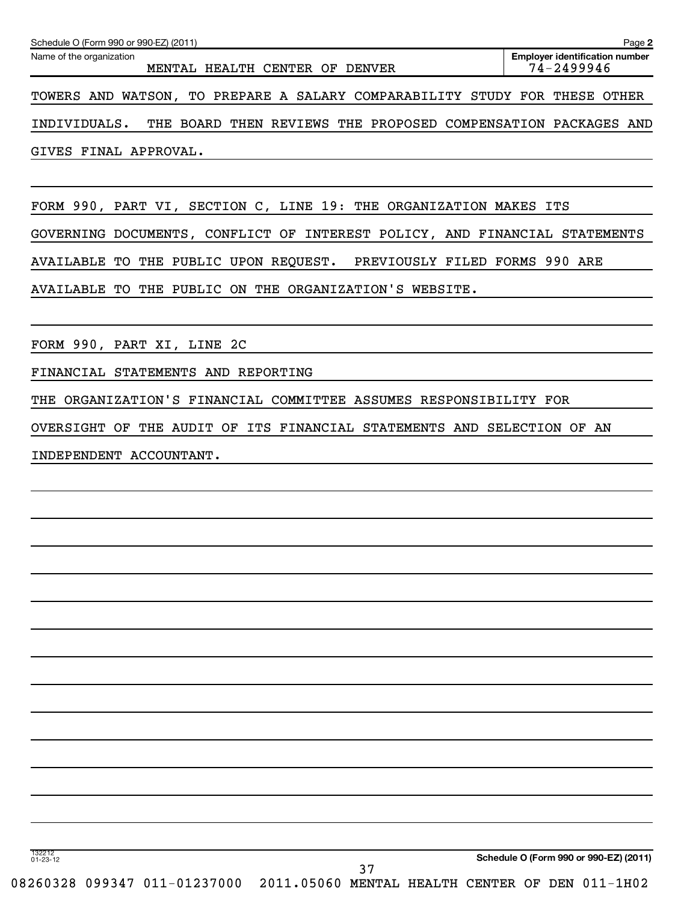| Schedule O (Form 990 or 990-EZ) (2011)                                                | Page 2                                              |
|---------------------------------------------------------------------------------------|-----------------------------------------------------|
| Name of the organization<br>MENTAL HEALTH CENTER OF<br><b>DENVER</b>                  | <b>Employer identification number</b><br>74-2499946 |
| TOWERS AND WATSON, TO PREPARE A SALARY COMPARABILITY STUDY FOR                        | THESE OTHER                                         |
| INDIVIDUALS.<br>BOARD<br>REVIEWS THE<br>PROPOSED COMPENSATION PACKAGES<br>THE<br>THEN | AND                                                 |
| GIVES FINAL APPROVAL.                                                                 |                                                     |
| FORM 990, PART VI, SECTION C, LINE 19: THE<br>ORGANIZATION MAKES ITS                  |                                                     |
| CONFLICT OF INTEREST POLICY, AND FINANCIAL STATEMENTS<br>GOVERNING DOCUMENTS,         |                                                     |
| THE PUBLIC UPON REQUEST. PREVIOUSLY FILED FORMS 990 ARE<br>AVAILABLE<br>TO            |                                                     |
| AVAILABLE<br>TO<br>THE PUBLIC ON THE ORGANIZATION'S WEBSITE.                          |                                                     |

FINANCIAL STATEMENTS AND REPORTING

THE ORGANIZATION'S FINANCIAL COMMITTEE ASSUMES RESPONSIBILITY FOR

OVERSIGHT OF THE AUDIT OF ITS FINANCIAL STATEMENTS AND SELECTION OF AN

INDEPENDENT ACCOUNTANT.

132212 01-23-12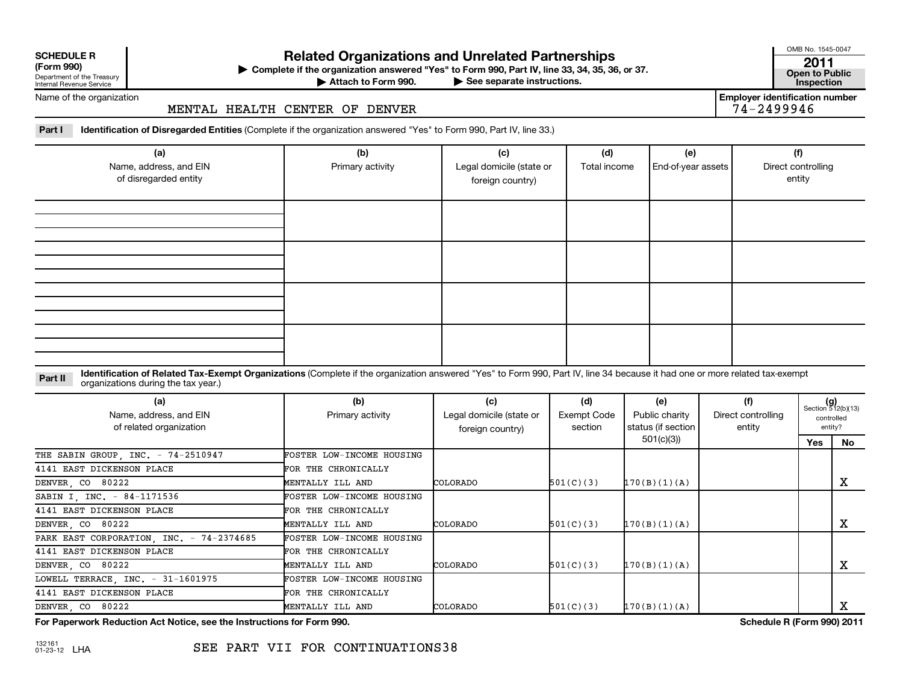| <b>SCHEDULE R</b> |  |  |
|-------------------|--|--|
|                   |  |  |

Department of the Treasury Internal Revenue Service

# **Related Organizations and Unrelated Partnerships 2011**

**(Form 990) Complete if the organization answered "Yes" to Form 990, Part IV, line 33, 34, 35, 36, or 37. Open to Public** | **At the Form 990, Part IV, line 33, 34, 35, 36, or 37.**<br>See separate instructions. **Inspection** 

Attach to Form 990.

**Employer identification number**

OMB No. 1545-0047

Name of the organization

### MENTAL HEALTH CENTER OF DENVER 74-2499946

**Part I Identification of Disregarded Entities**  (Complete if the organization answered "Yes" to Form 990, Part IV, line 33.)

| (a)<br>Name, address, and EIN<br>of disregarded entity | (b)<br>Primary activity | (c)<br>Legal domicile (state or<br>foreign country) | (d)<br>Total income | (e)<br>End-of-year assets | (f)<br>Direct controlling<br>entity |
|--------------------------------------------------------|-------------------------|-----------------------------------------------------|---------------------|---------------------------|-------------------------------------|
|                                                        |                         |                                                     |                     |                           |                                     |
|                                                        |                         |                                                     |                     |                           |                                     |
|                                                        |                         |                                                     |                     |                           |                                     |
|                                                        |                         |                                                     |                     |                           |                                     |

#### Part II ldentification of Related Tax-Exempt Organizations (Complete if the organization answered "Yes" to Form 990, Part IV, line 34 because it had one or more related tax-exempt<br>example: croanizations during the tax veas organizations during the tax year.)

| (a)<br>Name, address, and EIN<br>of related organization | (b)<br>Primary activity          | (c)<br>Legal domicile (state or<br>foreign country) | (d)<br>Exempt Code<br>section | (e)<br>Public charity<br>status (if section | (f)<br>Direct controlling<br>entity | $(g)$<br>Section 512(b)(13) | controlled<br>entity? |
|----------------------------------------------------------|----------------------------------|-----------------------------------------------------|-------------------------------|---------------------------------------------|-------------------------------------|-----------------------------|-----------------------|
|                                                          |                                  |                                                     |                               | 501(c)(3))                                  |                                     | Yes                         | No                    |
| THE SABIN GROUP, INC. - 74-2510947                       | FOSTER LOW-INCOME HOUSING        |                                                     |                               |                                             |                                     |                             |                       |
| 4141 EAST DICKENSON PLACE                                | FOR THE CHRONICALLY              |                                                     |                               |                                             |                                     |                             |                       |
| DENVER, CO 80222                                         | MENTALLY ILL AND                 | COLORADO                                            | 501(C)(3)                     | 170(B)(1)(A)                                |                                     |                             | x                     |
| SABIN I, INC. - 84-1171536                               | FOSTER LOW-INCOME HOUSING        |                                                     |                               |                                             |                                     |                             |                       |
| 4141 EAST DICKENSON PLACE                                | FOR THE CHRONICALLY              |                                                     |                               |                                             |                                     |                             |                       |
| DENVER, CO 80222                                         | MENTALLY ILL AND                 | COLORADO                                            | 501(C)(3)                     | 170(B)(1)(A)                                |                                     |                             | х                     |
| PARK EAST CORPORATION, INC. - 74-2374685                 | <b>FOSTER LOW-INCOME HOUSING</b> |                                                     |                               |                                             |                                     |                             |                       |
| 4141 EAST DICKENSON PLACE                                | FOR THE CHRONICALLY              |                                                     |                               |                                             |                                     |                             |                       |
| DENVER, CO 80222                                         | MENTALLY ILL AND                 | COLORADO                                            | 501(C)(3)                     | 170(B)(1)(A)                                |                                     |                             | х                     |
| LOWELL TERRACE, INC. - 31-1601975                        | FOSTER LOW-INCOME HOUSING        |                                                     |                               |                                             |                                     |                             |                       |
| 4141 EAST DICKENSON PLACE                                | FOR THE CHRONICALLY              |                                                     |                               |                                             |                                     |                             |                       |
| DENVER, CO 80222                                         | MENTALLY ILL AND                 | COLORADO                                            | 501(C)(3)                     | 170(B)(1)(A)                                |                                     |                             | х                     |

**For Paperwork Reduction Act Notice, see the Instructions for Form 990. Schedule R (Form 990) 2011**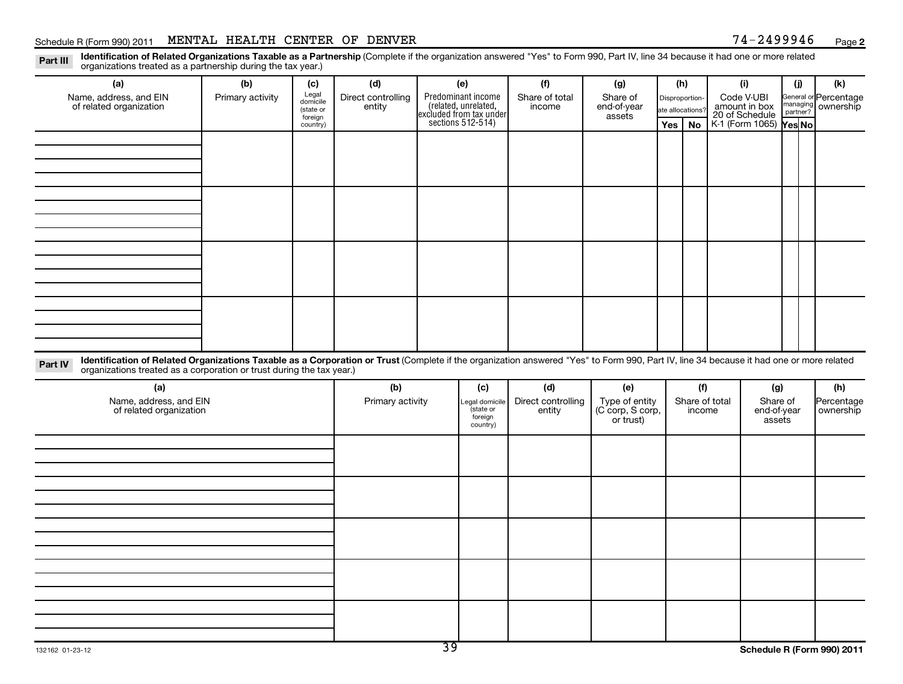#### Schedule R (Form 990) 2011 MENTAL HEALTH CENTER OF DENVER  $74-2499946$  Page

**2**

Part III Identification of Related Organizations Taxable as a Partnership (Complete if the organization answered "Yes" to Form 990, Part IV, line 34 because it had one or more related<br>Read to reconizations tracted as a par organizations treated as a partnership during the tax year.)

| (a)                                                                                                                                                                                                                                                                         | (b)              | (c)                                                   | (d)                          | (e)                                                                                        | (f)                          | (g)                                             | (h)                                                 |        |                | (i)                                                                     | (i)                  | (k)                                |
|-----------------------------------------------------------------------------------------------------------------------------------------------------------------------------------------------------------------------------------------------------------------------------|------------------|-------------------------------------------------------|------------------------------|--------------------------------------------------------------------------------------------|------------------------------|-------------------------------------------------|-----------------------------------------------------|--------|----------------|-------------------------------------------------------------------------|----------------------|------------------------------------|
| Name, address, and EIN<br>of related organization                                                                                                                                                                                                                           | Primary activity | Legal<br>domicile<br>(state or<br>foreign<br>country) | Direct controlling<br>entity | Predominant income<br>(related, unrelated,<br>excluded from tax under<br>sections 512-514) | Share of total<br>income     | Share of<br>end-of-year<br>assets               | Disproportion-<br>ate allocations?<br>$Yes \mid No$ |        |                | Code V-UBI<br>amount in box<br>20 of Schedule<br>K-1 (Form 1065) Yes No | managing<br>partner? | General or Percentage<br>ownership |
|                                                                                                                                                                                                                                                                             |                  |                                                       |                              |                                                                                            |                              |                                                 |                                                     |        |                |                                                                         |                      |                                    |
|                                                                                                                                                                                                                                                                             |                  |                                                       |                              |                                                                                            |                              |                                                 |                                                     |        |                |                                                                         |                      |                                    |
|                                                                                                                                                                                                                                                                             |                  |                                                       |                              |                                                                                            |                              |                                                 |                                                     |        |                |                                                                         |                      |                                    |
|                                                                                                                                                                                                                                                                             |                  |                                                       |                              |                                                                                            |                              |                                                 |                                                     |        |                |                                                                         |                      |                                    |
|                                                                                                                                                                                                                                                                             |                  |                                                       |                              |                                                                                            |                              |                                                 |                                                     |        |                |                                                                         |                      |                                    |
|                                                                                                                                                                                                                                                                             |                  |                                                       |                              |                                                                                            |                              |                                                 |                                                     |        |                |                                                                         |                      |                                    |
|                                                                                                                                                                                                                                                                             |                  |                                                       |                              |                                                                                            |                              |                                                 |                                                     |        |                |                                                                         |                      |                                    |
|                                                                                                                                                                                                                                                                             |                  |                                                       |                              |                                                                                            |                              |                                                 |                                                     |        |                |                                                                         |                      |                                    |
|                                                                                                                                                                                                                                                                             |                  |                                                       |                              |                                                                                            |                              |                                                 |                                                     |        |                |                                                                         |                      |                                    |
|                                                                                                                                                                                                                                                                             |                  |                                                       |                              |                                                                                            |                              |                                                 |                                                     |        |                |                                                                         |                      |                                    |
| Identification of Related Organizations Taxable as a Corporation or Trust (Complete if the organization answered "Yes" to Form 990, Part IV, line 34 because it had one or more related<br>Part IV<br>organizations treated as a corporation or trust during the tax year.) |                  |                                                       |                              |                                                                                            |                              |                                                 |                                                     |        |                |                                                                         |                      |                                    |
| (a)                                                                                                                                                                                                                                                                         |                  |                                                       | (b)                          | (c)                                                                                        | (d)                          | (e)                                             |                                                     | (f)    |                | (g)                                                                     |                      | (h)                                |
| Name, address, and EIN<br>of related organization                                                                                                                                                                                                                           |                  |                                                       | Primary activity             | Legal domicile<br>state or<br>foreign<br>country)                                          | Direct controlling<br>entity | Type of entity<br>(C corp, S corp,<br>or trust) |                                                     | income | Share of total | Share of<br>end-of-year<br>assets                                       |                      | Percentage<br>ownership            |
|                                                                                                                                                                                                                                                                             |                  |                                                       |                              |                                                                                            |                              |                                                 |                                                     |        |                |                                                                         |                      |                                    |
|                                                                                                                                                                                                                                                                             |                  |                                                       |                              |                                                                                            |                              |                                                 |                                                     |        |                |                                                                         |                      |                                    |
|                                                                                                                                                                                                                                                                             |                  |                                                       |                              |                                                                                            |                              |                                                 |                                                     |        |                |                                                                         |                      |                                    |
|                                                                                                                                                                                                                                                                             |                  |                                                       |                              |                                                                                            |                              |                                                 |                                                     |        |                |                                                                         |                      |                                    |
|                                                                                                                                                                                                                                                                             |                  |                                                       |                              |                                                                                            |                              |                                                 |                                                     |        |                |                                                                         |                      |                                    |
|                                                                                                                                                                                                                                                                             |                  |                                                       |                              |                                                                                            |                              |                                                 |                                                     |        |                |                                                                         |                      |                                    |
|                                                                                                                                                                                                                                                                             |                  |                                                       |                              |                                                                                            |                              |                                                 |                                                     |        |                |                                                                         |                      |                                    |
|                                                                                                                                                                                                                                                                             |                  |                                                       |                              |                                                                                            |                              |                                                 |                                                     |        |                |                                                                         |                      |                                    |
|                                                                                                                                                                                                                                                                             |                  |                                                       |                              |                                                                                            |                              |                                                 |                                                     |        |                |                                                                         |                      |                                    |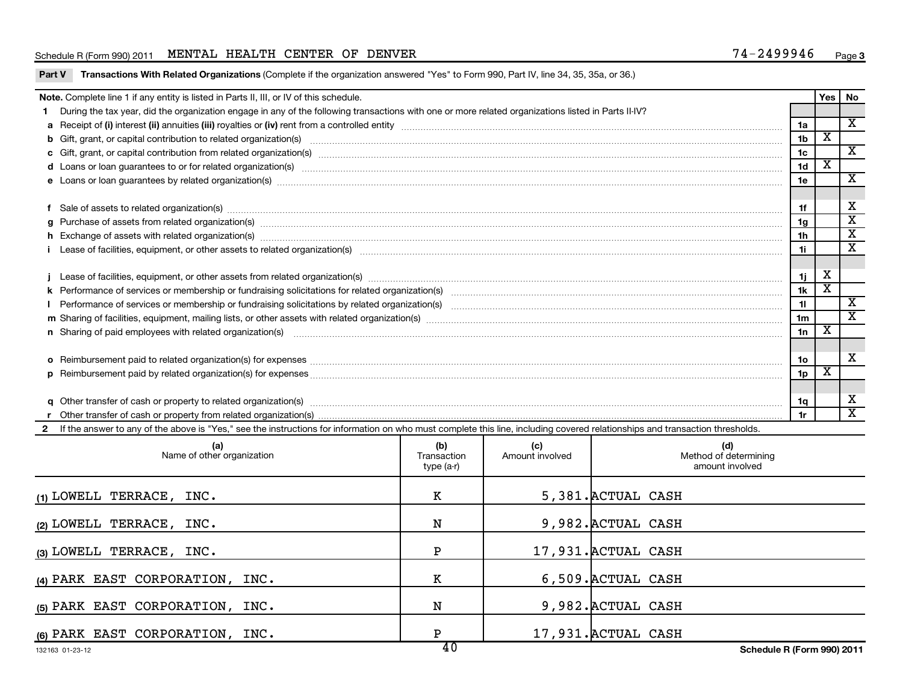#### Schedule R (Form 990) 2011 MENTAL HEALTH CENTER OF DENVER  $74-2499946$  Page

|                                                                                                                                                                                                                                      | Transactions With Related Organizations (Complete if the organization answered "Yes" to Form 990, Part IV, line 34, 35, 35a, or 36.)<br>Part V                                                                                 |                                  |                        |                    |                                                 |                |                         |                         |  |  |
|--------------------------------------------------------------------------------------------------------------------------------------------------------------------------------------------------------------------------------------|--------------------------------------------------------------------------------------------------------------------------------------------------------------------------------------------------------------------------------|----------------------------------|------------------------|--------------------|-------------------------------------------------|----------------|-------------------------|-------------------------|--|--|
| <b>Note.</b> Complete line 1 if any entity is listed in Parts II, III, or IV of this schedule.<br>Yes   No                                                                                                                           |                                                                                                                                                                                                                                |                                  |                        |                    |                                                 |                |                         |                         |  |  |
|                                                                                                                                                                                                                                      | 1 During the tax year, did the organization engage in any of the following transactions with one or more related organizations listed in Parts II-IV?                                                                          |                                  |                        |                    |                                                 |                |                         |                         |  |  |
|                                                                                                                                                                                                                                      |                                                                                                                                                                                                                                |                                  |                        |                    |                                                 | 1a             |                         | $\overline{\mathbf{X}}$ |  |  |
|                                                                                                                                                                                                                                      |                                                                                                                                                                                                                                |                                  |                        |                    |                                                 | 1b             | $\overline{\mathbf{x}}$ |                         |  |  |
|                                                                                                                                                                                                                                      |                                                                                                                                                                                                                                |                                  |                        |                    |                                                 | 1c             | $\overline{\textbf{x}}$ | $\overline{\mathbf{X}}$ |  |  |
| d Loans or loan guarantees to or for related organization(s) www.communities.com/www.communities.com/www.communities.com/www.communities.com/www.communities.com/www.communities.com/www.communities.com/www.communities.com/w       |                                                                                                                                                                                                                                |                                  |                        |                    |                                                 |                |                         |                         |  |  |
| e Loans or loan guarantees by related organization(s) www.array.com/www.array.com/www.array.com/www.array.com/www.array.com/www.array.com/www.array.com/www.array.com/www.array.com/www.array.com/www.array.com/www.array.com/       |                                                                                                                                                                                                                                |                                  |                        |                    |                                                 |                |                         |                         |  |  |
|                                                                                                                                                                                                                                      |                                                                                                                                                                                                                                |                                  |                        |                    |                                                 |                |                         |                         |  |  |
| f Sale of assets to related organization(s) www.assettion.com/www.assettion.com/www.assettion.com/www.assettion.com/www.assettion.com/www.assettion.com/www.assettion.com/www.assettion.com/www.assettion.com/www.assettion.co       |                                                                                                                                                                                                                                |                                  |                        |                    |                                                 |                |                         |                         |  |  |
|                                                                                                                                                                                                                                      |                                                                                                                                                                                                                                |                                  |                        |                    |                                                 | 1g             |                         | $\overline{\textbf{x}}$ |  |  |
|                                                                                                                                                                                                                                      | h Exchange of assets with related organization(s) www.assettion.com/www.assettion.com/www.assettion.com/www.assettion.com/www.assettion.com/www.assettion.com/www.assettion.com/www.assettion.com/www.assettion.com/www.assett |                                  |                        |                    |                                                 | 1 <sub>h</sub> |                         | $\overline{\mathbf{x}}$ |  |  |
|                                                                                                                                                                                                                                      |                                                                                                                                                                                                                                |                                  |                        |                    |                                                 | 1i.            |                         | $\overline{\mathbf{x}}$ |  |  |
|                                                                                                                                                                                                                                      |                                                                                                                                                                                                                                |                                  |                        |                    |                                                 |                | X                       |                         |  |  |
|                                                                                                                                                                                                                                      |                                                                                                                                                                                                                                |                                  |                        |                    |                                                 |                |                         |                         |  |  |
|                                                                                                                                                                                                                                      |                                                                                                                                                                                                                                |                                  |                        |                    |                                                 |                |                         |                         |  |  |
| Performance of services or membership or fundraising solicitations by related organization(s) [11] processors content to the content of services or membership or fundraising solicitations by related organization(s) [11] pr<br>L  |                                                                                                                                                                                                                                |                                  |                        |                    |                                                 |                |                         |                         |  |  |
|                                                                                                                                                                                                                                      |                                                                                                                                                                                                                                |                                  |                        |                    |                                                 |                |                         |                         |  |  |
| n Sharing of paid employees with related organization(s) <b>manufaction</b> (since the manufacture of manufacture of manufacture of manufacture of manufacture of manufacture of manufacture of manufacture of manufacture of manufa |                                                                                                                                                                                                                                |                                  |                        |                    |                                                 |                |                         |                         |  |  |
|                                                                                                                                                                                                                                      |                                                                                                                                                                                                                                |                                  |                        |                    |                                                 |                |                         |                         |  |  |
|                                                                                                                                                                                                                                      |                                                                                                                                                                                                                                |                                  |                        |                    |                                                 | 1о             |                         | x                       |  |  |
|                                                                                                                                                                                                                                      |                                                                                                                                                                                                                                |                                  |                        |                    |                                                 | 1p             | $\overline{\textbf{x}}$ |                         |  |  |
|                                                                                                                                                                                                                                      |                                                                                                                                                                                                                                |                                  |                        |                    |                                                 |                |                         |                         |  |  |
|                                                                                                                                                                                                                                      |                                                                                                                                                                                                                                |                                  |                        |                    |                                                 | 1q             |                         | X                       |  |  |
|                                                                                                                                                                                                                                      |                                                                                                                                                                                                                                |                                  |                        |                    |                                                 | 1r             |                         | $\overline{\texttt{x}}$ |  |  |
| $\mathbf{2}$                                                                                                                                                                                                                         | If the answer to any of the above is "Yes," see the instructions for information on who must complete this line, including covered relationships and transaction thresholds.                                                   |                                  |                        |                    |                                                 |                |                         |                         |  |  |
|                                                                                                                                                                                                                                      | (a)<br>Name of other organization                                                                                                                                                                                              | (b)<br>Transaction<br>type (a-r) | (c)<br>Amount involved |                    | (d)<br>Method of determining<br>amount involved |                |                         |                         |  |  |
|                                                                                                                                                                                                                                      | (1) LOWELL TERRACE, INC.                                                                                                                                                                                                       | K                                |                        | 5,381. ACTUAL CASH |                                                 |                |                         |                         |  |  |
|                                                                                                                                                                                                                                      | (2) LOWELL TERRACE, INC.                                                                                                                                                                                                       | N                                |                        | 9,982. ACTUAL CASH |                                                 |                |                         |                         |  |  |
|                                                                                                                                                                                                                                      | 17,931. ACTUAL CASH<br>$\mathbf P$<br>(3) LOWELL TERRACE, INC.                                                                                                                                                                 |                                  |                        |                    |                                                 |                |                         |                         |  |  |
| 6,509. ACTUAL CASH<br>к<br>(4) PARK EAST CORPORATION, INC.                                                                                                                                                                           |                                                                                                                                                                                                                                |                                  |                        |                    |                                                 |                |                         |                         |  |  |
| 9,982. ACTUAL CASH<br>(5) PARK EAST CORPORATION, INC.<br>N                                                                                                                                                                           |                                                                                                                                                                                                                                |                                  |                        |                    |                                                 |                |                         |                         |  |  |
|                                                                                                                                                                                                                                      |                                                                                                                                                                                                                                |                                  |                        |                    |                                                 |                |                         |                         |  |  |

**(6)** PARK EAST CORPORATION, INC. P 17,931.ACTUAL CASH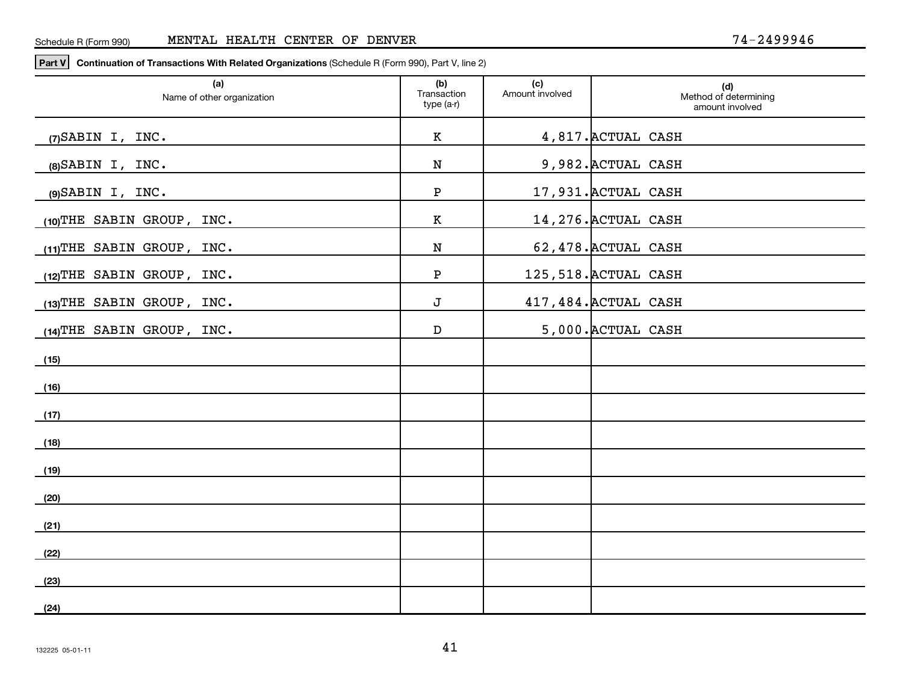**Part V Continuation of Transactions With Related Organizations**  (Schedule R (Form 990), Part V, line 2)

| (a)<br>Name of other organization | (b)<br>Transaction<br>type (a-r) | (c)<br>Amount involved | (d)<br>Method of determining<br>amount involved |
|-----------------------------------|----------------------------------|------------------------|-------------------------------------------------|
| $(7)$ SABIN I, INC.               | К                                |                        | 4,817. ACTUAL CASH                              |
| $(8)$ SABIN I, INC.               | N                                |                        | 9,982. ACTUAL CASH                              |
| $(9)$ SABIN I, INC.               | Ρ                                |                        | 17,931. ACTUAL CASH                             |
| $(10)$ THE SABIN GROUP, INC.      | К                                |                        | 14, 276. ACTUAL CASH                            |
| (11) THE SABIN GROUP, INC.        | N                                |                        | 62,478. ACTUAL CASH                             |
| $(12)$ THE SABIN GROUP, INC.      | Ρ                                |                        | 125,518. ACTUAL CASH                            |
| $(13)$ THE SABIN GROUP, INC.      | J                                |                        | 417, 484. ACTUAL CASH                           |
| $(14)$ THE SABIN GROUP, INC.      | D                                |                        | 5,000. ACTUAL CASH                              |
| (15)                              |                                  |                        |                                                 |
| (16)                              |                                  |                        |                                                 |
| (17)                              |                                  |                        |                                                 |
| (18)                              |                                  |                        |                                                 |
| (19)                              |                                  |                        |                                                 |
| (20)                              |                                  |                        |                                                 |
| (21)                              |                                  |                        |                                                 |
| (22)                              |                                  |                        |                                                 |
| (23)                              |                                  |                        |                                                 |
| (24)                              |                                  |                        |                                                 |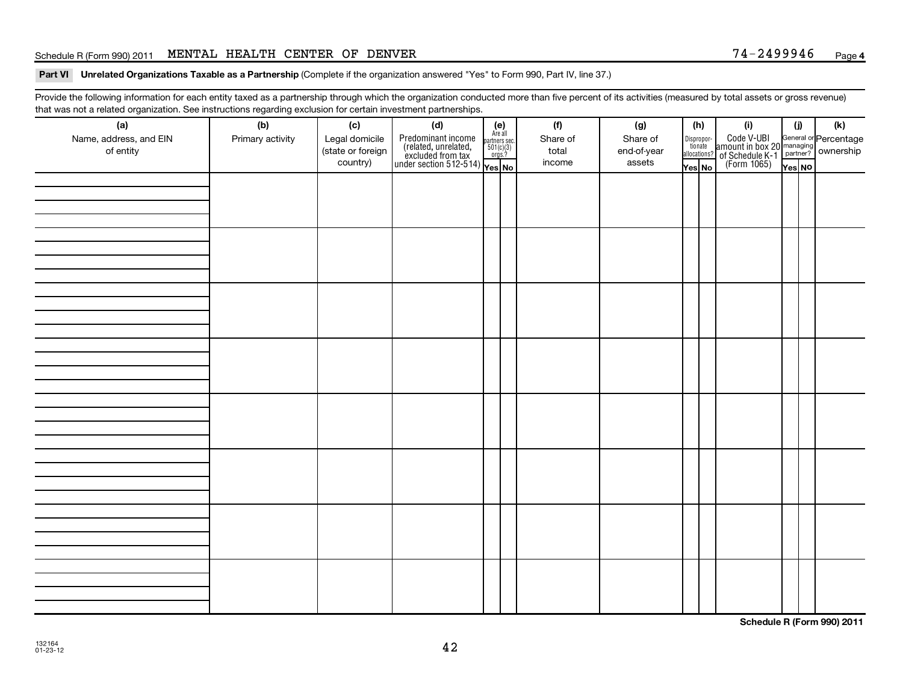#### Schedule R (Form 990) 2011 MENTAL HEALTH CENTER OF DENVER  $74-2499946$  Page

#### Part VI Unrelated Organizations Taxable as a Partnership (Complete if the organization answered "Yes" to Form 990, Part IV, line 37.)

Provide the following information for each entity taxed as a partnership through which the organization conducted more than five percent of its activities (measured by total assets or gross revenue) that was not a related organization. See instructions regarding exclusion for certain investment partnerships.

| (a)<br>Name, address, and EIN<br>of entity | (b)<br>Primary activity | (c)<br>Legal domicile<br>(state or foreign<br>country) | (d)<br>$\begin{array}{ l l } \hline \text{Predominant income} & \text{Area} \\ \hline \text{(related, unrelated,} & \text{501(c)(3)} \\ \text{excluded from tax} & \text{501(c)(3)} \\ \text{under section 512-514)} & \text{Yes. No} \\\hline \end{array}$ | $(e)$<br>Are all<br>partners sec.<br>$501(c)(3)$<br>orgs.? | (f)<br>Share of<br>total<br>income | (g)<br>Share of<br>end-of-year<br>assets | (h) |  | Yes No |  | (i)<br>Dispropor-<br>Code V-UBI<br>dionate amount in box 20 managing<br>allocations? of Schedule K-1<br>Yes No (Form 1065)<br>Yes No | (i)<br>Yes NO | (k) |
|--------------------------------------------|-------------------------|--------------------------------------------------------|-------------------------------------------------------------------------------------------------------------------------------------------------------------------------------------------------------------------------------------------------------------|------------------------------------------------------------|------------------------------------|------------------------------------------|-----|--|--------|--|--------------------------------------------------------------------------------------------------------------------------------------|---------------|-----|
|                                            |                         |                                                        |                                                                                                                                                                                                                                                             |                                                            |                                    |                                          |     |  |        |  |                                                                                                                                      |               |     |
|                                            |                         |                                                        |                                                                                                                                                                                                                                                             |                                                            |                                    |                                          |     |  |        |  |                                                                                                                                      |               |     |
|                                            |                         |                                                        |                                                                                                                                                                                                                                                             |                                                            |                                    |                                          |     |  |        |  |                                                                                                                                      |               |     |
|                                            |                         |                                                        |                                                                                                                                                                                                                                                             |                                                            |                                    |                                          |     |  |        |  |                                                                                                                                      |               |     |
|                                            |                         |                                                        |                                                                                                                                                                                                                                                             |                                                            |                                    |                                          |     |  |        |  |                                                                                                                                      |               |     |
|                                            |                         |                                                        |                                                                                                                                                                                                                                                             |                                                            |                                    |                                          |     |  |        |  |                                                                                                                                      |               |     |
|                                            |                         |                                                        |                                                                                                                                                                                                                                                             |                                                            |                                    |                                          |     |  |        |  |                                                                                                                                      |               |     |
|                                            |                         |                                                        |                                                                                                                                                                                                                                                             |                                                            |                                    |                                          |     |  |        |  |                                                                                                                                      |               |     |

**Schedule R (Form 990) 2011**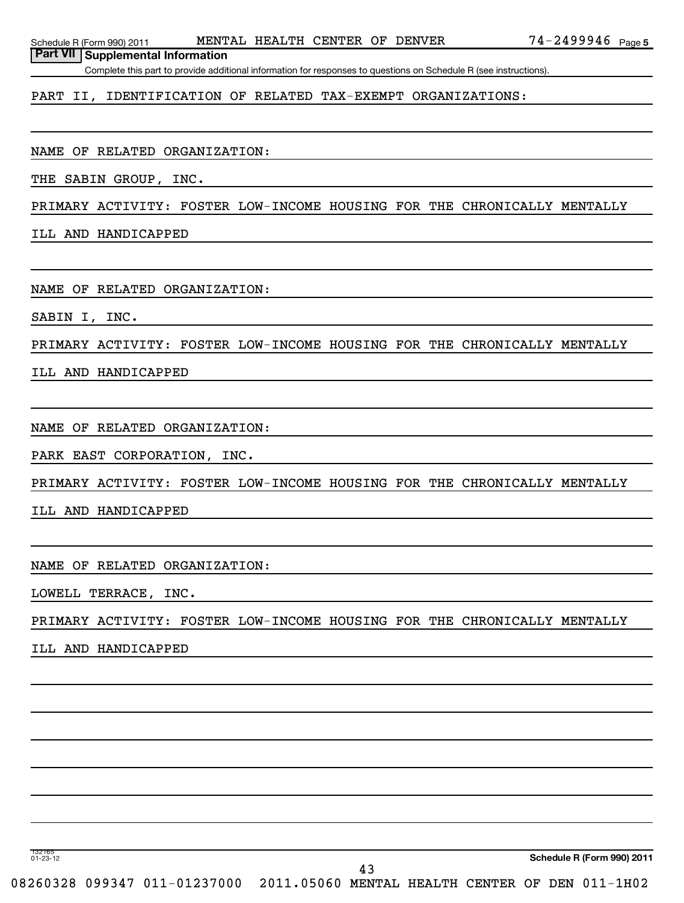**Part VII Supplemental Information**

Complete this part to provide additional information for responses to questions on Schedule R (see instructions).

PART II, IDENTIFICATION OF RELATED TAX-EXEMPT ORGANIZATIONS:

NAME OF RELATED ORGANIZATION:

THE SABIN GROUP, INC.

PRIMARY ACTIVITY: FOSTER LOW-INCOME HOUSING FOR THE CHRONICALLY MENTALLY

ILL AND HANDICAPPED

NAME OF RELATED ORGANIZATION:

SABIN I, INC.

PRIMARY ACTIVITY: FOSTER LOW-INCOME HOUSING FOR THE CHRONICALLY MENTALLY

ILL AND HANDICAPPED

NAME OF RELATED ORGANIZATION:

PARK EAST CORPORATION, INC.

PRIMARY ACTIVITY: FOSTER LOW-INCOME HOUSING FOR THE CHRONICALLY MENTALLY

ILL AND HANDICAPPED

NAME OF RELATED ORGANIZATION:

LOWELL TERRACE, INC.

PRIMARY ACTIVITY: FOSTER LOW-INCOME HOUSING FOR THE CHRONICALLY MENTALLY

ILL AND HANDICAPPED

132165 01-23-12

**Schedule R (Form 990) 2011**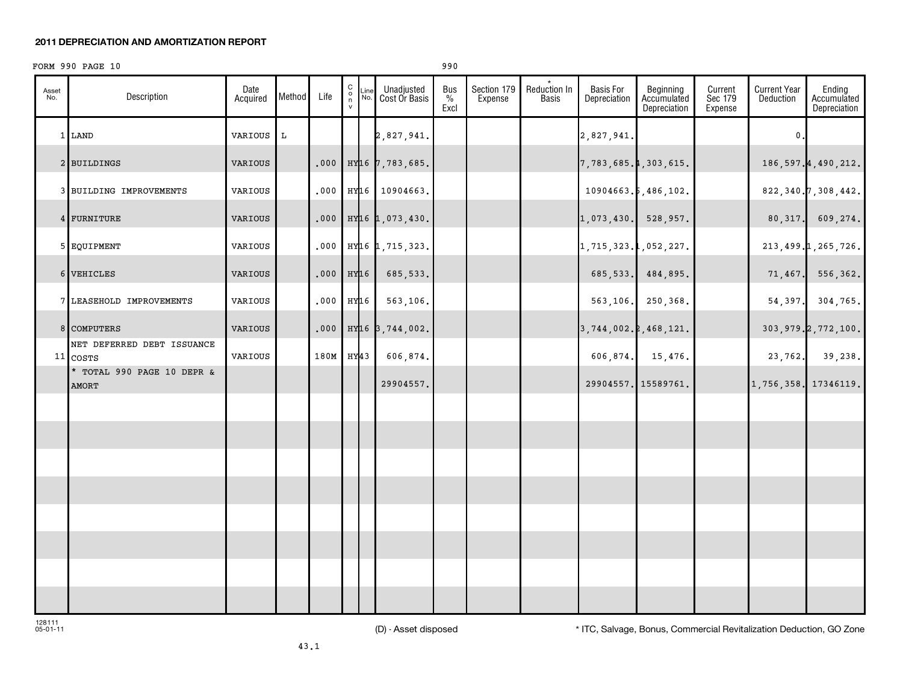#### **2011 DEPRECIATION AND AMORTIZATION REPORT**

#### FORM 990 PAGE 10 990

| Asset<br>No. | Description                                | Date<br>Acquired | Method | Life | $\begin{smallmatrix} 0 \\ 0 \\ 7 \end{smallmatrix}$ | Line<br>No.      | Unadjusted<br>Cost Or Basis   | Bus<br>$\%$<br>Excl | Section 179<br>Expense | Reduction In<br><b>Basis</b> | <b>Basis For</b><br>Depreciation | Beginning<br>Accumulated<br>Depreciation | Current<br>Sec 179<br>Expense | <b>Current Year</b><br>Deduction | Ending<br>Accumulated<br>Depreciation |
|--------------|--------------------------------------------|------------------|--------|------|-----------------------------------------------------|------------------|-------------------------------|---------------------|------------------------|------------------------------|----------------------------------|------------------------------------------|-------------------------------|----------------------------------|---------------------------------------|
|              | 1 LAND                                     | VARIOUS          | L      |      |                                                     |                  | 2,827,941.                    |                     |                        |                              | 2,827,941.                       |                                          |                               | 0                                |                                       |
|              | 2 BUILDINGS                                | VARIOUS          |        | .000 |                                                     |                  | HY16 7,783,685.               |                     |                        |                              | 7,783,685.4,303,615.             |                                          |                               |                                  | 186, 597. 4, 490, 212.                |
|              | 3 BUILDING IMPROVEMENTS                    | VARIOUS          |        | .000 |                                                     |                  | HY16 10904663.                |                     |                        |                              |                                  | 10904663.5,486,102.                      |                               |                                  | 822, 340. 7, 308, 442.                |
|              | 4 FURNITURE                                | VARIOUS          |        | .000 |                                                     |                  | HY16 1,073,430.               |                     |                        |                              | $1,073,430.$ 528,957.            |                                          |                               |                                  | $80,317.$ 609,274.                    |
|              | 5 EQUIPMENT                                | VARIOUS          |        | .000 |                                                     |                  | HY <sub>16</sub> 1, 715, 323. |                     |                        |                              | $1, 715, 323.$ , 052, 227.       |                                          |                               |                                  | 213, 499. 1, 265, 726.                |
|              | 6 VEHICLES                                 | VARIOUS          |        | .000 |                                                     | HY <sub>16</sub> | 685,533.                      |                     |                        |                              |                                  | 685, 533. 484, 895.                      |                               |                                  | $71,467.$ 556,362.                    |
|              | 7 LEASEHOLD IMPROVEMENTS                   | VARIOUS          |        | .000 |                                                     | HY16             | 563,106.                      |                     |                        |                              |                                  | 563,106. 250,368.                        |                               | 54, 397.                         | 304,765.                              |
|              | 8 COMPUTERS                                | VARIOUS          |        | .000 |                                                     |                  | HY16 3,744,002.               |                     |                        |                              | $3,744,002.\;468,121.$           |                                          |                               |                                  | 303, 979. 2, 772, 100.                |
|              | NET DEFERRED DEBT ISSUANCE<br>$11$ COSTS   | VARIOUS          |        | 180M |                                                     | HY <sub>43</sub> | 606,874.                      |                     |                        |                              | 606,874.                         | 15,476.                                  |                               | 23,762.                          | 39,238.                               |
|              | * TOTAL 990 PAGE 10 DEPR &<br><b>AMORT</b> |                  |        |      |                                                     |                  | 29904557.                     |                     |                        |                              |                                  | 29904557. 15589761.                      |                               | 1,756,358. 17346119.             |                                       |
|              |                                            |                  |        |      |                                                     |                  |                               |                     |                        |                              |                                  |                                          |                               |                                  |                                       |
|              |                                            |                  |        |      |                                                     |                  |                               |                     |                        |                              |                                  |                                          |                               |                                  |                                       |
|              |                                            |                  |        |      |                                                     |                  |                               |                     |                        |                              |                                  |                                          |                               |                                  |                                       |
|              |                                            |                  |        |      |                                                     |                  |                               |                     |                        |                              |                                  |                                          |                               |                                  |                                       |
|              |                                            |                  |        |      |                                                     |                  |                               |                     |                        |                              |                                  |                                          |                               |                                  |                                       |
|              |                                            |                  |        |      |                                                     |                  |                               |                     |                        |                              |                                  |                                          |                               |                                  |                                       |

128111 05-01-11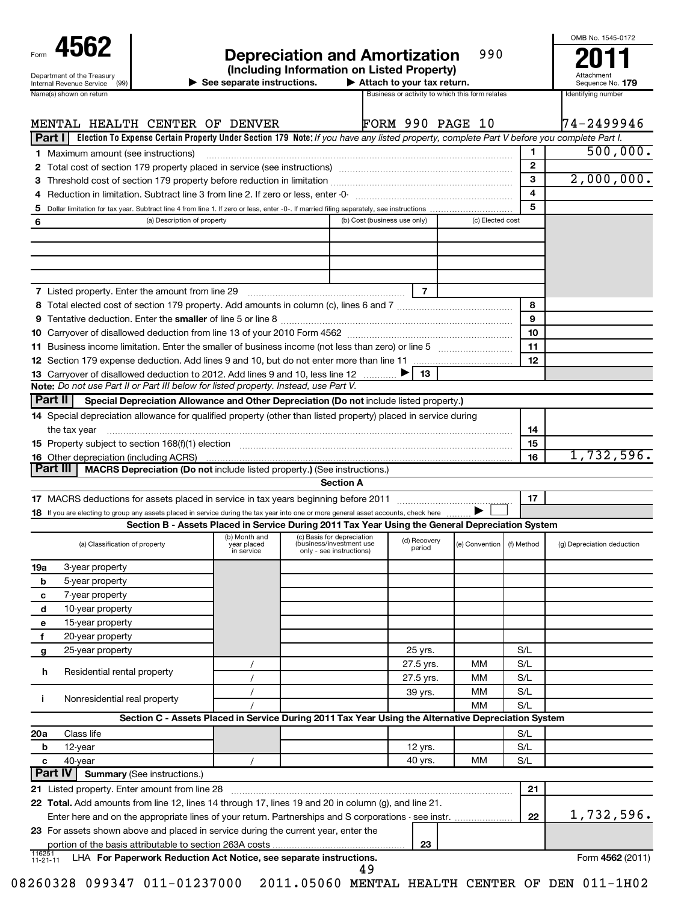| Form | 456:                       |  |
|------|----------------------------|--|
|      | Department of the Treasury |  |

|                                                                                                                                                                                                              |                                                                                                                                           |                                                                                    |                                                  |                             |              | OMB No. 1545-0172          |
|--------------------------------------------------------------------------------------------------------------------------------------------------------------------------------------------------------------|-------------------------------------------------------------------------------------------------------------------------------------------|------------------------------------------------------------------------------------|--------------------------------------------------|-----------------------------|--------------|----------------------------|
| 4562                                                                                                                                                                                                         |                                                                                                                                           | <b>Depreciation and Amortization</b>                                               |                                                  | 990                         |              |                            |
| Department of the Treasury                                                                                                                                                                                   |                                                                                                                                           | (Including Information on Listed Property)                                         |                                                  |                             |              |                            |
| (99)<br>Internal Revenue Service                                                                                                                                                                             | $\blacktriangleright$ See separate instructions.                                                                                          |                                                                                    | $\blacktriangleright$ Attach to your tax return. |                             |              | Sequence No. 179           |
| Name(s) shown on return                                                                                                                                                                                      |                                                                                                                                           |                                                                                    | Business or activity to which this form relates  |                             |              | Identifying number         |
|                                                                                                                                                                                                              |                                                                                                                                           |                                                                                    |                                                  |                             |              |                            |
| MENTAL HEALTH CENTER OF DENVER                                                                                                                                                                               |                                                                                                                                           |                                                                                    | <b>FORM 990 PAGE 10</b>                          |                             |              | 174-2499946                |
| Part I                                                                                                                                                                                                       | Election To Expense Certain Property Under Section 179 Note: If you have any listed property, complete Part V before you complete Part I. |                                                                                    |                                                  |                             |              |                            |
| 1 Maximum amount (see instructions)                                                                                                                                                                          |                                                                                                                                           |                                                                                    |                                                  |                             | 1            | 500,000.                   |
|                                                                                                                                                                                                              |                                                                                                                                           |                                                                                    |                                                  |                             | $\mathbf{2}$ |                            |
|                                                                                                                                                                                                              |                                                                                                                                           |                                                                                    |                                                  |                             | 3            | 2,000,000.                 |
|                                                                                                                                                                                                              |                                                                                                                                           |                                                                                    |                                                  |                             | 4            |                            |
| 5                                                                                                                                                                                                            |                                                                                                                                           |                                                                                    |                                                  |                             | 5            |                            |
| 6                                                                                                                                                                                                            | (a) Description of property                                                                                                               |                                                                                    | (b) Cost (business use only)                     | (c) Elected cost            |              |                            |
|                                                                                                                                                                                                              |                                                                                                                                           |                                                                                    |                                                  |                             |              |                            |
|                                                                                                                                                                                                              |                                                                                                                                           |                                                                                    |                                                  |                             |              |                            |
|                                                                                                                                                                                                              |                                                                                                                                           |                                                                                    |                                                  |                             |              |                            |
|                                                                                                                                                                                                              |                                                                                                                                           |                                                                                    |                                                  |                             |              |                            |
| <b>7</b> Listed property. Enter the amount from line 29                                                                                                                                                      |                                                                                                                                           |                                                                                    | $\overline{7}$                                   |                             |              |                            |
|                                                                                                                                                                                                              |                                                                                                                                           |                                                                                    |                                                  |                             | 8            |                            |
|                                                                                                                                                                                                              |                                                                                                                                           |                                                                                    |                                                  |                             | 9            |                            |
|                                                                                                                                                                                                              |                                                                                                                                           |                                                                                    |                                                  |                             | 10           |                            |
|                                                                                                                                                                                                              |                                                                                                                                           |                                                                                    |                                                  |                             | 11           |                            |
|                                                                                                                                                                                                              |                                                                                                                                           |                                                                                    |                                                  |                             | 12           |                            |
| 13 Carryover of disallowed deduction to 2012. Add lines 9 and 10, less line 12                                                                                                                               |                                                                                                                                           |                                                                                    | 13                                               |                             |              |                            |
| Note: Do not use Part II or Part III below for listed property. Instead, use Part V.                                                                                                                         |                                                                                                                                           |                                                                                    |                                                  |                             |              |                            |
| Part II                                                                                                                                                                                                      | Special Depreciation Allowance and Other Depreciation (Do not include listed property.)                                                   |                                                                                    |                                                  |                             |              |                            |
| 14 Special depreciation allowance for qualified property (other than listed property) placed in service during                                                                                               |                                                                                                                                           |                                                                                    |                                                  |                             |              |                            |
| the tax year                                                                                                                                                                                                 |                                                                                                                                           |                                                                                    |                                                  |                             | 14           |                            |
| 15 Property subject to section 168(f)(1) election manufactured contains and contained a subject to section 168(f)(1) election                                                                                |                                                                                                                                           |                                                                                    |                                                  |                             | 15           |                            |
| <b>16</b> Other depreciation (including ACRS)                                                                                                                                                                |                                                                                                                                           |                                                                                    |                                                  |                             | 16           | 1,732,596.                 |
| Part III                                                                                                                                                                                                     | MACRS Depreciation (Do not include listed property.) (See instructions.)                                                                  |                                                                                    |                                                  |                             |              |                            |
|                                                                                                                                                                                                              |                                                                                                                                           | <b>Section A</b>                                                                   |                                                  |                             |              |                            |
|                                                                                                                                                                                                              |                                                                                                                                           |                                                                                    |                                                  |                             | 17           |                            |
| 18 If you are electing to group any assets placed in service during the tax year into one or more general asset accounts, check here                                                                         |                                                                                                                                           |                                                                                    |                                                  |                             |              |                            |
|                                                                                                                                                                                                              | Section B - Assets Placed in Service During 2011 Tax Year Using the General Depreciation System                                           |                                                                                    |                                                  |                             |              |                            |
| (a) Classification of property                                                                                                                                                                               | (b) Month and<br>year placed<br>in service                                                                                                | (c) Basis for depreciation<br>(business/investment use<br>only - see instructions) | (d) Recovery<br>period                           | (e) Convention   (f) Method |              | (g) Depreciation deduction |
| 3-year property<br>19a                                                                                                                                                                                       |                                                                                                                                           |                                                                                    |                                                  |                             |              |                            |
| 5-year property<br>b                                                                                                                                                                                         |                                                                                                                                           |                                                                                    |                                                  |                             |              |                            |
| 7-year property<br>с                                                                                                                                                                                         |                                                                                                                                           |                                                                                    |                                                  |                             |              |                            |
| 10-year property<br>d                                                                                                                                                                                        |                                                                                                                                           |                                                                                    |                                                  |                             |              |                            |
| 15-year property<br>е                                                                                                                                                                                        |                                                                                                                                           |                                                                                    |                                                  |                             |              |                            |
| 20-year property<br>f                                                                                                                                                                                        |                                                                                                                                           |                                                                                    |                                                  |                             |              |                            |
| 25-year property<br>g                                                                                                                                                                                        |                                                                                                                                           |                                                                                    | 25 yrs.                                          |                             | S/L          |                            |
|                                                                                                                                                                                                              | $\prime$                                                                                                                                  |                                                                                    | 27.5 yrs.                                        | мм                          | S/L          |                            |
| Residential rental property<br>h                                                                                                                                                                             |                                                                                                                                           |                                                                                    | 27.5 yrs.                                        | мм                          | S/L          |                            |
|                                                                                                                                                                                                              |                                                                                                                                           |                                                                                    | 39 yrs.                                          | мм                          | S/L          |                            |
| Nonresidential real property<br>j.                                                                                                                                                                           |                                                                                                                                           |                                                                                    |                                                  | МM                          | S/L          |                            |
|                                                                                                                                                                                                              | Section C - Assets Placed in Service During 2011 Tax Year Using the Alternative Depreciation System                                       |                                                                                    |                                                  |                             |              |                            |
| 20a<br>Class life                                                                                                                                                                                            |                                                                                                                                           |                                                                                    |                                                  |                             | S/L          |                            |
| 12-year<br>b                                                                                                                                                                                                 |                                                                                                                                           |                                                                                    | 12 yrs.                                          |                             | S/L          |                            |
| 40-year<br>c                                                                                                                                                                                                 | $\prime$                                                                                                                                  |                                                                                    | 40 yrs.                                          | MМ                          | S/L          |                            |
| Part IV<br><b>Summary (See instructions.)</b>                                                                                                                                                                |                                                                                                                                           |                                                                                    |                                                  |                             |              |                            |
| 21 Listed property. Enter amount from line 28                                                                                                                                                                |                                                                                                                                           |                                                                                    |                                                  |                             | 21           |                            |
|                                                                                                                                                                                                              |                                                                                                                                           |                                                                                    |                                                  |                             |              |                            |
| 22 Total. Add amounts from line 12, lines 14 through 17, lines 19 and 20 in column (g), and line 21.<br>Enter here and on the appropriate lines of your return. Partnerships and S corporations - see instr. |                                                                                                                                           |                                                                                    |                                                  |                             | 22           | 1,732,596.                 |
|                                                                                                                                                                                                              |                                                                                                                                           |                                                                                    |                                                  |                             |              |                            |

116251 11-21-11 LHA For Paperwork Reduction Act Notice, see separate instructions. **Accord 1999 <b>Example 1** Form 4562 (2011) portion of the basis attributable to section 263A costs

**23** For assets shown above and placed in service during the current year, enter the

08260328 099347 011-01237000 2011.05060 MENTAL HEALTH CENTER OF DEN 011-1H02

49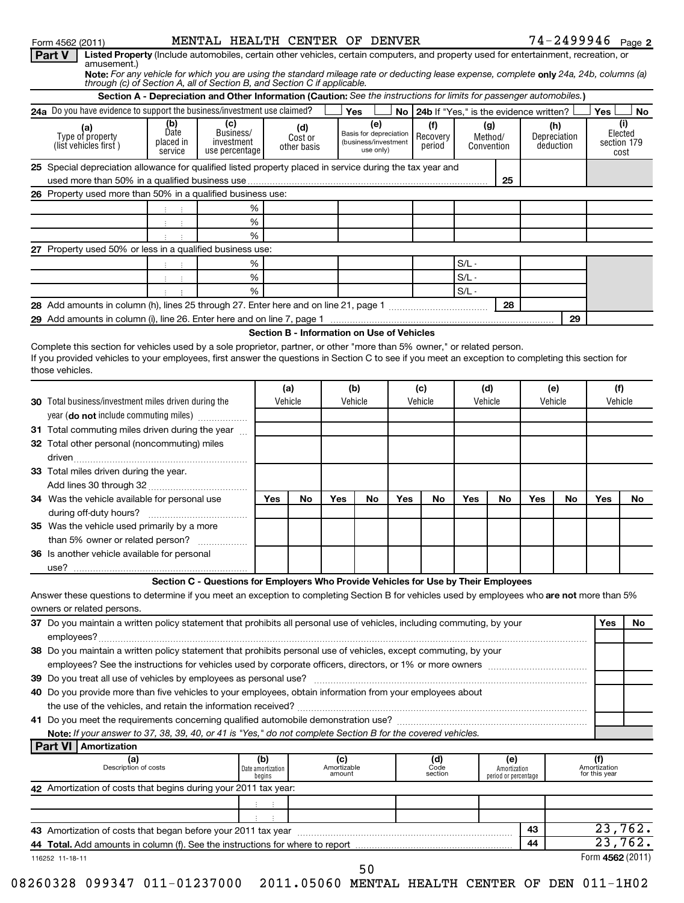| Form 4562 (2011)                                                                                                                                                           |                      | MENTAL HEALTH CENTER OF DENVER                                                                                       |                             |                |                       |                                            |                 |                                        |         |                                      |     |                     | $74 - 2499946$ Page 2 |                |
|----------------------------------------------------------------------------------------------------------------------------------------------------------------------------|----------------------|----------------------------------------------------------------------------------------------------------------------|-----------------------------|----------------|-----------------------|--------------------------------------------|-----------------|----------------------------------------|---------|--------------------------------------|-----|---------------------|-----------------------|----------------|
| Listed Property (Include automobiles, certain other vehicles, certain computers, and property used for entertainment, recreation, or<br>Part V<br>amusement.)              |                      |                                                                                                                      |                             |                |                       |                                            |                 |                                        |         |                                      |     |                     |                       |                |
| Note: For any vehicle for which you are using the standard mileage rate or deducting lease expense, complete only 24a, 24b, columns (a)                                    |                      |                                                                                                                      |                             |                |                       |                                            |                 |                                        |         |                                      |     |                     |                       |                |
| through (c) of Section A, all of Section B, and Section C if applicable.                                                                                                   |                      |                                                                                                                      |                             |                |                       |                                            |                 |                                        |         |                                      |     |                     |                       |                |
|                                                                                                                                                                            |                      | Section A - Depreciation and Other Information (Caution: See the instructions for limits for passenger automobiles.) |                             |                |                       |                                            |                 |                                        |         |                                      |     |                     |                       |                |
| 24a Do you have evidence to support the business/investment use claimed?                                                                                                   |                      |                                                                                                                      |                             |                |                       | Yes                                        | No <sub>1</sub> | 24b If "Yes," is the evidence written? |         |                                      |     |                     | <b>Yes</b>            | No             |
| (a)<br>Type of property                                                                                                                                                    | (b)<br>Date          | (c)<br>Business/                                                                                                     |                             | (d)<br>Cost or |                       | (e)<br>Basis for depreciation              |                 | (f)<br>Recovery                        |         | (g)<br>Method/                       |     | (h)<br>Depreciation |                       | (i)<br>Elected |
| (list vehicles first)                                                                                                                                                      | placed in<br>service | investment<br>use percentage                                                                                         |                             | other basis    |                       | (business/investment<br>use only)          |                 | period                                 |         | Convention                           |     | deduction           |                       | section 179    |
|                                                                                                                                                                            |                      |                                                                                                                      |                             |                |                       |                                            |                 |                                        |         |                                      |     |                     |                       | cost           |
| 25 Special depreciation allowance for qualified listed property placed in service during the tax year and                                                                  |                      |                                                                                                                      |                             |                |                       |                                            |                 |                                        |         | 25                                   |     |                     |                       |                |
| 26 Property used more than 50% in a qualified business use:                                                                                                                |                      |                                                                                                                      |                             |                |                       |                                            |                 |                                        |         |                                      |     |                     |                       |                |
|                                                                                                                                                                            |                      | %                                                                                                                    |                             |                |                       |                                            |                 |                                        |         |                                      |     |                     |                       |                |
|                                                                                                                                                                            | 中间生                  | $\%$                                                                                                                 |                             |                |                       |                                            |                 |                                        |         |                                      |     |                     |                       |                |
|                                                                                                                                                                            |                      | %                                                                                                                    |                             |                |                       |                                            |                 |                                        |         |                                      |     |                     |                       |                |
| 27 Property used 50% or less in a qualified business use:                                                                                                                  |                      |                                                                                                                      |                             |                |                       |                                            |                 |                                        |         |                                      |     |                     |                       |                |
|                                                                                                                                                                            |                      | %                                                                                                                    |                             |                |                       |                                            |                 |                                        | $S/L -$ |                                      |     |                     |                       |                |
|                                                                                                                                                                            | 中间生                  | $\%$                                                                                                                 |                             |                |                       |                                            |                 |                                        | $S/L -$ |                                      |     |                     |                       |                |
|                                                                                                                                                                            |                      | %                                                                                                                    |                             |                |                       |                                            |                 |                                        | $S/L -$ |                                      |     |                     |                       |                |
|                                                                                                                                                                            |                      |                                                                                                                      |                             |                |                       |                                            |                 |                                        |         | 28                                   |     |                     |                       |                |
| 29 Add amounts in column (i), line 26. Enter here and on line 7, page 1 manual content content content content content content and on line 7, page 1                       |                      |                                                                                                                      |                             |                |                       |                                            |                 |                                        |         |                                      |     | 29                  |                       |                |
|                                                                                                                                                                            |                      |                                                                                                                      |                             |                |                       | Section B - Information on Use of Vehicles |                 |                                        |         |                                      |     |                     |                       |                |
| Complete this section for vehicles used by a sole proprietor, partner, or other "more than 5% owner," or related person.                                                   |                      |                                                                                                                      |                             |                |                       |                                            |                 |                                        |         |                                      |     |                     |                       |                |
| If you provided vehicles to your employees, first answer the questions in Section C to see if you meet an exception to completing this section for                         |                      |                                                                                                                      |                             |                |                       |                                            |                 |                                        |         |                                      |     |                     |                       |                |
| those vehicles.                                                                                                                                                            |                      |                                                                                                                      |                             |                |                       |                                            |                 |                                        |         |                                      |     |                     |                       |                |
|                                                                                                                                                                            |                      |                                                                                                                      |                             | (a)            |                       | (b)                                        |                 | (c)                                    | (d)     |                                      |     | (e)                 | (f)                   |                |
| 30 Total business/investment miles driven during the                                                                                                                       |                      |                                                                                                                      |                             | Vehicle        |                       | Vehicle                                    |                 | Vehicle                                | Vehicle |                                      |     | Vehicle             | Vehicle               |                |
| year (do not include commuting miles)                                                                                                                                      |                      |                                                                                                                      |                             |                |                       |                                            |                 |                                        |         |                                      |     |                     |                       |                |
| 31 Total commuting miles driven during the year                                                                                                                            |                      |                                                                                                                      |                             |                |                       |                                            |                 |                                        |         |                                      |     |                     |                       |                |
| 32 Total other personal (noncommuting) miles                                                                                                                               |                      |                                                                                                                      |                             |                |                       |                                            |                 |                                        |         |                                      |     |                     |                       |                |
|                                                                                                                                                                            |                      |                                                                                                                      |                             |                |                       |                                            |                 |                                        |         |                                      |     |                     |                       |                |
| 33 Total miles driven during the year.                                                                                                                                     |                      |                                                                                                                      |                             |                |                       |                                            |                 |                                        |         |                                      |     |                     |                       |                |
|                                                                                                                                                                            |                      |                                                                                                                      |                             |                |                       |                                            |                 |                                        |         |                                      |     |                     |                       |                |
| 34 Was the vehicle available for personal use                                                                                                                              |                      |                                                                                                                      | Yes                         | No             | Yes                   | No                                         | Yes             | No                                     | Yes     | No                                   | Yes | No                  | Yes                   | No.            |
|                                                                                                                                                                            |                      |                                                                                                                      |                             |                |                       |                                            |                 |                                        |         |                                      |     |                     |                       |                |
| 35 Was the vehicle used primarily by a more                                                                                                                                |                      |                                                                                                                      |                             |                |                       |                                            |                 |                                        |         |                                      |     |                     |                       |                |
| than 5% owner or related person?                                                                                                                                           |                      |                                                                                                                      |                             |                |                       |                                            |                 |                                        |         |                                      |     |                     |                       |                |
| 36 Is another vehicle available for personal                                                                                                                               |                      |                                                                                                                      |                             |                |                       |                                            |                 |                                        |         |                                      |     |                     |                       |                |
|                                                                                                                                                                            |                      |                                                                                                                      |                             |                |                       |                                            |                 |                                        |         |                                      |     |                     |                       |                |
|                                                                                                                                                                            |                      | Section C - Questions for Employers Who Provide Vehicles for Use by Their Employees                                  |                             |                |                       |                                            |                 |                                        |         |                                      |     |                     |                       |                |
| Answer these questions to determine if you meet an exception to completing Section B for vehicles used by employees who are not more than 5%<br>owners or related persons. |                      |                                                                                                                      |                             |                |                       |                                            |                 |                                        |         |                                      |     |                     |                       |                |
| 37 Do you maintain a written policy statement that prohibits all personal use of vehicles, including commuting, by your                                                    |                      |                                                                                                                      |                             |                |                       |                                            |                 |                                        |         |                                      |     |                     | Yes                   | No.            |
|                                                                                                                                                                            |                      |                                                                                                                      |                             |                |                       |                                            |                 |                                        |         |                                      |     |                     |                       |                |
| 38 Do you maintain a written policy statement that prohibits personal use of vehicles, except commuting, by your                                                           |                      |                                                                                                                      |                             |                |                       |                                            |                 |                                        |         |                                      |     |                     |                       |                |
|                                                                                                                                                                            |                      |                                                                                                                      |                             |                |                       |                                            |                 |                                        |         |                                      |     |                     |                       |                |
|                                                                                                                                                                            |                      |                                                                                                                      |                             |                |                       |                                            |                 |                                        |         |                                      |     |                     |                       |                |
| 40 Do you provide more than five vehicles to your employees, obtain information from your employees about                                                                  |                      |                                                                                                                      |                             |                |                       |                                            |                 |                                        |         |                                      |     |                     |                       |                |
|                                                                                                                                                                            |                      |                                                                                                                      |                             |                |                       |                                            |                 |                                        |         |                                      |     |                     |                       |                |
|                                                                                                                                                                            |                      |                                                                                                                      |                             |                |                       |                                            |                 |                                        |         |                                      |     |                     |                       |                |
| Note: If your answer to 37, 38, 39, 40, or 41 is "Yes," do not complete Section B for the covered vehicles.                                                                |                      |                                                                                                                      |                             |                |                       |                                            |                 |                                        |         |                                      |     |                     |                       |                |
| <b>Part VI   Amortization</b>                                                                                                                                              |                      |                                                                                                                      |                             |                |                       |                                            |                 |                                        |         |                                      |     |                     |                       |                |
| (a)                                                                                                                                                                        |                      |                                                                                                                      | (b)                         |                | (c)                   |                                            |                 | (d)                                    |         | (e)                                  |     |                     | Amortization          |                |
| Description of costs                                                                                                                                                       |                      |                                                                                                                      | Date amortization<br>begins |                | Amortizable<br>amount |                                            |                 | Code<br>section                        |         | Amortization<br>period or percentage |     |                     | for this year         |                |
| 42 Amortization of costs that begins during your 2011 tax year:                                                                                                            |                      |                                                                                                                      |                             |                |                       |                                            |                 |                                        |         |                                      |     |                     |                       |                |
|                                                                                                                                                                            |                      |                                                                                                                      |                             |                |                       |                                            |                 |                                        |         |                                      |     |                     |                       |                |
|                                                                                                                                                                            |                      |                                                                                                                      |                             |                |                       |                                            |                 |                                        |         |                                      |     |                     |                       |                |
|                                                                                                                                                                            |                      |                                                                                                                      |                             |                |                       |                                            |                 |                                        |         |                                      | 43  |                     |                       | 23,762.        |
| 44 Total. Add amounts in column (f). See the instructions for where to report                                                                                              |                      |                                                                                                                      |                             |                |                       |                                            |                 |                                        |         |                                      | 44  |                     |                       | 23,762.        |
| 116252 11-18-11                                                                                                                                                            |                      |                                                                                                                      |                             |                |                       |                                            |                 |                                        |         |                                      |     |                     | Form 4562 (2011)      |                |
|                                                                                                                                                                            |                      |                                                                                                                      |                             |                |                       | 50                                         |                 |                                        |         |                                      |     |                     |                       |                |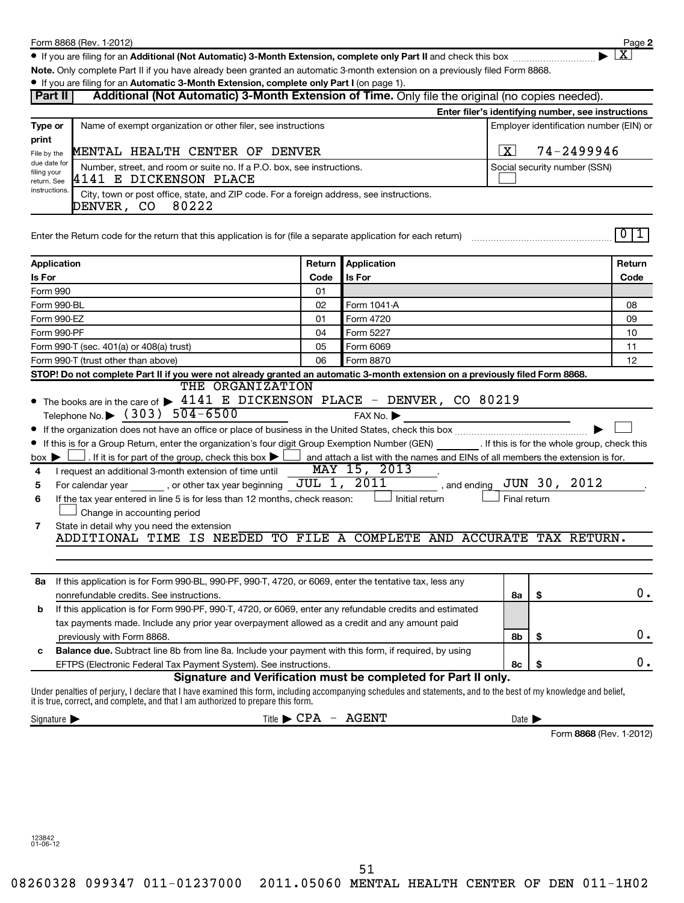**2**  $\lfloor x \rfloor$ 

● If you are filing for an Additional (Not Automatic) 3-Month Extension, complete only Part II and check this box <sub>……………………</sub>………

**Note.**  Only complete Part II if you have already been granted an automatic 3-month extension on a previously filed Form 8868.

|                                 | • If you are filing for an Automatic 3-Month Extension, complete only Part I (on page 1).                                                                                                                                                               |        |                                                                                |                              |                                                    |                         |  |  |
|---------------------------------|---------------------------------------------------------------------------------------------------------------------------------------------------------------------------------------------------------------------------------------------------------|--------|--------------------------------------------------------------------------------|------------------------------|----------------------------------------------------|-------------------------|--|--|
| Part II                         | Additional (Not Automatic) 3-Month Extension of Time. Only file the original (no copies needed).                                                                                                                                                        |        |                                                                                |                              |                                                    |                         |  |  |
|                                 |                                                                                                                                                                                                                                                         |        |                                                                                |                              | Enter filer's identifying number, see instructions |                         |  |  |
| Type or                         | Name of exempt organization or other filer, see instructions                                                                                                                                                                                            |        |                                                                                |                              | Employer identification number (EIN) or            |                         |  |  |
| print                           |                                                                                                                                                                                                                                                         |        |                                                                                |                              |                                                    |                         |  |  |
| File by the                     | MENTAL HEALTH CENTER OF DENVER                                                                                                                                                                                                                          |        |                                                                                | ΙX                           | 74-2499946                                         |                         |  |  |
| due date for<br>filing your     | Number, street, and room or suite no. If a P.O. box, see instructions.                                                                                                                                                                                  |        |                                                                                | Social security number (SSN) |                                                    |                         |  |  |
| return. See                     | 4141 E DICKENSON PLACE                                                                                                                                                                                                                                  |        |                                                                                |                              |                                                    |                         |  |  |
| instructions.                   | City, town or post office, state, and ZIP code. For a foreign address, see instructions.<br>DENVER, CO 80222                                                                                                                                            |        |                                                                                |                              |                                                    |                         |  |  |
|                                 |                                                                                                                                                                                                                                                         |        |                                                                                |                              |                                                    |                         |  |  |
|                                 | Enter the Return code for the return that this application is for (file a separate application for each return)                                                                                                                                         |        |                                                                                |                              |                                                    | 0 1                     |  |  |
|                                 |                                                                                                                                                                                                                                                         |        |                                                                                |                              |                                                    |                         |  |  |
|                                 | <b>Application</b>                                                                                                                                                                                                                                      | Return | Application                                                                    |                              |                                                    | Return                  |  |  |
| Is For                          |                                                                                                                                                                                                                                                         | Code   | <b>Is For</b>                                                                  |                              |                                                    | Code                    |  |  |
| Form 990                        |                                                                                                                                                                                                                                                         | 01     |                                                                                |                              |                                                    |                         |  |  |
|                                 | Form 990-BL                                                                                                                                                                                                                                             | 02     | Form 1041-A                                                                    |                              |                                                    | 08                      |  |  |
|                                 | Form 990-EZ                                                                                                                                                                                                                                             | 01     | Form 4720                                                                      |                              |                                                    | 09                      |  |  |
|                                 | Form 990-PF                                                                                                                                                                                                                                             | 04     | Form 5227                                                                      |                              |                                                    | 10                      |  |  |
|                                 | Form 990-T (sec. 401(a) or 408(a) trust)                                                                                                                                                                                                                | 05     | Form 6069                                                                      |                              |                                                    | 11                      |  |  |
|                                 | Form 990-T (trust other than above)                                                                                                                                                                                                                     | 06     | Form 8870                                                                      |                              |                                                    | 12                      |  |  |
|                                 | STOP! Do not complete Part II if you were not already granted an automatic 3-month extension on a previously filed Form 8868.                                                                                                                           |        |                                                                                |                              |                                                    |                         |  |  |
|                                 | THE ORGANIZATION                                                                                                                                                                                                                                        |        |                                                                                |                              |                                                    |                         |  |  |
|                                 | • The books are in the care of $\triangleright$ 4141 E DICKENSON PLACE - DENVER, CO 80219                                                                                                                                                               |        |                                                                                |                              |                                                    |                         |  |  |
|                                 | Telephone No. $\triangleright$ (303) $5\overline{04-6500}$                                                                                                                                                                                              |        | FAX No.                                                                        |                              |                                                    |                         |  |  |
|                                 |                                                                                                                                                                                                                                                         |        |                                                                                |                              |                                                    |                         |  |  |
|                                 | If this is for a Group Return, enter the organization's four digit Group Exemption Number (GEN) [If this is for the whole group, check this                                                                                                             |        |                                                                                |                              |                                                    |                         |  |  |
| $box \blacktriangleright$       | . If it is for part of the group, check this box $\blacktriangleright$ L                                                                                                                                                                                |        | and attach a list with the names and EINs of all members the extension is for. |                              |                                                    |                         |  |  |
| 4                               | I request an additional 3-month extension of time until                                                                                                                                                                                                 |        | $\overline{MAX}$ 15, 2013                                                      |                              |                                                    |                         |  |  |
| 5                               | For calendar year , or other tax year beginning                                                                                                                                                                                                         |        | JUL 1, 2011 , and ending JUN 30, 2012                                          |                              |                                                    |                         |  |  |
| 6                               | If the tax year entered in line 5 is for less than 12 months, check reason: $\Box$                                                                                                                                                                      |        | Initial return                                                                 | Final return                 |                                                    |                         |  |  |
|                                 | Change in accounting period                                                                                                                                                                                                                             |        |                                                                                |                              |                                                    |                         |  |  |
| 7                               | State in detail why you need the extension                                                                                                                                                                                                              |        |                                                                                |                              |                                                    |                         |  |  |
|                                 | ADDITIONAL TIME IS NEEDED TO FILE A COMPLETE AND ACCURATE TAX RETURN.                                                                                                                                                                                   |        |                                                                                |                              |                                                    |                         |  |  |
|                                 |                                                                                                                                                                                                                                                         |        |                                                                                |                              |                                                    |                         |  |  |
|                                 |                                                                                                                                                                                                                                                         |        |                                                                                |                              |                                                    |                         |  |  |
|                                 | 8a If this application is for Form 990-BL, 990-PF, 990-T, 4720, or 6069, enter the tentative tax, less any                                                                                                                                              |        |                                                                                |                              |                                                    |                         |  |  |
|                                 | nonrefundable credits. See instructions.                                                                                                                                                                                                                |        |                                                                                | 8a                           |                                                    | 0.                      |  |  |
| b                               | If this application is for Form 990-PF, 990-T, 4720, or 6069, enter any refundable credits and estimated                                                                                                                                                |        |                                                                                |                              |                                                    |                         |  |  |
|                                 | tax payments made. Include any prior year overpayment allowed as a credit and any amount paid                                                                                                                                                           |        |                                                                                |                              |                                                    |                         |  |  |
|                                 | previously with Form 8868.                                                                                                                                                                                                                              |        |                                                                                | 8b                           | \$                                                 | $0$ .                   |  |  |
| c                               | Balance due. Subtract line 8b from line 8a. Include your payment with this form, if required, by using                                                                                                                                                  |        |                                                                                |                              |                                                    |                         |  |  |
|                                 | EFTPS (Electronic Federal Tax Payment System). See instructions.                                                                                                                                                                                        |        |                                                                                | 8с                           | \$                                                 | 0.                      |  |  |
|                                 |                                                                                                                                                                                                                                                         |        | Signature and Verification must be completed for Part II only.                 |                              |                                                    |                         |  |  |
|                                 | Under penalties of perjury, I declare that I have examined this form, including accompanying schedules and statements, and to the best of my knowledge and belief,<br>it is true, correct, and complete, and that I am authorized to prepare this form. |        |                                                                                |                              |                                                    |                         |  |  |
| Signature $\blacktriangleright$ |                                                                                                                                                                                                                                                         |        | Title $\blacktriangleright$ CPA - AGENT                                        | Date $\blacktriangleright$   |                                                    |                         |  |  |
|                                 |                                                                                                                                                                                                                                                         |        |                                                                                |                              |                                                    | Form 8868 (Rev. 1-2012) |  |  |
|                                 |                                                                                                                                                                                                                                                         |        |                                                                                |                              |                                                    |                         |  |  |